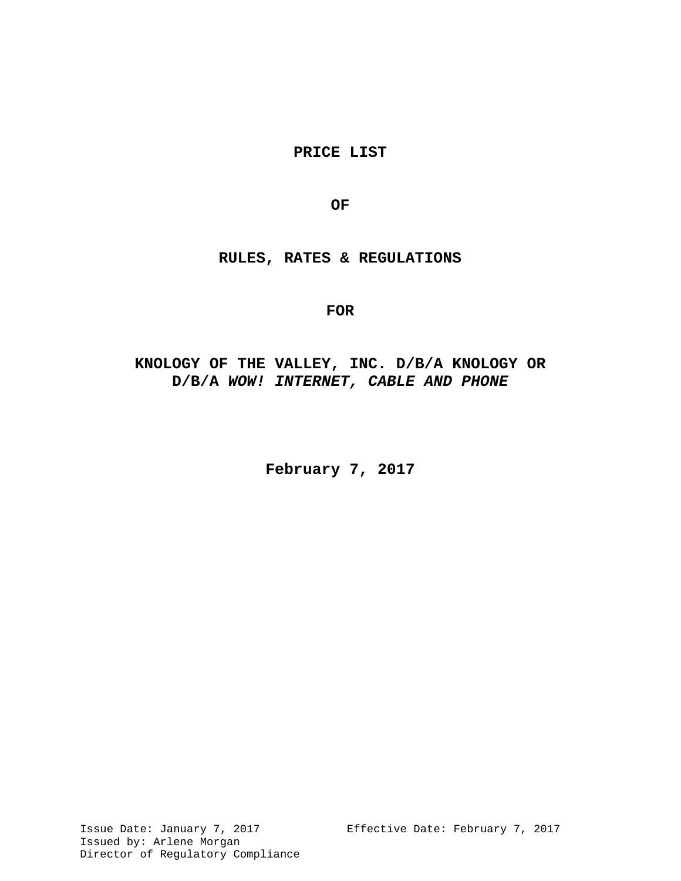**PRICE LIST** 

**OF**

**RULES, RATES & REGULATIONS**

# **FOR**

# **KNOLOGY OF THE VALLEY, INC. D/B/A KNOLOGY OR D/B/A** *WOW! INTERNET, CABLE AND PHONE*

**February 7, 2017**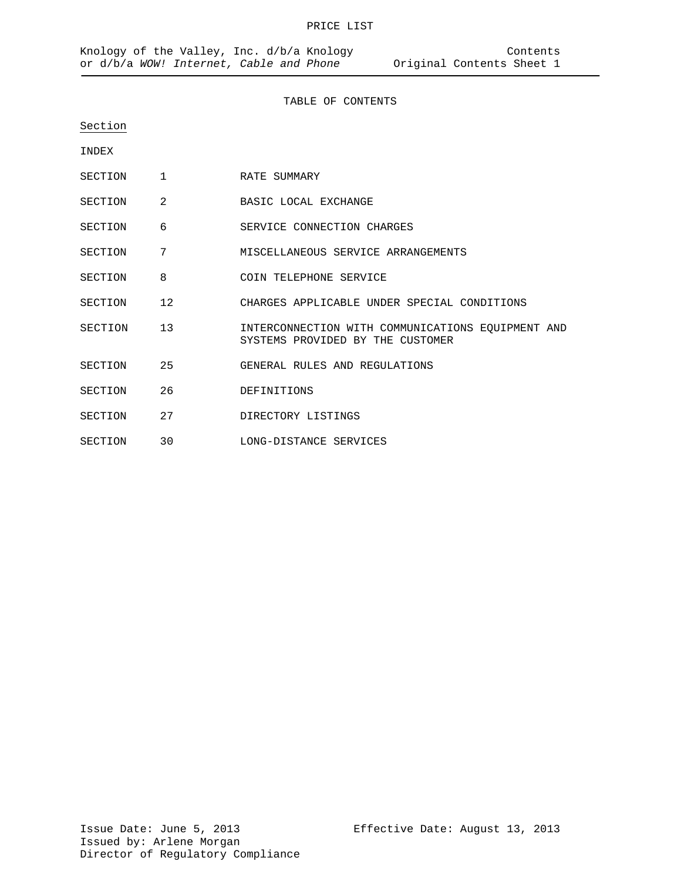TABLE OF CONTENTS

Section

INDEX

- SECTION 1 RATE SUMMARY
- SECTION 2 BASIC LOCAL EXCHANGE
- SECTION 6 SERVICE CONNECTION CHARGES
- SECTION 7 MISCELLANEOUS SERVICE ARRANGEMENTS
- SECTION 8 COIN TELEPHONE SERVICE
- SECTION 12 CHARGES APPLICABLE UNDER SPECIAL CONDITIONS
- SECTION 13 INTERCONNECTION WITH COMMUNICATIONS EQUIPMENT AND SYSTEMS PROVIDED BY THE CUSTOMER
- SECTION 25 GENERAL RULES AND REGULATIONS
- SECTION 26 DEFINITIONS
- SECTION 27 DIRECTORY LISTINGS
- SECTION 30 LONG-DISTANCE SERVICES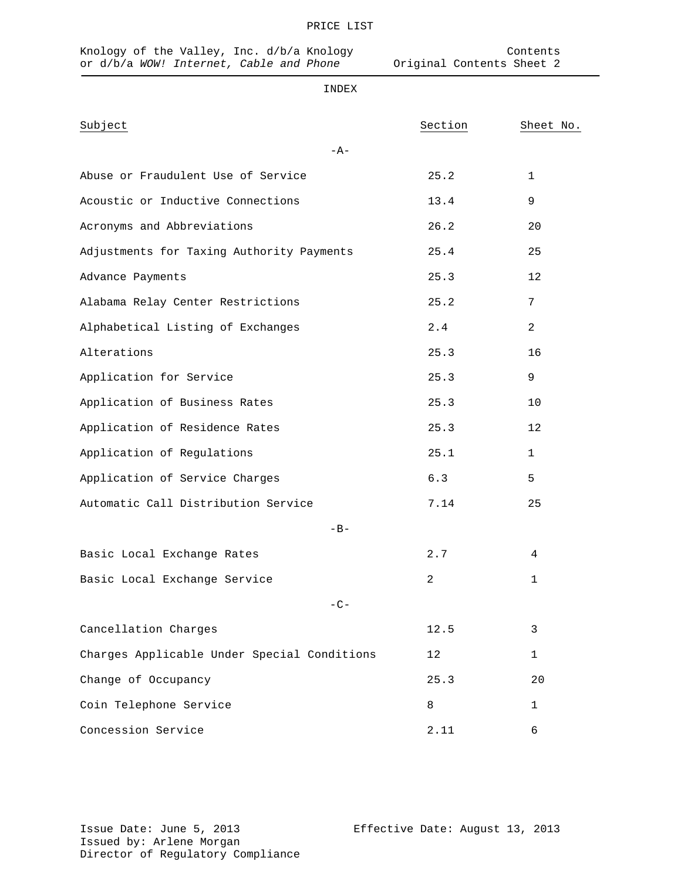| Subject                                     | Section | Sheet No.    |  |  |  |  |
|---------------------------------------------|---------|--------------|--|--|--|--|
| $-A-$                                       |         |              |  |  |  |  |
| Abuse or Fraudulent Use of Service          | 25.2    | $\mathbf{1}$ |  |  |  |  |
| Acoustic or Inductive Connections           | 13.4    | 9            |  |  |  |  |
| Acronyms and Abbreviations                  | 26.2    | 20           |  |  |  |  |
| Adjustments for Taxing Authority Payments   | 25.4    | 25           |  |  |  |  |
| Advance Payments                            | 25.3    | 12           |  |  |  |  |
| Alabama Relay Center Restrictions           | 25.2    | 7            |  |  |  |  |
| Alphabetical Listing of Exchanges           | 2.4     | 2            |  |  |  |  |
| Alterations                                 | 25.3    | 16           |  |  |  |  |
| Application for Service                     | 25.3    | 9            |  |  |  |  |
| Application of Business Rates               | 25.3    | 10           |  |  |  |  |
| Application of Residence Rates              | 25.3    | 12           |  |  |  |  |
| Application of Regulations                  | 25.1    | $\mathbf{1}$ |  |  |  |  |
| Application of Service Charges              | 6.3     | 5            |  |  |  |  |
| Automatic Call Distribution Service         | 7.14    | 25           |  |  |  |  |
| $-B-$                                       |         |              |  |  |  |  |
| Basic Local Exchange Rates                  | 2.7     | 4            |  |  |  |  |
| Basic Local Exchange Service                | 2       | 1            |  |  |  |  |
| $-C-$                                       |         |              |  |  |  |  |
| Cancellation Charges                        | 12.5    | 3            |  |  |  |  |
| Charges Applicable Under Special Conditions | 12      | 1            |  |  |  |  |
| Change of Occupancy                         | 25.3    | 20           |  |  |  |  |
| Coin Telephone Service                      | 8       | 1            |  |  |  |  |
| Concession Service                          | 2.11    | 6            |  |  |  |  |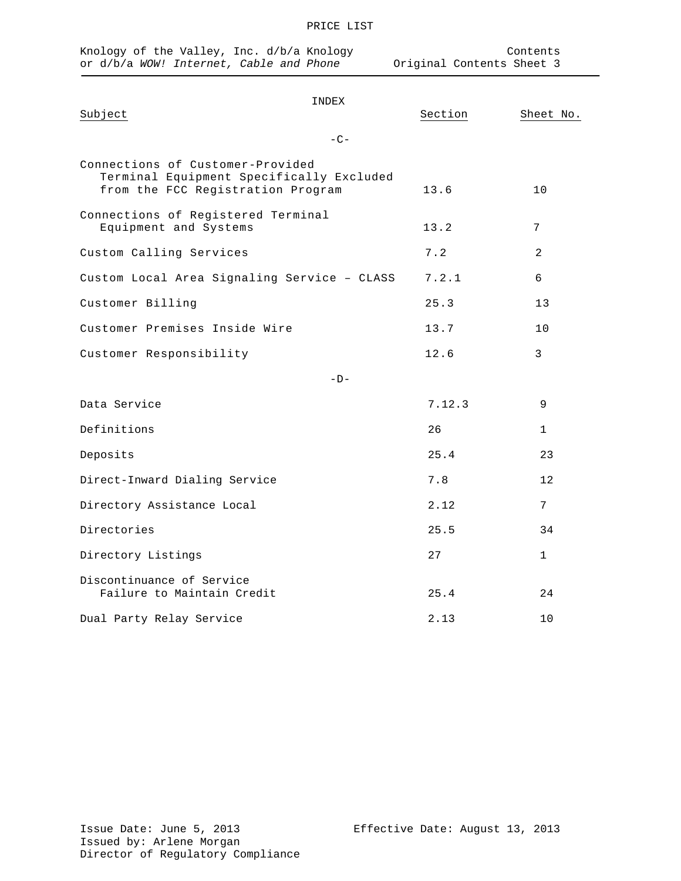| Knology of the Valley, Inc. d/b/a Knology<br>or d/b/a WOW! Internet, Cable and Phone                              | Contents<br>Original Contents Sheet 3 |         |                 |  |  |  |  |
|-------------------------------------------------------------------------------------------------------------------|---------------------------------------|---------|-----------------|--|--|--|--|
| Subject                                                                                                           | INDEX<br>$-C-$                        | Section | Sheet No.       |  |  |  |  |
| Connections of Customer-Provided<br>Terminal Equipment Specifically Excluded<br>from the FCC Registration Program |                                       | 13.6    | 10              |  |  |  |  |
| Connections of Registered Terminal<br>Equipment and Systems                                                       |                                       | 13.2    | 7               |  |  |  |  |
| Custom Calling Services                                                                                           |                                       | 7.2     | 2               |  |  |  |  |
| Custom Local Area Signaling Service - CLASS                                                                       |                                       | 7.2.1   | 6               |  |  |  |  |
| Customer Billing                                                                                                  |                                       | 25.3    | 13              |  |  |  |  |
| Customer Premises Inside Wire                                                                                     |                                       | 13.7    | 10              |  |  |  |  |
| Customer Responsibility                                                                                           |                                       | 12.6    | 3               |  |  |  |  |
| $-D-$                                                                                                             |                                       |         |                 |  |  |  |  |
| Data Service                                                                                                      |                                       | 7.12.3  | 9               |  |  |  |  |
| Definitions                                                                                                       |                                       | 26      | 1               |  |  |  |  |
| Deposits                                                                                                          |                                       | 25.4    | 23              |  |  |  |  |
| Direct-Inward Dialing Service                                                                                     |                                       | 7.8     | 12              |  |  |  |  |
| Directory Assistance Local                                                                                        |                                       | 2.12    | $7\phantom{.0}$ |  |  |  |  |
| Directories                                                                                                       |                                       | 25.5    | 34              |  |  |  |  |
| Directory Listings                                                                                                |                                       | 27      | 1               |  |  |  |  |
| Discontinuance of Service<br>Failure to Maintain Credit                                                           |                                       | 25.4    | 24              |  |  |  |  |
| Dual Party Relay Service                                                                                          |                                       | 2.13    | 10              |  |  |  |  |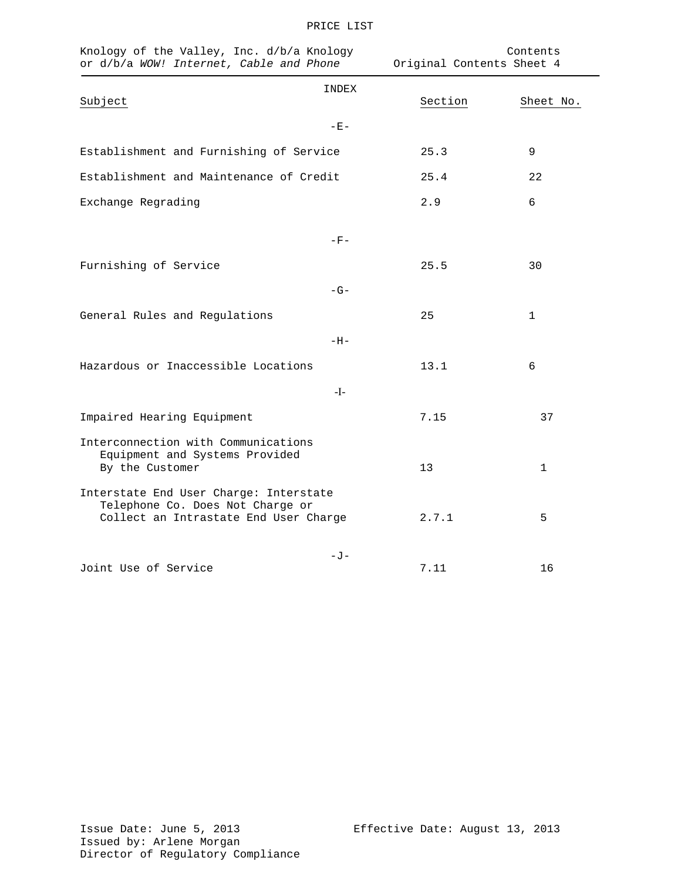| Knology of the Valley, Inc. d/b/a Knology<br>or d/b/a WOW! Internet, Cable and Phone                                |                  | Contents<br>Original Contents Sheet 4 |
|---------------------------------------------------------------------------------------------------------------------|------------------|---------------------------------------|
| Subject                                                                                                             | INDEX<br>Section | Sheet No.                             |
| $-E -$                                                                                                              |                  |                                       |
| Establishment and Furnishing of Service                                                                             | 25.3             | 9                                     |
| Establishment and Maintenance of Credit                                                                             | 25.4             | 22                                    |
| Exchange Regrading                                                                                                  | 2.9              | 6                                     |
| $-F-$                                                                                                               |                  |                                       |
| Furnishing of Service                                                                                               | 25.5             | 30                                    |
| $-G-$                                                                                                               |                  |                                       |
| General Rules and Regulations                                                                                       | 25               | 1                                     |
| $-H-$                                                                                                               |                  |                                       |
| Hazardous or Inaccessible Locations                                                                                 | 13.1             | 6                                     |
| $-I-$                                                                                                               |                  |                                       |
| Impaired Hearing Equipment                                                                                          | 7.15             | 37                                    |
| Interconnection with Communications<br>Equipment and Systems Provided<br>By the Customer                            | 13               | 1                                     |
| Interstate End User Charge: Interstate<br>Telephone Co. Does Not Charge or<br>Collect an Intrastate End User Charge | 2.7.1            | 5                                     |
| – J –<br>Joint Use of Service                                                                                       | 7.11             | 16                                    |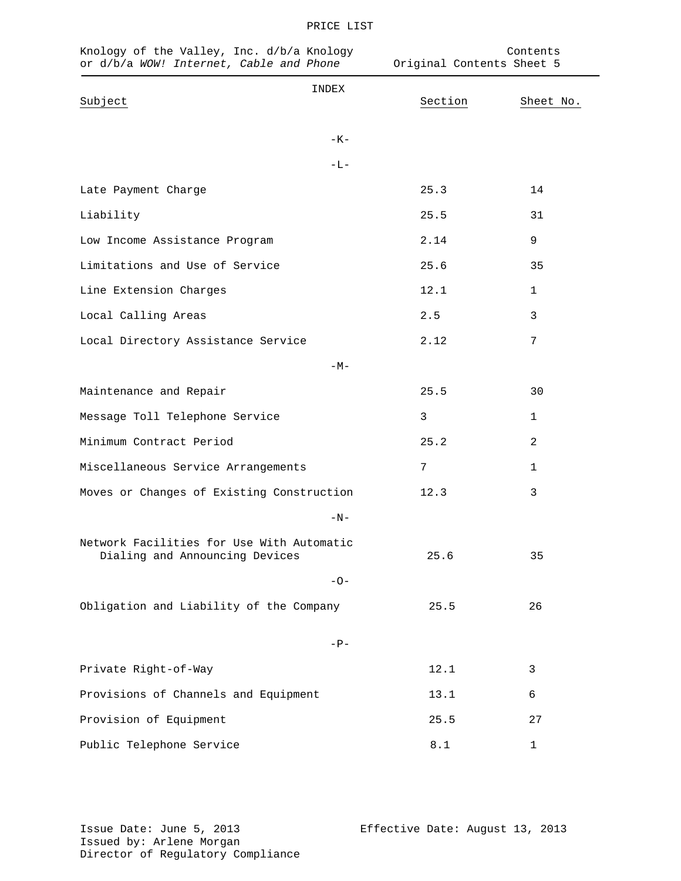| Knology of the Valley, Inc. d/b/a Knology<br>or d/b/a WOW! Internet, Cable and Phone |       | Original Contents Sheet 5 | Contents       |
|--------------------------------------------------------------------------------------|-------|---------------------------|----------------|
| Subject                                                                              | INDEX | Section                   | Sheet No.      |
|                                                                                      | $-K-$ |                           |                |
|                                                                                      | $-L-$ |                           |                |
| Late Payment Charge                                                                  |       | 25.3                      | 14             |
| Liability                                                                            |       | 25.5                      | 31             |
| Low Income Assistance Program                                                        |       | 2.14                      | 9              |
| Limitations and Use of Service                                                       |       | 25.6                      | 35             |
| Line Extension Charges                                                               |       | 12.1                      | 1              |
| Local Calling Areas                                                                  |       | 2.5                       | 3              |
| Local Directory Assistance Service                                                   |       | 2.12                      | 7              |
|                                                                                      | $-M-$ |                           |                |
| Maintenance and Repair                                                               |       | 25.5                      | 30             |
| Message Toll Telephone Service                                                       |       | 3                         | 1              |
| Minimum Contract Period                                                              |       | 25.2                      | $\overline{2}$ |
| Miscellaneous Service Arrangements                                                   |       | 7                         | 1              |
| Moves or Changes of Existing Construction                                            |       | 12.3                      | 3              |
|                                                                                      | $-N-$ |                           |                |
| Network Facilities for Use With Automatic<br>Dialing and Announcing Devices          |       | 25.6                      | 35             |
|                                                                                      | $-O-$ |                           |                |
| Obligation and Liability of the Company                                              |       | 25.5                      | 26             |
|                                                                                      | $-P-$ |                           |                |
| Private Right-of-Way                                                                 |       | 12.1                      | 3              |
| Provisions of Channels and Equipment                                                 |       | 13.1                      | 6              |
| Provision of Equipment                                                               |       | 25.5                      | 27             |
| Public Telephone Service                                                             |       | $8.1\,$                   | $\mathbf{1}$   |

Issue Date: June 5, 2013 Effective Date: August 13, 2013 Issued by: Arlene Morgan Director of Regulatory Compliance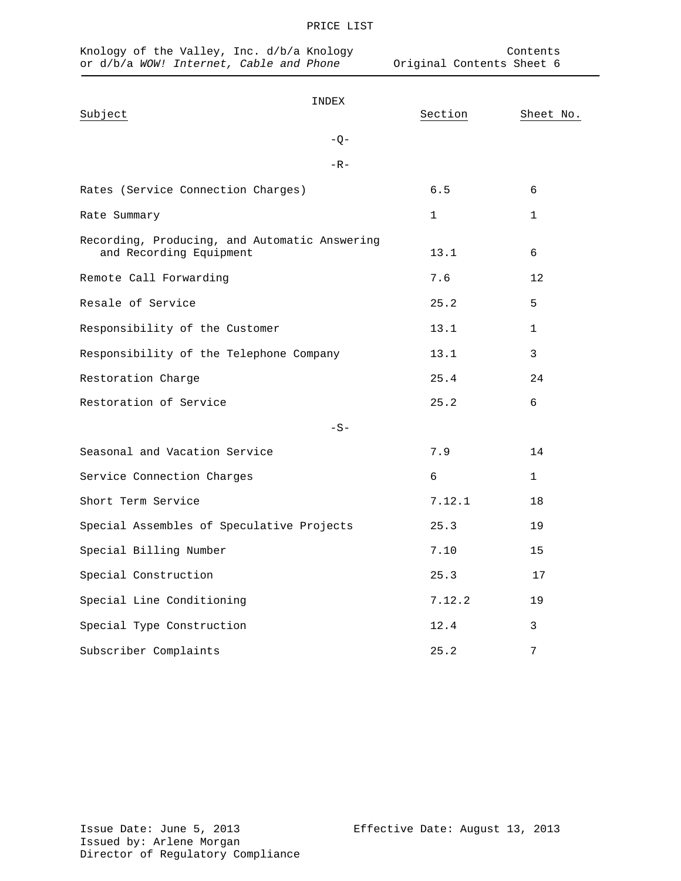| Knology of the Valley, Inc. d/b/a Knology<br>or d/b/a WOW! Internet, Cable and Phone |         | Contents<br>Original Contents Sheet 6 |  |  |  |
|--------------------------------------------------------------------------------------|---------|---------------------------------------|--|--|--|
| INDEX<br>Subject<br>$-Q-$                                                            | Section | Sheet No.                             |  |  |  |
| $-R -$                                                                               |         |                                       |  |  |  |
| Rates (Service Connection Charges)                                                   | 6.5     | 6                                     |  |  |  |
| Rate Summary                                                                         | 1       | 1                                     |  |  |  |
| Recording, Producing, and Automatic Answering<br>and Recording Equipment             | 13.1    | 6                                     |  |  |  |
| Remote Call Forwarding                                                               | 7.6     | 12                                    |  |  |  |
| Resale of Service                                                                    | 25.2    | 5                                     |  |  |  |
| Responsibility of the Customer                                                       | 13.1    | $\mathbf{1}$                          |  |  |  |
| Responsibility of the Telephone Company                                              | 13.1    | 3                                     |  |  |  |
| Restoration Charge                                                                   | 25.4    | 24                                    |  |  |  |
| Restoration of Service                                                               | 25.2    | 6                                     |  |  |  |
| $-S-$                                                                                |         |                                       |  |  |  |
| Seasonal and Vacation Service                                                        | 7.9     | 14                                    |  |  |  |
| Service Connection Charges                                                           | 6       | $\mathbf{1}$                          |  |  |  |
| Short Term Service                                                                   | 7.12.1  | 18                                    |  |  |  |
| Special Assembles of Speculative Projects                                            | 25.3    | 19                                    |  |  |  |
| Special Billing Number                                                               | 7.10    | 15                                    |  |  |  |
| Special Construction                                                                 | 25.3    | 17                                    |  |  |  |
| Special Line Conditioning                                                            | 7.12.2  | 19                                    |  |  |  |
| Special Type Construction                                                            | 12.4    | 3                                     |  |  |  |

Subscriber Complaints 25.2 2012

Issue Date: June 5, 2013 Effective Date: August 13, 2013 Issued by: Arlene Morgan Director of Regulatory Compliance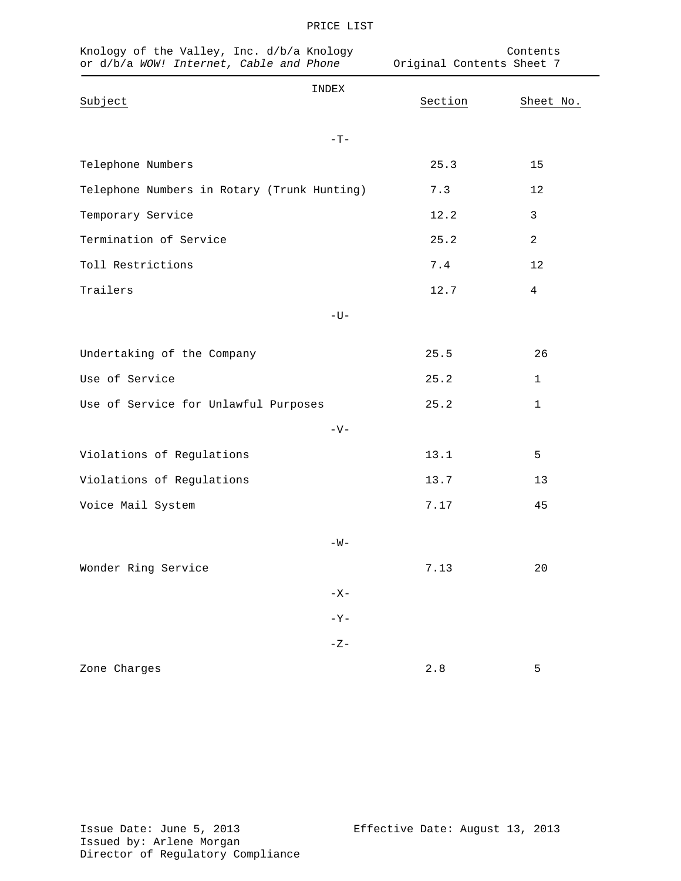| Knology of the Valley, Inc. d/b/a Knology<br>or d/b/a WOW! Internet, Cable and Phone |             | Contents<br>Original Contents Sheet 7 |                |  |
|--------------------------------------------------------------------------------------|-------------|---------------------------------------|----------------|--|
| Subject                                                                              | INDEX       | Section                               | Sheet No.      |  |
|                                                                                      | $-{\rm T}-$ |                                       |                |  |
| Telephone Numbers                                                                    |             | 25.3                                  | 15             |  |
| Telephone Numbers in Rotary (Trunk Hunting)                                          |             | 7.3                                   | 12             |  |
| Temporary Service                                                                    |             | 12.2                                  | 3              |  |
| Termination of Service                                                               |             | 25.2                                  | 2              |  |
| Toll Restrictions                                                                    |             | 7.4                                   | 12             |  |
| Trailers                                                                             |             | 12.7                                  | $\overline{4}$ |  |
|                                                                                      | $-U-$       |                                       |                |  |
| Undertaking of the Company                                                           |             | 25.5                                  | 26             |  |
| Use of Service                                                                       |             | 25.2                                  | $\mathbf 1$    |  |
| Use of Service for Unlawful Purposes                                                 |             | 25.2                                  | 1              |  |
|                                                                                      | $-V-$       |                                       |                |  |
| Violations of Regulations                                                            |             | 13.1                                  | 5              |  |
| Violations of Regulations                                                            |             | 13.7                                  | 13             |  |
| Voice Mail System                                                                    |             | 7.17                                  | 45             |  |
|                                                                                      | $-W -$      |                                       |                |  |
| Wonder Ring Service                                                                  |             | 7.13                                  | 20             |  |
|                                                                                      | $-X -$      |                                       |                |  |
|                                                                                      | $-Y-$       |                                       |                |  |
|                                                                                      | $-Z-$       |                                       |                |  |
| Zone Charges                                                                         |             | $2.8\,$                               | 5              |  |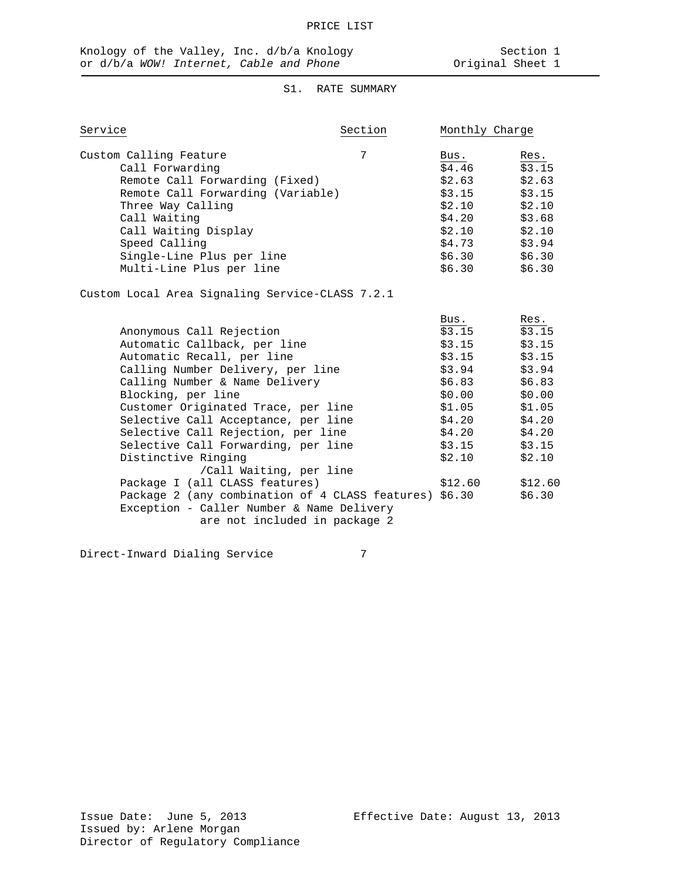# S1. RATE SUMMARY

| Service                                         | Section | Monthly Charge |        |
|-------------------------------------------------|---------|----------------|--------|
| Custom Calling Feature                          | 7       | Bus.           | Res.   |
| Call Forwarding                                 |         | \$4.46         | \$3.15 |
| Remote Call Forwarding (Fixed)                  |         | \$2.63         | \$2.63 |
| Remote Call Forwarding (Variable)               |         | \$3.15         | \$3.15 |
| Three Way Calling                               |         | \$2.10         | \$2.10 |
| Call Waiting                                    |         | \$4.20         | \$3.68 |
| Call Waiting Display                            |         | \$2.10         | \$2.10 |
| Speed Calling                                   |         | \$4.73         | \$3.94 |
| Single-Line Plus per line                       |         | \$6.30         | \$6.30 |
| Multi-Line Plus per line                        |         | \$6.30         | \$6.30 |
| Custom Local Area Signaling Service-CLASS 7.2.1 |         |                |        |
|                                                 |         | Bus.           | Res.   |
| Anonymous Call Rejection                        |         | \$3.15         | \$3.15 |

| Anonymous Call Rejection                               | 53.15   | 53.15   |
|--------------------------------------------------------|---------|---------|
| Automatic Callback, per line                           | \$3.15  | \$3.15  |
| Automatic Recall, per line                             | \$3.15  | \$3.15  |
| Calling Number Delivery, per line                      | \$3.94  | \$3.94  |
| Calling Number & Name Delivery                         | \$6.83  | \$6.83  |
| Blocking, per line                                     | \$0.00  | \$0.00  |
| Customer Originated Trace, per line                    | \$1.05  | \$1.05  |
| Selective Call Acceptance, per line                    | \$4.20  | \$4.20  |
| Selective Call Rejection, per line                     | \$4.20  | \$4.20  |
| Selective Call Forwarding, per line                    | \$3.15  | \$3.15  |
| Distinctive Ringing                                    | \$2.10  | \$2.10  |
| /Call Waiting, per line                                |         |         |
| Package I (all CLASS features)                         | \$12.60 | \$12.60 |
| Package 2 (any combination of 4 CLASS features) \$6.30 |         | \$6.30  |
| Exception - Caller Number & Name Delivery              |         |         |
| are not included in package 2                          |         |         |
|                                                        |         |         |

Direct-Inward Dialing Service 7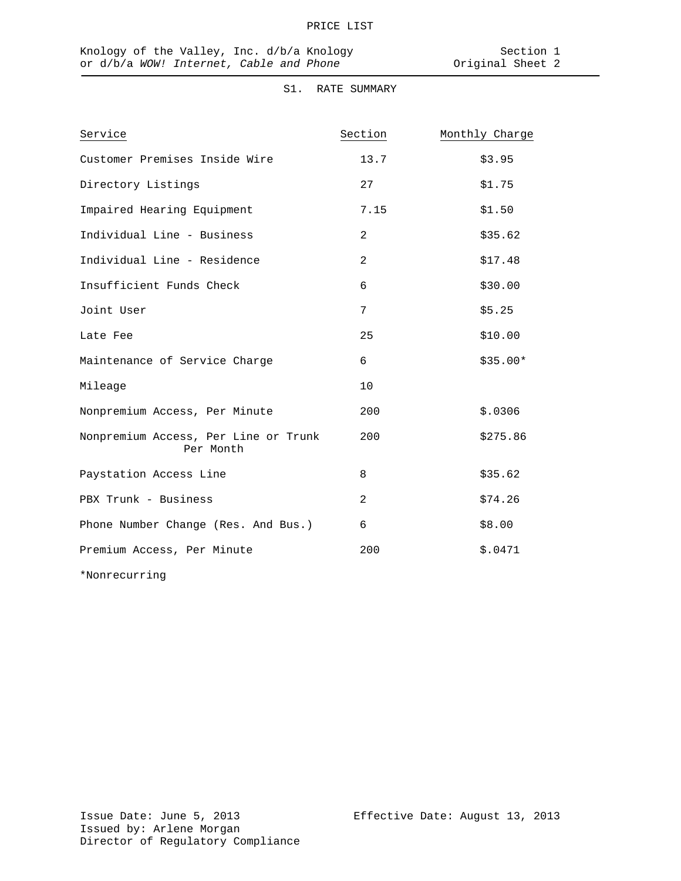# S1. RATE SUMMARY

| Service                                           | Section | Monthly Charge |
|---------------------------------------------------|---------|----------------|
| Customer Premises Inside Wire                     | 13.7    | \$3.95         |
| Directory Listings                                | 27      | \$1.75         |
| Impaired Hearing Equipment                        | 7.15    | \$1.50         |
| Individual Line - Business                        | 2       | \$35.62        |
| Individual Line - Residence                       | 2       | \$17.48        |
| Insufficient Funds Check                          | 6       | \$30.00        |
| Joint User                                        | 7       | \$5.25         |
| Late Fee                                          | 25      | \$10.00        |
| Maintenance of Service Charge                     | 6       | $$35.00*$      |
| Mileage                                           | 10      |                |
| Nonpremium Access, Per Minute                     | 200     | \$.0306        |
| Nonpremium Access, Per Line or Trunk<br>Per Month | 200     | \$275.86       |
| Paystation Access Line                            | 8       | \$35.62        |
| PBX Trunk - Business                              | 2       | \$74.26        |
| Phone Number Change (Res. And Bus.)               | 6       | \$8.00         |
| Premium Access, Per Minute                        | 200     | \$.0471        |
| *Nonrecurring                                     |         |                |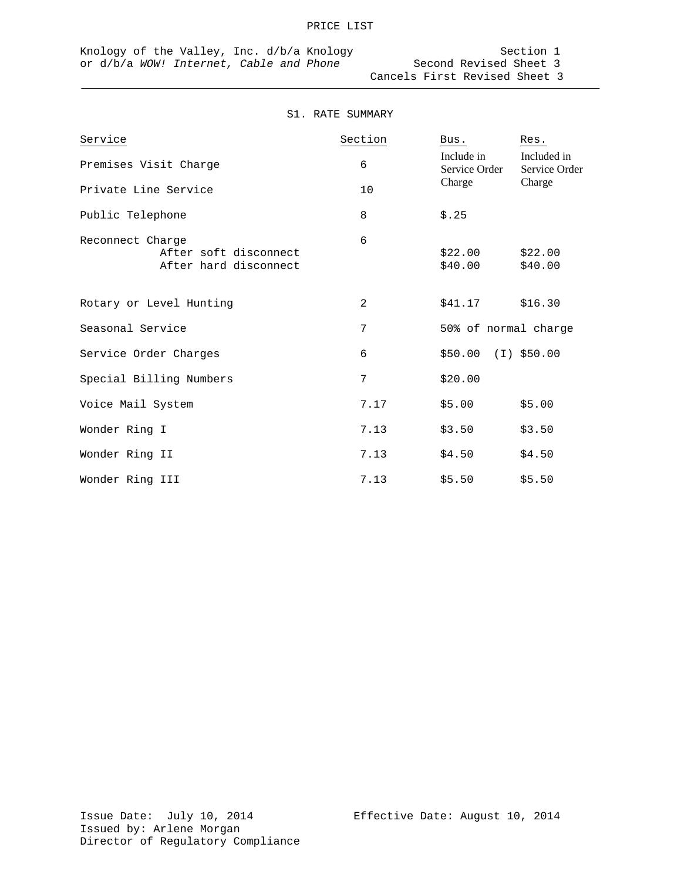#### S1. RATE SUMMARY

| Service                                                            | Section | Bus.                        | Res.                         |
|--------------------------------------------------------------------|---------|-----------------------------|------------------------------|
| Premises Visit Charge                                              | 6       | Include in<br>Service Order | Included in<br>Service Order |
| Private Line Service                                               | 10      | Charge                      | Charge                       |
| Public Telephone                                                   | 8       | \$.25                       |                              |
| Reconnect Charge<br>After soft disconnect<br>After hard disconnect | 6       | \$22.00<br>\$40.00          | \$22.00<br>\$40.00           |
| Rotary or Level Hunting                                            | 2       | \$41.17                     | \$16.30                      |
| Seasonal Service                                                   | 7       | 50% of normal charge        |                              |
| Service Order Charges                                              | 6       | $$50.00$ (I) $$50.00$       |                              |
| Special Billing Numbers                                            | 7       | \$20.00                     |                              |
| Voice Mail System                                                  | 7.17    | \$5.00                      | \$5.00                       |
| Wonder Ring I                                                      | 7.13    | \$3.50                      | \$3.50                       |
| Wonder Ring II                                                     | 7.13    | \$4.50                      | \$4.50                       |
| Wonder Ring III                                                    | 7.13    | \$5.50                      | \$5.50                       |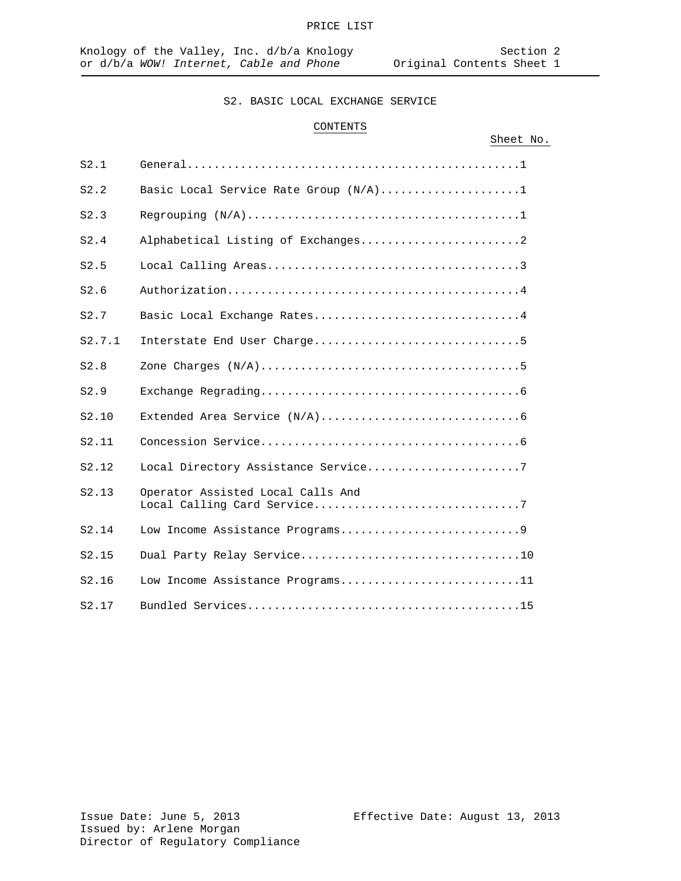#### CONTENTS

|        |                                       | Sheet No. |  |
|--------|---------------------------------------|-----------|--|
| S2.1   |                                       |           |  |
| S2.2   | Basic Local Service Rate Group (N/A)1 |           |  |
| S2.3   |                                       |           |  |
| S2.4   | Alphabetical Listing of Exchanges2    |           |  |
| S2.5   |                                       |           |  |
| S2.6   |                                       |           |  |
| S2.7   | Basic Local Exchange Rates4           |           |  |
| S2.7.1 |                                       |           |  |
| S2.8   |                                       |           |  |
| S2.9   |                                       |           |  |
| S2.10  |                                       |           |  |
| S2.11  |                                       |           |  |
| S2.12  | Local Directory Assistance Service7   |           |  |
| S2.13  | Operator Assisted Local Calls And     |           |  |
| S2.14  |                                       |           |  |
| S2.15  |                                       |           |  |
| S2.16  | Low Income Assistance Programs11      |           |  |
| S2.17  |                                       |           |  |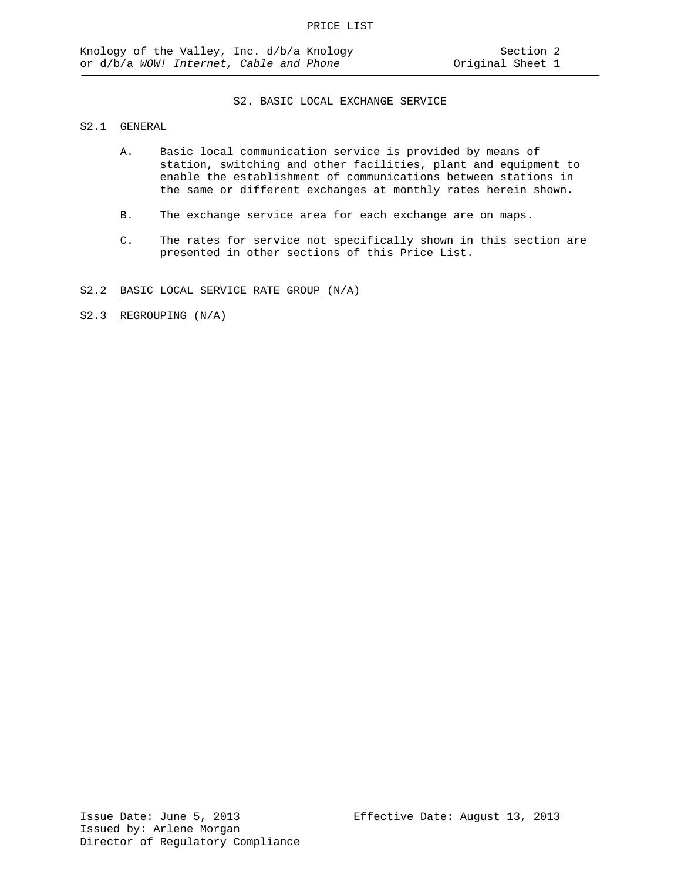### S2.1 GENERAL

- A. Basic local communication service is provided by means of station, switching and other facilities, plant and equipment to enable the establishment of communications between stations in the same or different exchanges at monthly rates herein shown.
- B. The exchange service area for each exchange are on maps.
- C. The rates for service not specifically shown in this section are presented in other sections of this Price List.
- S2.2 BASIC LOCAL SERVICE RATE GROUP (N/A)

S2.3 REGROUPING (N/A)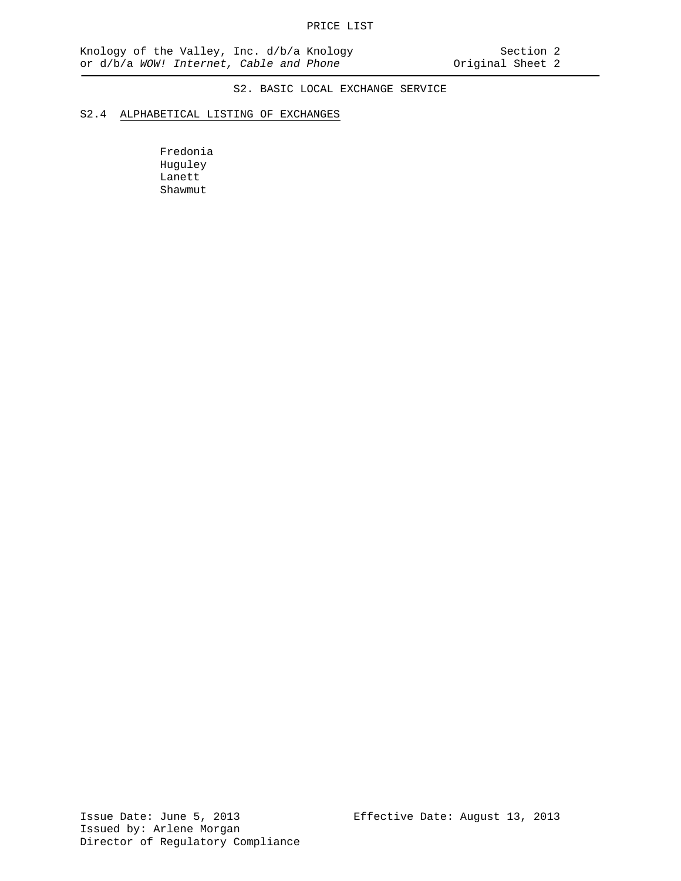#### S2.4 ALPHABETICAL LISTING OF EXCHANGES

Fredonia Huguley Lanett Shawmut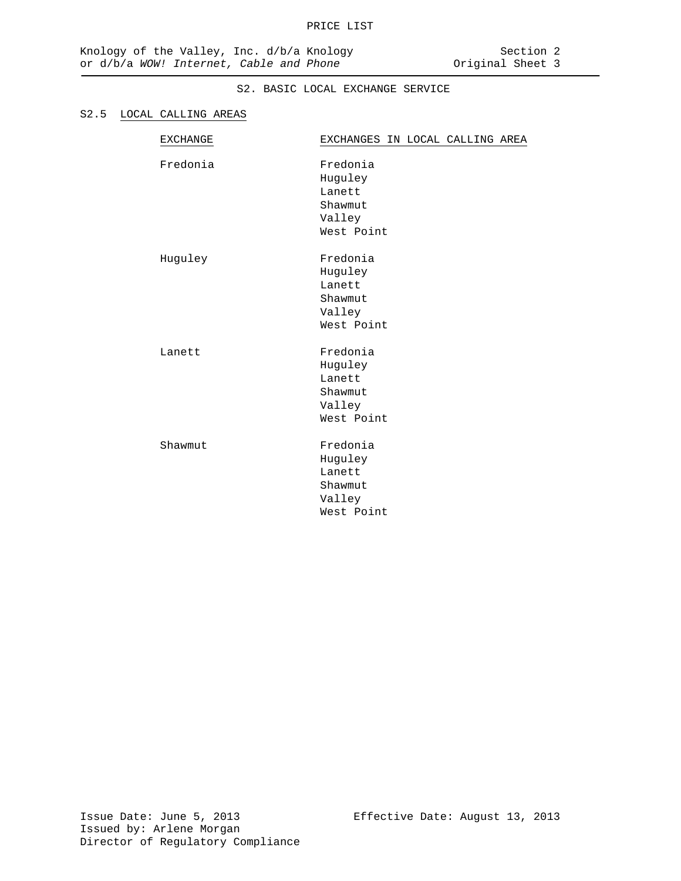#### S2.5 LOCAL CALLING AREAS

| <b>EXCHANGE</b> | EXCHANGES IN LOCAL CALLING AREA                                  |
|-----------------|------------------------------------------------------------------|
| Fredonia        | Fredonia<br>Huguley<br>Lanett<br>Shawmut<br>Valley<br>West Point |
| Huguley         | Fredonia<br>Huguley<br>Lanett<br>Shawmut<br>Valley<br>West Point |
| Lanett          | Fredonia<br>Huguley<br>Lanett<br>Shawmut<br>Valley<br>West Point |
| Shawmut         | Fredonia<br>Huguley<br>Lanett<br>Shawmut<br>Valley<br>West Point |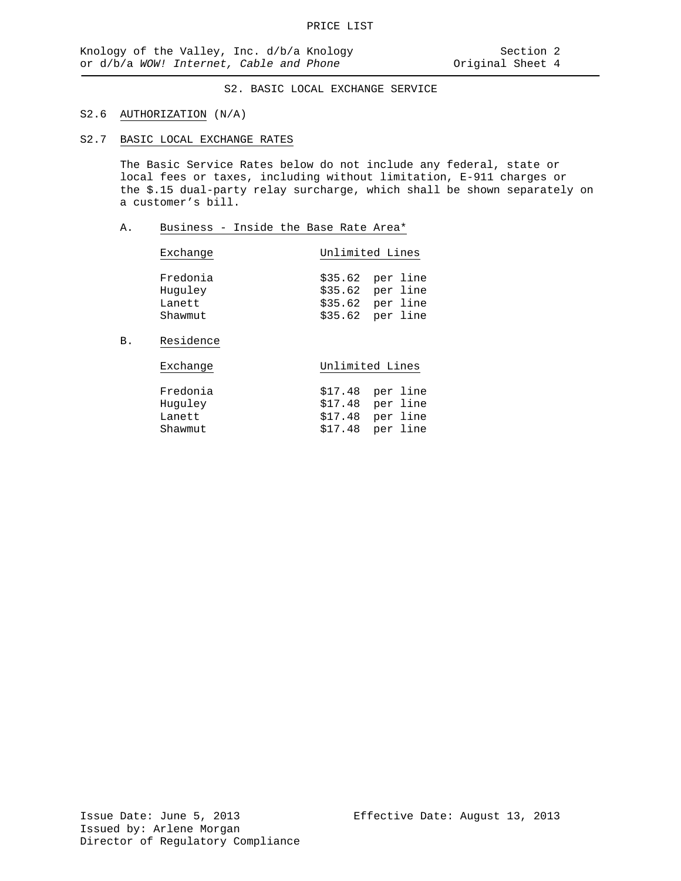#### S2.6 AUTHORIZATION (N/A)

S2.7 BASIC LOCAL EXCHANGE RATES

The Basic Service Rates below do not include any federal, state or local fees or taxes, including without limitation, E-911 charges or the \$.15 dual-party relay surcharge, which shall be shown separately on a customer's bill.

#### A. Business - Inside the Base Rate Area\*

| Exchange            | Unlimited Lines                        |  |  |
|---------------------|----------------------------------------|--|--|
| Fredonia<br>Huguley | $$35.62$ per line<br>$$35.62$ per line |  |  |
| Lanett              | $$35.62$ per line                      |  |  |
| Shawmut             | $$35.62$ per line                      |  |  |

# B. Residence

| Fredonia | $$17.48$ per line |
|----------|-------------------|
| Huguley  | $$17.48$ per line |
| Lanett   | $$17.48$ per line |
| Shawmut  | $$17.48$ per line |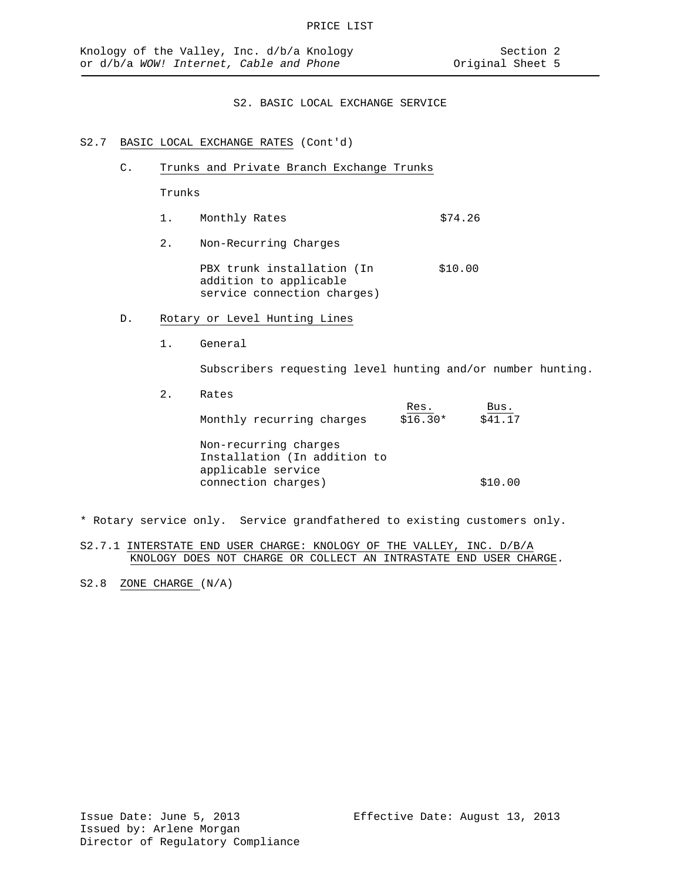# S2.7 BASIC LOCAL EXCHANGE RATES (Cont'd)

C. Trunks and Private Branch Exchange Trunks

Trunks

- 1. Monthly Rates \$74.26
- 2. Non-Recurring Charges

PBX trunk installation (In \$10.00 addition to applicable service connection charges)

- D. Rotary or Level Hunting Lines
	- 1. General

Subscribers requesting level hunting and/or number hunting.

2. Rates

| Monthly recurring charges                                                   | Res.<br>$$16.30*$ | Bus.<br>\$41.17 |
|-----------------------------------------------------------------------------|-------------------|-----------------|
| Non-recurring charges<br>Installation (In addition to<br>applicable service |                   |                 |
| connection charges)                                                         |                   | \$10.00         |

\* Rotary service only. Service grandfathered to existing customers only.

S2.7.1 INTERSTATE END USER CHARGE: KNOLOGY OF THE VALLEY, INC. D/B/A KNOLOGY DOES NOT CHARGE OR COLLECT AN INTRASTATE END USER CHARGE.

S2.8 ZONE CHARGE (N/A)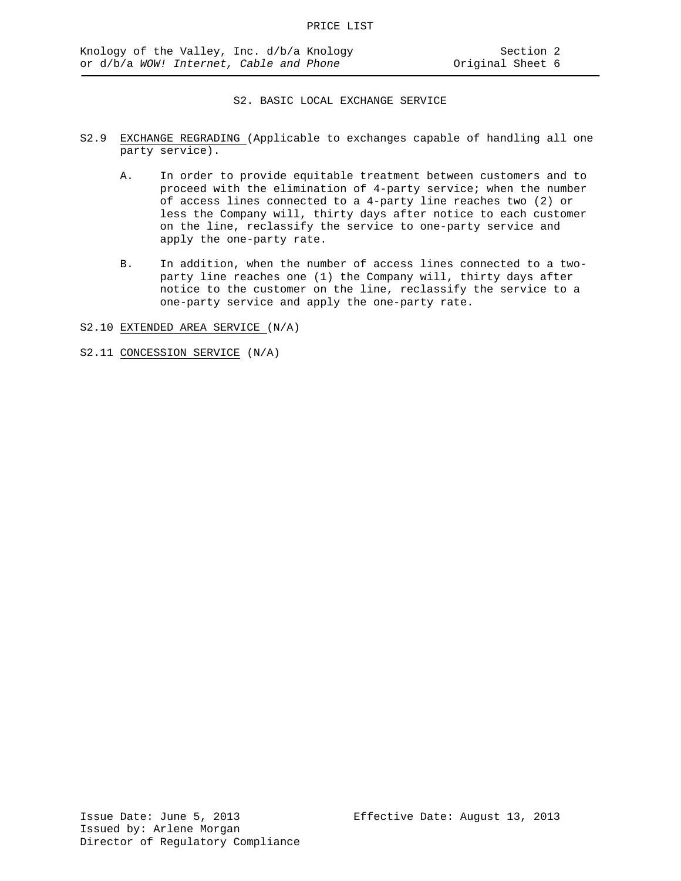- S2.9 EXCHANGE REGRADING (Applicable to exchanges capable of handling all one party service).
	- A. In order to provide equitable treatment between customers and to proceed with the elimination of 4-party service; when the number of access lines connected to a 4-party line reaches two (2) or less the Company will, thirty days after notice to each customer on the line, reclassify the service to one-party service and apply the one-party rate.
	- B. In addition, when the number of access lines connected to a twoparty line reaches one (1) the Company will, thirty days after notice to the customer on the line, reclassify the service to a one-party service and apply the one-party rate.

S2.10 EXTENDED AREA SERVICE (N/A)

S2.11 CONCESSION SERVICE (N/A)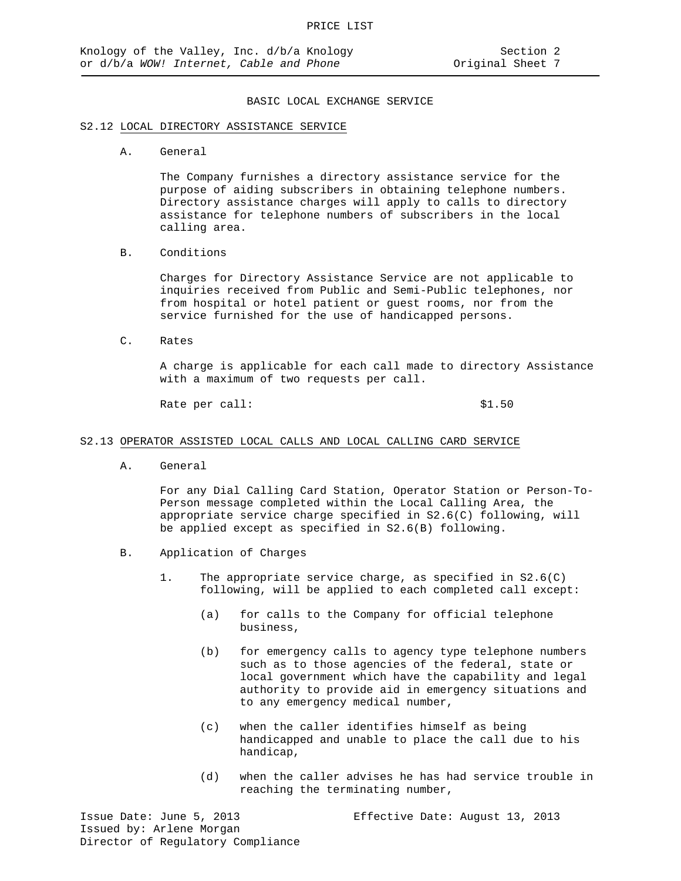#### S2.12 LOCAL DIRECTORY ASSISTANCE SERVICE

A. General

The Company furnishes a directory assistance service for the purpose of aiding subscribers in obtaining telephone numbers. Directory assistance charges will apply to calls to directory assistance for telephone numbers of subscribers in the local calling area.

B. Conditions

Charges for Directory Assistance Service are not applicable to inquiries received from Public and Semi-Public telephones, nor from hospital or hotel patient or guest rooms, nor from the service furnished for the use of handicapped persons.

C. Rates

A charge is applicable for each call made to directory Assistance with a maximum of two requests per call.

Rate per call:  $$1.50$ 

#### S2.13 OPERATOR ASSISTED LOCAL CALLS AND LOCAL CALLING CARD SERVICE

A. General

For any Dial Calling Card Station, Operator Station or Person-To-Person message completed within the Local Calling Area, the appropriate service charge specified in S2.6(C) following, will be applied except as specified in S2.6(B) following.

- B. Application of Charges
	- 1. The appropriate service charge, as specified in S2.6(C) following, will be applied to each completed call except:
		- (a) for calls to the Company for official telephone business,
		- (b) for emergency calls to agency type telephone numbers such as to those agencies of the federal, state or local government which have the capability and legal authority to provide aid in emergency situations and to any emergency medical number,
		- (c) when the caller identifies himself as being handicapped and unable to place the call due to his handicap,
		- (d) when the caller advises he has had service trouble in reaching the terminating number,

Issue Date: June 5, 2013 Effective Date: August 13, 2013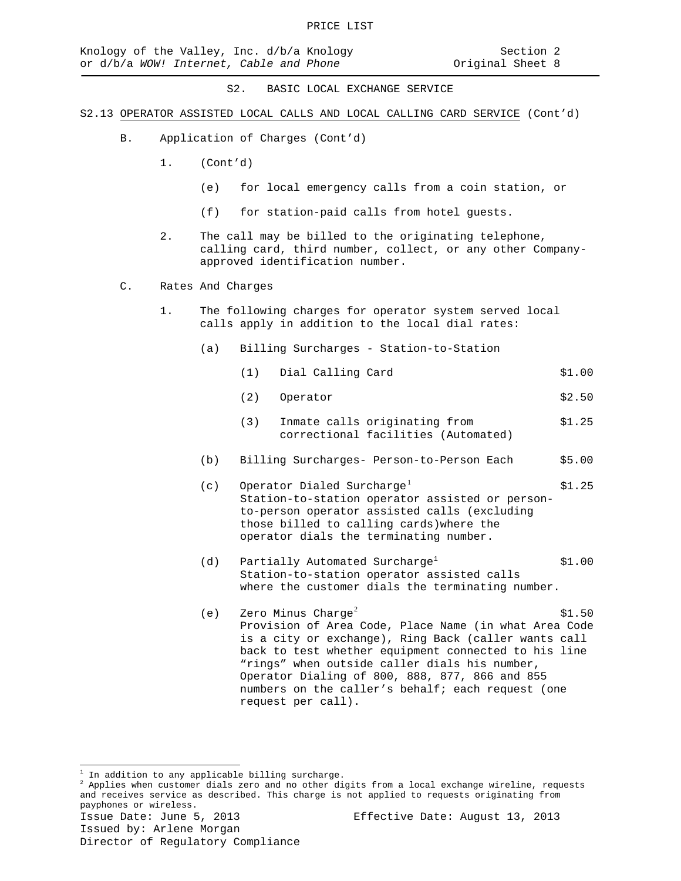- S2.13 OPERATOR ASSISTED LOCAL CALLS AND LOCAL CALLING CARD SERVICE (Cont'd)
	- B. Application of Charges (Cont'd)
		- 1. (Cont'd)
			- (e) for local emergency calls from a coin station, or
			- (f) for station-paid calls from hotel guests.
		- 2. The call may be billed to the originating telephone, calling card, third number, collect, or any other Companyapproved identification number.
	- C. Rates And Charges
		- 1. The following charges for operator system served local calls apply in addition to the local dial rates:
			- (a) Billing Surcharges Station-to-Station
				- (1) Dial Calling Card \$1.00
				- (2) Operator \$2.50
				- (3) Inmate calls originating from \$1.25 correctional facilities (Automated)
			- (b) Billing Surcharges- Person-to-Person Each \$5.00
			- (c) Operator Dialed Surcharge<sup>[1](#page-19-0)</sup>  $$1.25$ Station-to-station operator assisted or personto-person operator assisted calls (excluding those billed to calling cards)where the operator dials the terminating number.
			- (d) Partially Automated Surcharge<sup>1</sup>  $$1.00$ Station-to-station operator assisted calls where the customer dials the terminating number.
			- (e) Zero Minus Charge<sup>[2](#page-19-1)</sup>  $\text{S1.50}$ Provision of Area Code, Place Name (in what Area Code is a city or exchange), Ring Back (caller wants call back to test whether equipment connected to his line "rings" when outside caller dials his number, Operator Dialing of 800, 888, 877, 866 and 855 numbers on the caller's behalf; each request (one request per call).

 $\overline{a}$ 

<span id="page-19-1"></span><span id="page-19-0"></span> $\frac{1}{2}$  In addition to any applicable billing surcharge.<br> $\frac{2}{3}$  Applies when customer dials zero and no other digits from a local exchange wireline, requests and receives service as described. This charge is not applied to requests originating from payphones or wireless.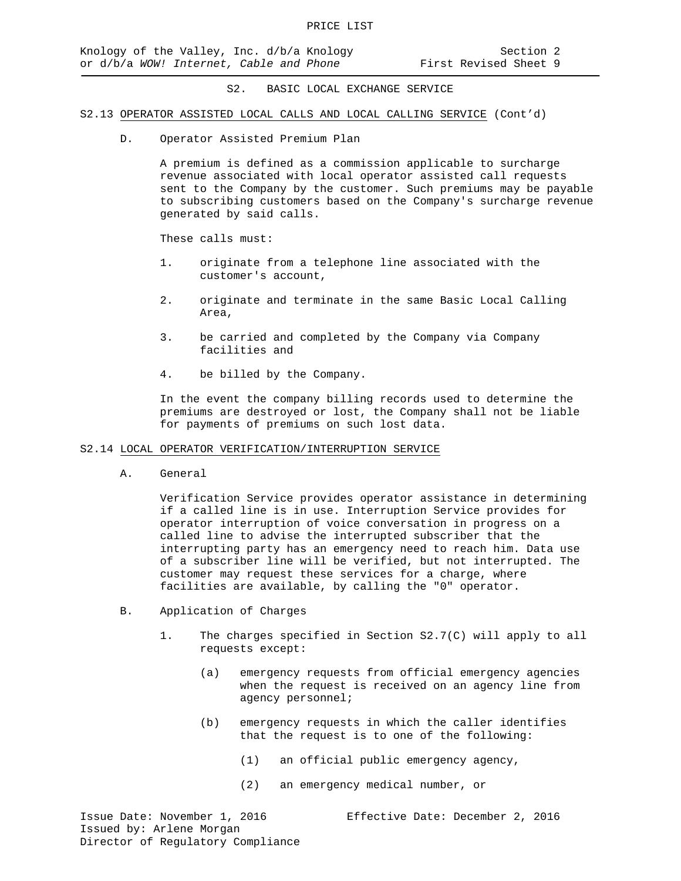#### S2.13 OPERATOR ASSISTED LOCAL CALLS AND LOCAL CALLING SERVICE (Cont'd)

D. Operator Assisted Premium Plan

A premium is defined as a commission applicable to surcharge revenue associated with local operator assisted call requests sent to the Company by the customer. Such premiums may be payable to subscribing customers based on the Company's surcharge revenue generated by said calls.

These calls must:

- 1. originate from a telephone line associated with the customer's account,
- 2. originate and terminate in the same Basic Local Calling Area,
- 3. be carried and completed by the Company via Company facilities and
- 4. be billed by the Company.

In the event the company billing records used to determine the premiums are destroyed or lost, the Company shall not be liable for payments of premiums on such lost data.

#### S2.14 LOCAL OPERATOR VERIFICATION/INTERRUPTION SERVICE

A. General

Verification Service provides operator assistance in determining if a called line is in use. Interruption Service provides for operator interruption of voice conversation in progress on a called line to advise the interrupted subscriber that the interrupting party has an emergency need to reach him. Data use of a subscriber line will be verified, but not interrupted. The customer may request these services for a charge, where facilities are available, by calling the "0" operator.

- B. Application of Charges
	- 1. The charges specified in Section S2.7(C) will apply to all requests except:
		- (a) emergency requests from official emergency agencies when the request is received on an agency line from agency personnel;
		- (b) emergency requests in which the caller identifies that the request is to one of the following:
			- (1) an official public emergency agency,
			- (2) an emergency medical number, or

Issue Date: November 1, 2016 Effective Date: December 2, 2016 Issued by: Arlene Morgan Director of Regulatory Compliance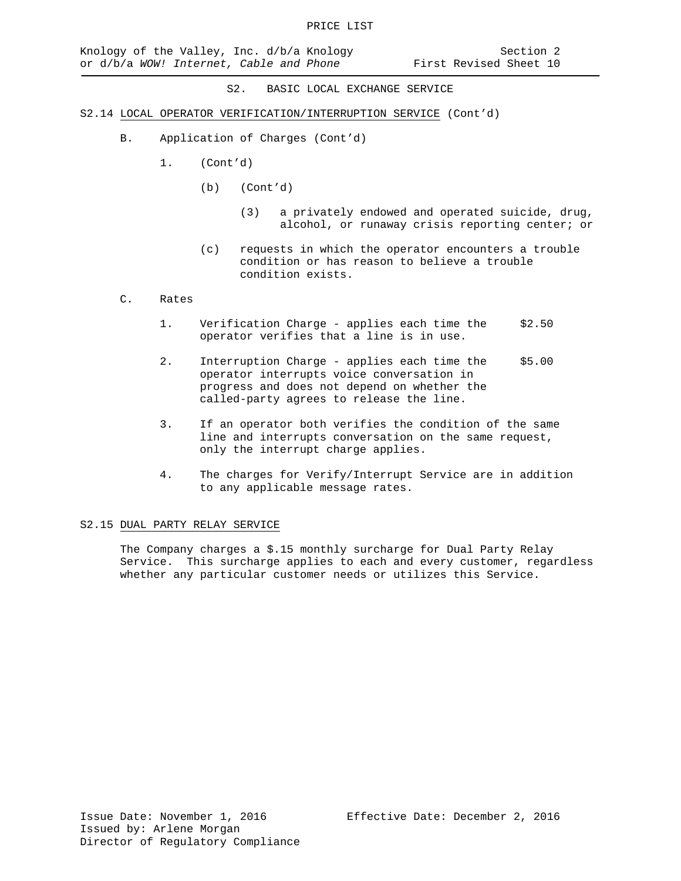- S2.14 LOCAL OPERATOR VERIFICATION/INTERRUPTION SERVICE (Cont'd)
	- B. Application of Charges (Cont'd)
		- 1. (Cont'd)
			- (b) (Cont'd)
				- (3) a privately endowed and operated suicide, drug, alcohol, or runaway crisis reporting center; or
			- (c) requests in which the operator encounters a trouble condition or has reason to believe a trouble condition exists.

#### C. Rates

- 1. Verification Charge applies each time the \$2.50 operator verifies that a line is in use.
- 2. Interruption Charge applies each time the \$5.00 operator interrupts voice conversation in progress and does not depend on whether the called-party agrees to release the line.
- 3. If an operator both verifies the condition of the same line and interrupts conversation on the same request, only the interrupt charge applies.
- 4. The charges for Verify/Interrupt Service are in addition to any applicable message rates.

#### S2.15 DUAL PARTY RELAY SERVICE

The Company charges a \$.15 monthly surcharge for Dual Party Relay Service. This surcharge applies to each and every customer, regardless whether any particular customer needs or utilizes this Service.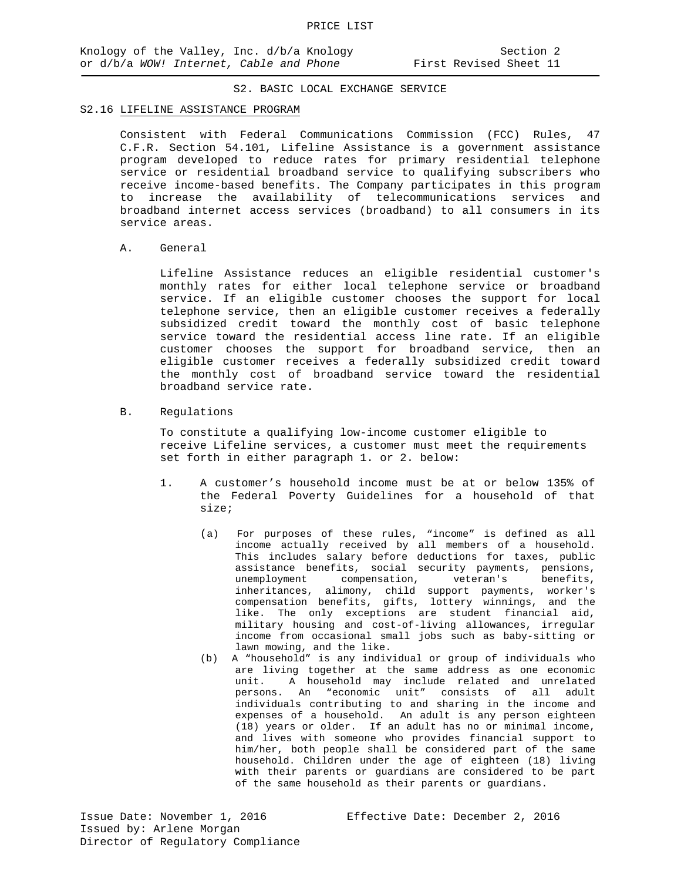#### S2.16 LIFELINE ASSISTANCE PROGRAM

Consistent with Federal Communications Commission (FCC) Rules, 47 C.F.R. Section 54.101, Lifeline Assistance is a government assistance program developed to reduce rates for primary residential telephone service or residential broadband service to qualifying subscribers who receive income-based benefits. The Company participates in this program to increase the availability of telecommunications services and broadband internet access services (broadband) to all consumers in its service areas.

A. General

Lifeline Assistance reduces an eligible residential customer's monthly rates for either local telephone service or broadband service. If an eligible customer chooses the support for local telephone service, then an eligible customer receives a federally subsidized credit toward the monthly cost of basic telephone service toward the residential access line rate. If an eligible customer chooses the support for broadband service, then an eligible customer receives a federally subsidized credit toward the monthly cost of broadband service toward the residential broadband service rate.

B. Regulations

To constitute a qualifying low-income customer eligible to receive Lifeline services, a customer must meet the requirements set forth in either paragraph 1. or 2. below:

- 1. A customer's household income must be at or below 135% of the Federal Poverty Guidelines for a household of that size;
	- (a) For purposes of these rules, "income" is defined as all income actually received by all members of a household. This includes salary before deductions for taxes, public assistance benefits, social security payments, pensions,<br>unemployment compensation, veteran's benefits. unemployment compensation, veteran's inheritances, alimony, child support payments, worker's compensation benefits, gifts, lottery winnings, and the like. The only exceptions are student financial aid, military housing and cost-of-living allowances, irregular income from occasional small jobs such as baby-sitting or lawn mowing, and the like.
	- (b) A "household" is any individual or group of individuals who are living together at the same address as one economic unit. A household may include related and unrelated persons. An "economic unit" consists of all adult individuals contributing to and sharing in the income and expenses of a household. An adult is any person eighteen (18) years or older. If an adult has no or minimal income, and lives with someone who provides financial support to him/her, both people shall be considered part of the same household. Children under the age of eighteen (18) living with their parents or guardians are considered to be part of the same household as their parents or guardians.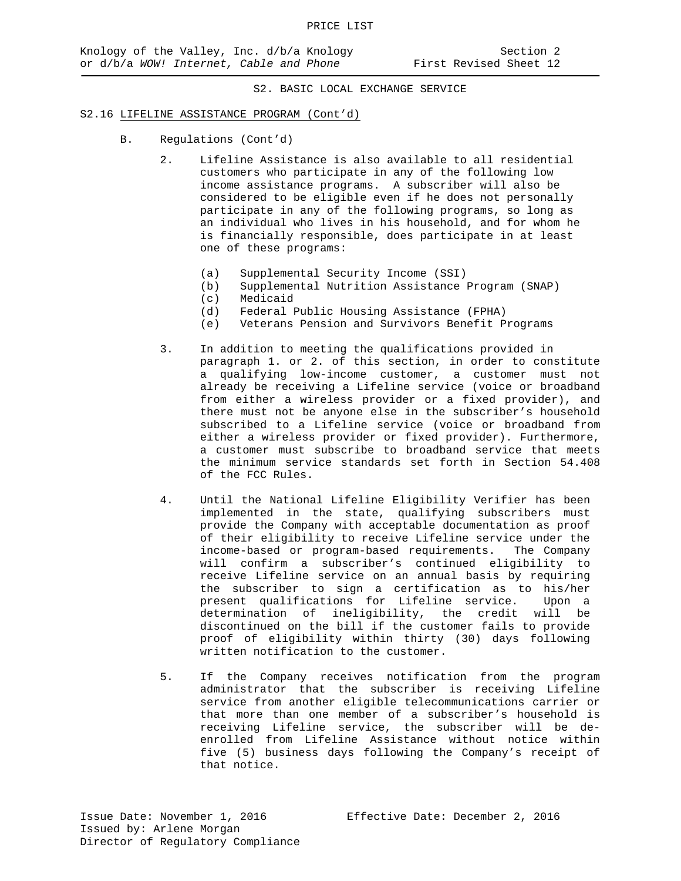#### S2.16 LIFELINE ASSISTANCE PROGRAM (Cont'd)

- B. Regulations (Cont'd)
	- 2. Lifeline Assistance is also available to all residential customers who participate in any of the following low income assistance programs. A subscriber will also be considered to be eligible even if he does not personally participate in any of the following programs, so long as an individual who lives in his household, and for whom he is financially responsible, does participate in at least one of these programs:
		- (a) Supplemental Security Income (SSI)<br>(b) Supplemental Nutrition Assistance
		- (b) Supplemental Nutrition Assistance Program (SNAP)
		- (c) Medicaid<br>(d) Federal J
			- Federal Public Housing Assistance (FPHA)
		- (e) Veterans Pension and Survivors Benefit Programs
	- 3. In addition to meeting the qualifications provided in paragraph 1. or 2. of this section, in order to constitute a qualifying low-income customer, a customer must not already be receiving a Lifeline service (voice or broadband from either a wireless provider or a fixed provider), and there must not be anyone else in the subscriber's household subscribed to a Lifeline service (voice or broadband from either a wireless provider or fixed provider). Furthermore, a customer must subscribe to broadband service that meets the minimum service standards set forth in Section 54.408 of the FCC Rules.
	- 4. Until the National Lifeline Eligibility Verifier has been implemented in the state, qualifying subscribers must provide the Company with acceptable documentation as proof of their eligibility to receive Lifeline service under the income-based or program-based requirements. The Company will confirm a subscriber's continued eligibility to receive Lifeline service on an annual basis by requiring the subscriber to sign a certification as to his/her present qualifications for Lifeline service. Upon a determination of ineligibility, the credit will be discontinued on the bill if the customer fails to provide proof of eligibility within thirty (30) days following written notification to the customer.
	- 5. If the Company receives notification from the program administrator that the subscriber is receiving Lifeline service from another eligible telecommunications carrier or that more than one member of a subscriber's household is receiving Lifeline service, the subscriber will be deenrolled from Lifeline Assistance without notice within five (5) business days following the Company's receipt of that notice.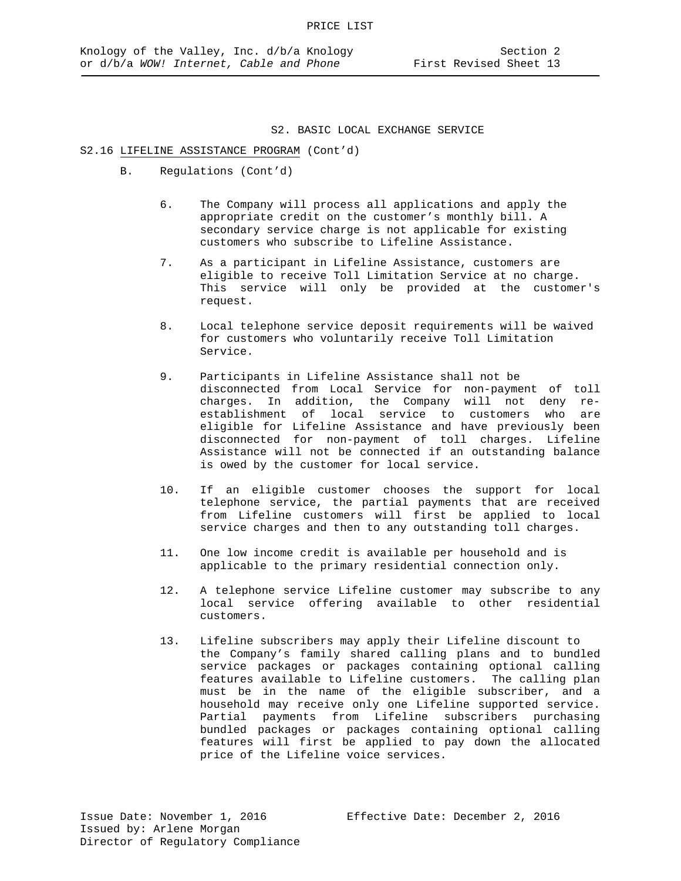#### S2.16 LIFELINE ASSISTANCE PROGRAM (Cont'd)

- B. Regulations (Cont'd)
	- 6. The Company will process all applications and apply the appropriate credit on the customer's monthly bill. A secondary service charge is not applicable for existing customers who subscribe to Lifeline Assistance.
	- 7. As a participant in Lifeline Assistance, customers are eligible to receive Toll Limitation Service at no charge. This service will only be provided at the customer's request.
	- 8. Local telephone service deposit requirements will be waived for customers who voluntarily receive Toll Limitation Service.
	- 9. Participants in Lifeline Assistance shall not be disconnected from Local Service for non-payment of toll charges. In addition, the Company will not deny reestablishment of local service to customers who are eligible for Lifeline Assistance and have previously been disconnected for non-payment of toll charges. Lifeline Assistance will not be connected if an outstanding balance is owed by the customer for local service.
	- 10. If an eligible customer chooses the support for local telephone service, the partial payments that are received from Lifeline customers will first be applied to local service charges and then to any outstanding toll charges.
	- 11. One low income credit is available per household and is applicable to the primary residential connection only.
	- 12. A telephone service Lifeline customer may subscribe to any local service offering available to other residential customers.
	- 13. Lifeline subscribers may apply their Lifeline discount to the Company's family shared calling plans and to bundled service packages or packages containing optional calling features available to Lifeline customers. The calling plan must be in the name of the eligible subscriber, and a household may receive only one Lifeline supported service. Partial payments from Lifeline subscribers purchasing bundled packages or packages containing optional calling features will first be applied to pay down the allocated price of the Lifeline voice services.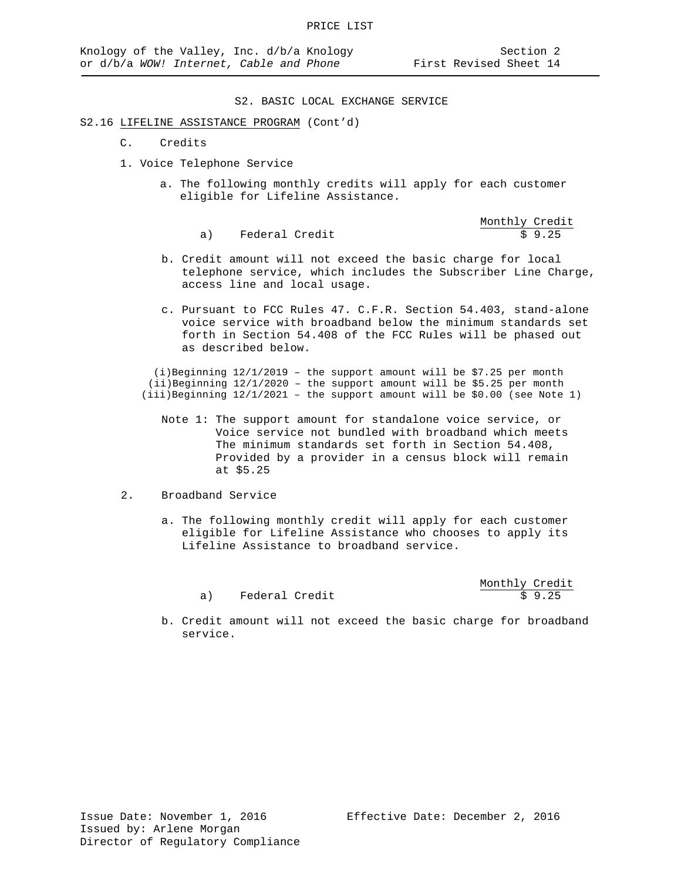Monthly Credit

S2. BASIC LOCAL EXCHANGE SERVICE

#### S2.16 LIFELINE ASSISTANCE PROGRAM (Cont'd)

- C. Credits
- 1. Voice Telephone Service
	- a. The following monthly credits will apply for each customer eligible for Lifeline Assistance.

- b. Credit amount will not exceed the basic charge for local telephone service, which includes the Subscriber Line Charge, access line and local usage.
- c. Pursuant to FCC Rules 47. C.F.R. Section 54.403, stand-alone voice service with broadband below the minimum standards set forth in Section 54.408 of the FCC Rules will be phased out as described below.

(i)Beginning  $12/1/2019$  - the support amount will be \$7.25 per month (ii)Beginning 12/1/2020 – the support amount will be \$5.25 per month  $(iii)$  Beginning  $12/1/2021$  - the support amount will be \$0.00 (see Note 1)

 Note 1: The support amount for standalone voice service, or Voice service not bundled with broadband which meets The minimum standards set forth in Section 54.408, Provided by a provider in a census block will remain at \$5.25

# 2. Broadband Service

 a. The following monthly credit will apply for each customer eligible for Lifeline Assistance who chooses to apply its Lifeline Assistance to broadband service.

|                |  | Monthly Credit |
|----------------|--|----------------|
| Federal Credit |  | \$9.25         |

 b. Credit amount will not exceed the basic charge for broadband service.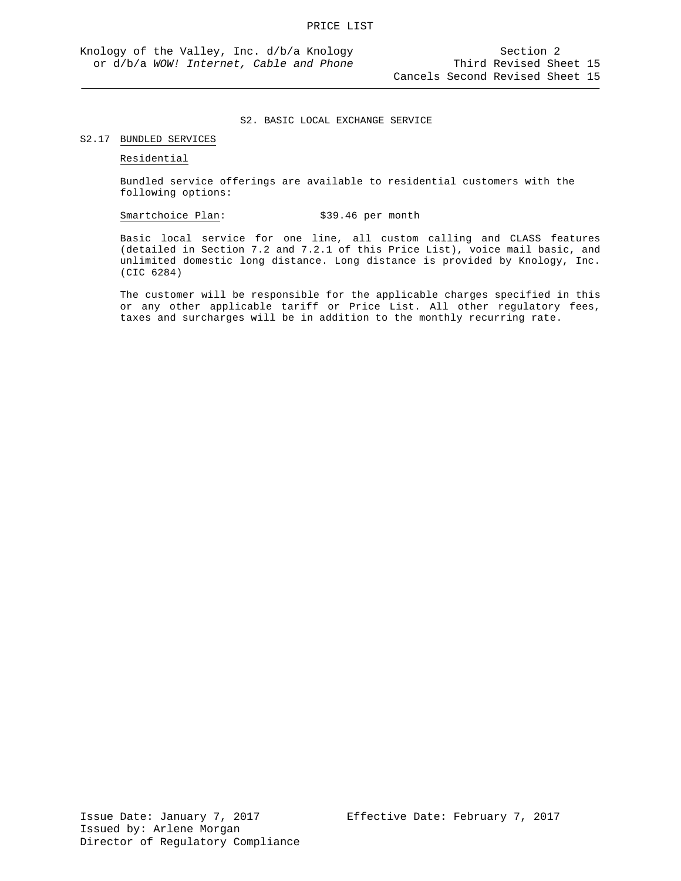#### S2.17 BUNDLED SERVICES

Residential

Bundled service offerings are available to residential customers with the following options:

Smartchoice Plan: \$39.46 per month

Basic local service for one line, all custom calling and CLASS features (detailed in Section 7.2 and 7.2.1 of this Price List), voice mail basic, and unlimited domestic long distance. Long distance is provided by Knology, Inc. (CIC 6284)

The customer will be responsible for the applicable charges specified in this or any other applicable tariff or Price List. All other regulatory fees, taxes and surcharges will be in addition to the monthly recurring rate.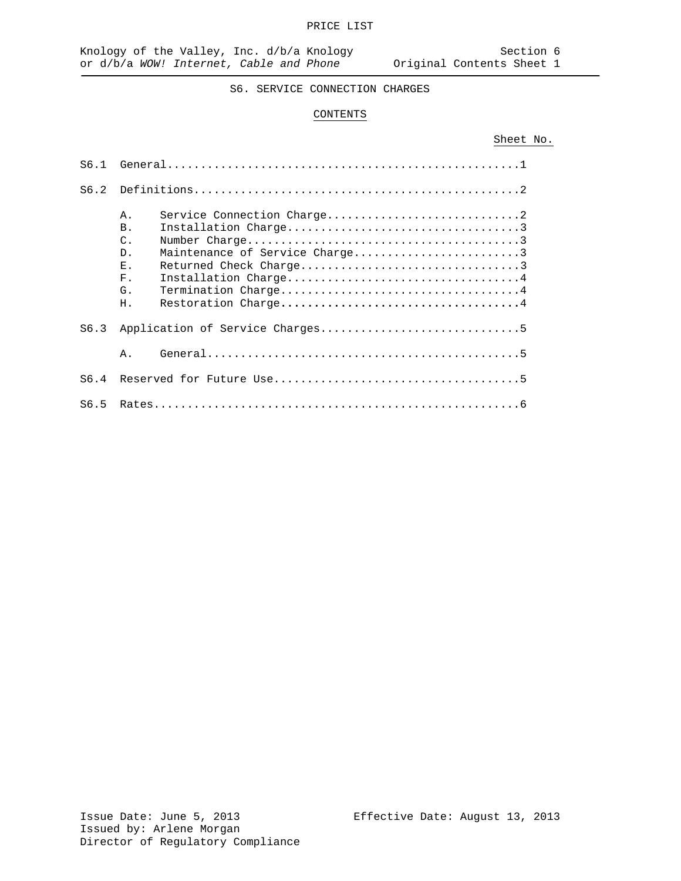# CONTENTS

# Sheet No.

| S6.1 |                                                                                                                                               |
|------|-----------------------------------------------------------------------------------------------------------------------------------------------|
| S6.2 |                                                                                                                                               |
|      | $A$ .<br><b>B.</b><br>$\mathcal{C}$ .<br>Maintenance of Service Charge3<br>$D$ .<br>E.,<br>Installation Charge4<br>F <sub>1</sub><br>G.<br>Η. |
| S6.3 |                                                                                                                                               |
|      | Α.                                                                                                                                            |
| S6.4 |                                                                                                                                               |
| S6.5 |                                                                                                                                               |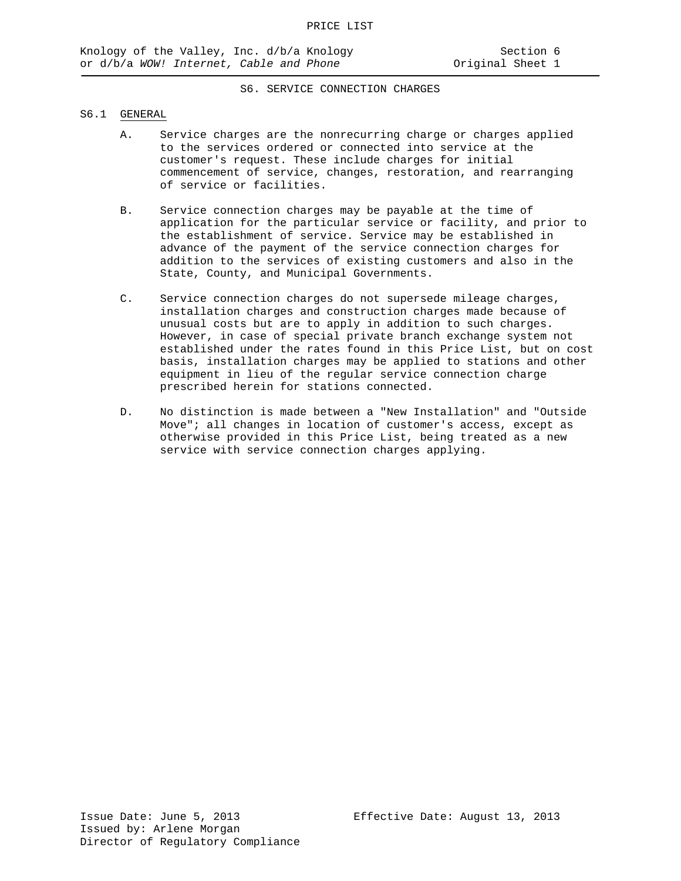#### S6.1 GENERAL

- A. Service charges are the nonrecurring charge or charges applied to the services ordered or connected into service at the customer's request. These include charges for initial commencement of service, changes, restoration, and rearranging of service or facilities.
- B. Service connection charges may be payable at the time of application for the particular service or facility, and prior to the establishment of service. Service may be established in advance of the payment of the service connection charges for addition to the services of existing customers and also in the State, County, and Municipal Governments.
- C. Service connection charges do not supersede mileage charges, installation charges and construction charges made because of unusual costs but are to apply in addition to such charges. However, in case of special private branch exchange system not established under the rates found in this Price List, but on cost basis, installation charges may be applied to stations and other equipment in lieu of the regular service connection charge prescribed herein for stations connected.
- D. No distinction is made between a "New Installation" and "Outside Move"; all changes in location of customer's access, except as otherwise provided in this Price List, being treated as a new service with service connection charges applying.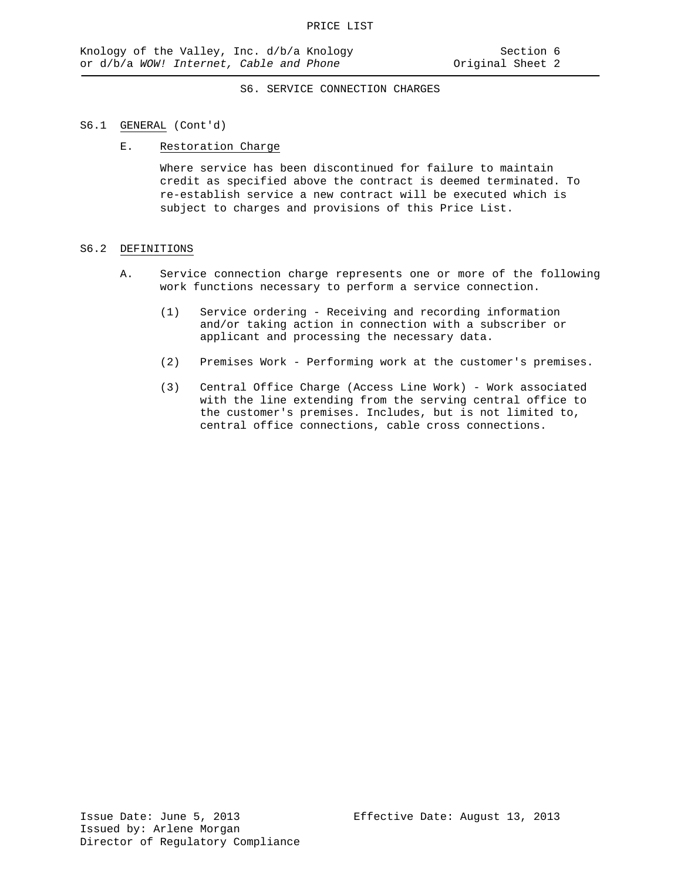#### S6.1 GENERAL (Cont'd)

#### E. Restoration Charge

Where service has been discontinued for failure to maintain credit as specified above the contract is deemed terminated. To re-establish service a new contract will be executed which is subject to charges and provisions of this Price List.

#### S6.2 DEFINITIONS

- A. Service connection charge represents one or more of the following work functions necessary to perform a service connection.
	- (1) Service ordering Receiving and recording information and/or taking action in connection with a subscriber or applicant and processing the necessary data.
	- (2) Premises Work Performing work at the customer's premises.
	- (3) Central Office Charge (Access Line Work) Work associated with the line extending from the serving central office to the customer's premises. Includes, but is not limited to, central office connections, cable cross connections.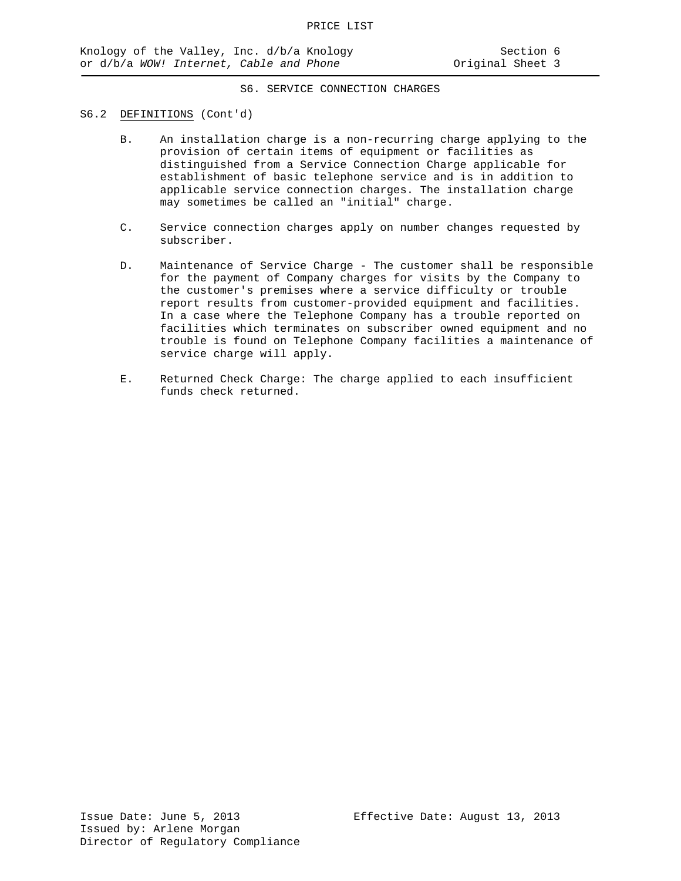#### S6.2 DEFINITIONS (Cont'd)

- B. An installation charge is a non-recurring charge applying to the provision of certain items of equipment or facilities as distinguished from a Service Connection Charge applicable for establishment of basic telephone service and is in addition to applicable service connection charges. The installation charge may sometimes be called an "initial" charge.
- C. Service connection charges apply on number changes requested by subscriber.
- D. Maintenance of Service Charge The customer shall be responsible for the payment of Company charges for visits by the Company to the customer's premises where a service difficulty or trouble report results from customer-provided equipment and facilities. In a case where the Telephone Company has a trouble reported on facilities which terminates on subscriber owned equipment and no trouble is found on Telephone Company facilities a maintenance of service charge will apply.
- E. Returned Check Charge: The charge applied to each insufficient funds check returned.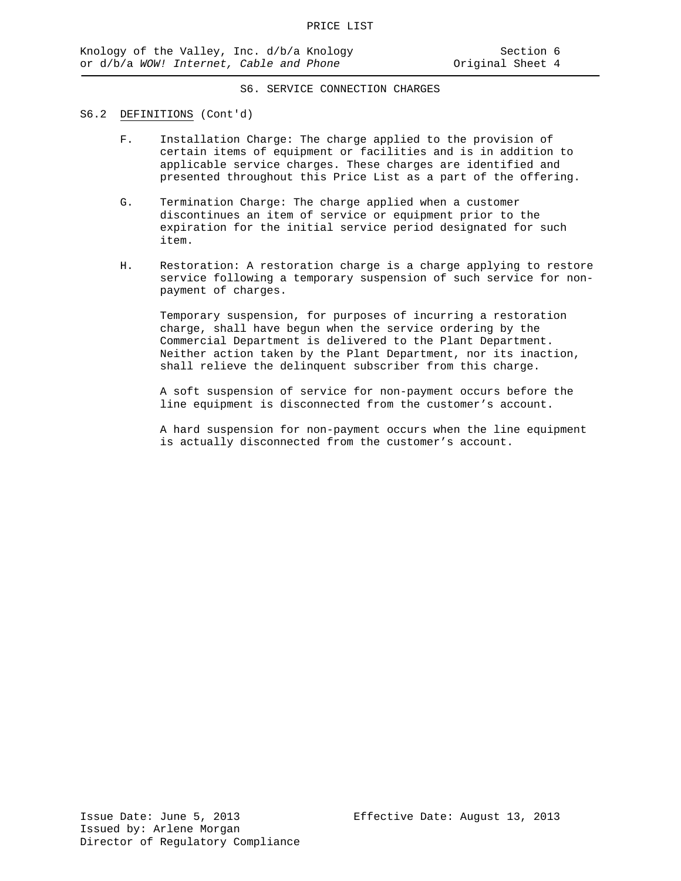#### S6.2 DEFINITIONS (Cont'd)

- F. Installation Charge: The charge applied to the provision of certain items of equipment or facilities and is in addition to applicable service charges. These charges are identified and presented throughout this Price List as a part of the offering.
- G. Termination Charge: The charge applied when a customer discontinues an item of service or equipment prior to the expiration for the initial service period designated for such item.
- H. Restoration: A restoration charge is a charge applying to restore service following a temporary suspension of such service for nonpayment of charges.

Temporary suspension, for purposes of incurring a restoration charge, shall have begun when the service ordering by the Commercial Department is delivered to the Plant Department. Neither action taken by the Plant Department, nor its inaction, shall relieve the delinquent subscriber from this charge.

A soft suspension of service for non-payment occurs before the line equipment is disconnected from the customer's account.

A hard suspension for non-payment occurs when the line equipment is actually disconnected from the customer's account.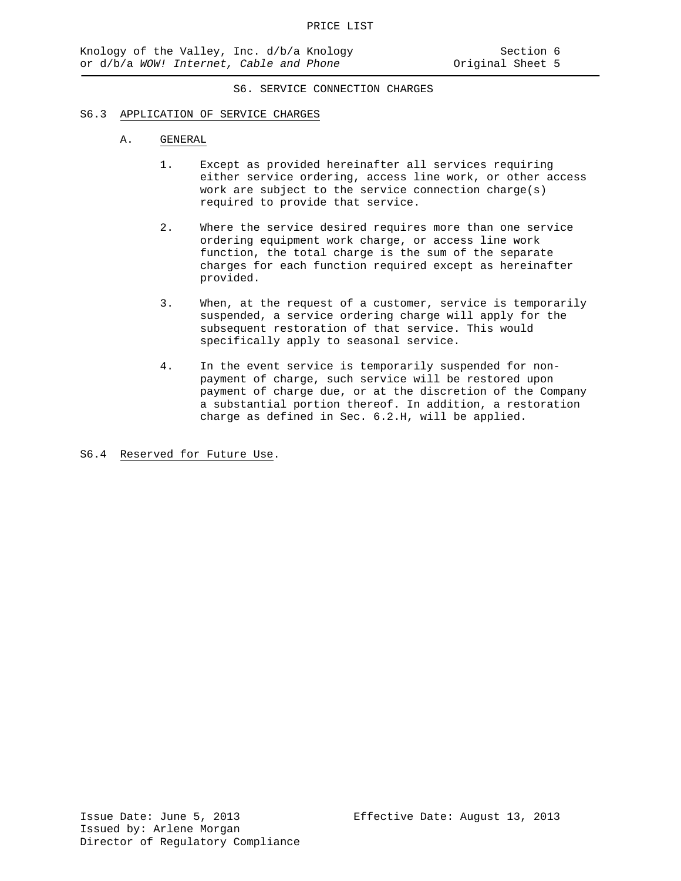#### S6.3 APPLICATION OF SERVICE CHARGES

#### A. GENERAL

- 1. Except as provided hereinafter all services requiring either service ordering, access line work, or other access work are subject to the service connection charge(s) required to provide that service.
- 2. Where the service desired requires more than one service ordering equipment work charge, or access line work function, the total charge is the sum of the separate charges for each function required except as hereinafter provided.
- 3. When, at the request of a customer, service is temporarily suspended, a service ordering charge will apply for the subsequent restoration of that service. This would specifically apply to seasonal service.
- 4. In the event service is temporarily suspended for nonpayment of charge, such service will be restored upon payment of charge due, or at the discretion of the Company a substantial portion thereof. In addition, a restoration charge as defined in Sec. 6.2.H, will be applied.

S6.4 Reserved for Future Use.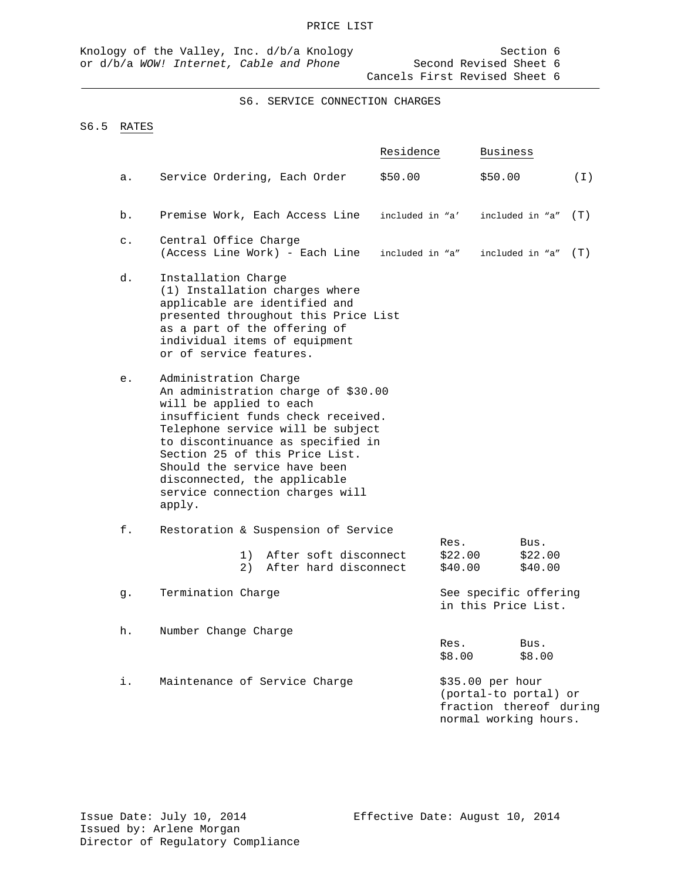# S6.5 RATES

|                |                                                                                                                                                                                                                                                                                                                                                        | Residence                  | Business                                                                                      |     |
|----------------|--------------------------------------------------------------------------------------------------------------------------------------------------------------------------------------------------------------------------------------------------------------------------------------------------------------------------------------------------------|----------------------------|-----------------------------------------------------------------------------------------------|-----|
| а.             | Service Ordering, Each Order                                                                                                                                                                                                                                                                                                                           | \$50.00                    | \$50.00                                                                                       | (T) |
| b.             | Premise Work, Each Access Line                                                                                                                                                                                                                                                                                                                         | included in "a'            | included in "a"                                                                               | (T) |
| $\mathsf{c}$ . | Central Office Charge<br>(Access Line Work) - Each Line                                                                                                                                                                                                                                                                                                | included in "a"            | included in "a"                                                                               | (T) |
| d.             | Installation Charge<br>(1) Installation charges where<br>applicable are identified and<br>presented throughout this Price List<br>as a part of the offering of<br>individual items of equipment<br>or of service features.                                                                                                                             |                            |                                                                                               |     |
| е.             | Administration Charge<br>An administration charge of \$30.00<br>will be applied to each<br>insufficient funds check received.<br>Telephone service will be subject<br>to discontinuance as specified in<br>Section 25 of this Price List.<br>Should the service have been<br>disconnected, the applicable<br>service connection charges will<br>apply. |                            |                                                                                               |     |
| f.             | Restoration & Suspension of Service                                                                                                                                                                                                                                                                                                                    |                            |                                                                                               |     |
|                | After soft disconnect<br>1)<br>After hard disconnect<br>2)                                                                                                                                                                                                                                                                                             | Res.<br>\$22.00<br>\$40.00 | Bus.<br>\$22.00<br>\$40.00                                                                    |     |
| g.             | Termination Charge                                                                                                                                                                                                                                                                                                                                     |                            | See specific offering<br>in this Price List.                                                  |     |
| h.             | Number Change Charge                                                                                                                                                                                                                                                                                                                                   | Res.<br>\$8.00             | Bus.<br>\$8.00                                                                                |     |
| i.             | Maintenance of Service Charge                                                                                                                                                                                                                                                                                                                          |                            | \$35.00 per hour<br>(portal-to portal) or<br>fraction thereof during<br>normal working hours. |     |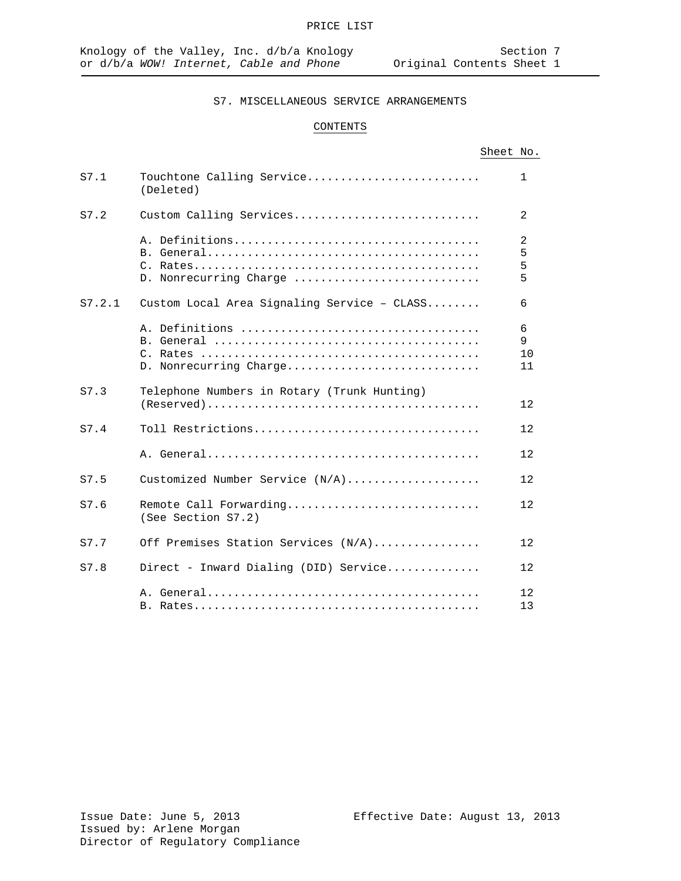S7. MISCELLANEOUS SERVICE ARRANGEMENTS

# CONTENTS

# Sheet No.

| S7.1   | Touchtone Calling Service<br>(Deleted)       | 1                  |
|--------|----------------------------------------------|--------------------|
| S7.2   | Custom Calling Services                      | $\overline{2}$     |
|        | D. Nonrecurring Charge                       | 2<br>5<br>5<br>5   |
| S7.2.1 | Custom Local Area Signaling Service - CLASS  | 6                  |
|        | D. Nonrecurring Charge                       | 6<br>9<br>10<br>11 |
| S7.3   | Telephone Numbers in Rotary (Trunk Hunting)  | $12 \,$            |
| S7.4   | Toll Restrictions                            | 12                 |
|        |                                              | 12                 |
| S7.5   | Customized Number Service (N/A)              | 12                 |
| S7.6   | Remote Call Forwarding<br>(See Section S7.2) | 12                 |
| S7.7   | Off Premises Station Services (N/A)          | $12 \,$            |
| S7.8   | Direct - Inward Dialing (DID) Service        | 12                 |
|        |                                              | 12<br>13           |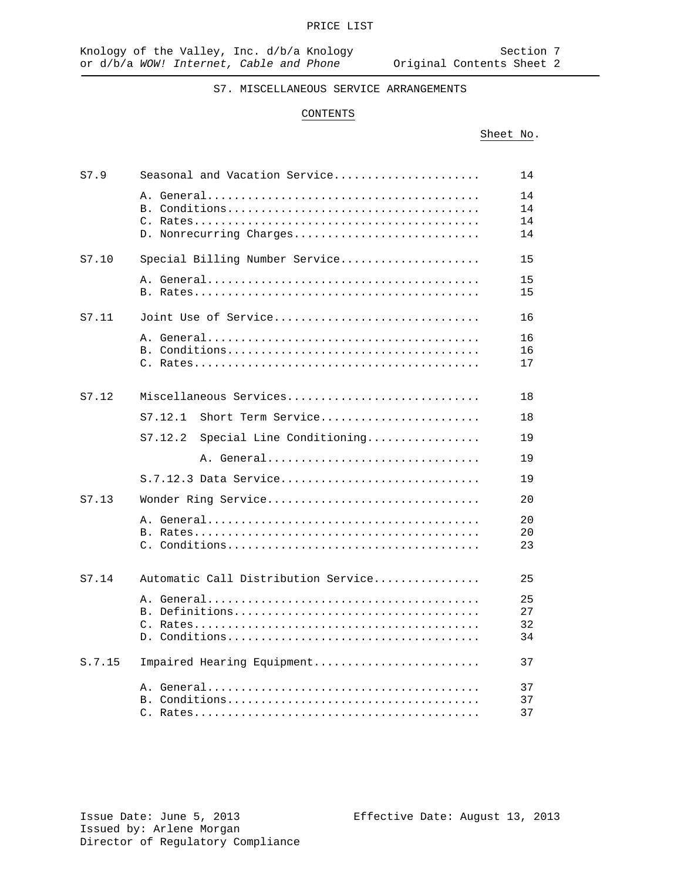# S7. MISCELLANEOUS SERVICE ARRANGEMENTS

#### CONTENTS

# Sheet No.

| S7.9   | Seasonal and Vacation Service        | 14                   |
|--------|--------------------------------------|----------------------|
|        | D. Nonrecurring Charges              | 14<br>14<br>14<br>14 |
| S7.10  | Special Billing Number Service       | 15                   |
|        |                                      | 15<br>15             |
| S7.11  | Joint Use of Service                 | 16                   |
|        |                                      | 16<br>16<br>17       |
| S7.12  | Miscellaneous Services               | 18                   |
|        | Short Term Service<br>S7.12.1        | 18                   |
|        | Special Line Conditioning<br>S7.12.2 | 19                   |
|        | A. General                           | 19                   |
|        | S.7.12.3 Data Service                | 19                   |
| S7.13  | Wonder Ring Service                  | 20                   |
|        |                                      | 20<br>20<br>23       |
| S7.14  | Automatic Call Distribution Service  | 25                   |
|        |                                      | 25<br>27<br>32<br>34 |
| S.7.15 | Impaired Hearing Equipment           | 37                   |
|        |                                      | 37<br>37<br>37       |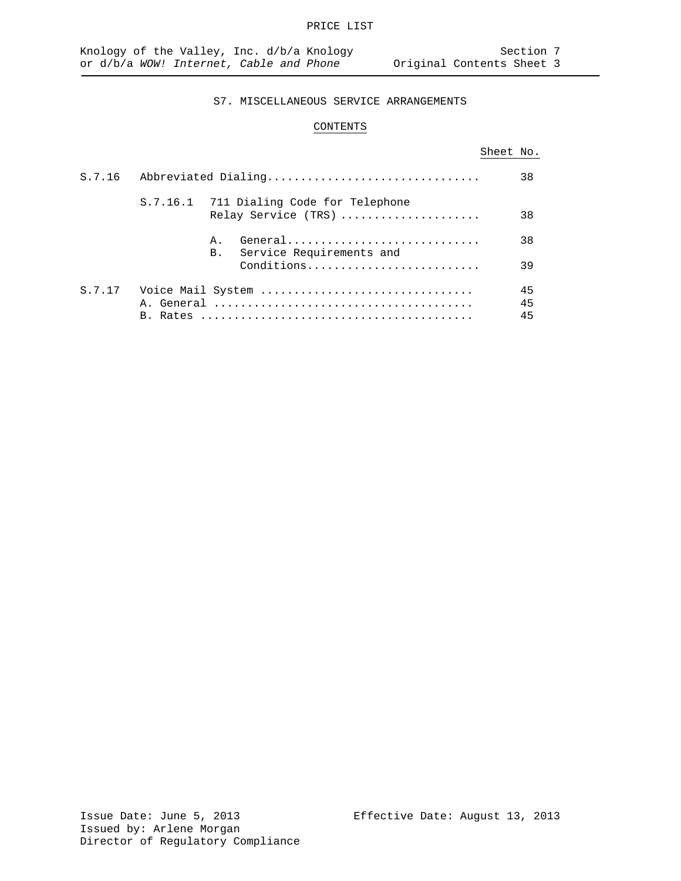# CONTENTS

# Sheet No.

|        | S.7.16 Abbreviated Dialing |                  | 38                                                             |                |
|--------|----------------------------|------------------|----------------------------------------------------------------|----------------|
|        |                            |                  | S.7.16.1 711 Dialing Code for Telephone<br>Relay Service (TRS) | 38             |
|        |                            | A.,<br><b>B.</b> | General<br>Service Requirements and                            | 38             |
|        |                            |                  | Conditions                                                     | 39             |
| S.7.17 |                            |                  | Voice Mail System                                              | 45<br>45<br>45 |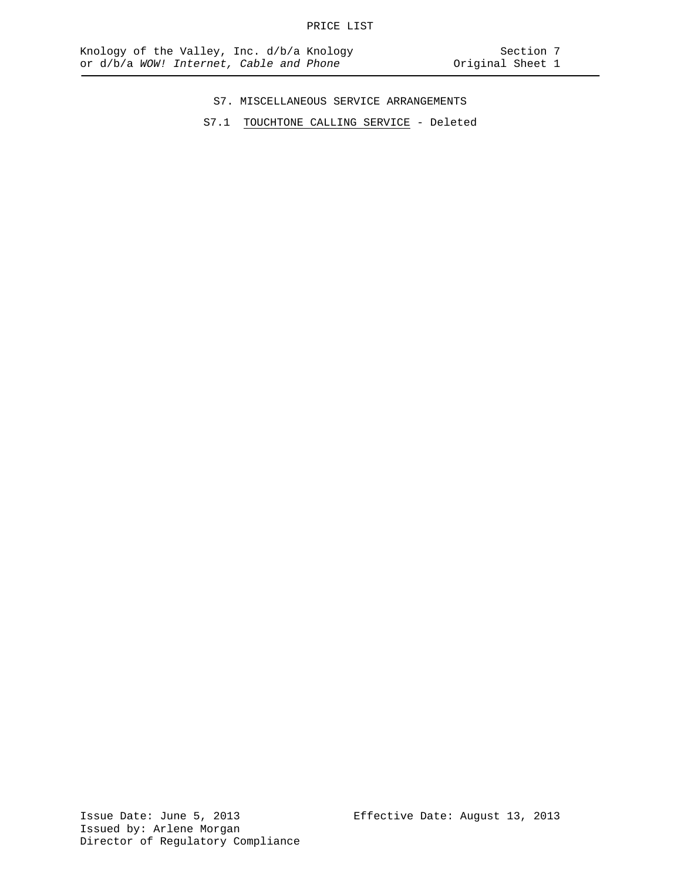- S7. MISCELLANEOUS SERVICE ARRANGEMENTS
- S7.1 TOUCHTONE CALLING SERVICE Deleted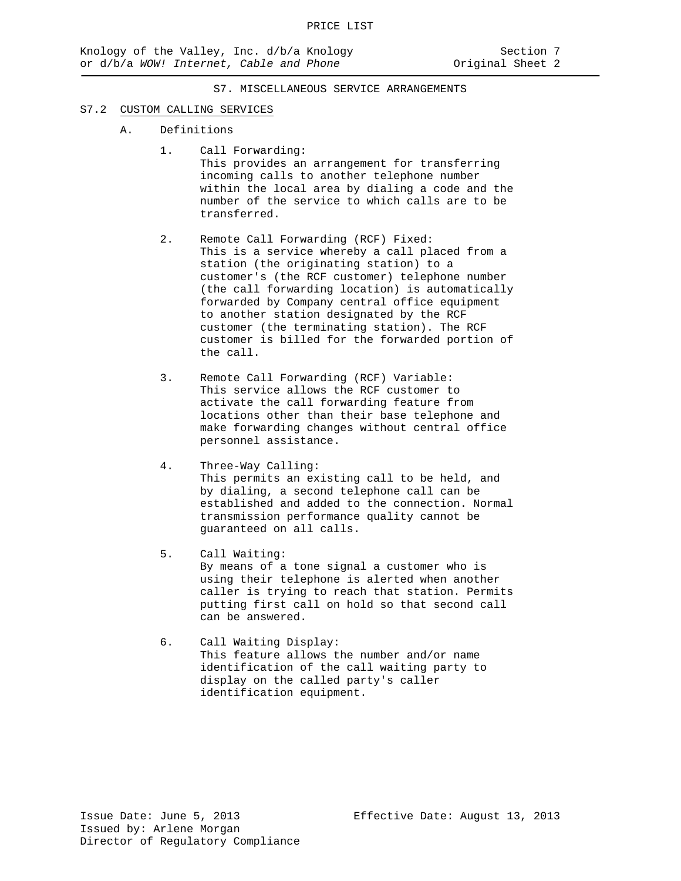#### S7.2 CUSTOM CALLING SERVICES

- A. Definitions
	- 1. Call Forwarding: This provides an arrangement for transferring incoming calls to another telephone number within the local area by dialing a code and the number of the service to which calls are to be transferred.
	- 2. Remote Call Forwarding (RCF) Fixed: This is a service whereby a call placed from a station (the originating station) to a customer's (the RCF customer) telephone number (the call forwarding location) is automatically forwarded by Company central office equipment to another station designated by the RCF customer (the terminating station). The RCF customer is billed for the forwarded portion of the call.
	- 3. Remote Call Forwarding (RCF) Variable: This service allows the RCF customer to activate the call forwarding feature from locations other than their base telephone and make forwarding changes without central office personnel assistance.
	- 4. Three-Way Calling: This permits an existing call to be held, and by dialing, a second telephone call can be established and added to the connection. Normal transmission performance quality cannot be guaranteed on all calls.
	- 5. Call Waiting: By means of a tone signal a customer who is using their telephone is alerted when another caller is trying to reach that station. Permits putting first call on hold so that second call can be answered.
	- 6. Call Waiting Display: This feature allows the number and/or name identification of the call waiting party to display on the called party's caller identification equipment.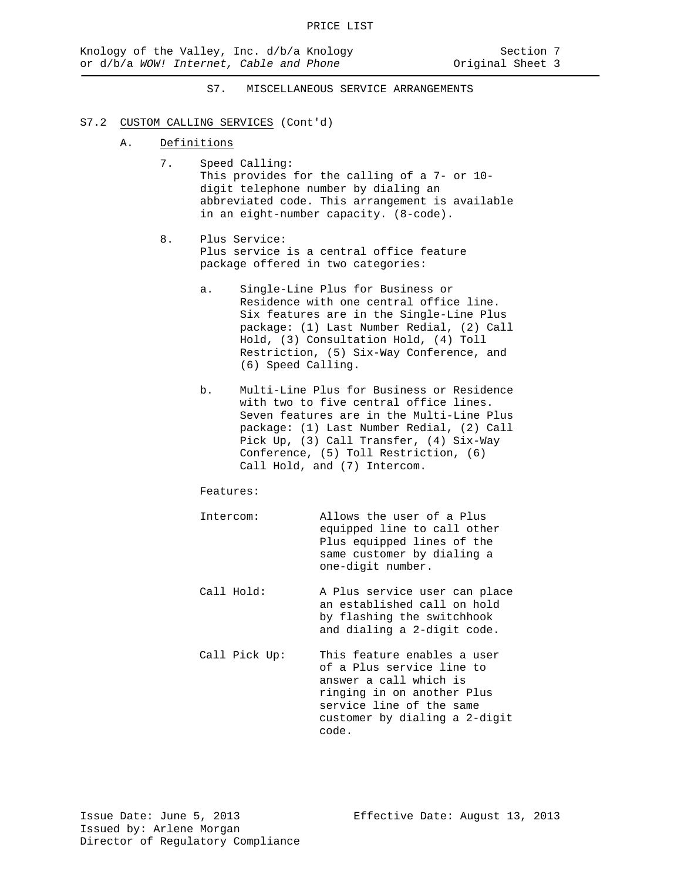### S7.2 CUSTOM CALLING SERVICES (Cont'd)

- A. Definitions
	- 7. Speed Calling: This provides for the calling of a 7- or 10 digit telephone number by dialing an abbreviated code. This arrangement is available in an eight-number capacity. (8-code).
	- 8. Plus Service: Plus service is a central office feature package offered in two categories:
		- a. Single-Line Plus for Business or Residence with one central office line. Six features are in the Single-Line Plus package: (1) Last Number Redial, (2) Call Hold, (3) Consultation Hold, (4) Toll Restriction, (5) Six-Way Conference, and (6) Speed Calling.
		- b. Multi-Line Plus for Business or Residence with two to five central office lines. Seven features are in the Multi-Line Plus package: (1) Last Number Redial, (2) Call Pick Up, (3) Call Transfer, (4) Six-Way Conference, (5) Toll Restriction, (6) Call Hold, and (7) Intercom.

Features:

| Intercom:     | Allows the user of a Plus<br>equipped line to call other<br>Plus equipped lines of the<br>same customer by dialing a<br>one-digit number.                                              |
|---------------|----------------------------------------------------------------------------------------------------------------------------------------------------------------------------------------|
| Call Hold:    | A Plus service user can place<br>an established call on hold<br>by flashing the switchhook<br>and dialing a 2-digit code.                                                              |
| Call Pick Up: | This feature enables a user<br>of a Plus service line to<br>answer a call which is<br>ringing in on another Plus<br>service line of the same<br>customer by dialing a 2-digit<br>code. |

Issue Date: June 5, 2013 Effective Date: August 13, 2013 Issued by: Arlene Morgan Director of Regulatory Compliance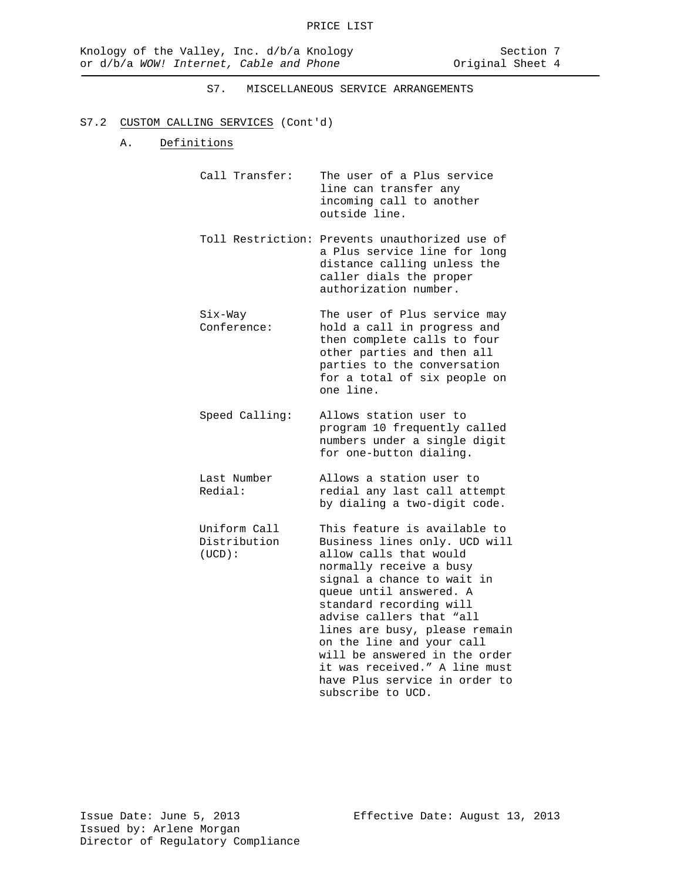# S7.2 CUSTOM CALLING SERVICES (Cont'd)

### A. Definitions

| Call Transfer: | The user of a Plus service |
|----------------|----------------------------|
|                | line can transfer any      |
|                | incoming call to another   |
|                | outside line.              |

- Toll Restriction: Prevents unauthorized use of a Plus service line for long distance calling unless the caller dials the proper authorization number.
- Six-Way The user of Plus service may Conference: hold a call in progress and then complete calls to four other parties and then all parties to the conversation for a total of six people on one line.
- Speed Calling: Allows station user to program 10 frequently called numbers under a single digit for one-button dialing.
- Last Number Allows a station user to<br>Redial: The redial any last call attorney redial any last call attempt by dialing a two-digit code.
- Uniform Call This feature is available to<br>Distribution Business lines only. UCD will Distribution Business lines only. UCD will<br>(UCD): allow calls that would allow calls that would normally receive a busy signal a chance to wait in queue until answered. A standard recording will advise callers that "all lines are busy, please remain on the line and your call will be answered in the order it was received." A line must have Plus service in order to subscribe to UCD.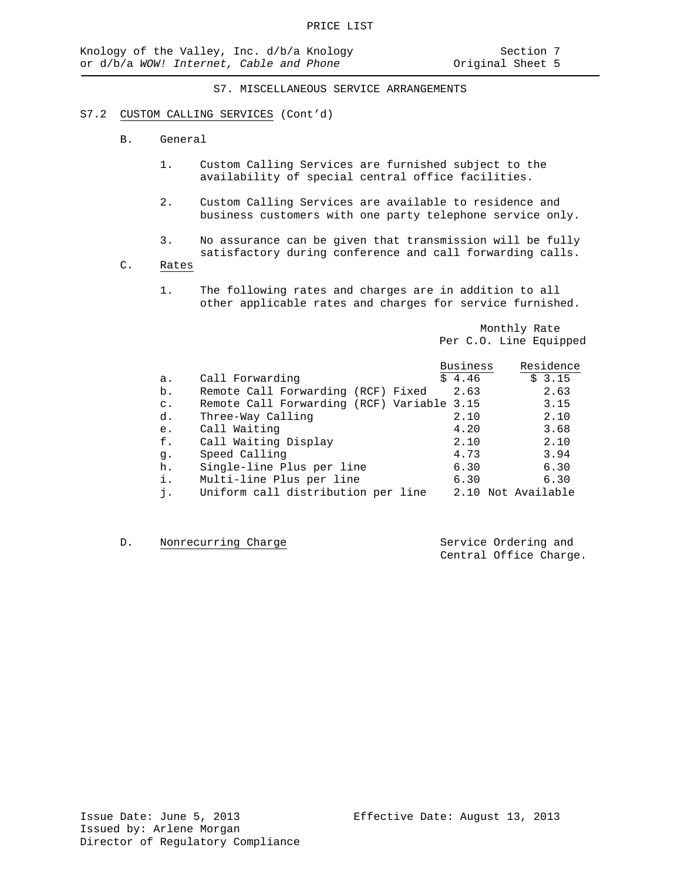#### S7.2 CUSTOM CALLING SERVICES (Cont'd)

- B. General
	- 1. Custom Calling Services are furnished subject to the availability of special central office facilities.
	- 2. Custom Calling Services are available to residence and business customers with one party telephone service only.
	- 3. No assurance can be given that transmission will be fully satisfactory during conference and call forwarding calls.
- C. Rates
	- 1. The following rates and charges are in addition to all other applicable rates and charges for service furnished.

Monthly Rate Per C.O. Line Equipped

|                |                                            | <b>Business</b> | Residence     |
|----------------|--------------------------------------------|-----------------|---------------|
| a.             | Call Forwarding                            | \$4.46          | \$3.15        |
| b.             | Remote Call Forwarding (RCF) Fixed         | 2.63            | 2.63          |
| $\mathsf{C}$ . | Remote Call Forwarding (RCF) Variable 3.15 |                 | 3.15          |
| d.             | Three-Way Calling                          | 2.10            | 2.10          |
| e.             | Call Waiting                               | 4.20            | 3.68          |
| f.             | Call Waiting Display                       | 2.10            | 2.10          |
| q.             | Speed Calling                              | 4.73            | 3.94          |
| h.             | Single-line Plus per line                  | 6.30            | 6.30          |
| i.             | Multi-line Plus per line                   | 6.30            | 6.30          |
| i.             | Uniform call distribution per line         | 2.10            | Not Available |

D. Nonrecurring Charge Service Ordering and

Central Office Charge.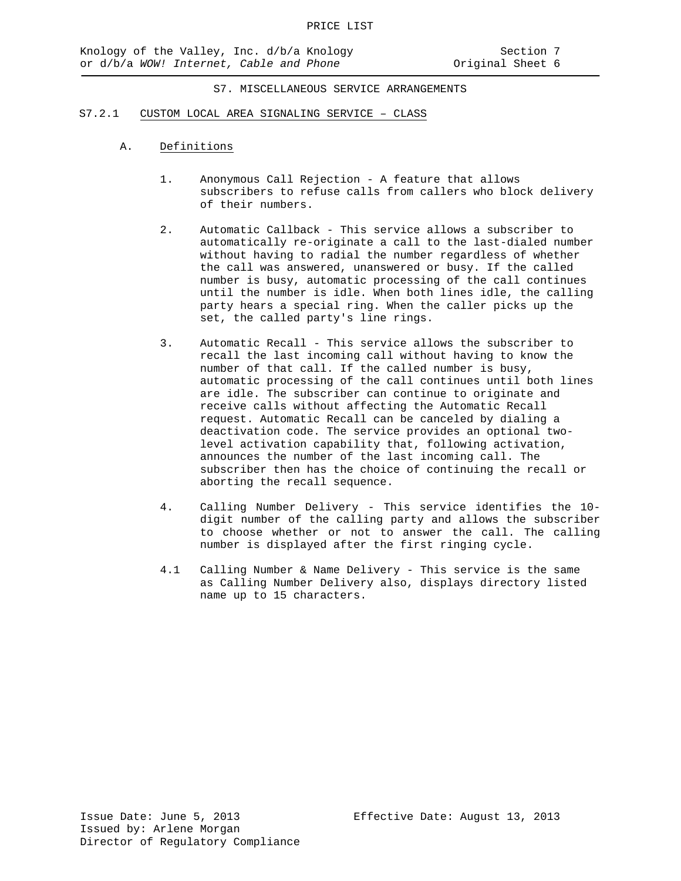- S7.2.1 CUSTOM LOCAL AREA SIGNALING SERVICE CLASS
	- A. Definitions
		- 1. Anonymous Call Rejection A feature that allows subscribers to refuse calls from callers who block delivery of their numbers.
		- 2. Automatic Callback This service allows a subscriber to automatically re-originate a call to the last-dialed number without having to radial the number regardless of whether the call was answered, unanswered or busy. If the called number is busy, automatic processing of the call continues until the number is idle. When both lines idle, the calling party hears a special ring. When the caller picks up the set, the called party's line rings.
		- 3. Automatic Recall This service allows the subscriber to recall the last incoming call without having to know the number of that call. If the called number is busy, automatic processing of the call continues until both lines are idle. The subscriber can continue to originate and receive calls without affecting the Automatic Recall request. Automatic Recall can be canceled by dialing a deactivation code. The service provides an optional twolevel activation capability that, following activation, announces the number of the last incoming call. The subscriber then has the choice of continuing the recall or aborting the recall sequence.
		- 4. Calling Number Delivery This service identifies the 10 digit number of the calling party and allows the subscriber to choose whether or not to answer the call. The calling number is displayed after the first ringing cycle.
		- 4.1 Calling Number & Name Delivery This service is the same as Calling Number Delivery also, displays directory listed name up to 15 characters.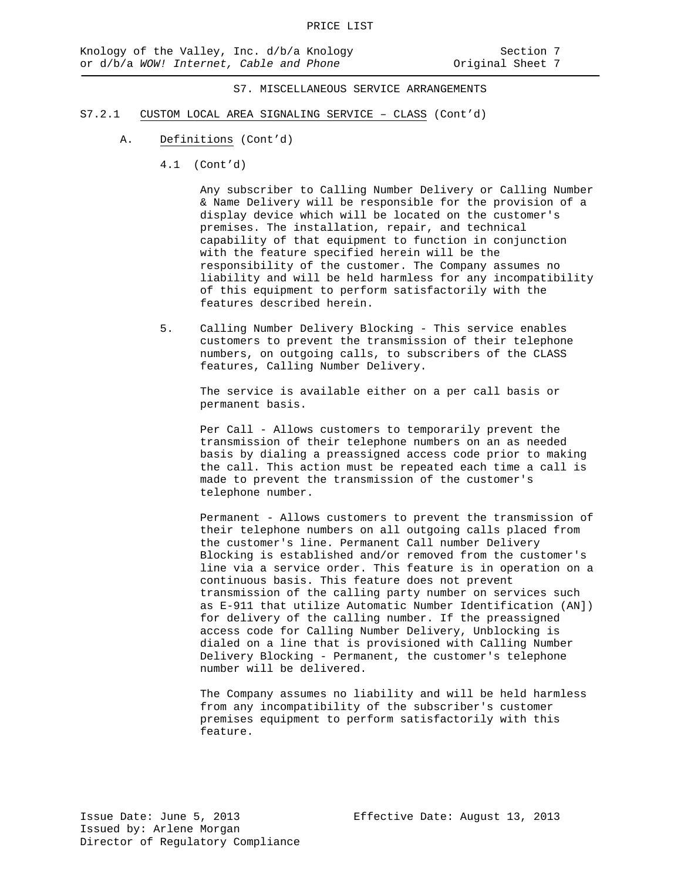- S7.2.1 CUSTOM LOCAL AREA SIGNALING SERVICE CLASS (Cont'd)
	- A. Definitions (Cont'd)
		- 4.1 (Cont'd)

Any subscriber to Calling Number Delivery or Calling Number & Name Delivery will be responsible for the provision of a display device which will be located on the customer's premises. The installation, repair, and technical capability of that equipment to function in conjunction with the feature specified herein will be the responsibility of the customer. The Company assumes no liability and will be held harmless for any incompatibility of this equipment to perform satisfactorily with the features described herein.

5. Calling Number Delivery Blocking - This service enables customers to prevent the transmission of their telephone numbers, on outgoing calls, to subscribers of the CLASS features, Calling Number Delivery.

The service is available either on a per call basis or permanent basis.

Per Call - Allows customers to temporarily prevent the transmission of their telephone numbers on an as needed basis by dialing a preassigned access code prior to making the call. This action must be repeated each time a call is made to prevent the transmission of the customer's telephone number.

Permanent - Allows customers to prevent the transmission of their telephone numbers on all outgoing calls placed from the customer's line. Permanent Call number Delivery Blocking is established and/or removed from the customer's line via a service order. This feature is in operation on a continuous basis. This feature does not prevent transmission of the calling party number on services such as E-911 that utilize Automatic Number Identification (AN]) for delivery of the calling number. If the preassigned access code for Calling Number Delivery, Unblocking is dialed on a line that is provisioned with Calling Number Delivery Blocking - Permanent, the customer's telephone number will be delivered.

The Company assumes no liability and will be held harmless from any incompatibility of the subscriber's customer premises equipment to perform satisfactorily with this feature.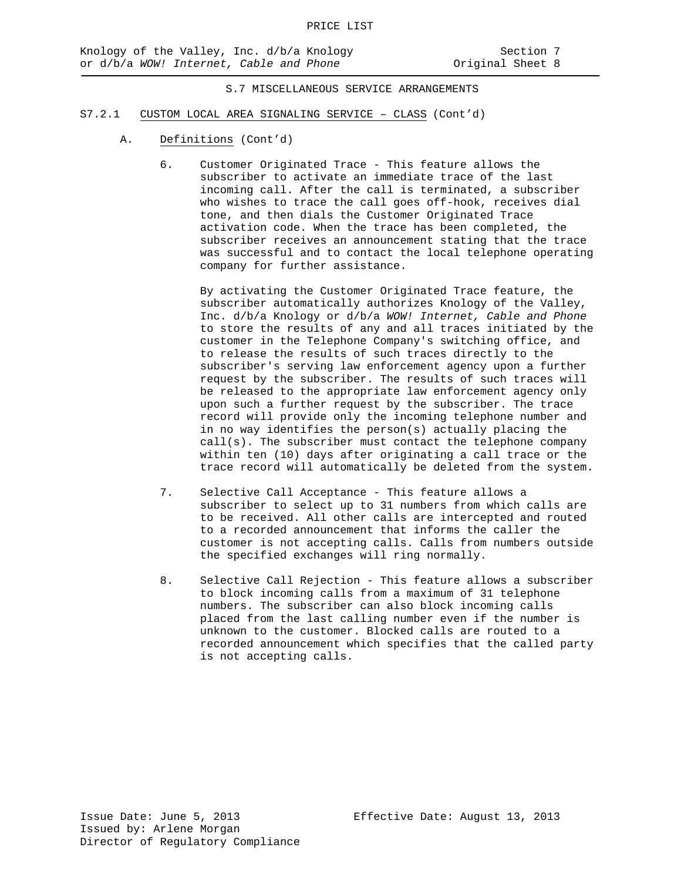- S7.2.1 CUSTOM LOCAL AREA SIGNALING SERVICE CLASS (Cont'd)
	- A. Definitions (Cont'd)
		- 6. Customer Originated Trace This feature allows the subscriber to activate an immediate trace of the last incoming call. After the call is terminated, a subscriber who wishes to trace the call goes off-hook, receives dial tone, and then dials the Customer Originated Trace activation code. When the trace has been completed, the subscriber receives an announcement stating that the trace was successful and to contact the local telephone operating company for further assistance.

By activating the Customer Originated Trace feature, the subscriber automatically authorizes Knology of the Valley, Inc. d/b/a Knology or d/b/a *WOW! Internet, Cable and Phone* to store the results of any and all traces initiated by the customer in the Telephone Company's switching office, and to release the results of such traces directly to the subscriber's serving law enforcement agency upon a further request by the subscriber. The results of such traces will be released to the appropriate law enforcement agency only upon such a further request by the subscriber. The trace record will provide only the incoming telephone number and in no way identifies the person(s) actually placing the  $call(s)$ . The subscriber must contact the telephone company within ten (10) days after originating a call trace or the trace record will automatically be deleted from the system.

- 7. Selective Call Acceptance This feature allows a subscriber to select up to 31 numbers from which calls are to be received. All other calls are intercepted and routed to a recorded announcement that informs the caller the customer is not accepting calls. Calls from numbers outside the specified exchanges will ring normally.
- 8. Selective Call Rejection This feature allows a subscriber to block incoming calls from a maximum of 31 telephone numbers. The subscriber can also block incoming calls placed from the last calling number even if the number is unknown to the customer. Blocked calls are routed to a recorded announcement which specifies that the called party is not accepting calls.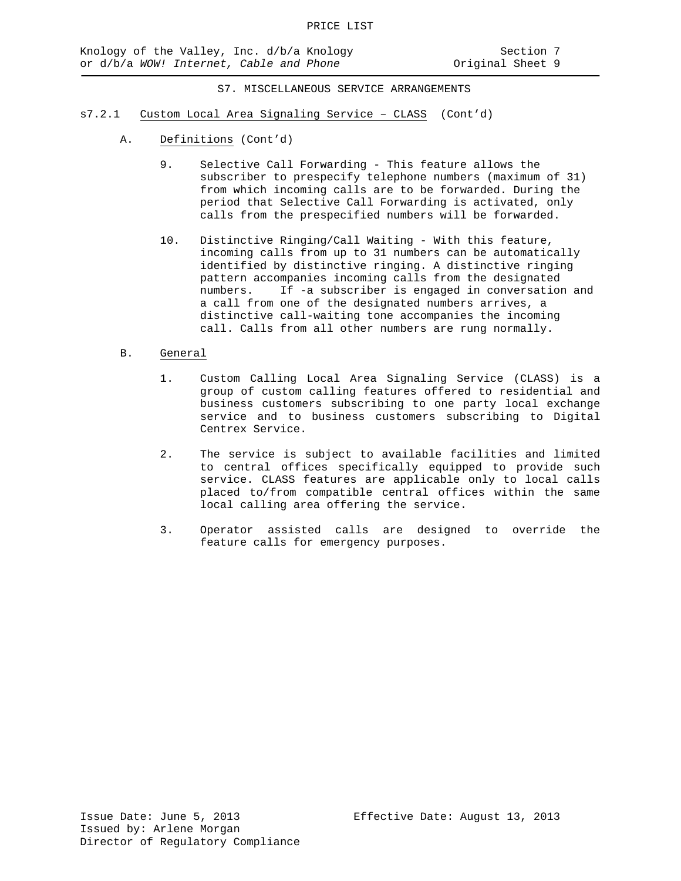- s7.2.1 Custom Local Area Signaling Service CLASS (Cont'd)
	- A. Definitions (Cont'd)
		- 9. Selective Call Forwarding This feature allows the subscriber to prespecify telephone numbers (maximum of 31) from which incoming calls are to be forwarded. During the period that Selective Call Forwarding is activated, only calls from the prespecified numbers will be forwarded.
		- 10. Distinctive Ringing/Call Waiting With this feature, incoming calls from up to 31 numbers can be automatically identified by distinctive ringing. A distinctive ringing pattern accompanies incoming calls from the designated numbers. If -a subscriber is engaged in conversation and a call from one of the designated numbers arrives, a distinctive call-waiting tone accompanies the incoming call. Calls from all other numbers are rung normally.
	- B. General
		- 1. Custom Calling Local Area Signaling Service (CLASS) is a group of custom calling features offered to residential and business customers subscribing to one party local exchange service and to business customers subscribing to Digital Centrex Service.
		- 2. The service is subject to available facilities and limited to central offices specifically equipped to provide such service. CLASS features are applicable only to local calls placed to/from compatible central offices within the same local calling area offering the service.
		- 3. Operator assisted calls are designed to override the feature calls for emergency purposes.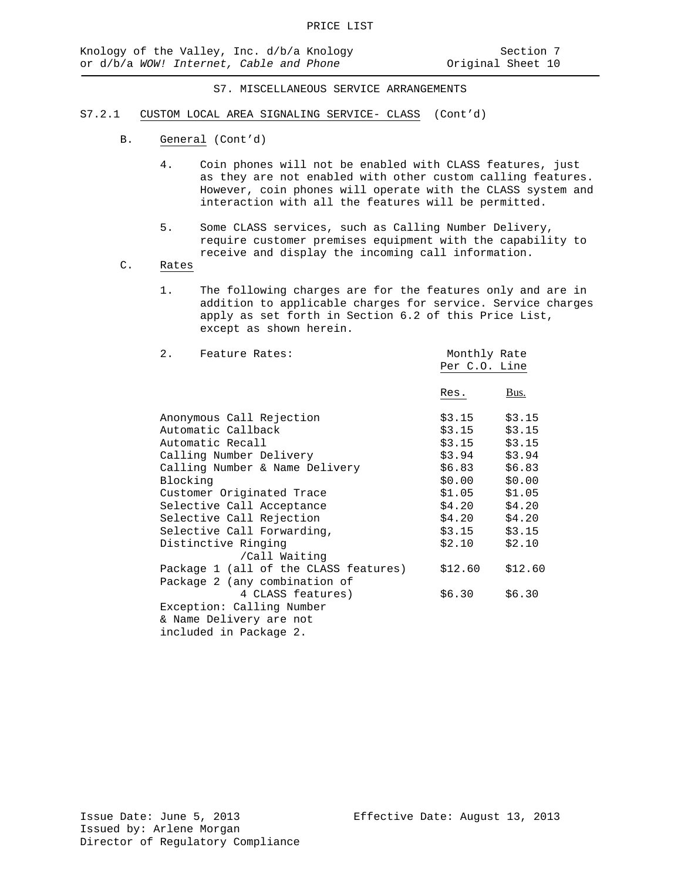- S7.2.1 CUSTOM LOCAL AREA SIGNALING SERVICE- CLASS (Cont'd)
	- B. General (Cont'd)
		- 4. Coin phones will not be enabled with CLASS features, just as they are not enabled with other custom calling features. However, coin phones will operate with the CLASS system and interaction with all the features will be permitted.
		- 5. Some CLASS services, such as Calling Number Delivery, require customer premises equipment with the capability to receive and display the incoming call information.
	- C. Rates
		- 1. The following charges are for the features only and are in addition to applicable charges for service. Service charges apply as set forth in Section 6.2 of this Price List, except as shown herein.

| 2. Feature Rates:                     | Monthly Rate    |         |
|---------------------------------------|-----------------|---------|
|                                       | Per C.O. Line   |         |
|                                       | Res.            | Bus.    |
| Anonymous Call Rejection              | \$3.15          | \$3.15  |
| Automatic Callback                    | \$3.15          | \$3.15  |
| Automatic Recall                      | $$3.15$ $$3.15$ |         |
| Calling Number Delivery               | \$3.94          | \$3.94  |
| Calling Number & Name Delivery        | $$6.83$ $$6.83$ |         |
| Blocking                              | \$0.00          | \$0.00  |
| Customer Originated Trace             | \$1.05          | \$1.05  |
| Selective Call Acceptance             | $$4.20$ $$4.20$ |         |
| Selective Call Rejection              | \$4.20          | \$4.20  |
| Selective Call Forwarding,            | \$3.15          | \$3.15  |
| Distinctive Ringing                   | \$2.10          | \$2.10  |
| /Call Waiting                         |                 |         |
| Package 1 (all of the CLASS features) | \$12.60         | \$12.60 |
| Package 2 (any combination of         |                 |         |
| 4 CLASS features)                     | \$6.30          | \$6.30  |
| Exception: Calling Number             |                 |         |
| & Name Delivery are not               |                 |         |
| included in Package 2.                |                 |         |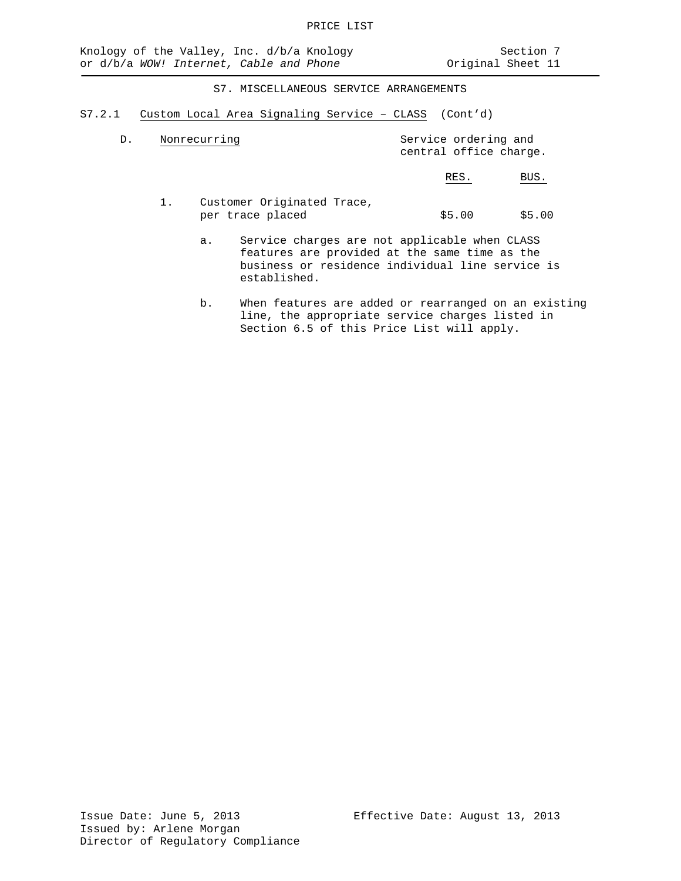S7.2.1 Custom Local Area Signaling Service – CLASS (Cont'd)

| D. | Nonrecurring | Service ordering and<br>central office charge. |            |
|----|--------------|------------------------------------------------|------------|
|    |              | RES.                                           | <b>BUS</b> |

- 1. Customer Originated Trace,<br>per trace placed  $$5.00$   $$5.00$ 
	- a. Service charges are not applicable when CLASS features are provided at the same time as the business or residence individual line service is established.
	- b. When features are added or rearranged on an existing line, the appropriate service charges listed in Section 6.5 of this Price List will apply.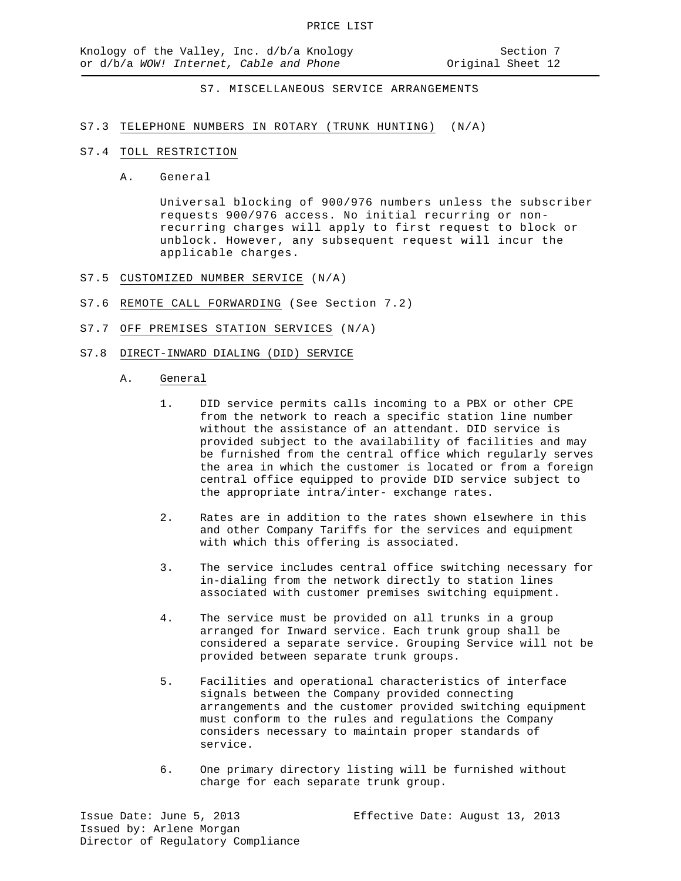## S7.3 TELEPHONE NUMBERS IN ROTARY (TRUNK HUNTING) (N/A)

#### S7.4 TOLL RESTRICTION

A. General

Universal blocking of 900/976 numbers unless the subscriber requests 900/976 access. No initial recurring or nonrecurring charges will apply to first request to block or unblock. However, any subsequent request will incur the applicable charges.

- S7.5 CUSTOMIZED NUMBER SERVICE (N/A)
- S7.6 REMOTE CALL FORWARDING (See Section 7.2)
- S7.7 OFF PREMISES STATION SERVICES (N/A)
- S7.8 DIRECT-INWARD DIALING (DID) SERVICE
	- A. General
		- 1. DID service permits calls incoming to a PBX or other CPE from the network to reach a specific station line number without the assistance of an attendant. DID service is provided subject to the availability of facilities and may be furnished from the central office which regularly serves the area in which the customer is located or from a foreign central office equipped to provide DID service subject to the appropriate intra/inter- exchange rates.
		- 2. Rates are in addition to the rates shown elsewhere in this and other Company Tariffs for the services and equipment with which this offering is associated.
		- 3. The service includes central office switching necessary for in-dialing from the network directly to station lines associated with customer premises switching equipment.
		- 4. The service must be provided on all trunks in a group arranged for Inward service. Each trunk group shall be considered a separate service. Grouping Service will not be provided between separate trunk groups.
		- 5. Facilities and operational characteristics of interface signals between the Company provided connecting arrangements and the customer provided switching equipment must conform to the rules and regulations the Company considers necessary to maintain proper standards of service.
		- 6. One primary directory listing will be furnished without charge for each separate trunk group.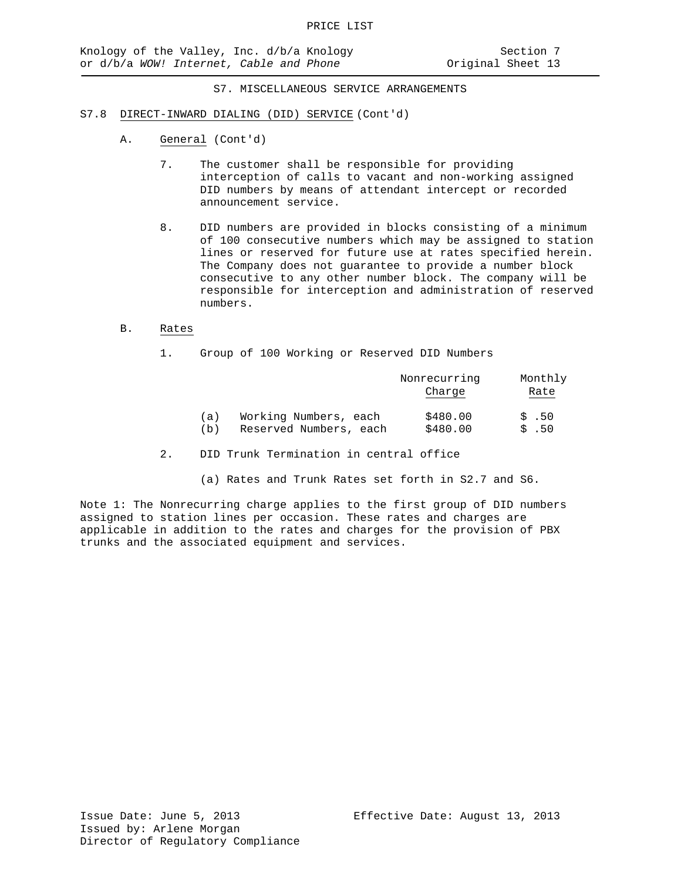- S7.8 DIRECT-INWARD DIALING (DID) SERVICE (Cont'd)
	- A. General (Cont'd)
		- 7. The customer shall be responsible for providing interception of calls to vacant and non-working assigned DID numbers by means of attendant intercept or recorded announcement service.
		- 8. DID numbers are provided in blocks consisting of a minimum of 100 consecutive numbers which may be assigned to station lines or reserved for future use at rates specified herein. The Company does not guarantee to provide a number block consecutive to any other number block. The company will be responsible for interception and administration of reserved numbers.

# B. Rates

1. Group of 100 Working or Reserved DID Numbers

|     |                        | Nonrecurring | Monthly   |
|-----|------------------------|--------------|-----------|
|     |                        | Charge       | Rate      |
|     |                        |              |           |
| (a) | Working Numbers, each  | \$480.00     | $\sin 50$ |
| (b) | Reserved Numbers, each | \$480.00     | \$.50     |

- 2. DID Trunk Termination in central office
	- (a) Rates and Trunk Rates set forth in S2.7 and S6.

Note 1: The Nonrecurring charge applies to the first group of DID numbers assigned to station lines per occasion. These rates and charges are applicable in addition to the rates and charges for the provision of PBX trunks and the associated equipment and services.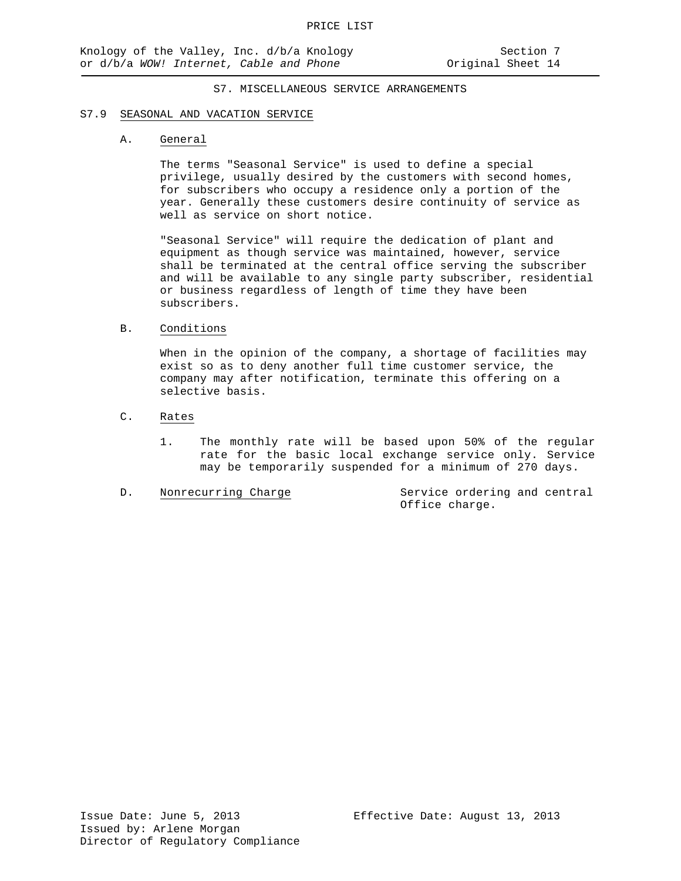#### S7.9 SEASONAL AND VACATION SERVICE

#### A. General

The terms "Seasonal Service" is used to define a special privilege, usually desired by the customers with second homes, for subscribers who occupy a residence only a portion of the year. Generally these customers desire continuity of service as well as service on short notice.

"Seasonal Service" will require the dedication of plant and equipment as though service was maintained, however, service shall be terminated at the central office serving the subscriber and will be available to any single party subscriber, residential or business regardless of length of time they have been subscribers.

## B. Conditions

When in the opinion of the company, a shortage of facilities may exist so as to deny another full time customer service, the company may after notification, terminate this offering on a selective basis.

# C. Rates

1. The monthly rate will be based upon 50% of the regular rate for the basic local exchange service only. Service may be temporarily suspended for a minimum of 270 days.

D. Nonrecurring Charge Service ordering and central Office charge.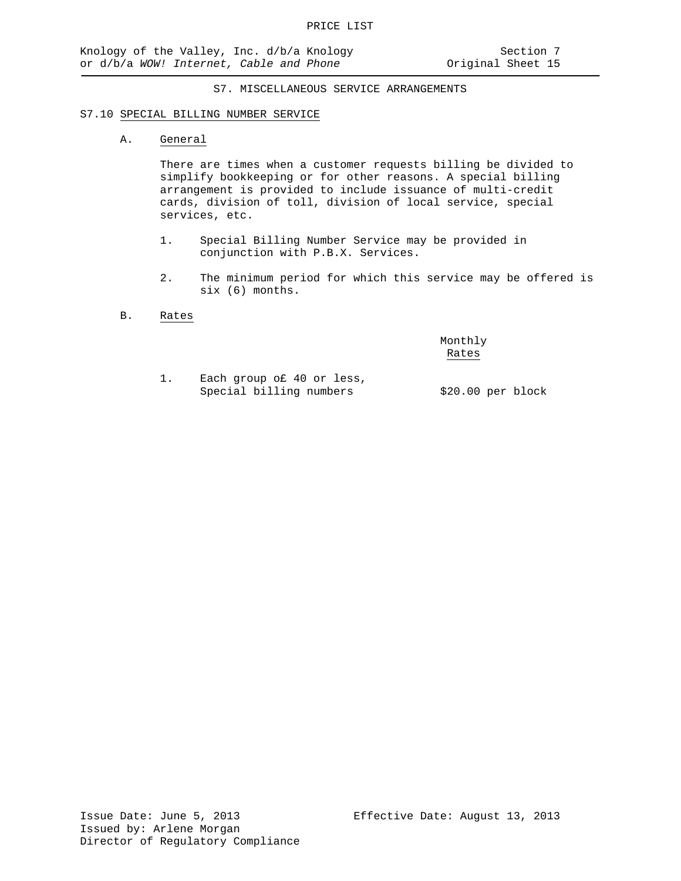#### S7.10 SPECIAL BILLING NUMBER SERVICE

## A. General

There are times when a customer requests billing be divided to simplify bookkeeping or for other reasons. A special billing arrangement is provided to include issuance of multi-credit cards, division of toll, division of local service, special services, etc.

- 1. Special Billing Number Service may be provided in conjunction with P.B.X. Services.
- 2. The minimum period for which this service may be offered is six (6) months.
- B. Rates

Monthly Rates

1. Each group o£ 40 or less, Special billing numbers \$20.00 per block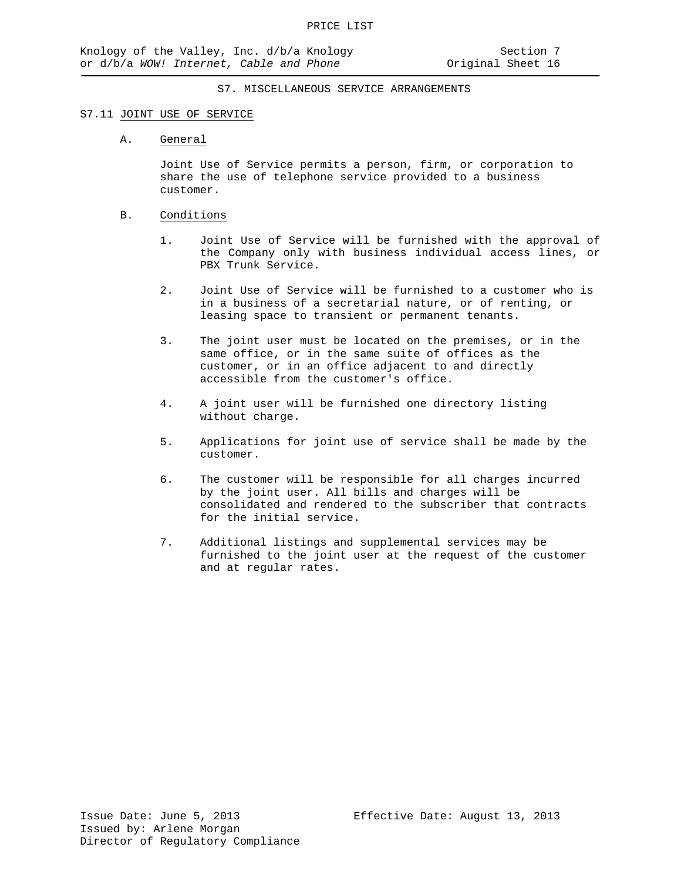## S7.11 JOINT USE OF SERVICE

#### A. General

Joint Use of Service permits a person, firm, or corporation to share the use of telephone service provided to a business customer.

## B. Conditions

- 1. Joint Use of Service will be furnished with the approval of the Company only with business individual access lines, or PBX Trunk Service.
- 2. Joint Use of Service will be furnished to a customer who is in a business of a secretarial nature, or of renting, or leasing space to transient or permanent tenants.
- 3. The joint user must be located on the premises, or in the same office, or in the same suite of offices as the customer, or in an office adjacent to and directly accessible from the customer's office.
- 4. A joint user will be furnished one directory listing without charge.
- 5. Applications for joint use of service shall be made by the customer.
- 6. The customer will be responsible for all charges incurred by the joint user. All bills and charges will be consolidated and rendered to the subscriber that contracts for the initial service.
- 7. Additional listings and supplemental services may be furnished to the joint user at the request of the customer and at regular rates.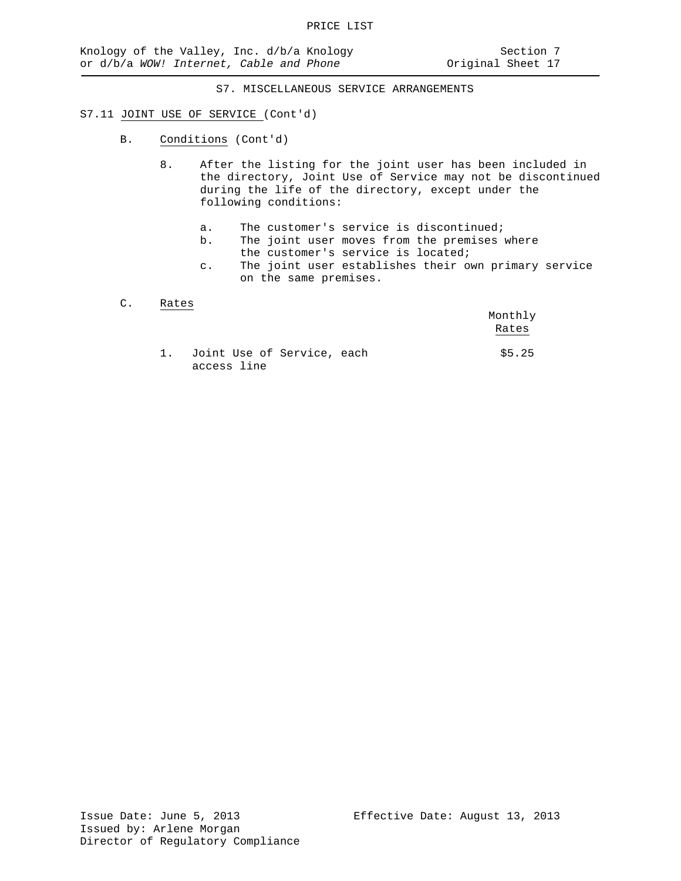#### S7.11 JOINT USE OF SERVICE (Cont'd)

- B. Conditions (Cont'd)
	- 8. After the listing for the joint user has been included in the directory, Joint Use of Service may not be discontinued during the life of the directory, except under the following conditions:
		- a. The customer's service is discontinued;<br>b. The joint user moves from the premises
		- The joint user moves from the premises where the customer's service is located;
		- c. The joint user establishes their own primary service on the same premises.

## C. Rates

|      |                                           | Monthly<br>Rates |
|------|-------------------------------------------|------------------|
| 1. . | Joint Use of Service, each<br>access line | \$5.25           |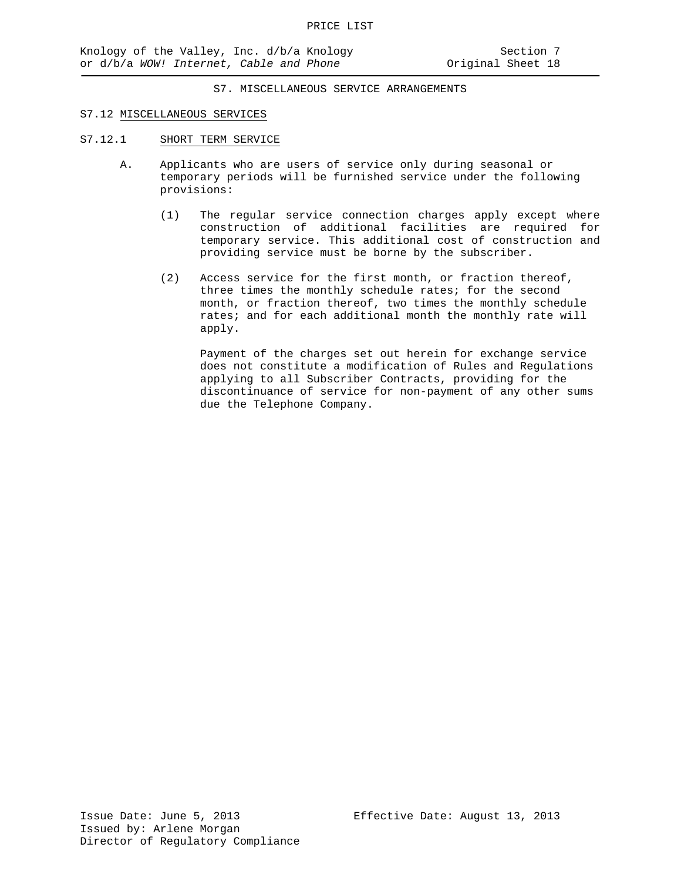### S7.12 MISCELLANEOUS SERVICES

- S7.12.1 SHORT TERM SERVICE
	- A. Applicants who are users of service only during seasonal or temporary periods will be furnished service under the following provisions:
		- (1) The regular service connection charges apply except where construction of additional facilities are required for temporary service. This additional cost of construction and providing service must be borne by the subscriber.
		- (2) Access service for the first month, or fraction thereof, three times the monthly schedule rates; for the second month, or fraction thereof, two times the monthly schedule rates; and for each additional month the monthly rate will apply.

Payment of the charges set out herein for exchange service does not constitute a modification of Rules and Regulations applying to all Subscriber Contracts, providing for the discontinuance of service for non-payment of any other sums due the Telephone Company.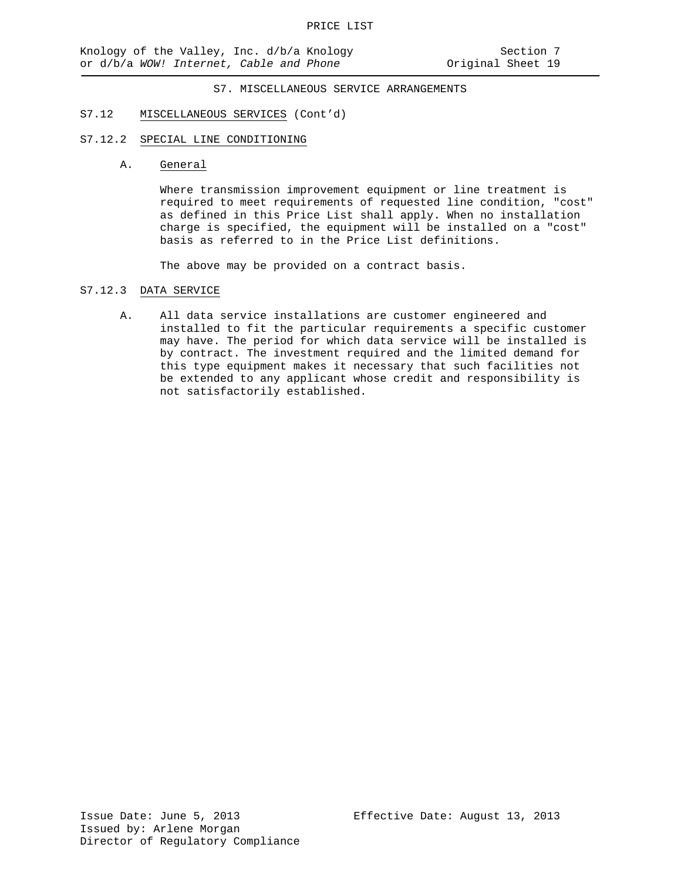#### S7.12 MISCELLANEOUS SERVICES (Cont'd)

## S7.12.2 SPECIAL LINE CONDITIONING

A. General

Where transmission improvement equipment or line treatment is required to meet requirements of requested line condition, "cost" as defined in this Price List shall apply. When no installation charge is specified, the equipment will be installed on a "cost" basis as referred to in the Price List definitions.

The above may be provided on a contract basis.

## S7.12.3 DATA SERVICE

A. All data service installations are customer engineered and installed to fit the particular requirements a specific customer may have. The period for which data service will be installed is by contract. The investment required and the limited demand for this type equipment makes it necessary that such facilities not be extended to any applicant whose credit and responsibility is not satisfactorily established.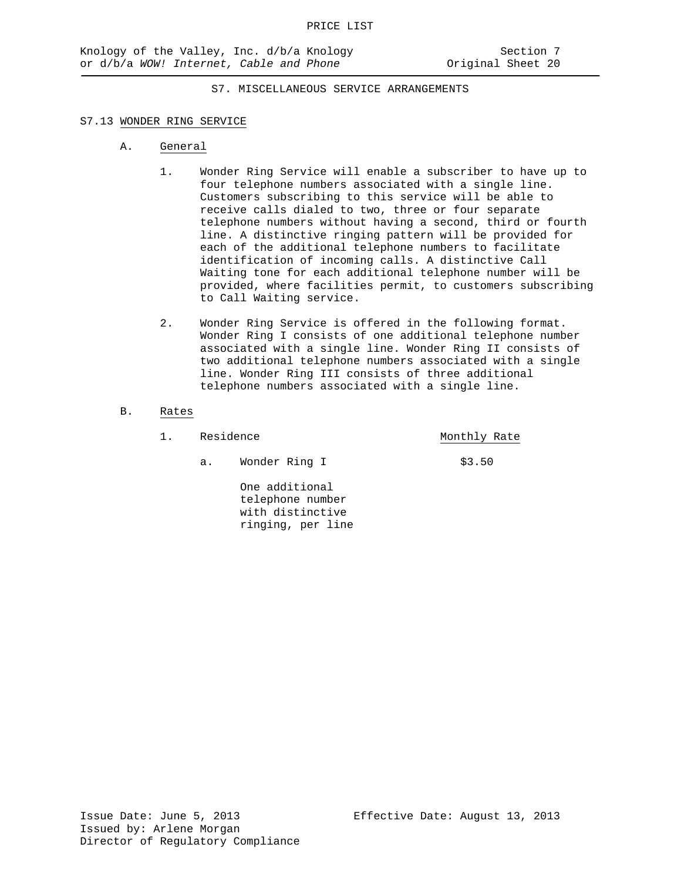## S7.13 WONDER RING SERVICE

- A. General
	- 1. Wonder Ring Service will enable a subscriber to have up to four telephone numbers associated with a single line. Customers subscribing to this service will be able to receive calls dialed to two, three or four separate telephone numbers without having a second, third or fourth line. A distinctive ringing pattern will be provided for each of the additional telephone numbers to facilitate identification of incoming calls. A distinctive Call Waiting tone for each additional telephone number will be provided, where facilities permit, to customers subscribing to Call Waiting service.
	- 2. Wonder Ring Service is offered in the following format. Wonder Ring I consists of one additional telephone number associated with a single line. Wonder Ring II consists of two additional telephone numbers associated with a single line. Wonder Ring III consists of three additional telephone numbers associated with a single line.

### B. Rates

- 1. Residence Monthly Rate
	- a. Wonder Ring I \$3.50

One additional telephone number with distinctive ringing, per line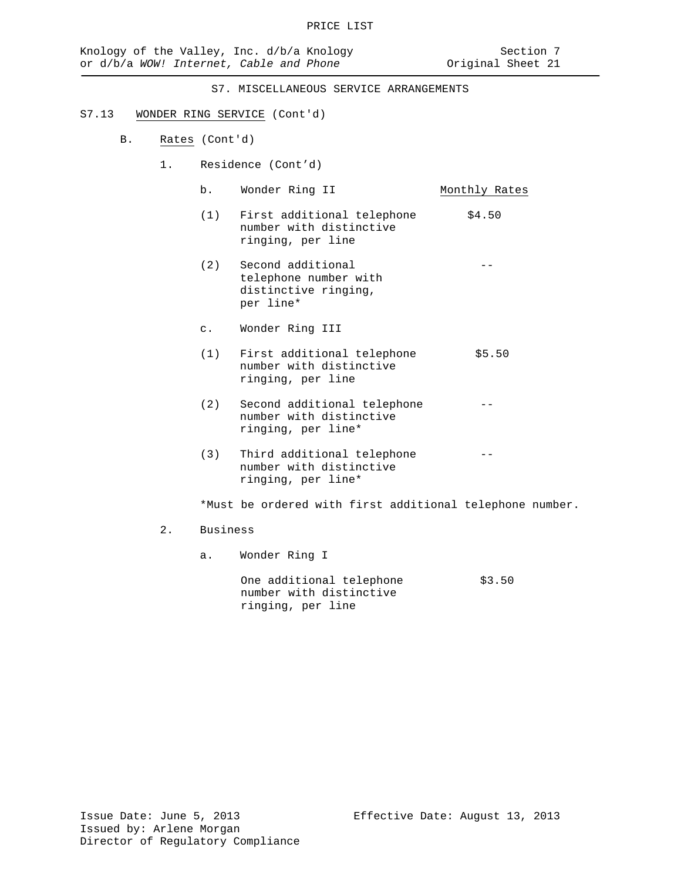## S7.13 WONDER RING SERVICE (Cont'd)

- B. Rates (Cont'd)
	- 1. Residence (Cont'd)
		- b. Wonder Ring II Monthly Rates
			- (1) First additional telephone  $$4.50$ number with distinctive ringing, per line
		- (2) Second additional telephone number with distinctive ringing, per line\*
		- c. Wonder Ring III
		- (1) First additional telephone  $$5.50$ number with distinctive ringing, per line
		- (2) Second additional telephone number with distinctive ringing, per line\*
		- (3) Third additional telephone number with distinctive ringing, per line\*

\*Must be ordered with first additional telephone number.

- 2. Business
	- a. Wonder Ring I

One additional telephone \$3.50 number with distinctive ringing, per line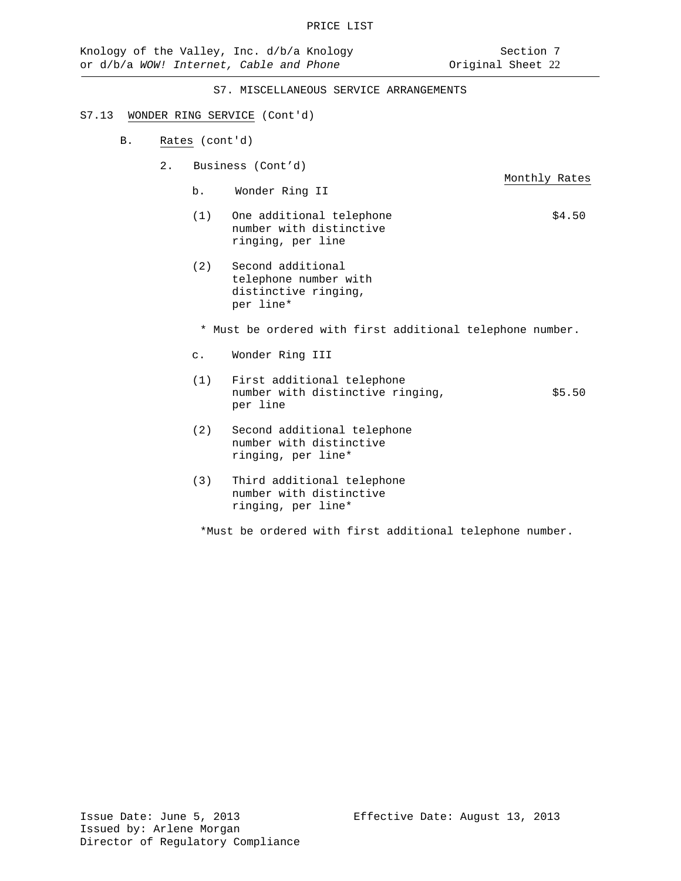# S7.13 WONDER RING SERVICE (Cont'd)

- B. Rates (cont'd)
	- 2. Business (Cont'd)
		- Monthly Rates b. Wonder Ring II
		- (1) One additional telephone  $$4.50$ number with distinctive ringing, per line
		- (2) Second additional telephone number with distinctive ringing, per line\*

\* Must be ordered with first additional telephone number.

- c. Wonder Ring III
- (1) First additional telephone number with distinctive ringing,  $$5.50$ per line
- (2) Second additional telephone number with distinctive ringing, per line\*
- (3) Third additional telephone number with distinctive ringing, per line\*

\*Must be ordered with first additional telephone number.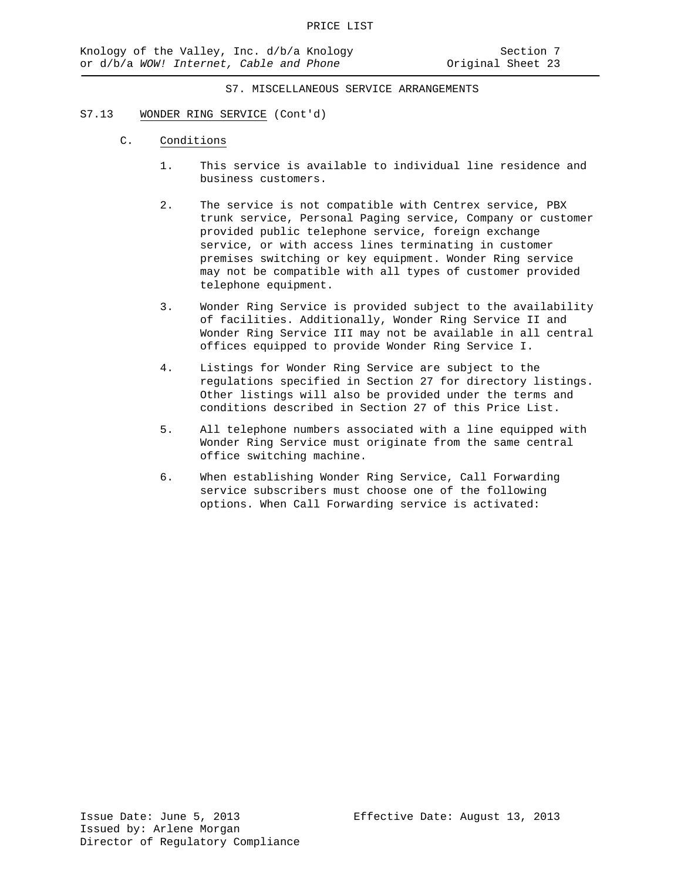## S7.13 WONDER RING SERVICE (Cont'd)

- C. Conditions
	- 1. This service is available to individual line residence and business customers.
	- 2. The service is not compatible with Centrex service, PBX trunk service, Personal Paging service, Company or customer provided public telephone service, foreign exchange service, or with access lines terminating in customer premises switching or key equipment. Wonder Ring service may not be compatible with all types of customer provided telephone equipment.
	- 3. Wonder Ring Service is provided subject to the availability of facilities. Additionally, Wonder Ring Service II and Wonder Ring Service III may not be available in all central offices equipped to provide Wonder Ring Service I.
	- 4. Listings for Wonder Ring Service are subject to the regulations specified in Section 27 for directory listings. Other listings will also be provided under the terms and conditions described in Section 27 of this Price List.
	- 5. All telephone numbers associated with a line equipped with Wonder Ring Service must originate from the same central office switching machine.
	- 6. When establishing Wonder Ring Service, Call Forwarding service subscribers must choose one of the following options. When Call Forwarding service is activated: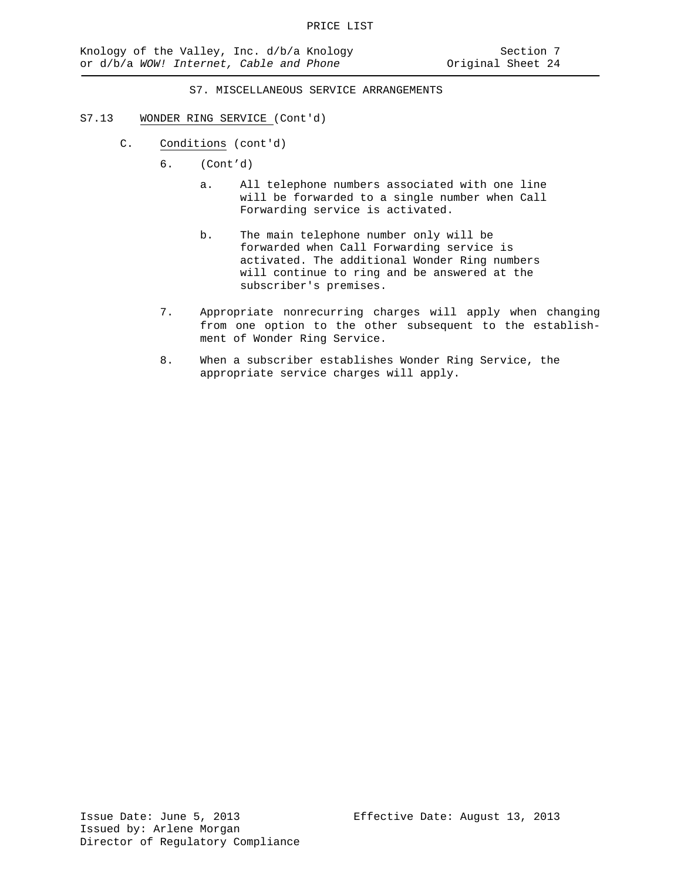### S7.13 WONDER RING SERVICE (Cont'd)

- C. Conditions (cont'd)
	- 6. (Cont'd)
		- a. All telephone numbers associated with one line will be forwarded to a single number when Call Forwarding service is activated.
		- b. The main telephone number only will be forwarded when Call Forwarding service is activated. The additional Wonder Ring numbers will continue to ring and be answered at the subscriber's premises.
	- 7. Appropriate nonrecurring charges will apply when changing from one option to the other subsequent to the establishment of Wonder Ring Service.
	- 8. When a subscriber establishes Wonder Ring Service, the appropriate service charges will apply.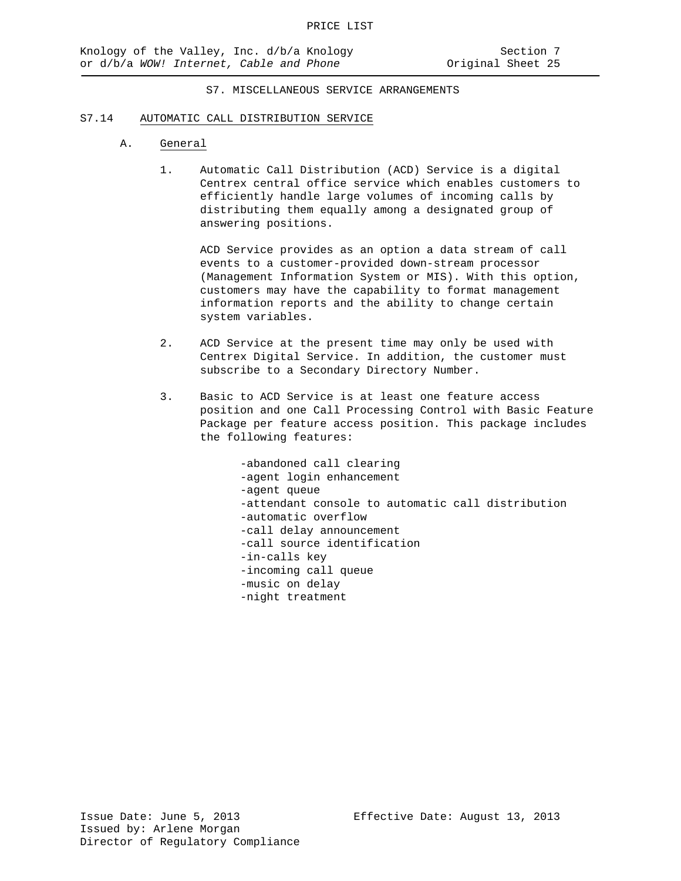#### S7.14 AUTOMATIC CALL DISTRIBUTION SERVICE

#### A. General

1. Automatic Call Distribution (ACD) Service is a digital Centrex central office service which enables customers to efficiently handle large volumes of incoming calls by distributing them equally among a designated group of answering positions.

ACD Service provides as an option a data stream of call events to a customer-provided down-stream processor (Management Information System or MIS). With this option, customers may have the capability to format management information reports and the ability to change certain system variables.

- 2. ACD Service at the present time may only be used with Centrex Digital Service. In addition, the customer must subscribe to a Secondary Directory Number.
- 3. Basic to ACD Service is at least one feature access position and one Call Processing Control with Basic Feature Package per feature access position. This package includes the following features:

-abandoned call clearing -agent login enhancement -agent queue -attendant console to automatic call distribution -automatic overflow -call delay announcement -call source identification -in-calls key -incoming call queue -music on delay -night treatment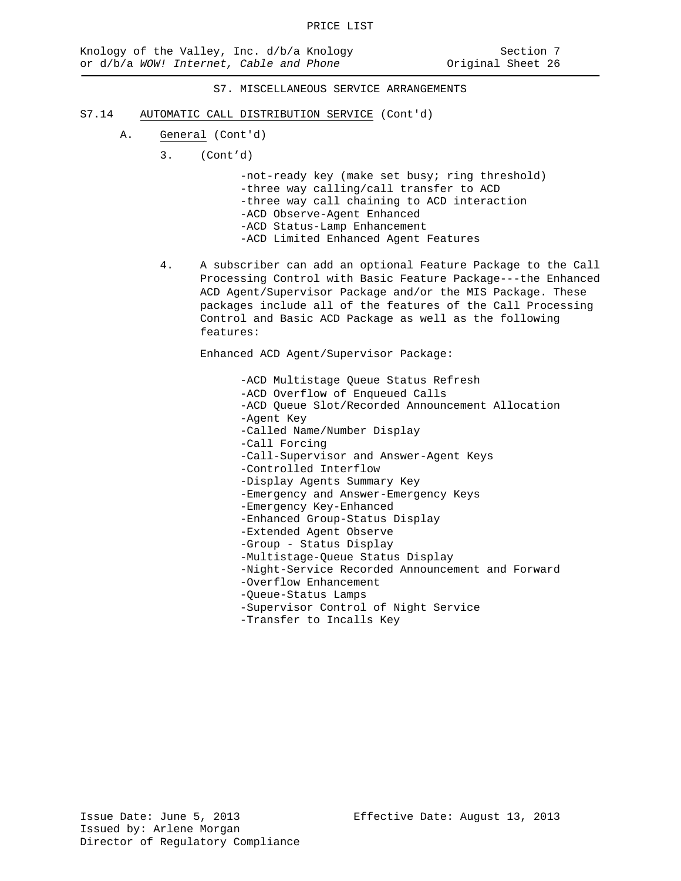- S7.14 AUTOMATIC CALL DISTRIBUTION SERVICE (Cont'd)
	- A. General (Cont'd)
		- 3. (Cont'd)

-not-ready key (make set busy; ring threshold) -three way calling/call transfer to ACD -three way call chaining to ACD interaction -ACD Observe-Agent Enhanced -ACD Status-Lamp Enhancement -ACD Limited Enhanced Agent Features

4. A subscriber can add an optional Feature Package to the Call Processing Control with Basic Feature Package---the Enhanced ACD Agent/Supervisor Package and/or the MIS Package. These packages include all of the features of the Call Processing Control and Basic ACD Package as well as the following features:

Enhanced ACD Agent/Supervisor Package:

-ACD Multistage Queue Status Refresh -ACD Overflow of Enqueued Calls -ACD Queue Slot/Recorded Announcement Allocation -Agent Key -Called Name/Number Display -Call Forcing -Call-Supervisor and Answer-Agent Keys -Controlled Interflow -Display Agents Summary Key -Emergency and Answer-Emergency Keys -Emergency Key-Enhanced -Enhanced Group-Status Display -Extended Agent Observe -Group - Status Display -Multistage-Queue Status Display -Night-Service Recorded Announcement and Forward -Overflow Enhancement -Queue-Status Lamps -Supervisor Control of Night Service -Transfer to Incalls Key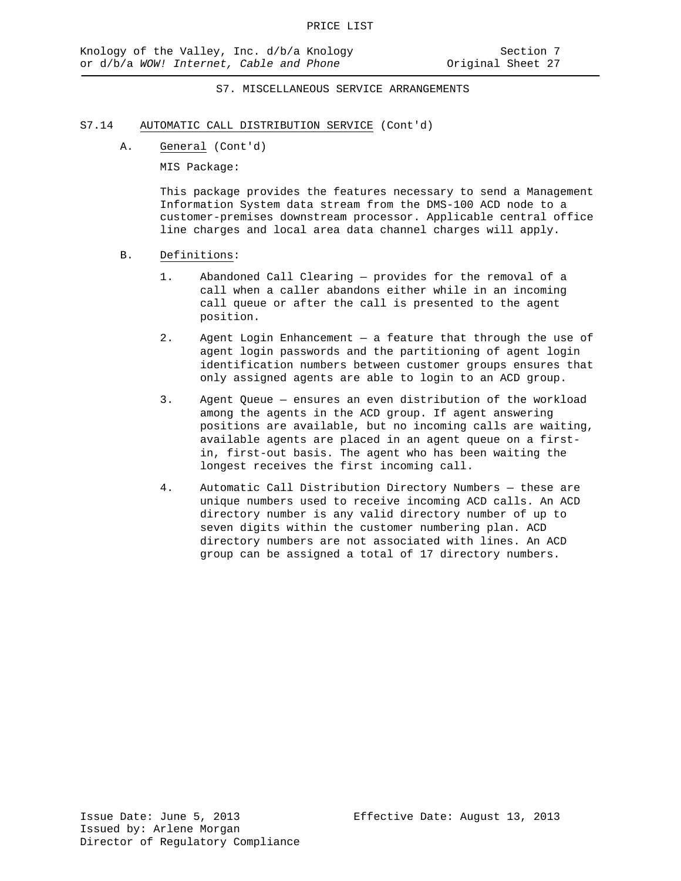### S7.14 AUTOMATIC CALL DISTRIBUTION SERVICE (Cont'd)

A. General (Cont'd)

MIS Package:

This package provides the features necessary to send a Management Information System data stream from the DMS-100 ACD node to a customer-premises downstream processor. Applicable central office line charges and local area data channel charges will apply.

## B. Definitions:

- 1. Abandoned Call Clearing provides for the removal of a call when a caller abandons either while in an incoming call queue or after the call is presented to the agent position.
- 2. Agent Login Enhancement a feature that through the use of agent login passwords and the partitioning of agent login identification numbers between customer groups ensures that only assigned agents are able to login to an ACD group.
- 3. Agent Queue ensures an even distribution of the workload among the agents in the ACD group. If agent answering positions are available, but no incoming calls are waiting, available agents are placed in an agent queue on a firstin, first-out basis. The agent who has been waiting the longest receives the first incoming call.
- 4. Automatic Call Distribution Directory Numbers these are unique numbers used to receive incoming ACD calls. An ACD directory number is any valid directory number of up to seven digits within the customer numbering plan. ACD directory numbers are not associated with lines. An ACD group can be assigned a total of 17 directory numbers.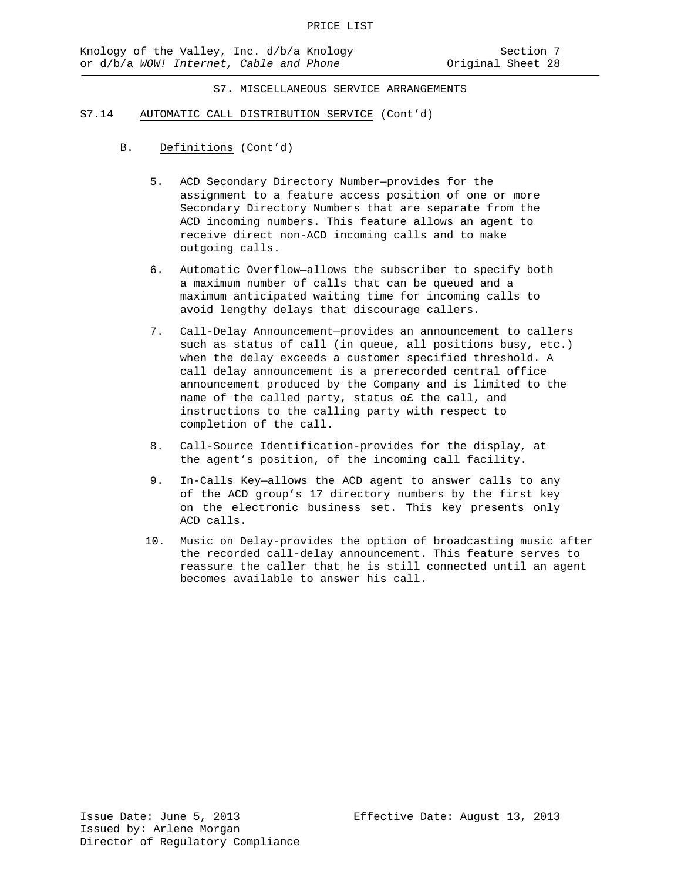- S7.14 AUTOMATIC CALL DISTRIBUTION SERVICE (Cont'd)
	- B. Definitions (Cont'd)
		- 5. ACD Secondary Directory Number—provides for the assignment to a feature access position of one or more Secondary Directory Numbers that are separate from the ACD incoming numbers. This feature allows an agent to receive direct non-ACD incoming calls and to make outgoing calls.
		- 6. Automatic Overflow—allows the subscriber to specify both a maximum number of calls that can be queued and a maximum anticipated waiting time for incoming calls to avoid lengthy delays that discourage callers.
		- 7. Call-Delay Announcement—provides an announcement to callers such as status of call (in queue, all positions busy, etc.) when the delay exceeds a customer specified threshold. A call delay announcement is a prerecorded central office announcement produced by the Company and is limited to the name of the called party, status o£ the call, and instructions to the calling party with respect to completion of the call.
		- 8. Call-Source Identification-provides for the display, at the agent's position, of the incoming call facility.
		- 9. In-Calls Key—allows the ACD agent to answer calls to any of the ACD group's 17 directory numbers by the first key on the electronic business set. This key presents only ACD calls.
		- 10. Music on Delay-provides the option of broadcasting music after the recorded call-delay announcement. This feature serves to reassure the caller that he is still connected until an agent becomes available to answer his call.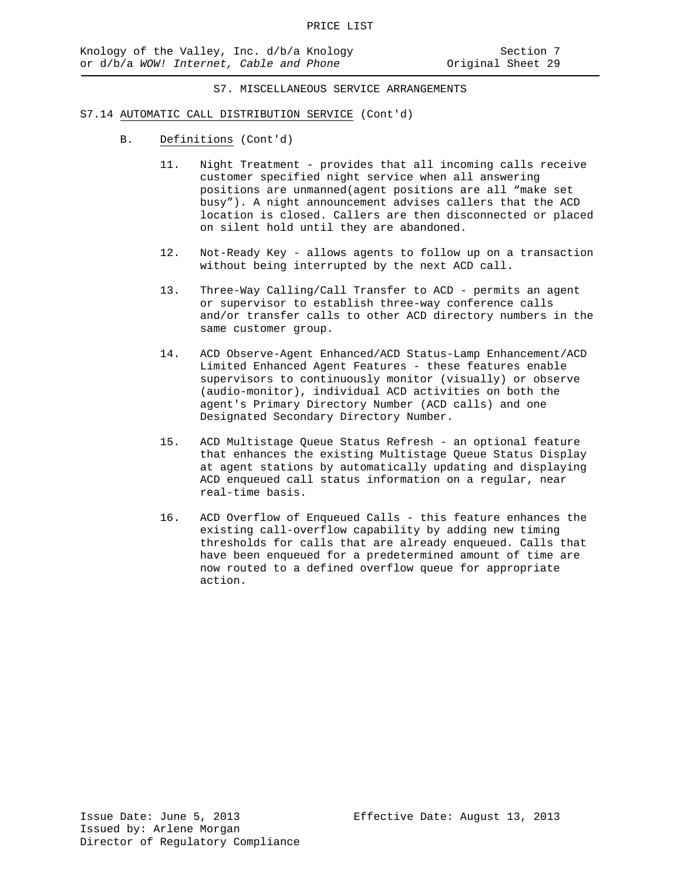#### S7.14 AUTOMATIC CALL DISTRIBUTION SERVICE (Cont'd)

- B. Definitions (Cont'd)
	- 11. Night Treatment provides that all incoming calls receive customer specified night service when all answering positions are unmanned(agent positions are all "make set busy"). A night announcement advises callers that the ACD location is closed. Callers are then disconnected or placed on silent hold until they are abandoned.
	- 12. Not-Ready Key allows agents to follow up on a transaction without being interrupted by the next ACD call.
	- 13. Three-Way Calling/Call Transfer to ACD permits an agent or supervisor to establish three-way conference calls and/or transfer calls to other ACD directory numbers in the same customer group.
	- 14. ACD Observe-Agent Enhanced/ACD Status-Lamp Enhancement/ACD Limited Enhanced Agent Features - these features enable supervisors to continuously monitor (visually) or observe (audio-monitor), individual ACD activities on both the agent's Primary Directory Number (ACD calls) and one Designated Secondary Directory Number.
	- 15. ACD Multistage Queue Status Refresh an optional feature that enhances the existing Multistage Queue Status Display at agent stations by automatically updating and displaying ACD enqueued call status information on a regular, near real-time basis.
	- 16. ACD Overflow of Enqueued Calls this feature enhances the existing call-overflow capability by adding new timing thresholds for calls that are already enqueued. Calls that have been enqueued for a predetermined amount of time are now routed to a defined overflow queue for appropriate action.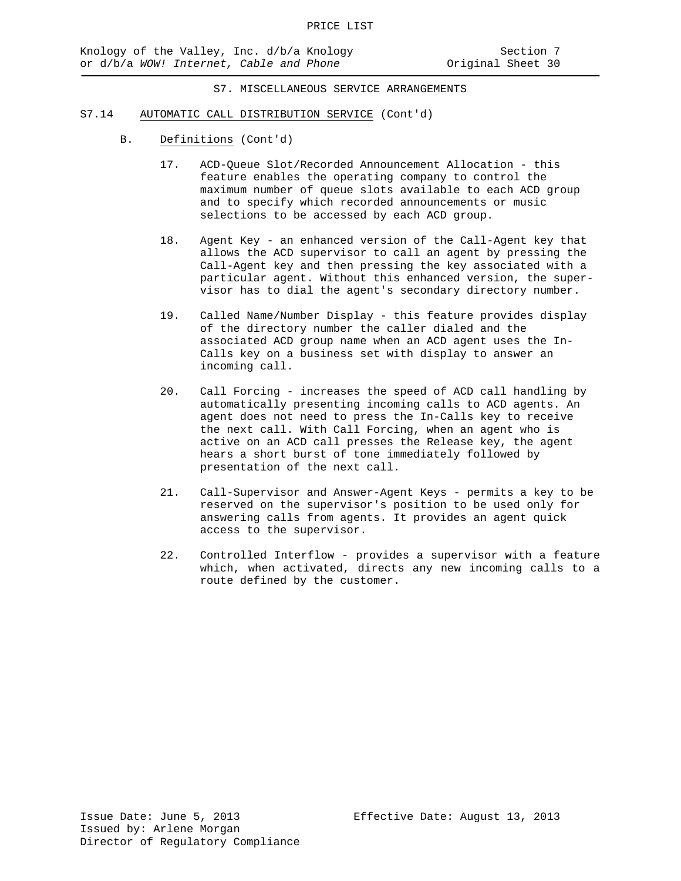- S7.14 AUTOMATIC CALL DISTRIBUTION SERVICE (Cont'd)
	- B. Definitions (Cont'd)
		- 17. ACD-Queue Slot/Recorded Announcement Allocation this feature enables the operating company to control the maximum number of queue slots available to each ACD group and to specify which recorded announcements or music selections to be accessed by each ACD group.
		- 18. Agent Key an enhanced version of the Call-Agent key that allows the ACD supervisor to call an agent by pressing the Call-Agent key and then pressing the key associated with a particular agent. Without this enhanced version, the supervisor has to dial the agent's secondary directory number.
		- 19. Called Name/Number Display this feature provides display of the directory number the caller dialed and the associated ACD group name when an ACD agent uses the In-Calls key on a business set with display to answer an incoming call.
		- 20. Call Forcing increases the speed of ACD call handling by automatically presenting incoming calls to ACD agents. An agent does not need to press the In-Calls key to receive the next call. With Call Forcing, when an agent who is active on an ACD call presses the Release key, the agent hears a short burst of tone immediately followed by presentation of the next call.
		- 21. Call-Supervisor and Answer-Agent Keys permits a key to be reserved on the supervisor's position to be used only for answering calls from agents. It provides an agent quick access to the supervisor.
		- 22. Controlled Interflow provides a supervisor with a feature which, when activated, directs any new incoming calls to a route defined by the customer.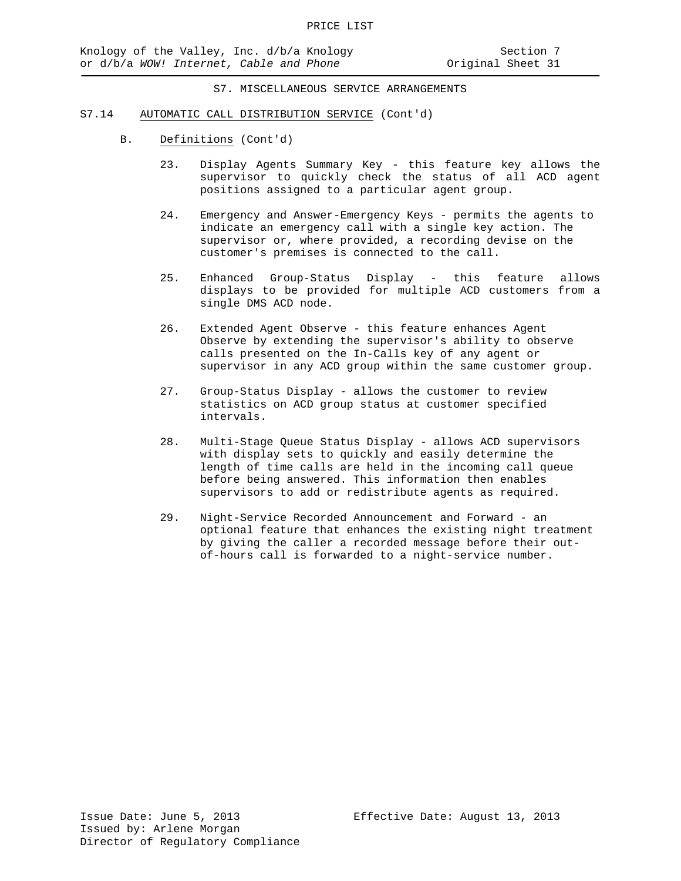- S7.14 AUTOMATIC CALL DISTRIBUTION SERVICE (Cont'd)
	- B. Definitions (Cont'd)
		- 23. Display Agents Summary Key this feature key allows the supervisor to quickly check the status of all ACD agent positions assigned to a particular agent group.
		- 24. Emergency and Answer-Emergency Keys permits the agents to indicate an emergency call with a single key action. The supervisor or, where provided, a recording devise on the customer's premises is connected to the call.
		- 25. Enhanced Group-Status Display this feature allows displays to be provided for multiple ACD customers from a single DMS ACD node.
		- 26. Extended Agent Observe this feature enhances Agent Observe by extending the supervisor's [ability to](http://ability.to/) observe calls presented on the In-Calls key of any agent or supervisor in any ACD group within the same customer group.
		- 27. Group-Status Display allows the customer to review statistics on ACD group status at customer specified intervals.
		- 28. Multi-Stage Queue Status Display allows ACD supervisors with display sets to quickly and easily determine the length of time calls are held in the incoming call queue before being answered. This information then enables supervisors to add or redistribute agents as required.
		- 29. Night-Service Recorded Announcement and Forward an optional feature that enhances the existing night treatment by giving the caller a recorded message before their outof-hours call is forwarded to a night-service number.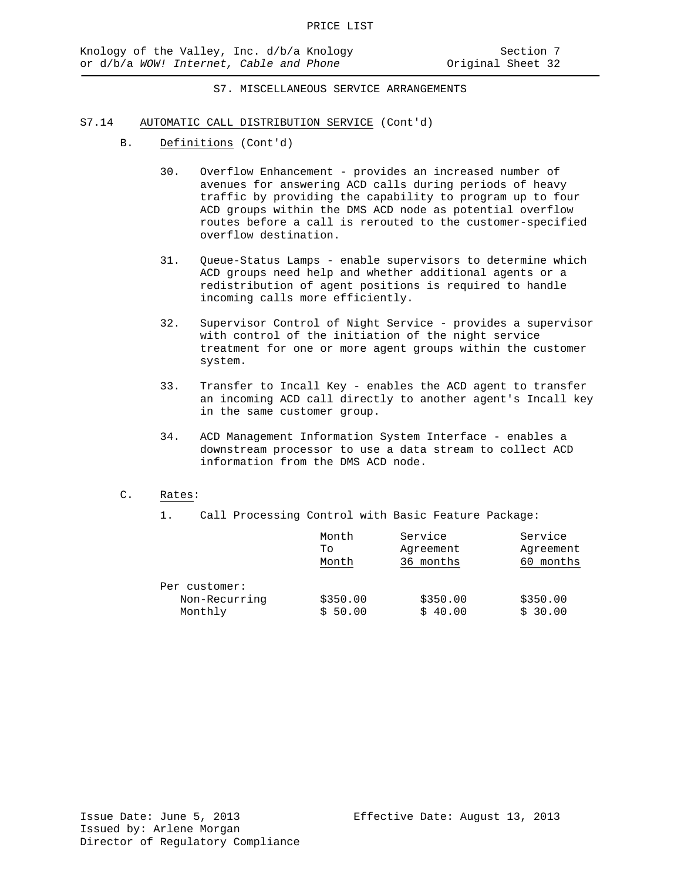- S7.14 AUTOMATIC CALL DISTRIBUTION SERVICE (Cont'd)
	- B. Definitions (Cont'd)
		- 30. Overflow Enhancement provides an increased number of avenues for answering ACD calls during periods of heavy traffic by providing the capability to program up to four ACD groups within the DMS ACD node as potential overflow routes before a call is rerouted to the customer-specified overflow destination.
		- 31. Queue-Status Lamps enable supervisors to determine which ACD groups need help and whether additional agents or a redistribution of agent positions is required to handle incoming calls more efficiently.
		- 32. Supervisor Control of Night Service provides a supervisor with control of the initiation of the night service treatment for one or more agent groups within the customer system.
		- 33. Transfer to Incall Key enables the ACD agent to transfer an incoming ACD call directly to another agent's Incall key in the same customer group.
		- 34. ACD Management Information System Interface enables a downstream processor to use a data stream to collect ACD information from the DMS ACD node.
	- C. Rates:
		-
		- 1. Call Processing Control with Basic Feature Package:

|               | Month    | Service   | Service   |
|---------------|----------|-----------|-----------|
|               | Τo       | Agreement | Agreement |
|               | Month    | 36 months | months    |
| Per customer: |          |           |           |
| Non-Recurring | \$350.00 | \$350.00  | \$350.00  |
| Monthly       | \$50.00  | \$40.00   | \$30.00   |
|               |          |           |           |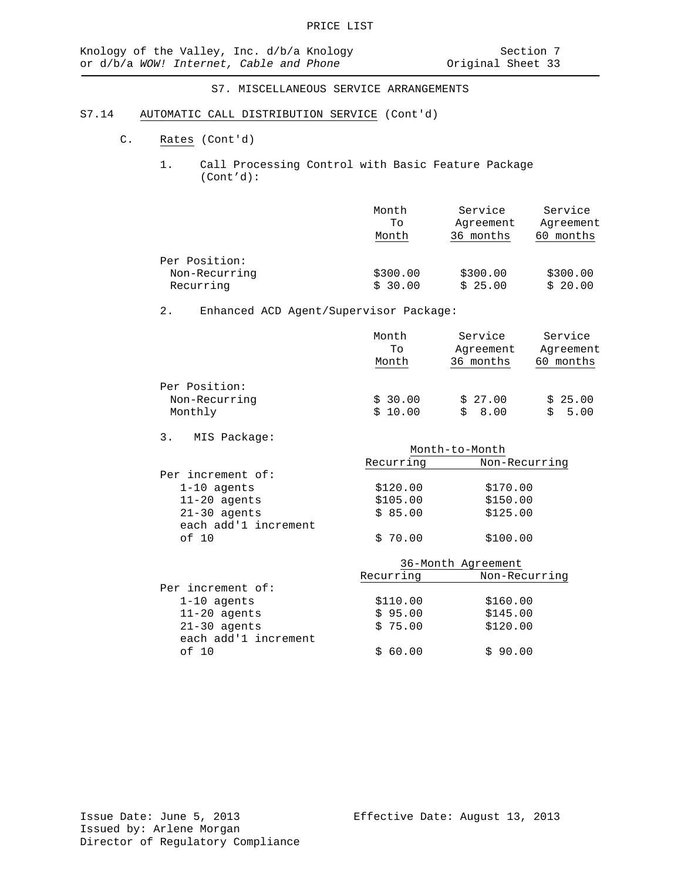## S7.14 AUTOMATIC CALL DISTRIBUTION SERVICE (Cont'd)

- C. Rates (Cont'd)
	- 1. Call Processing Control with Basic Feature Package (Cont'd):

|                                             | Month               | Service             | Service             |
|---------------------------------------------|---------------------|---------------------|---------------------|
|                                             | To                  | Agreement           | Agreement           |
|                                             | Month               | 36 months           | months              |
| Per Position:<br>Non-Recurring<br>Recurring | \$300.00<br>\$30.00 | \$300.00<br>\$25.00 | \$300.00<br>\$20.00 |

# 2. Enhanced ACD Agent/Supervisor Package:

| Month   | Service   | Service   |
|---------|-----------|-----------|
| To      | Agreement | Agreement |
| Month   | 36 months | 60 months |
|         |           |           |
| \$30.00 | \$27.00   | \$25.00   |
| \$10.00 | 8.00      | 5.00      |
|         |           |           |

3. MIS Package:

| $11 + 10 + 000$      |              |                    |
|----------------------|--------------|--------------------|
|                      |              | Month-to-Month     |
|                      | Recurring    | Non-Recurring      |
| Per increment of:    |              |                    |
| $1-10$ agents        | \$120.00     | \$170.00           |
| $11 - 20$ agents     | \$105.00     | \$150.00           |
| $21-30$ agents       | \$85.00      | \$125.00           |
| each add'1 increment |              |                    |
| of 10                | \$70.00      | \$100.00           |
|                      |              | 36-Month Agreement |
|                      | Recurring    | Non-Recurring      |
| Per increment of:    |              |                    |
| $1-10$ agents        | \$110.00     | \$160.00           |
| $11 - 20$ agents     | \$95.00      | \$145.00           |
| $21-30$ agents       | \$75.00      | \$120.00           |
| each add'1 increment |              |                    |
| of 10                | 60.00<br>\$. | \$90.00            |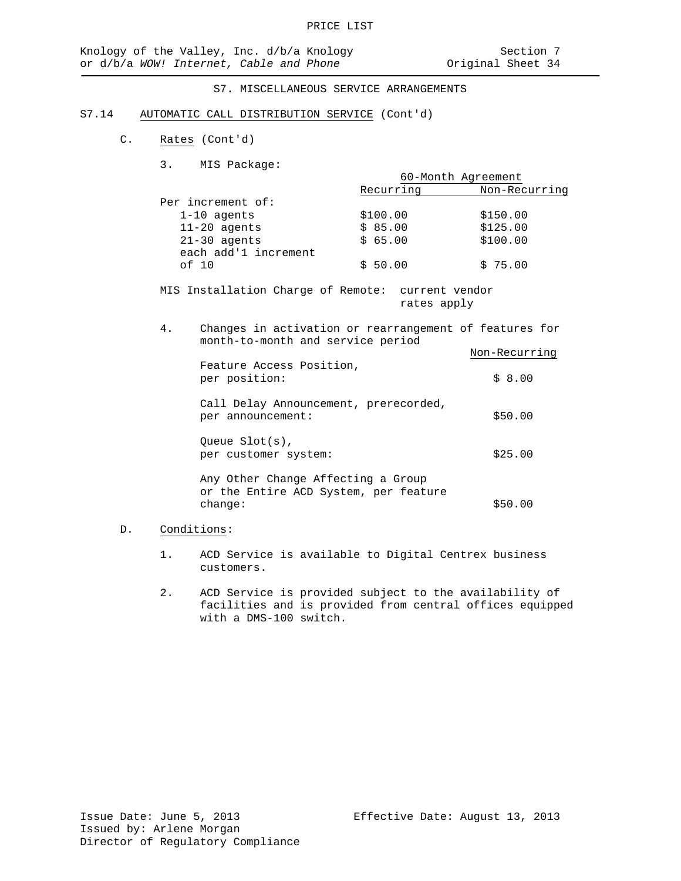#### S7.14 AUTOMATIC CALL DISTRIBUTION SERVICE (Cont'd)

- C. Rates (Cont'd)
	- 3. MIS Package:

|                                        | 60-Month Agreement |               |
|----------------------------------------|--------------------|---------------|
|                                        | Recurring          | Non-Recurring |
| Per increment of:                      |                    |               |
| $1-10$ agents                          | \$100.00           | \$150.00      |
| $11-20$ agents                         | \$85.00            | \$125.00      |
| $21-30$ agents<br>each add'1 increment | \$65.00            | \$100.00      |
| of 10                                  | \$50.00            | \$75.00       |

MIS Installation Charge of Remote: current vendor rates apply

| 4. | Changes in activation or rearrangement of features for<br>month-to-month and service period |               |
|----|---------------------------------------------------------------------------------------------|---------------|
|    |                                                                                             | Non-Recurring |
|    | Feature Access Position,<br>per position:                                                   | \$8.00        |
|    | Call Delay Announcement, prerecorded,<br>per announcement:                                  | \$50.00       |
|    | Oueue $Slot(s)$ ,<br>per customer system:                                                   | \$25.00       |
|    | Any Other Change Affecting a Group<br>or the Entire ACD System, per feature<br>change:      | \$50.00       |

# D. Conditions:

- 1. ACD Service is available to Digital Centrex business customers.
- 2. ACD Service is provided subject to the availability of facilities and is provided from central offices equipped with a DMS-100 switch.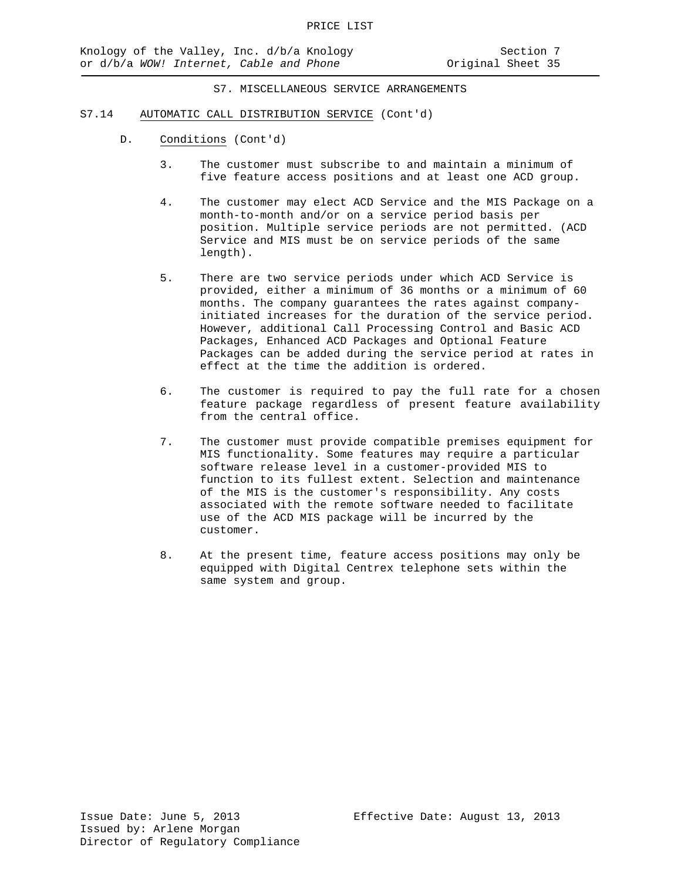#### S7.14 AUTOMATIC CALL DISTRIBUTION SERVICE (Cont'd)

- D. Conditions (Cont'd)
	- 3. The customer must subscribe to and maintain a minimum of five feature access positions and at least one ACD group.
	- 4. The customer may elect ACD Service and the MIS Package on a month-to-month and/or on a service period basis per position. Multiple service periods are not permitted. (ACD Service and MIS must be on service periods of the same length).
	- 5. There are two service periods under which ACD Service is provided, either a minimum of 36 months or a minimum of 60 months. The company guarantees the rates against companyinitiated increases for the duration of the service period. However, additional Call Processing Control and Basic ACD Packages, Enhanced ACD Packages and Optional Feature Packages can be added during the service period at rates in effect at the time the addition is ordered.
	- 6. The customer is required to pay the full rate for a chosen feature package regardless of present feature availability from the central office.
	- 7. The customer must provide compatible premises equipment for MIS functionality. Some features may require a particular software release level in a customer-provided MIS to function to its fullest extent. Selection and maintenance of the MIS is the customer's responsibility. Any costs associated with the remote software needed to facilitate use of the ACD MIS package will be incurred by the customer.
	- 8. At the present time, feature access positions may only be equipped with Digital Centrex telephone sets within the same system and group.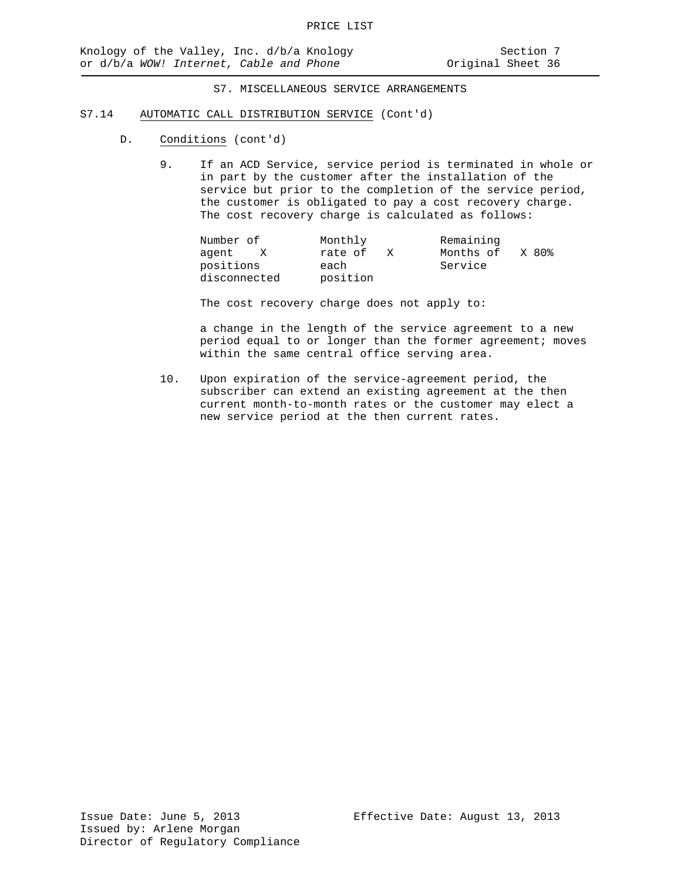#### S7.14 AUTOMATIC CALL DISTRIBUTION SERVICE (Cont'd)

- D. Conditions (cont'd)
	- 9. If an ACD Service, service period is terminated in whole or in part by the customer after the installation of the service but prior to the completion of the service period, the customer is obligated to pay a cost recovery charge. The cost recovery charge is calculated as follows:

| Number of    | Monthly      | Remaining          |
|--------------|--------------|--------------------|
| aqent<br>X   | rate of<br>X | Months of<br>X 80% |
| positions    | each         | Service            |
| disconnected | position     |                    |

The cost recovery charge does not apply to:

a change in the length of the service agreement to a new period equal to or longer than the former agreement; moves within the same central office serving area.

10. Upon expiration of the service-agreement period, the subscriber can extend an existing agreement at the then current month-to-month rates or the customer may elect a new service period at the then current rates.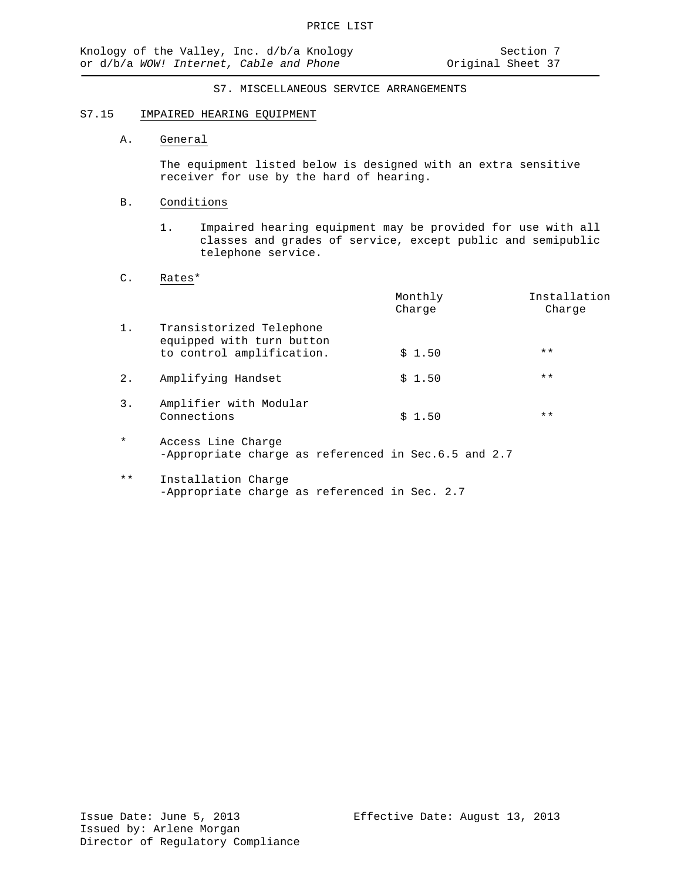#### S7.15 IMPAIRED HEARING EQUIPMENT

### A. General

The equipment listed below is designed with an extra sensitive receiver for use by the hard of hearing.

#### B. Conditions

1. Impaired hearing equipment may be provided for use with all classes and grades of service, except public and semipublic telephone service.

### C. Rates\*

|         |                                                                                    | Monthly<br>Charge | Installation<br>Charge |
|---------|------------------------------------------------------------------------------------|-------------------|------------------------|
| 1.      | Transistorized Telephone<br>equipped with turn button<br>to control amplification. | \$1.50            | $***$                  |
| $2$ .   | Amplifying Handset                                                                 | \$1.50            | $***$                  |
| 3.      | Amplifier with Modular<br>Connections                                              | \$1.50            | $***$                  |
| $\star$ | Access Line Charge<br>-Appropriate charge as referenced in Sec.6.5 and 2.7         |                   |                        |

\*\* Installation Charge -Appropriate charge as referenced in Sec. 2.7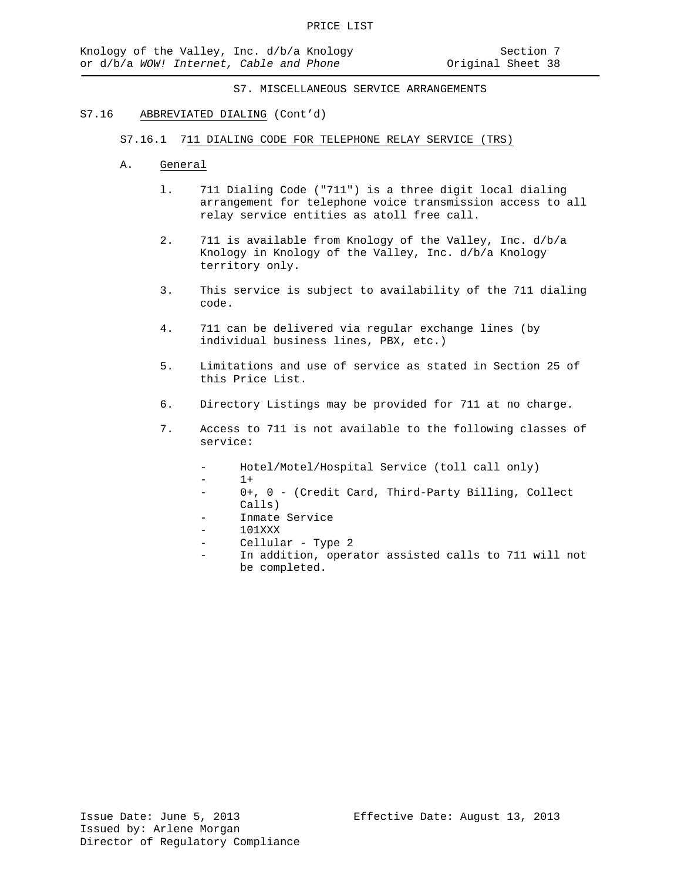#### S7.16 ABBREVIATED DIALING (Cont'd)

- S7.16.1 711 DIALING CODE FOR TELEPHONE RELAY SERVICE (TRS)
- A. General
	- l. 711 Dialing Code ("711") is a three digit local dialing arrangement for telephone voice transmission access to all relay service entities as atoll free call.
	- 2. 711 is available from Knology of the Valley, Inc. d/b/a Knology in Knology of the Valley, Inc. d/b/a Knology territory only.
	- 3. This service is subject to availability of the 711 dialing code.
	- 4. 711 can be delivered via regular exchange lines (by individual business lines, PBX, etc.)
	- 5. Limitations and use of service as stated in Section 25 of this Price List.
	- 6. Directory Listings may be provided for 711 at no charge.
	- 7. Access to 711 is not available to the following classes of service:
		- Hotel/Motel/Hospital Service (toll call only)
		- $1+$
		- 0+, 0 (Credit Card, Third-Party Billing, Collect Calls)
		- Inmate Service
		- 101XXX
		- Cellular Type 2
		- In addition, operator assisted calls to 711 will not be completed.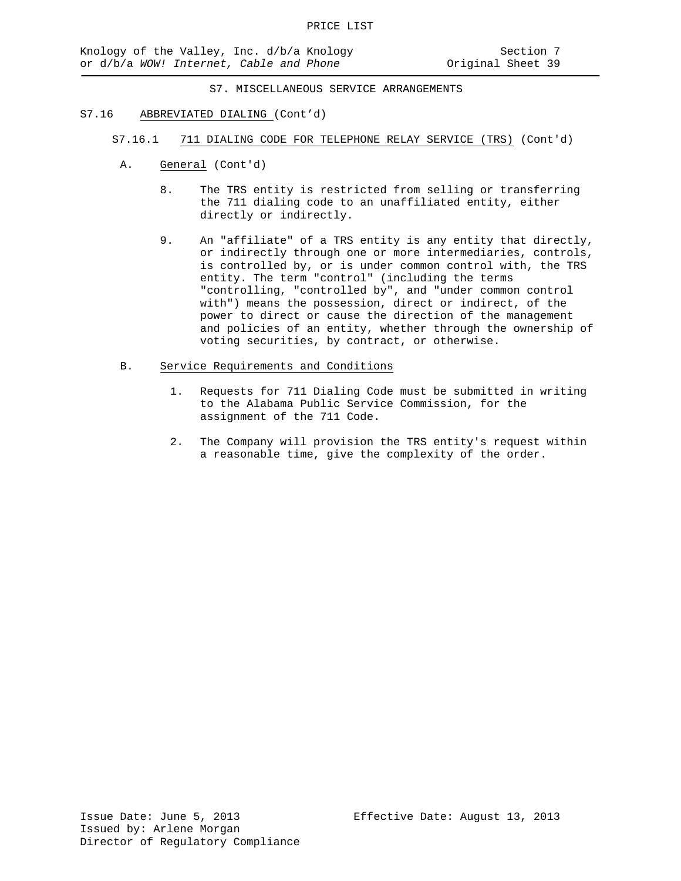- S7.16 ABBREVIATED DIALING (Cont'd)
	- S7.16.1 711 DIALING CODE FOR TELEPHONE RELAY SERVICE (TRS) (Cont'd)
		- A. General (Cont'd)
			- 8. The TRS entity is restricted from selling or transferring the 711 dialing code to an unaffiliated entity, either directly or indirectly.
			- 9. An "affiliate" of a TRS entity is any entity that directly, or indirectly through one or more intermediaries, controls, is controlled by, or is under common control with, the TRS entity. The term "control" (including the terms "controlling, "controlled by", and "under common control with") means the possession, direct or indirect, of the power to direct or cause the direction of the management and policies of an entity, whether through the ownership of voting securities, by contract, or otherwise.
		- B. Service Requirements and Conditions
			- 1. Requests for 711 Dialing Code must be submitted in writing to the Alabama Public Service Commission, for the assignment of the 711 Code.
			- 2. The Company will provision the TRS entity's request within a reasonable time, give the complexity of the order.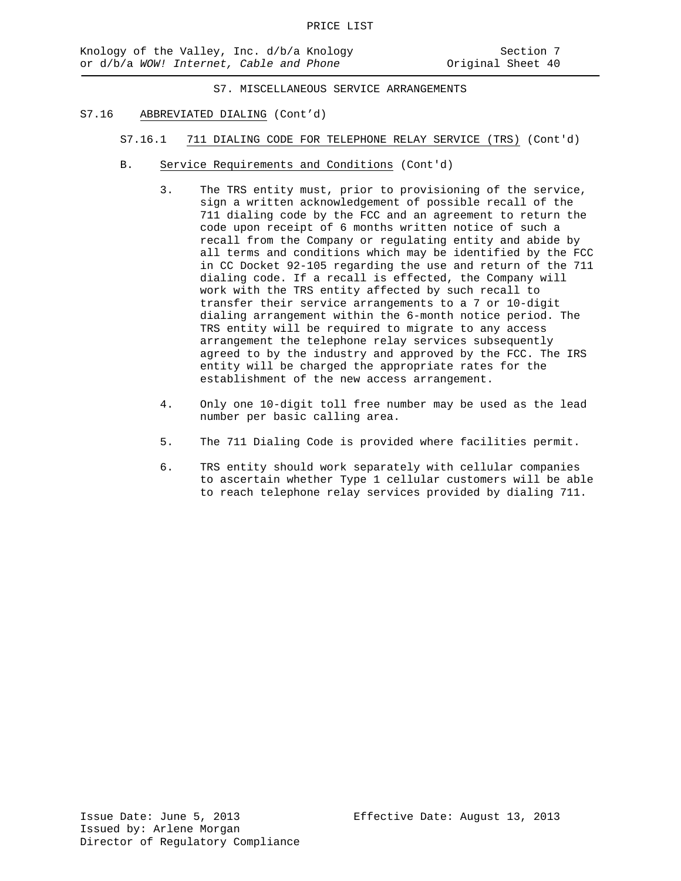- S7.16 ABBREVIATED DIALING (Cont'd)
	- S7.16.1 711 DIALING CODE FOR TELEPHONE RELAY SERVICE (TRS) (Cont'd)
	- B. Service Requirements and Conditions (Cont'd)
		- 3. The TRS entity must, prior to provisioning of the service, sign a written acknowledgement of possible recall of the 711 dialing code by the FCC and an agreement to return the code upon receipt of 6 months written notice of such a recall from the Company or regulating entity and abide by all terms and conditions which may be identified by the FCC in CC Docket 92-105 regarding the use and return of the 711 dialing code. If a recall is effected, the Company will work with the TRS entity affected by such recall to transfer their service arrangements to a 7 or 10-digit dialing arrangement within the 6-month notice period. The TRS entity will be required to migrate to any access arrangement the telephone relay services subsequently agreed to by the industry and approved by the FCC. The IRS entity will be charged the appropriate rates for the establishment of the new access arrangement.
		- 4. Only one 10-digit toll free number may be used as the lead number per basic calling area.
		- 5. The 711 Dialing Code is provided where facilities permit.
		- 6. TRS entity should work separately with cellular companies to ascertain whether Type 1 cellular customers will be able to reach telephone relay services provided by dialing 711.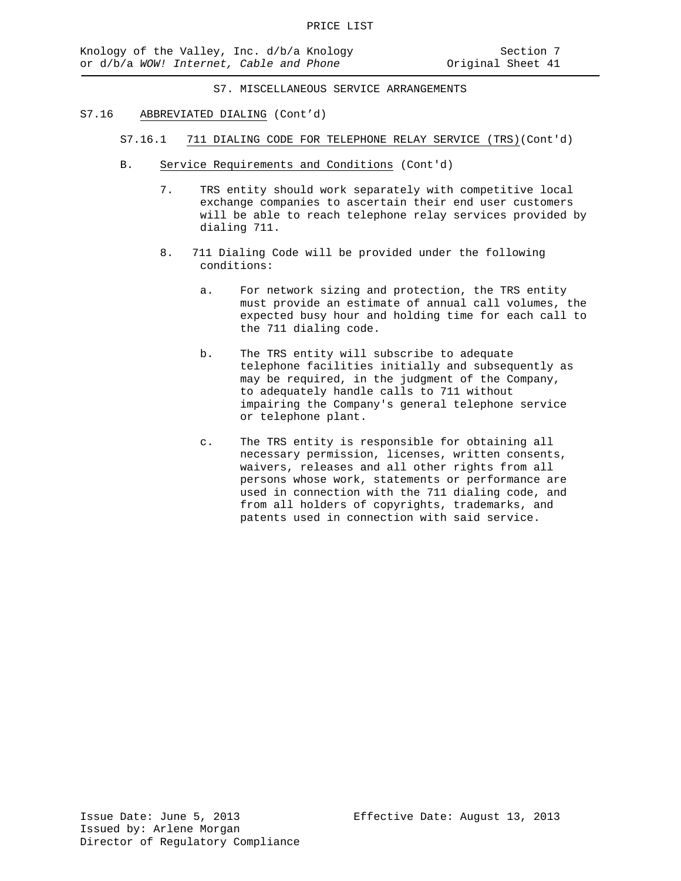#### S7.16 ABBREVIATED DIALING (Cont'd)

- S7.16.1 711 DIALING CODE FOR TELEPHONE RELAY SERVICE (TRS)(Cont'd)
- B. Service Requirements and Conditions (Cont'd)
	- 7. TRS entity should work separately with competitive local exchange companies to ascertain their end user customers will be able to reach telephone relay services provided by dialing 711.
	- 8. 711 Dialing Code will be provided under the following conditions:
		- a. For network sizing and protection, the TRS entity must provide an estimate of annual call volumes, the expected busy hour and holding time for each call to the 711 dialing code.
		- b. The TRS entity will subscribe to adequate telephone facilities initially and subsequently as may be required, in the judgment of the Company, to adequately handle calls to 711 without impairing the Company's general telephone service or telephone plant.
		- c. The TRS entity is responsible for obtaining all necessary permission, licenses, written consents, waivers, releases and all other rights from all persons whose work, statements or performance are used in connection with the 711 dialing code, and from all holders of copyrights, trademarks, and patents used in connection with said service.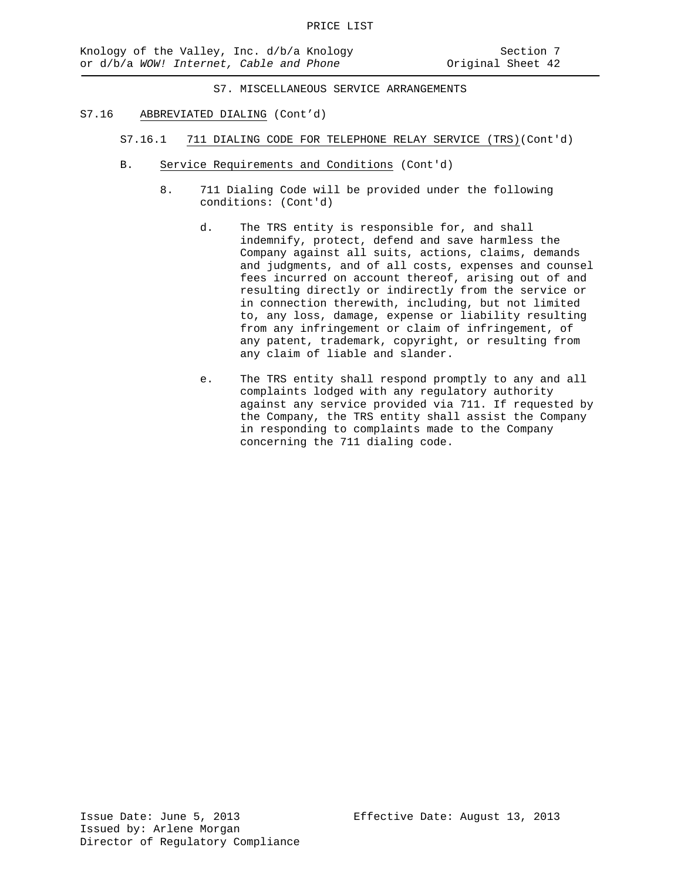- S7.16 ABBREVIATED DIALING (Cont'd)
	- S7.16.1 711 DIALING CODE FOR TELEPHONE RELAY SERVICE (TRS)(Cont'd)
	- B. Service Requirements and Conditions (Cont'd)
		- 8. 711 Dialing Code will be provided under the following conditions: (Cont'd)
			- d. The TRS entity is responsible for, and shall indemnify, protect, defend and save harmless the Company against all suits, actions, claims, demands and judgments, and of all costs, expenses and counsel fees incurred on account thereof, arising out of and resulting directly or indirectly from the service or in connection therewith, including, but not limited to, any loss, damage, expense or liability resulting from any infringement or claim of infringement, of any patent, trademark, copyright, or resulting from any claim of liable and slander.
			- e. The TRS entity shall respond promptly to any and all complaints lodged with any regulatory authority against any service provided via 711. If requested by the Company, the TRS entity shall assist the Company in responding to complaints made to the Company concerning the 711 dialing code.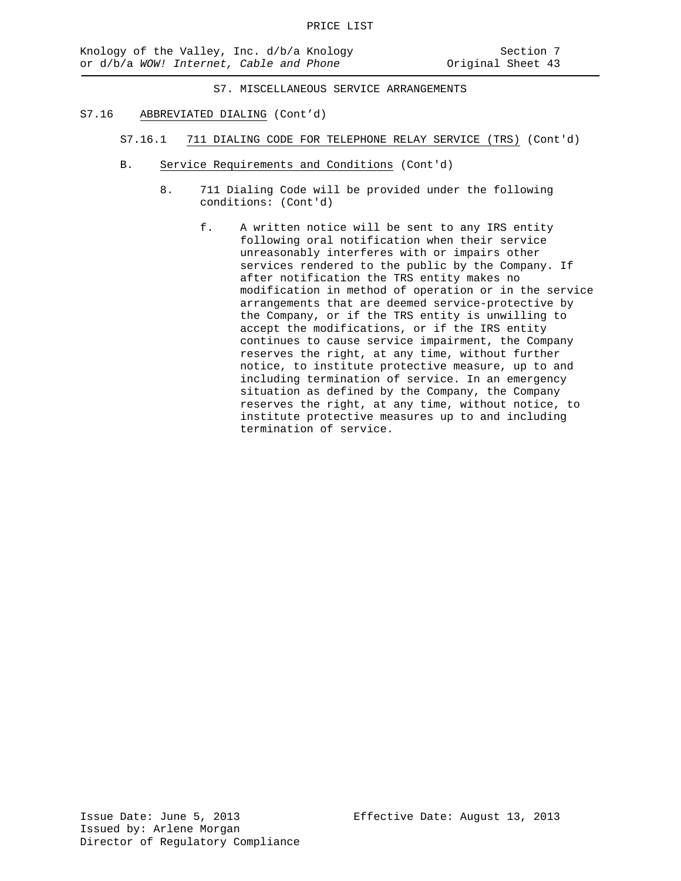- S7.16 ABBREVIATED DIALING (Cont'd)
	- S7.16.1 711 DIALING CODE FOR TELEPHONE RELAY SERVICE (TRS) (Cont'd)
	- B. Service Requirements and Conditions (Cont'd)
		- 8. 711 Dialing Code will be provided under the following conditions: (Cont'd)
			- f. A written notice will be sent to any IRS entity following oral notification when their service unreasonably interferes with or impairs other services rendered to the public by the Company. If after notification the TRS entity makes no modification in method of operation or in the service arrangements that are deemed service-protective by the Company, or if the TRS entity is unwilling to accept the modifications, or if the IRS entity continues to cause service impairment, the Company reserves the right, at any time, without further notice, to institute protective measure, up to and including termination of service. In an emergency situation as defined by the Company, the Company reserves the right, at any time, without notice, to institute protective measures up to and including termination of service.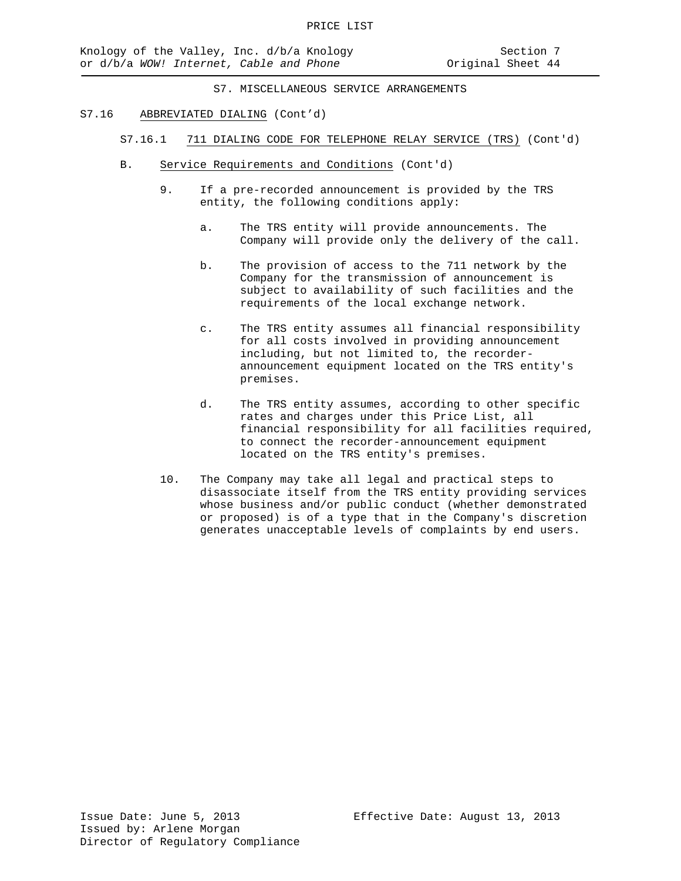#### S7.16 ABBREVIATED DIALING (Cont'd)

- S7.16.1 711 DIALING CODE FOR TELEPHONE RELAY SERVICE (TRS) (Cont'd)
- B. Service Requirements and Conditions (Cont'd)
	- 9. If a pre-recorded announcement is provided by the TRS entity, the following conditions apply:
		- a. The TRS entity will provide announcements. The Company will provide only the delivery of the call.
		- b. The provision of access to the 711 network by the Company for the transmission of announcement is subject to availability of such facilities and the requirements of the local exchange network.
		- c. The TRS entity assumes all financial responsibility for all costs involved in providing announcement including, but not limited to, the recorderannouncement equipment located on the TRS entity's premises.
		- d. The TRS entity assumes, according to other specific rates and charges under this Price List, all financial responsibility for all facilities required, to connect the recorder-announcement equipment located on the TRS entity's premises.
	- 10. The Company may take all legal and practical steps to disassociate itself from the TRS entity providing services whose business and/or public conduct (whether demonstrated or proposed) is of a type that in the Company's discretion generates unacceptable levels of complaints by end users.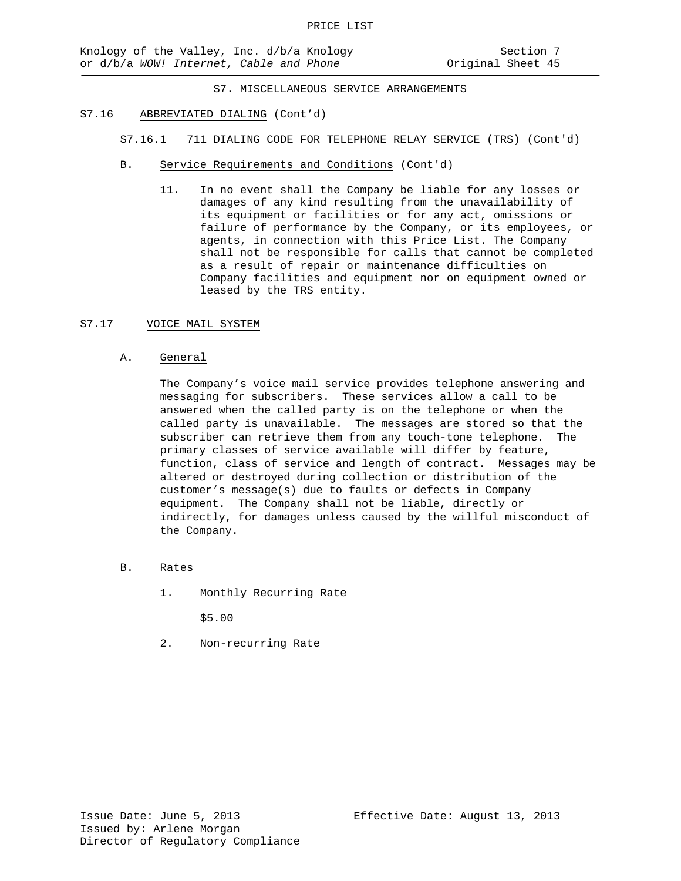- S7.16 ABBREVIATED DIALING (Cont'd)
	- S7.16.1 711 DIALING CODE FOR TELEPHONE RELAY SERVICE (TRS) (Cont'd)
	- B. Service Requirements and Conditions (Cont'd)
		- 11. In no event shall the Company be liable for any losses or damages of any kind resulting from the unavailability of its equipment or facilities or for any act, omissions or failure of performance by the Company, or its employees, or agents, in connection with this Price List. The Company shall not be responsible for calls that cannot be completed as a result of repair or maintenance difficulties on Company facilities and equipment nor on equipment owned or leased by the TRS entity.

### S7.17 VOICE MAIL SYSTEM

A. General

The Company's voice mail service provides telephone answering and messaging for subscribers. These services allow a call to be answered when the called party is on the telephone or when the called party is unavailable. The messages are stored so that the subscriber can retrieve them from any touch-tone telephone. The primary classes of service available will differ by feature, function, class of service and length of contract. Messages may be altered or destroyed during collection or distribution of the customer's message(s) due to faults or defects in Company equipment. The Company shall not be liable, directly or indirectly, for damages unless caused by the willful misconduct of the Company.

- B. Rates
	- 1. Monthly Recurring Rate

\$5.00

2. Non-recurring Rate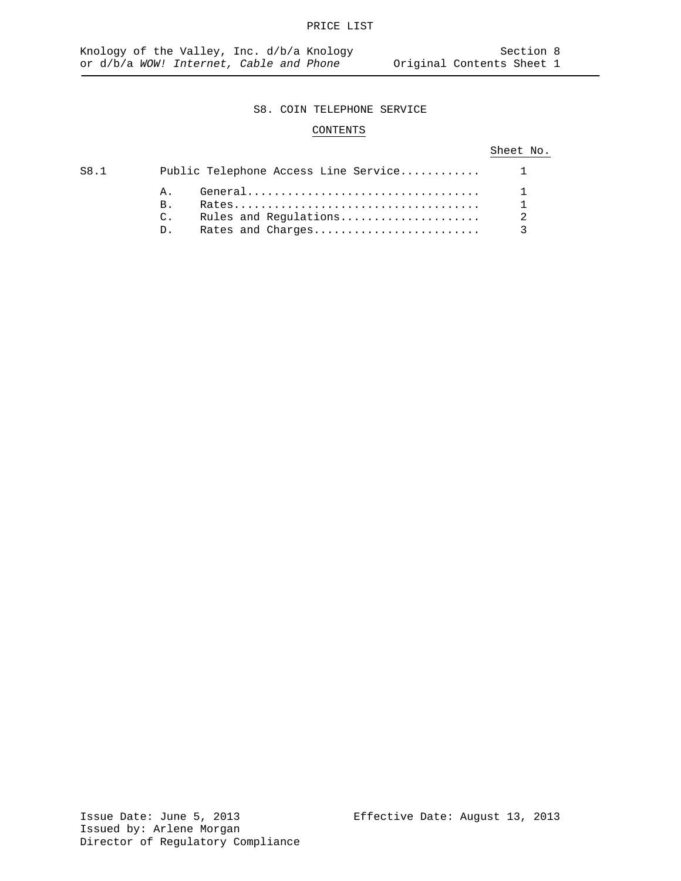# CONTENTS

## Sheet No.

| S8.1 |                                                        |  |
|------|--------------------------------------------------------|--|
|      | Ά.<br>B <sub>1</sub><br>$\mathcal{C}$ .<br>$D_{\perp}$ |  |
|      |                                                        |  |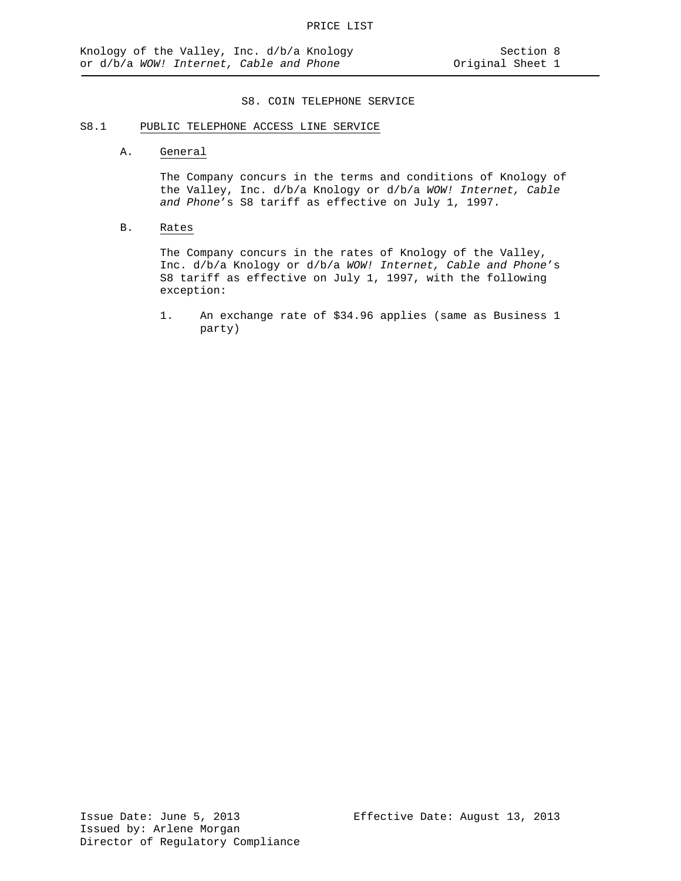# S8.1 PUBLIC TELEPHONE ACCESS LINE SERVICE

A. General

The Company concurs in the terms and conditions of Knology of the Valley, Inc. d/b/a Knology or d/b/a *WOW! Internet, Cable and Phone*'s S8 tariff as effective on July 1, 1997.

### B. Rates

The Company concurs in the rates of Knology of the Valley, Inc. d/b/a Knology or d/b/a *WOW! Internet, Cable and Phone*'s S8 tariff as effective on July 1, 1997, with the following exception:

1. An exchange rate of \$34.96 applies (same as Business 1 party)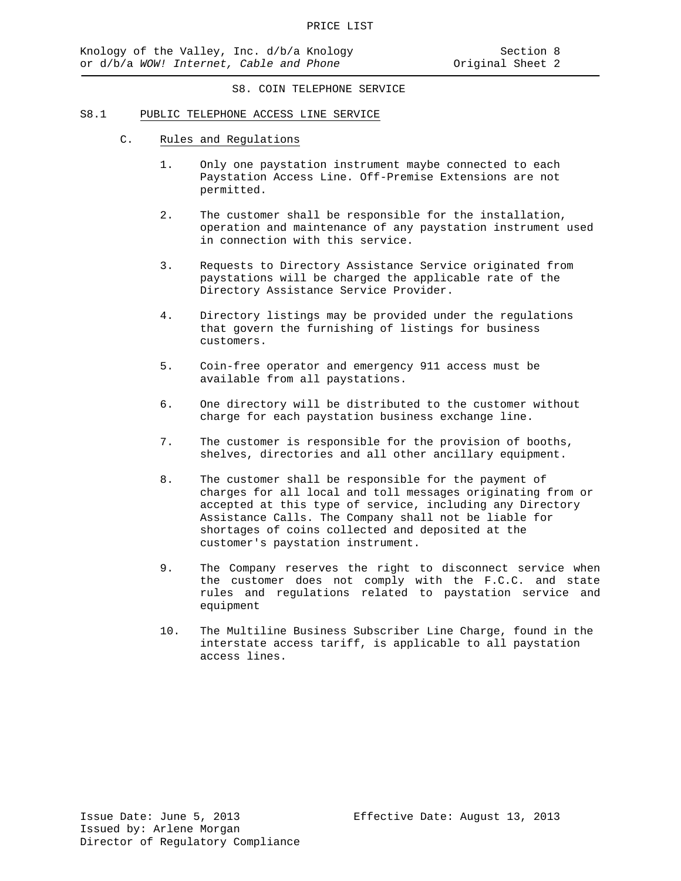#### S8.1 PUBLIC TELEPHONE ACCESS LINE SERVICE

- C. Rules and Regulations
	- 1. Only one paystation instrument maybe connected to each Paystation Access Line. Off-Premise Extensions are not permitted.
	- 2. The customer shall be responsible for the installation, operation and maintenance of any paystation instrument used in connection with this service.
	- 3. Requests to Directory Assistance Service originated from paystations will be charged the applicable rate of the Directory Assistance Service Provider.
	- 4. Directory listings may be provided under the regulations that govern the furnishing of listings for business customers.
	- 5. Coin-free operator and emergency 911 access must be available from all paystations.
	- 6. One directory will be distributed to the customer without charge for each paystation business exchange line.
	- 7. The customer is responsible for the provision of booths, shelves, directories and all other ancillary equipment.
	- 8. The customer shall be responsible for the payment of charges for all local and toll messages originating from or accepted at this type of service, including any Directory Assistance Calls. The Company shall not be liable for shortages of coins collected and deposited at the customer's paystation instrument.
	- 9. The Company reserves the right to disconnect service when the customer does not comply with the F.C.C. and state rules and regulations related to paystation service and equipment
	- 10. The Multiline Business Subscriber Line Charge, found in the interstate access tariff, is applicable to all paystation access lines.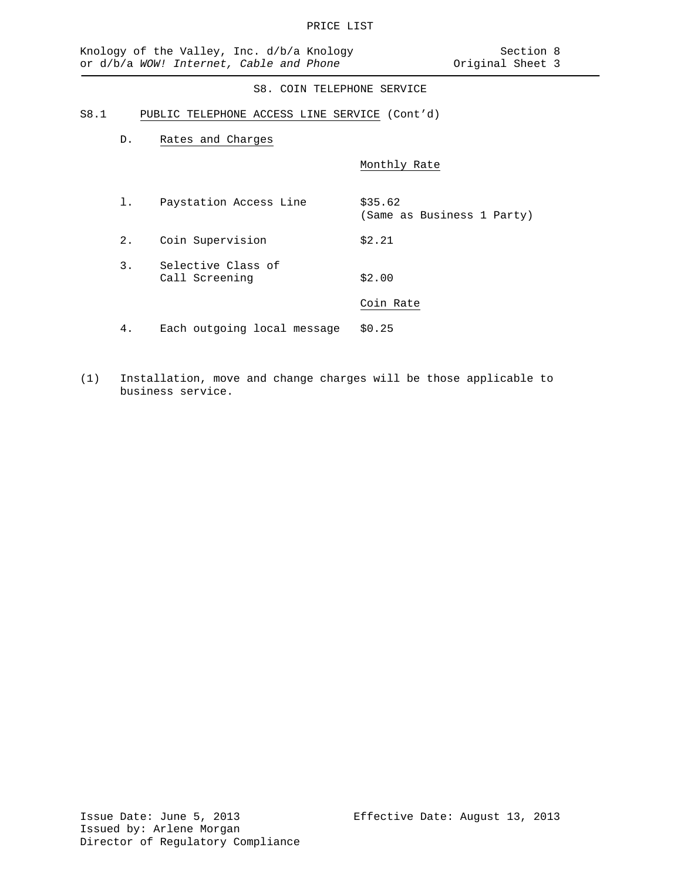#### S8.1 PUBLIC TELEPHONE ACCESS LINE SERVICE (Cont'd)

D. Rates and Charges

Monthly Rate

- 1. Paystation Access Line \$35.62 (Same as Business 1 Party) 2. Coin Supervision \$2.21 3. Selective Class of Call Screening \$2.00 Coin Rate 4. Each outgoing local message \$0.25
- (1) Installation, move and change charges will be those applicable to business service.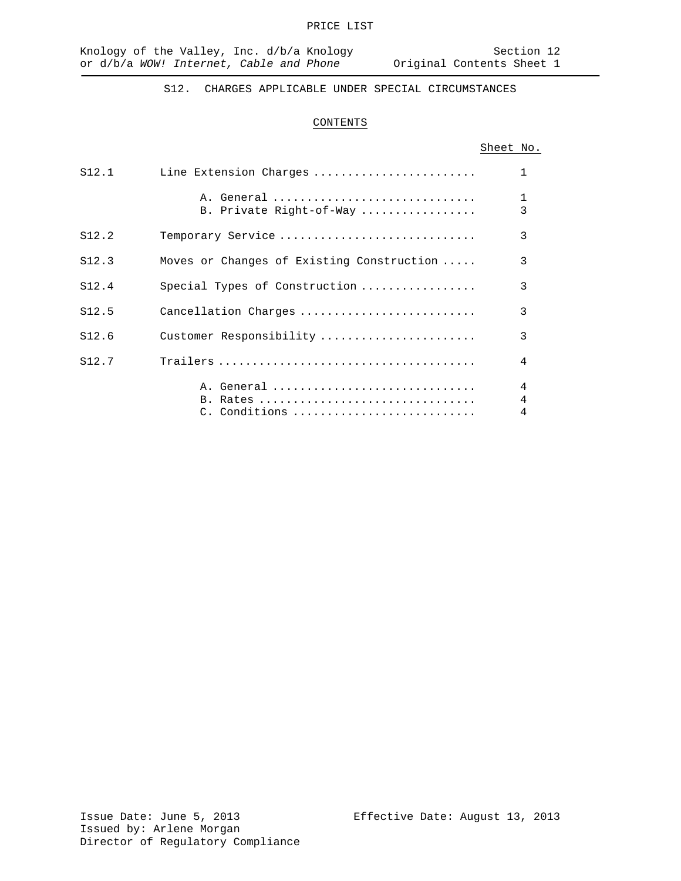S12. CHARGES APPLICABLE UNDER SPECIAL CIRCUMSTANCES

### CONTENTS

## Sheet No.

| S12.1 | Line Extension Charges                    | $\mathbf{1}$      |
|-------|-------------------------------------------|-------------------|
|       | A. General<br>B. Private Right-of-Way     | $\mathbf{1}$<br>3 |
| S12.2 | Temporary Service                         | 3                 |
| S12.3 | Moves or Changes of Existing Construction | 3                 |
| S12.4 | Special Types of Construction             | 3                 |
| S12.5 | Cancellation Charges                      | 3                 |
| S12.6 | Customer Responsibility                   | 3                 |
| S12.7 |                                           | 4                 |
|       | A. General<br>B. Rates<br>$C.$ Conditions | 4<br>4<br>4       |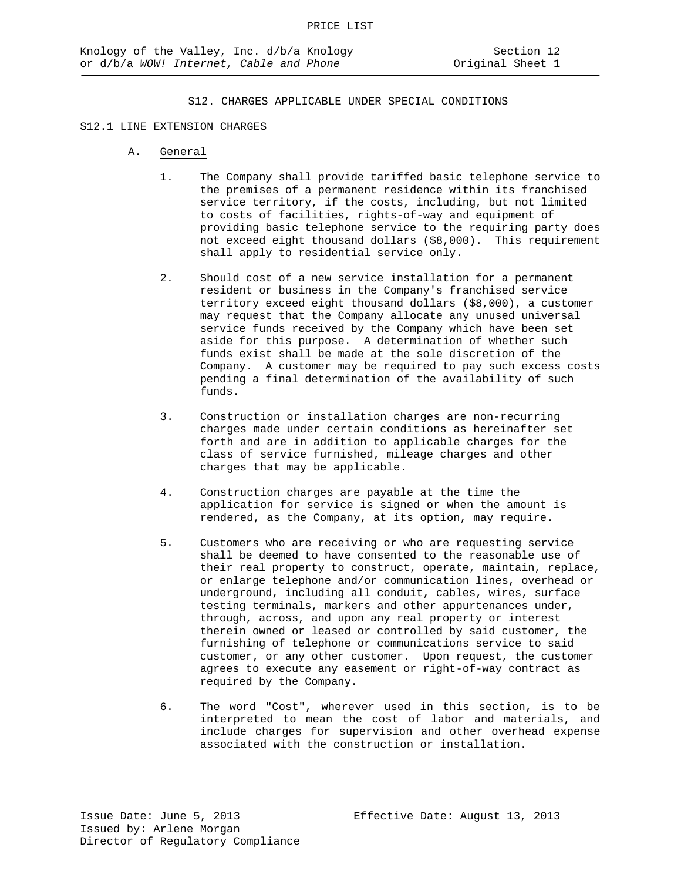### S12.1 LINE EXTENSION CHARGES

- A. General
	- 1. The Company shall provide tariffed basic telephone service to the premises of a permanent residence within its franchised service territory, if the costs, including, but not limited to costs of facilities, rights-of-way and equipment of providing basic telephone service to the requiring party does not exceed eight thousand dollars (\$8,000). This requirement shall apply to residential service only.
	- 2. Should cost of a new service installation for a permanent resident or business in the Company's franchised service territory exceed eight thousand dollars (\$8,000), a customer may request that the Company allocate any unused universal service funds received by the Company which have been set aside for this purpose. A determination of whether such funds exist shall be made at the sole discretion of the Company. A customer may be required to pay such excess costs pending a final determination of the availability of such funds.
	- 3. Construction or installation charges are non-recurring charges made under certain conditions as hereinafter set forth and are in addition to applicable charges for the class of service furnished, mileage charges and other charges that may be applicable.
	- 4. Construction charges are payable at the time the application for service is signed or when the amount is rendered, as the Company, at its option, may require.
	- 5. Customers who are receiving or who are requesting service shall be deemed to have consented to the reasonable use of their real property to construct, operate, maintain, replace, or enlarge telephone and/or communication lines, overhead or underground, including all conduit, cables, wires, surface testing terminals, markers and other appurtenances under, through, across, and upon any real property or interest therein owned or leased or controlled by said customer, the furnishing of telephone or communications service to said customer, or any other customer. Upon request, the customer agrees to execute any easement or right-of-way contract as required by the Company.
	- 6. The word "Cost", wherever used in this section, is to be interpreted to mean the cost of labor and materials, and include charges for supervision and other overhead expense associated with the construction or installation.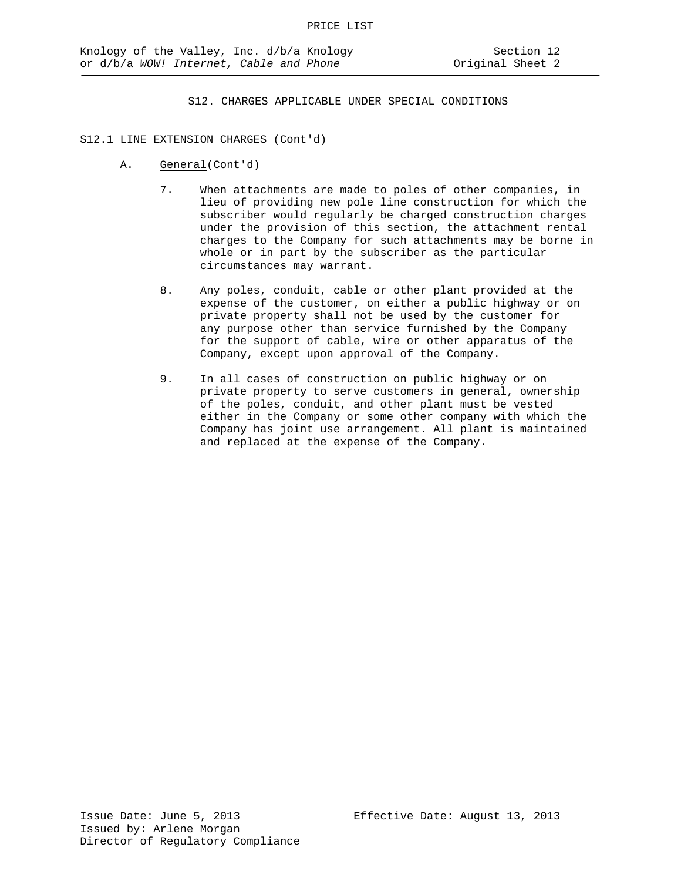#### S12.1 LINE EXTENSION CHARGES (Cont'd)

- A. General(Cont'd)
	- 7. When attachments are made to poles of other companies, in lieu of providing new pole line construction for which the subscriber would regularly be charged construction charges under the provision of this section, the attachment rental charges to the Company for such attachments may be borne in whole or in part by the subscriber as the particular circumstances may warrant.
	- 8. Any poles, conduit, cable or other plant provided at the expense of the customer, on either a public highway or on private property shall not be used by the customer for any purpose other than service furnished by the Company for the support of cable, wire or other apparatus of the Company, except upon approval of the Company.
	- 9. In all cases of construction on public highway or on private property to serve customers in general, ownership of the poles, conduit, and other plant must be vested either in the Company or some other company with which the Company has joint use arrangement. All plant is maintained and replaced at the expense of the Company.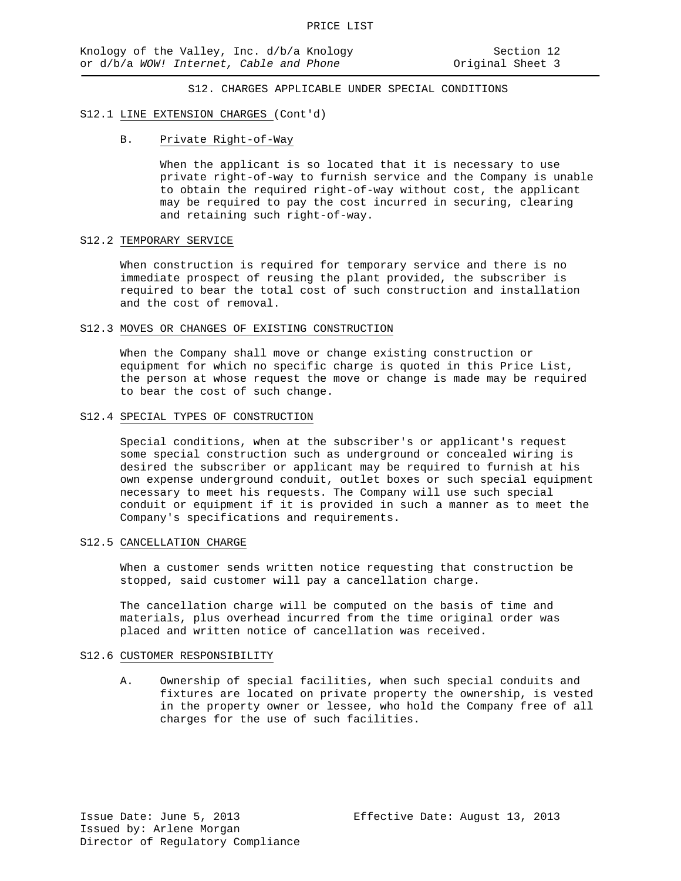#### S12.1 LINE EXTENSION CHARGES (Cont'd)

B. Private Right-of-Way

When the applicant is so located that it is necessary to use private right-of-way to furnish service and the Company is unable to obtain the required right-of-way without cost, the applicant may be required to pay the cost incurred in securing, clearing and retaining such right-of-way.

#### S12.2 TEMPORARY SERVICE

When construction is required for temporary service and there is no immediate prospect of reusing the plant provided, the subscriber is required to bear the total cost of such construction and installation and the cost of removal.

#### S12.3 MOVES OR CHANGES OF EXISTING CONSTRUCTION

When the Company shall move or change existing construction or equipment for which no specific charge is quoted in this Price List, the person at whose request the move or change is made may be required to bear the cost of such change.

#### S12.4 SPECIAL TYPES OF CONSTRUCTION

Special conditions, when at the subscriber's or applicant's request some special construction such as underground or concealed wiring is desired the subscriber or applicant may be required to furnish at his own expense underground conduit, outlet boxes or such special equipment necessary to meet his requests. The Company will use such special conduit or equipment if it is provided in such a manner as to meet the Company's specifications and requirements.

#### S12.5 CANCELLATION CHARGE

When a customer sends written notice requesting that construction be stopped, said customer will pay a cancellation charge.

The cancellation charge will be computed on the basis of time and materials, plus overhead incurred from the time original order was placed and written notice of cancellation was received.

#### S12.6 CUSTOMER RESPONSIBILITY

A. Ownership of special facilities, when such special conduits and fixtures are located on private property the ownership, is vested in the property owner or lessee, who hold the Company free of all charges for the use of such facilities.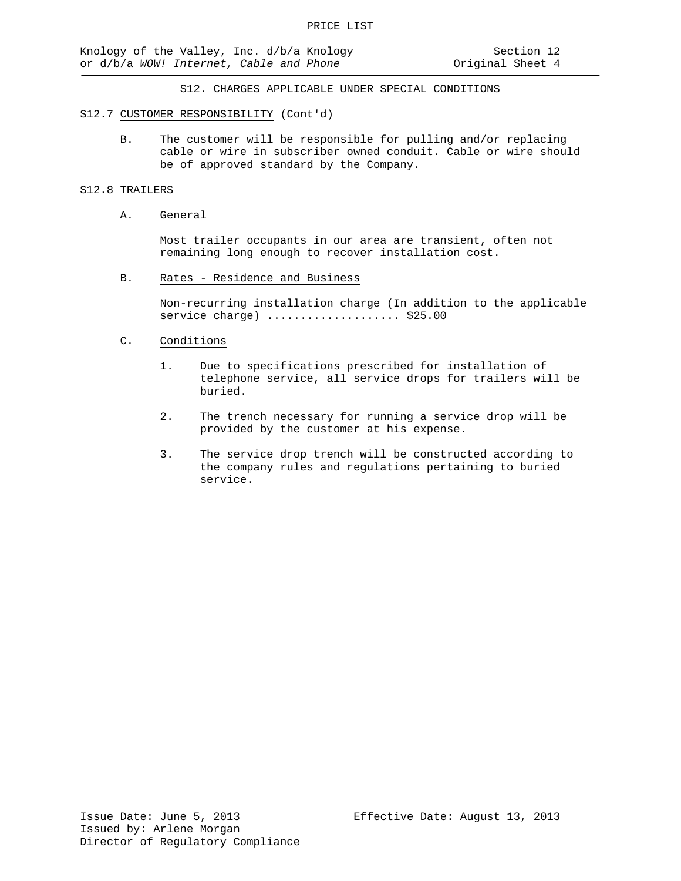#### S12.7 CUSTOMER RESPONSIBILITY (Cont'd)

B. The customer will be responsible for pulling and/or replacing cable or wire in subscriber owned conduit. Cable or wire should be of approved standard by the Company.

#### S12.8 TRAILERS

#### A. General

Most trailer occupants in our area are transient, often not remaining long enough to recover installation cost.

B. Rates - Residence and Business

Non-recurring installation charge (In addition to the applicable service charge) ........................ \$25.00

### C. Conditions

- 1. Due to specifications prescribed for installation of telephone service, all service drops for trailers will be buried.
- 2. The trench necessary for running a service drop will be provided by the customer at his expense.
- 3. The service drop trench will be constructed according to the company rules and regulations pertaining to buried service.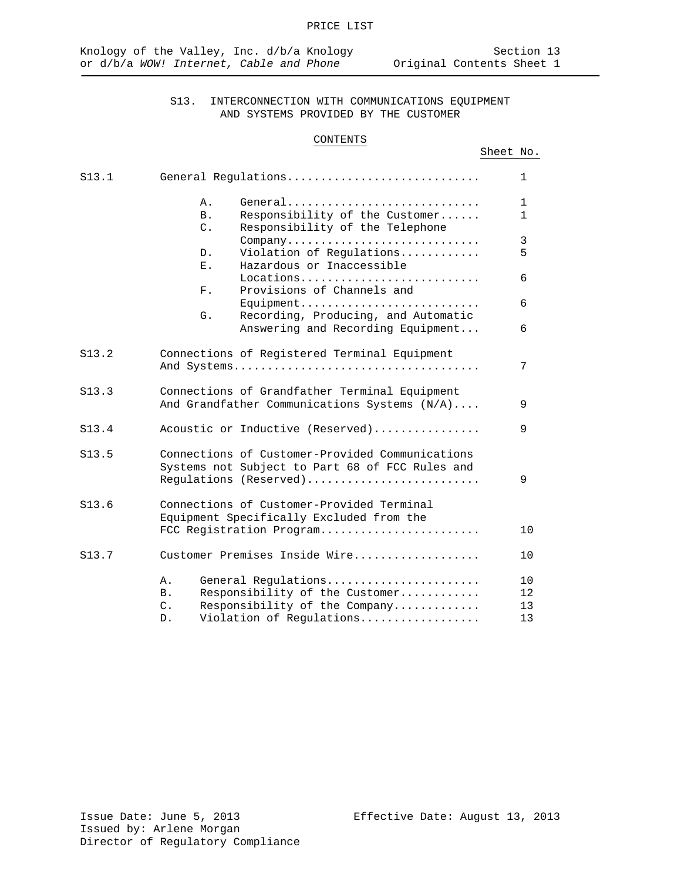### CONTENTS

## Sheet No.

| S13.1 | General Requlations |                                                                                                          | $\mathbf 1$  |
|-------|---------------------|----------------------------------------------------------------------------------------------------------|--------------|
|       | Α.                  | General                                                                                                  | $\mathbf 1$  |
|       | <b>B</b> .          | Responsibility of the Customer                                                                           | $\mathbf{1}$ |
|       | $C$ .               | Responsibility of the Telephone                                                                          |              |
|       |                     | Company                                                                                                  | 3            |
|       | D.                  | Violation of Regulations                                                                                 | 5            |
|       | Ε.                  | Hazardous or Inaccessible                                                                                |              |
|       | $F$ .               | $Locations \ldots \ldots \ldots \ldots \ldots \ldots \ldots \ldots \ldots$<br>Provisions of Channels and | 6            |
|       |                     | $Equipment \ldots \ldots \ldots \ldots \ldots \ldots \ldots \ldots$                                      | 6            |
|       | G.                  | Recording, Producing, and Automatic                                                                      |              |
|       |                     | Answering and Recording Equipment                                                                        | 6            |
|       |                     |                                                                                                          |              |
| S13.2 |                     | Connections of Registered Terminal Equipment                                                             |              |
|       |                     |                                                                                                          | 7            |
|       |                     |                                                                                                          |              |
| S13.3 |                     | Connections of Grandfather Terminal Equipment                                                            |              |
|       |                     | And Grandfather Communications Systems (N/A)                                                             | 9            |
| S13.4 |                     | Acoustic or Inductive (Reserved)                                                                         | 9            |
|       |                     |                                                                                                          |              |
| S13.5 |                     | Connections of Customer-Provided Communications                                                          |              |
|       |                     | Systems not Subject to Part 68 of FCC Rules and                                                          |              |
|       |                     | Regulations (Reserved)                                                                                   | 9            |
|       |                     |                                                                                                          |              |
| S13.6 |                     | Connections of Customer-Provided Terminal                                                                |              |
|       |                     | Equipment Specifically Excluded from the                                                                 |              |
|       |                     | FCC Registration Program                                                                                 | 10           |
| S13.7 |                     | Customer Premises Inside Wire                                                                            | 10           |
|       |                     |                                                                                                          |              |
|       | Α.                  | General Regulations                                                                                      | 10           |
|       | <b>B</b> .          | Responsibility of the Customer                                                                           | $12 \,$      |
|       | $\mathsf{C}$ .      | Responsibility of the Company                                                                            | 13           |
|       | D.                  | Violation of Regulations                                                                                 | 13           |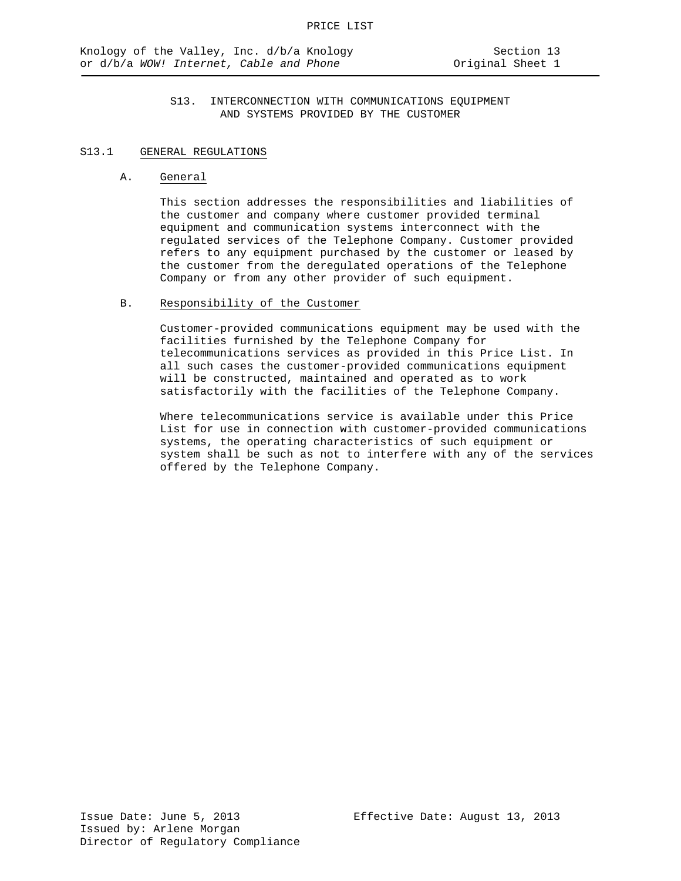#### S13.1 GENERAL REGULATIONS

#### A. General

This section addresses the responsibilities and liabilities of the customer and company where customer provided terminal equipment and communication systems interconnect with the regulated services of the Telephone Company. Customer provided refers to any equipment purchased by the customer or leased by the customer from the deregulated operations of the Telephone Company or from any other provider of such equipment.

### B. Responsibility of the Customer

Customer-provided communications equipment may be used with the facilities furnished by the Telephone Company for telecommunications services as provided in this Price List. In all such cases the customer-provided communications equipment will be constructed, maintained and operated as to work satisfactorily with the facilities of the Telephone Company.

Where telecommunications service is available under this Price List for use in connection with customer-provided communications systems, the operating characteristics of such equipment or system shall be such as not to interfere with any of the services offered by the Telephone Company.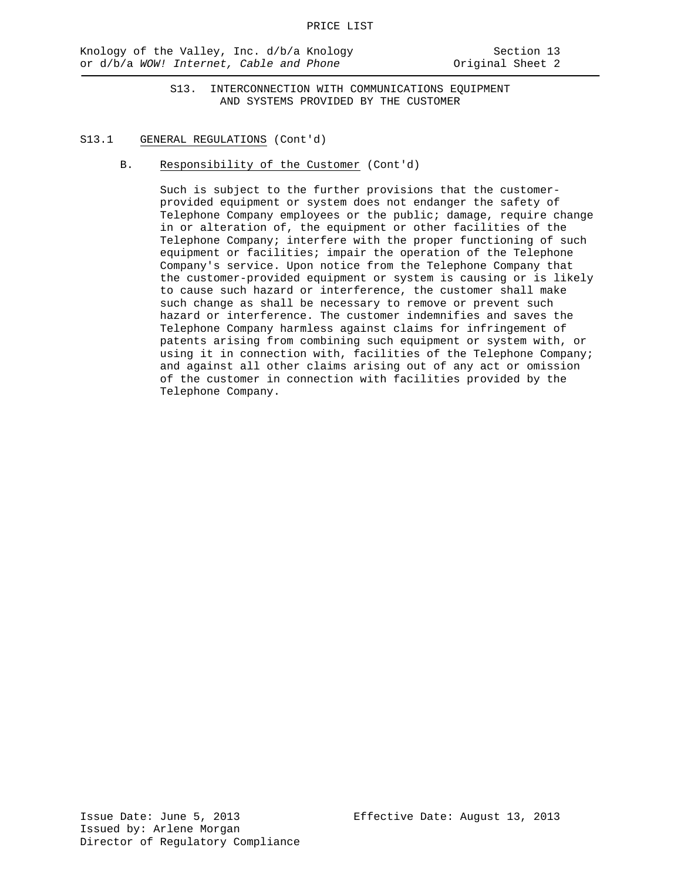#### S13.1 GENERAL REGULATIONS (Cont'd)

B. Responsibility of the Customer (Cont'd)

Such is subject to the further provisions that the customerprovided equipment or system does not endanger the safety of Telephone Company employees or the public; damage, require change in or alteration of, the equipment or other facilities of the Telephone Company; interfere with the proper functioning of such equipment or facilities; impair the operation of the Telephone Company's service. Upon notice from the Telephone Company that the customer-provided equipment or system is causing or is likely to cause such hazard or interference, the customer shall make such change as shall be necessary to remove or prevent such hazard or interference. The customer indemnifies and saves the Telephone Company harmless against claims for infringement of patents arising from combining such equipment or system with, or using it in connection with, facilities of the Telephone Company; and against all other claims arising out of any act or omission of the customer in connection with facilities provided by the Telephone Company.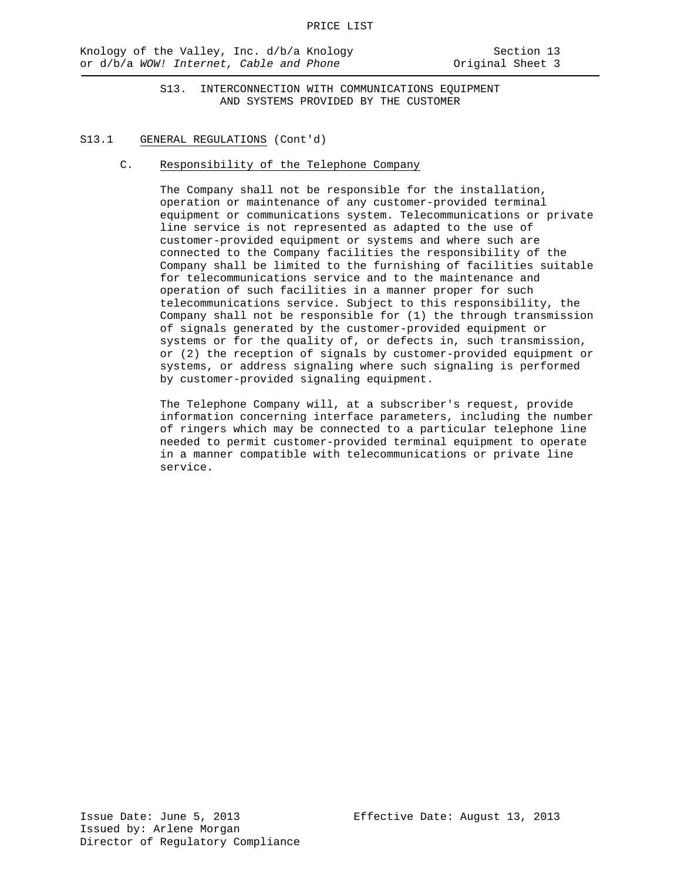#### S13.1 GENERAL REGULATIONS (Cont'd)

C. Responsibility of the Telephone Company

The Company shall not be responsible for the installation, operation or maintenance of any customer-provided terminal equipment or communications system. Telecommunications or private line service is not represented as adapted to the use of customer-provided equipment or systems and where such are connected to the Company facilities the responsibility of the Company shall be limited to the furnishing of facilities suitable for telecommunications service and to the maintenance and operation of such facilities in a manner proper for such telecommunications service. Subject to this responsibility, the Company shall not be responsible for (1) the through transmission of signals generated by the customer-provided equipment or systems or for the quality of, or defects in, such transmission, or (2) the reception of signals by customer-provided equipment or systems, or address signaling where such signaling is performed by customer-provided signaling equipment.

The Telephone Company will, at a subscriber's request, provide information concerning interface parameters, including the number of ringers which may be connected to a particular telephone line needed to permit customer-provided terminal equipment to operate in a manner compatible with telecommunications or private line service.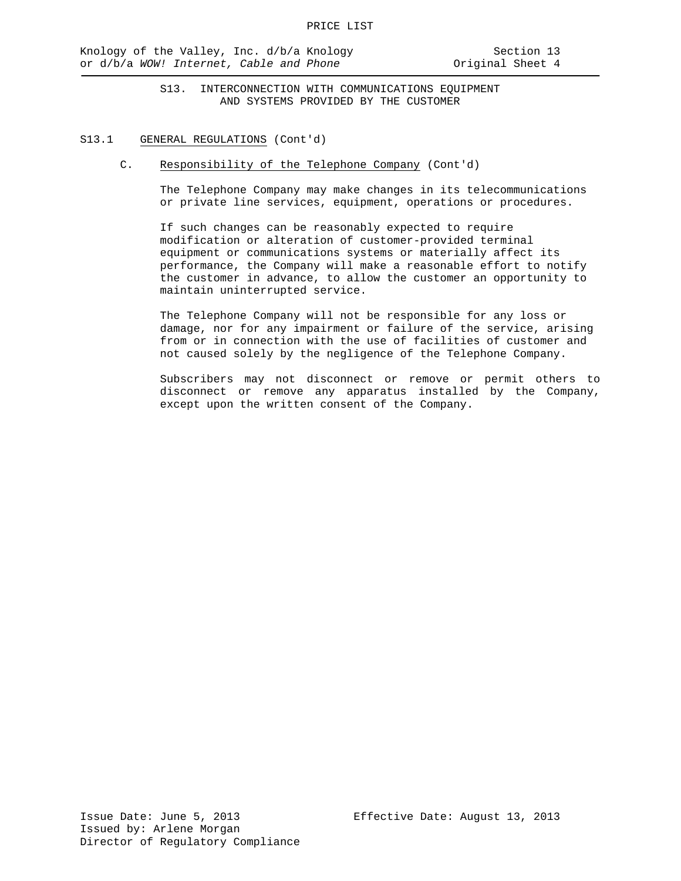#### S13.1 GENERAL REGULATIONS (Cont'd)

C. Responsibility of the Telephone Company (Cont'd)

The Telephone Company may make changes in its telecommunications or private line services, equipment, operations or procedures.

If such changes can be reasonably expected to require modification or alteration of customer-provided terminal equipment or communications systems or materially affect its performance, the Company will make a reasonable effort to notify the customer in advance, to allow the customer an opportunity to maintain uninterrupted service.

The Telephone Company will not be responsible for any loss or damage, nor for any impairment or failure of the service, arising from or in connection with the use of facilities of customer and not caused solely by the negligence of the Telephone Company.

Subscribers may not disconnect or remove or permit others to disconnect or remove any apparatus installed by the Company, except upon the written consent of the Company.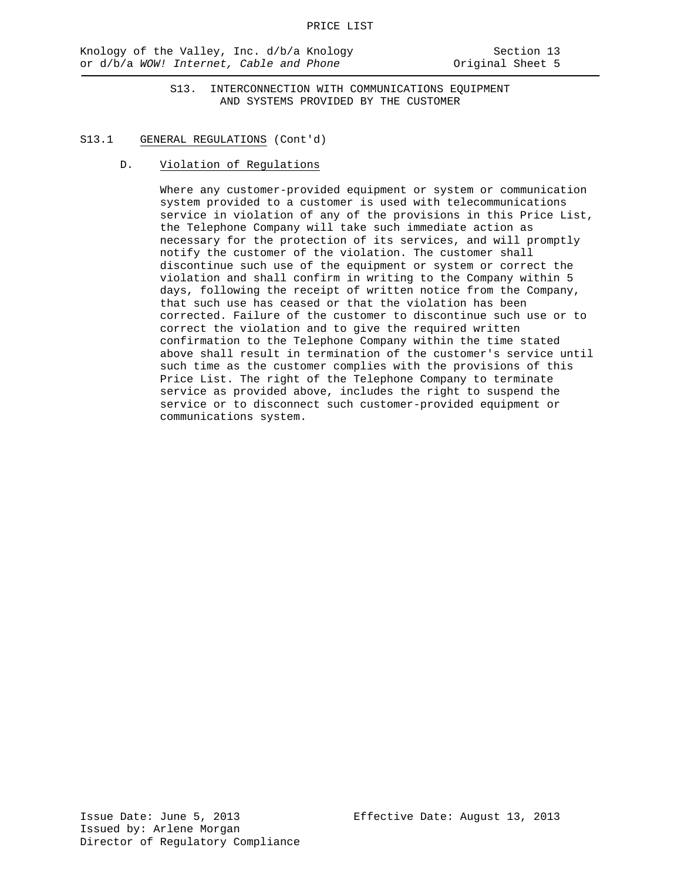#### S13.1 GENERAL REGULATIONS (Cont'd)

D. Violation of Regulations

Where any customer-provided equipment or system or communication system provided to a customer is used with telecommunications service in violation of any of the provisions in this Price List, the Telephone Company will take such immediate action as necessary for the protection of its services, and will promptly notify the customer of the violation. The customer shall discontinue such use of the equipment or system or correct the violation and shall confirm in writing to the Company within 5 days, following the receipt of written notice from the Company, that such use has ceased or that the violation has been corrected. Failure of the customer to discontinue such use or to correct the violation and to give the required written confirmation to the Telephone Company within the time stated above shall result in termination of the customer's service until such time as the customer complies with the provisions of this Price List. The right of the Telephone Company to terminate service as provided above, includes the right to suspend the service or to disconnect such customer-provided equipment or communications system.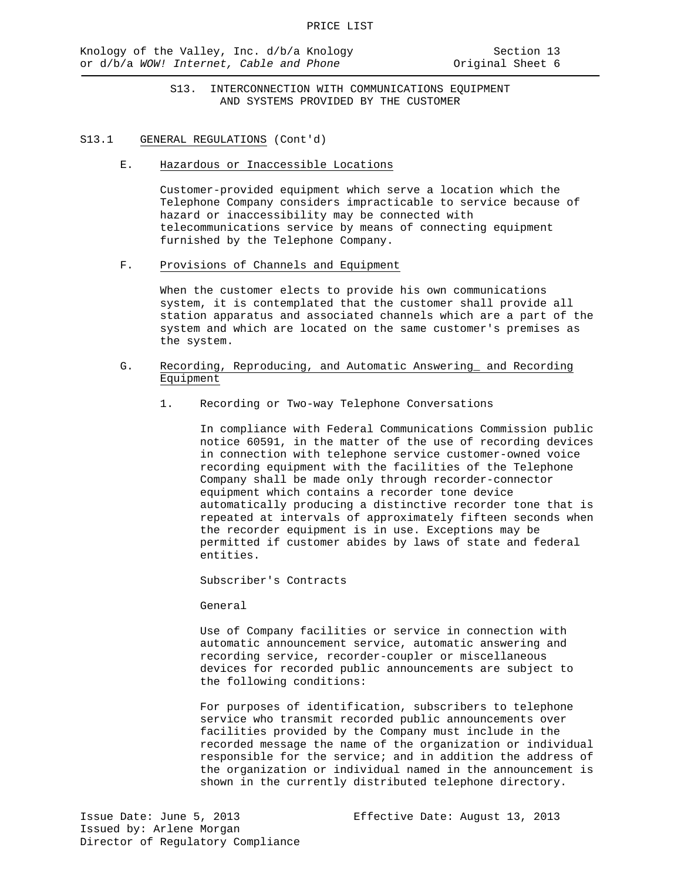#### S13.1 GENERAL REGULATIONS (Cont'd)

E. Hazardous or Inaccessible Locations

Customer-provided equipment which serve a location which the Telephone Company considers impracticable to service because of hazard or inaccessibility may be connected with telecommunications service by means of connecting equipment furnished by the Telephone Company.

F. Provisions of Channels and Equipment

When the customer elects to provide his own communications system, it is contemplated that the customer shall provide all station apparatus and associated channels which are a part of the system and which are located on the same customer's premises as the system.

- G. Recording, Reproducing, and Automatic Answering\_ and Recording Equipment
	- 1. Recording or Two-way Telephone Conversations

In compliance with Federal Communications Commission public notice 60591, in the matter of the use of recording devices in connection with telephone service customer-owned voice recording equipment with the facilities of the Telephone Company shall be made only through recorder-connector equipment which contains a recorder tone device automatically producing a distinctive recorder tone that is repeated at intervals of approximately fifteen seconds when the recorder equipment is in use. Exceptions may be permitted if customer abides by laws of state and federal entities.

Subscriber's Contracts

General

Use of Company facilities or service in connection with automatic announcement service, automatic answering and recording service, recorder-coupler or miscellaneous devices for recorded public announcements are subject to the following conditions:

For purposes of identification, subscribers to telephone service who transmit recorded public announcements over facilities provided by the Company must include in the recorded message the name of the organization or individual responsible for the service; and in addition the address of the organization or individual named in the announcement is shown in the currently distributed telephone directory.

Issue Date: June 5, 2013 Effective Date: August 13, 2013 Issued by: Arlene Morgan Director of Regulatory Compliance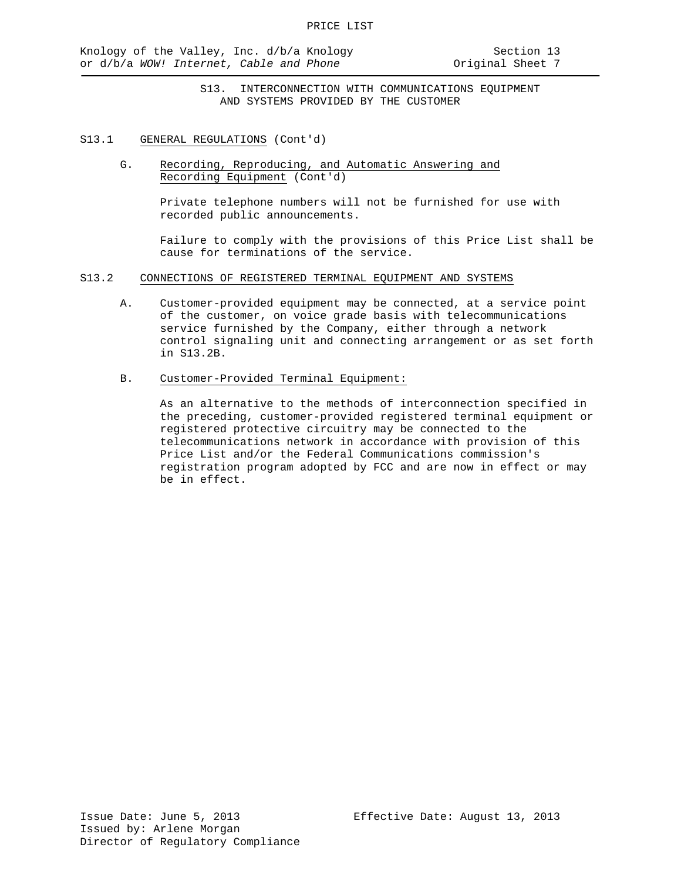- S13.1 GENERAL REGULATIONS (Cont'd)
	- G. Recording, Reproducing, and Automatic Answering and Recording Equipment (Cont'd)

Private telephone numbers will not be furnished for use with recorded public announcements.

Failure to comply with the provisions of this Price List shall be cause for terminations of the service.

- S13.2 CONNECTIONS OF REGISTERED TERMINAL EQUIPMENT AND SYSTEMS
	- A. Customer-provided equipment may be connected, at a service point of the customer, on voice grade basis with telecommunications service furnished by the Company, either through a network control signaling unit and connecting arrangement or as set forth in S13.2B.
	- B. Customer-Provided Terminal Equipment:

As an alternative to the methods of interconnection specified in the preceding, customer-provided registered terminal equipment or registered protective circuitry may be connected to the telecommunications network in accordance with provision of this Price List and/or the Federal Communications commission's registration program adopted by FCC and are now in effect or may be in effect.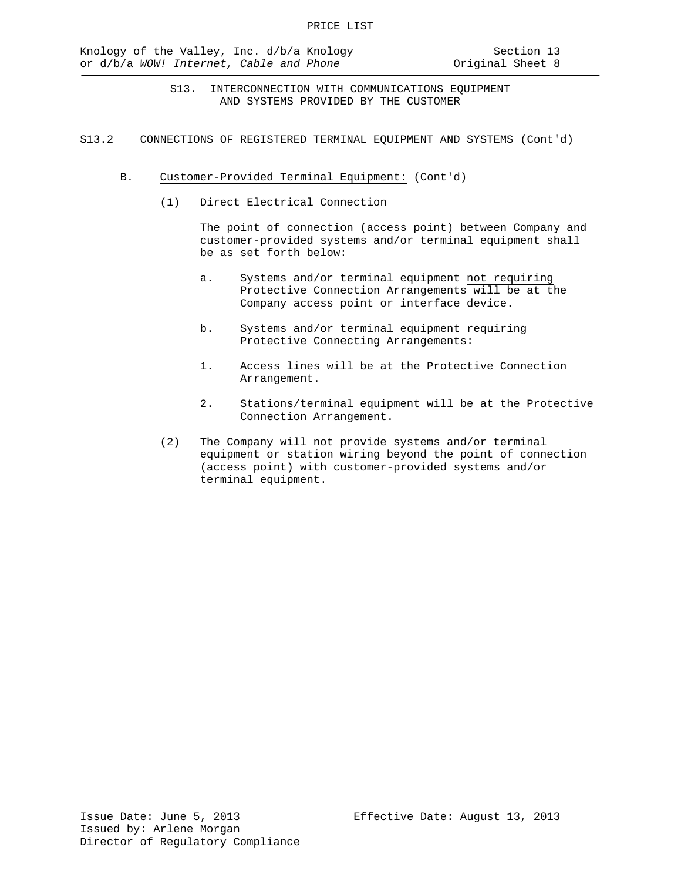#### S13.2 CONNECTIONS OF REGISTERED TERMINAL EQUIPMENT AND SYSTEMS (Cont'd)

- B. Customer-Provided Terminal Equipment: (Cont'd)
	- (1) Direct Electrical Connection

The point of connection (access point) between Company and customer-provided systems and/or terminal equipment shall be as set forth below:

- a. Systems and/or terminal equipment not requiring Protective Connection Arrangements will be at the Company access point or interface device.
- b. Systems and/or terminal equipment requiring Protective Connecting Arrangements:
- 1. Access lines will be at the Protective Connection Arrangement.
- 2. Stations/terminal equipment will be at the Protective Connection Arrangement.
- (2) The Company will not provide systems and/or terminal equipment or station wiring beyond the point of connection (access point) with customer-provided systems and/or terminal equipment.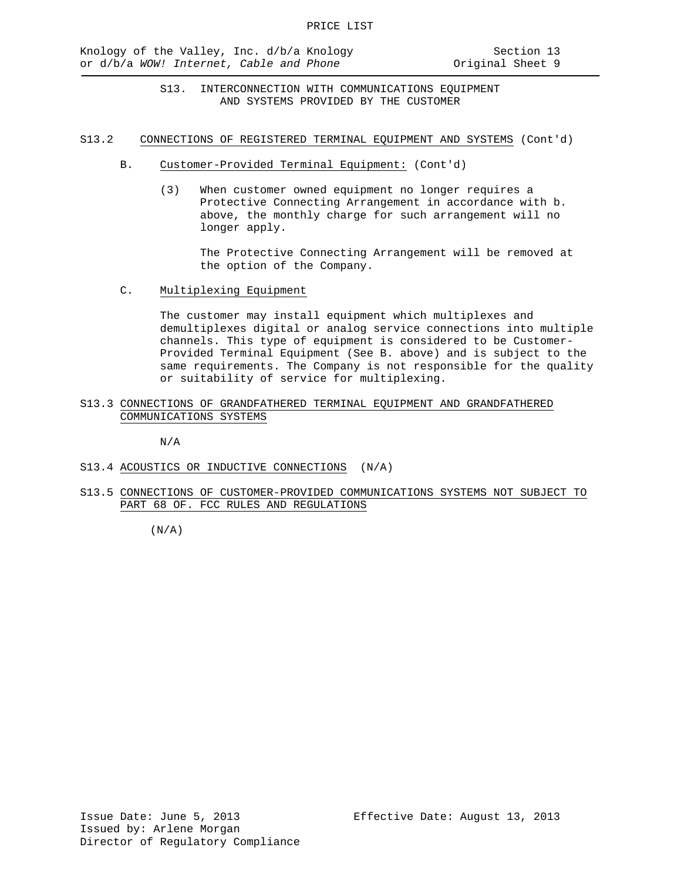S13.2 CONNECTIONS OF REGISTERED TERMINAL EQUIPMENT AND SYSTEMS (Cont'd)

- B. Customer-Provided Terminal Equipment: (Cont'd)
	- (3) When customer owned equipment no longer requires a Protective Connecting Arrangement in accordance with b. above, the monthly charge for such arrangement will no longer apply.

The Protective Connecting Arrangement will be removed at the option of the Company.

C. Multiplexing Equipment

The customer may install equipment which multiplexes and demultiplexes digital or analog service connections into multiple channels. This type of equipment is considered to be Customer-Provided Terminal Equipment (See B. above) and is subject to the same requirements. The Company is not responsible for the quality or suitability of service for multiplexing.

S13.3 CONNECTIONS OF GRANDFATHERED TERMINAL EQUIPMENT AND GRANDFATHERED COMMUNICATIONS SYSTEMS

N/A

- S13.4 ACOUSTICS OR INDUCTIVE CONNECTIONS (N/A)
- S13.5 CONNECTIONS OF CUSTOMER-PROVIDED COMMUNICATIONS SYSTEMS NOT SUBJECT TO PART 68 OF. FCC RULES AND REGULATIONS

 $(N/A)$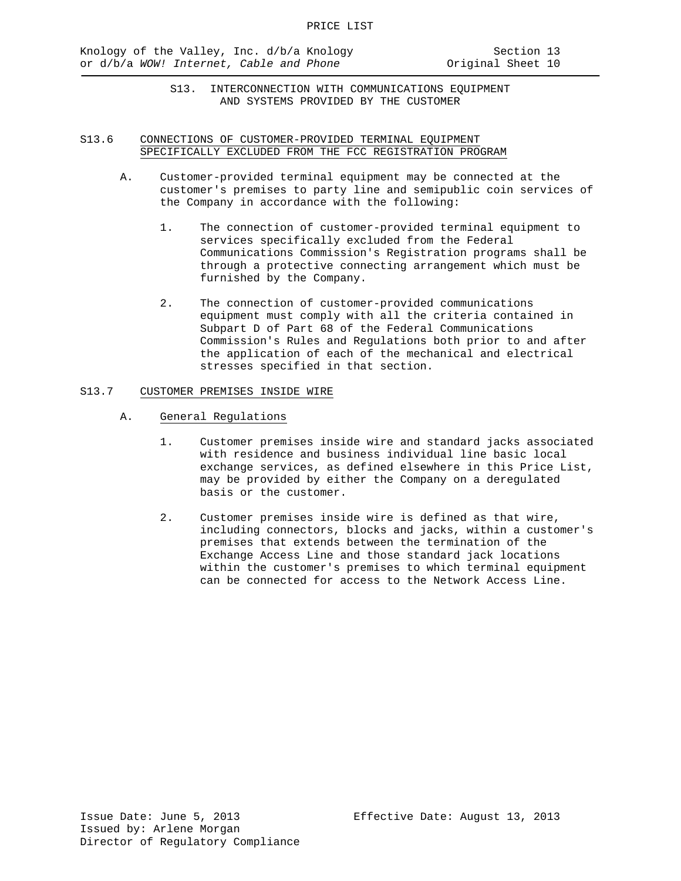### S13.6 CONNECTIONS OF CUSTOMER-PROVIDED TERMINAL EQUIPMENT SPECIFICALLY EXCLUDED FROM THE FCC REGISTRATION PROGRAM

- A. Customer-provided terminal equipment may be connected at the customer's premises to party line and semipublic coin services of the Company in accordance with the following:
	- 1. The connection of customer-provided terminal equipment to services specifically excluded from the Federal Communications Commission's Registration programs shall be through a protective connecting arrangement which must be furnished by the Company.
	- 2. The connection of customer-provided communications equipment must comply with all the criteria contained in Subpart D of Part 68 of the Federal Communications Commission's Rules and Regulations both prior to and after the application of each of the mechanical and electrical stresses specified in that section.

### S13.7 CUSTOMER PREMISES INSIDE WIRE

- A. General Regulations
	- 1. Customer premises inside wire and standard jacks associated with residence and business individual line basic local exchange services, as defined elsewhere in this Price List, may be provided by either the Company on a deregulated basis or the customer.
	- 2. Customer premises inside wire is defined as that wire, including connectors, blocks and jacks, within a customer's premises that extends between the termination of the Exchange Access Line and those standard jack locations within the customer's premises to which terminal equipment can be connected for access to the Network Access Line.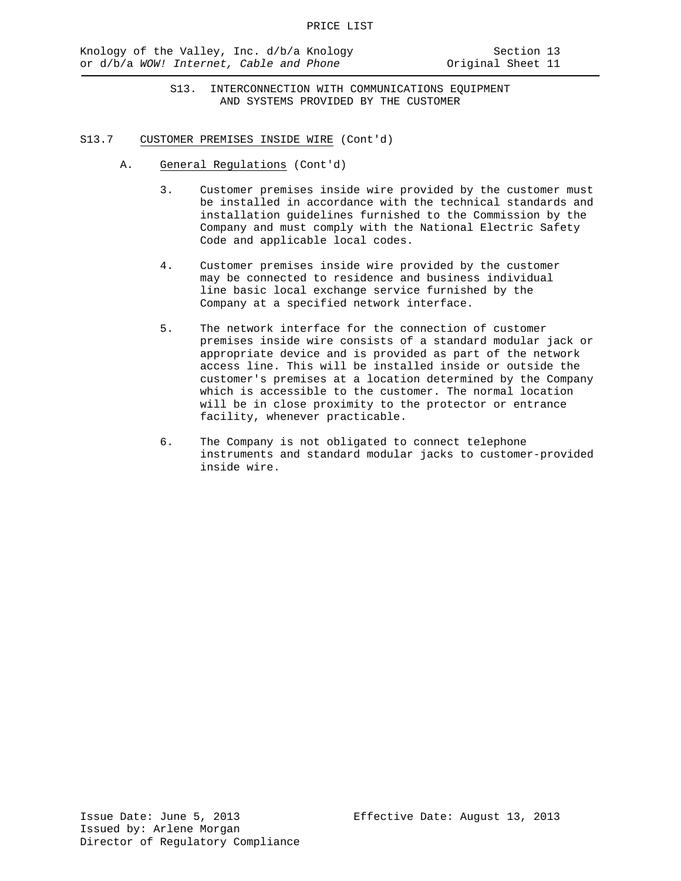- S13.7 CUSTOMER PREMISES INSIDE WIRE (Cont'd)
	- A. General Regulations (Cont'd)
		- 3. Customer premises inside wire provided by the customer must be installed in accordance with the technical standards and installation guidelines furnished to the Commission by the Company and must comply with the National Electric Safety Code and applicable local codes.
		- 4. Customer premises inside wire provided by the customer may be connected to residence and business individual line basic local exchange service furnished by the Company at a specified network interface.
		- 5. The network interface for the connection of customer premises inside wire consists of a standard modular jack or appropriate device and is provided as part of the network access line. This will be installed inside or outside the customer's premises at a location determined by the Company which is accessible to the customer. The normal location will be in close proximity to the protector or entrance facility, whenever practicable.
		- 6. The Company is not obligated to connect telephone instruments and standard modular jacks to customer-provided inside wire.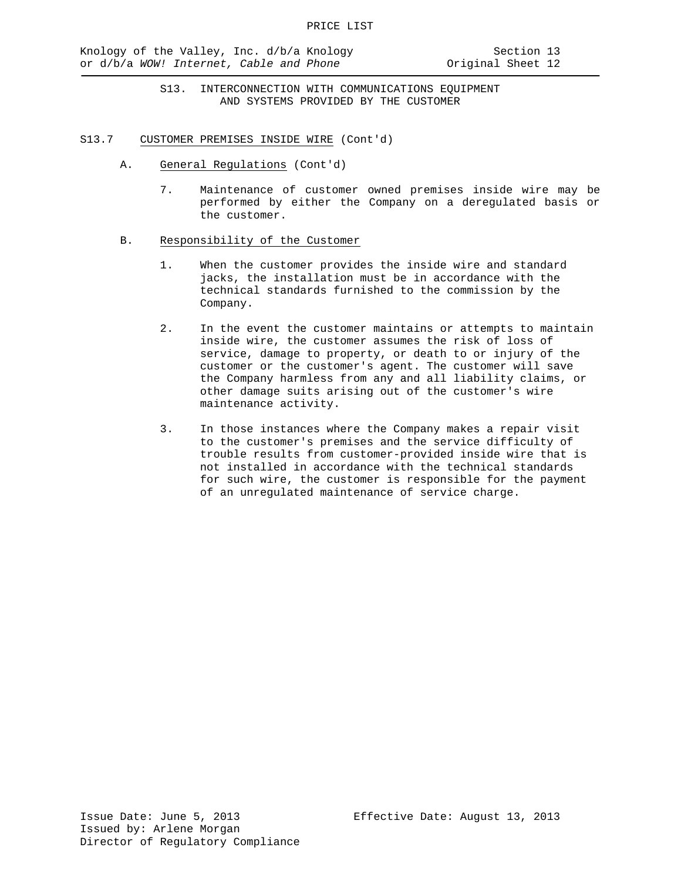- S13.7 CUSTOMER PREMISES INSIDE WIRE (Cont'd)
	- A. General Regulations (Cont'd)
		- 7. Maintenance of customer owned premises inside wire may be performed by either the Company on a deregulated basis or the customer.
	- B. Responsibility of the Customer
		- 1. When the customer provides the inside wire and standard jacks, the installation must be in accordance with the technical standards furnished to the commission by the Company.
		- 2. In the event the customer maintains or attempts to maintain inside wire, the customer assumes the risk of loss of service, damage to property, or death to or injury of the customer or the customer's agent. The customer will save the Company harmless from any and all liability claims, or other damage suits arising out of the customer's wire maintenance activity.
		- 3. In those instances where the Company makes a repair visit to the customer's premises and the service difficulty of trouble results from customer-provided inside wire that is not installed in accordance with the technical standards for such wire, the customer is responsible for the payment of an unregulated maintenance of service charge.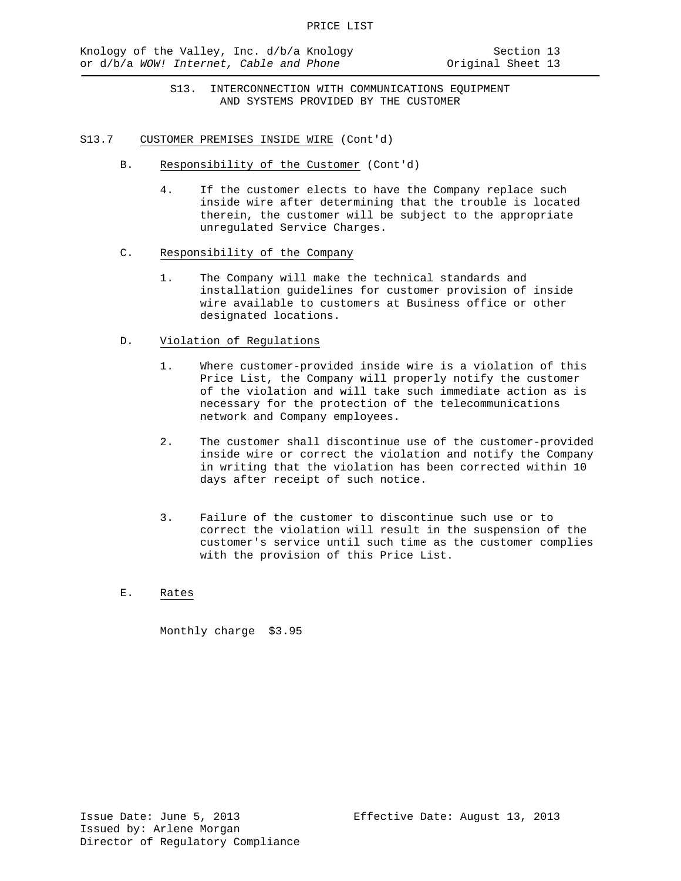- S13. INTERCONNECTION WITH COMMUNICATIONS EQUIPMENT AND SYSTEMS PROVIDED BY THE CUSTOMER
- S13.7 CUSTOMER PREMISES INSIDE WIRE (Cont'd)
	- B. Responsibility of the Customer (Cont'd)
		- 4. If the customer elects to have the Company replace such inside wire after determining that the trouble is located therein, the customer will be subject to the appropriate unregulated Service Charges.
	- C. Responsibility of the Company
		- 1. The Company will make the technical standards and installation guidelines for customer provision of inside wire available to customers at Business office or other designated locations.
	- D. Violation of Regulations
		- 1. Where customer-provided inside wire is a violation of this Price List, the Company will properly notify the customer of the violation and will take such immediate action as is necessary for the protection of the telecommunications network and Company employees.
		- 2. The customer shall discontinue use of the customer-provided inside wire or correct the violation and notify the Company in writing that the violation has been corrected within 10 days after receipt of such notice.
		- 3. Failure of the customer to discontinue such use or to correct the violation will result in the suspension of the customer's service until such time as the customer complies with the provision of this Price List.
	- E. Rates

Monthly charge \$3.95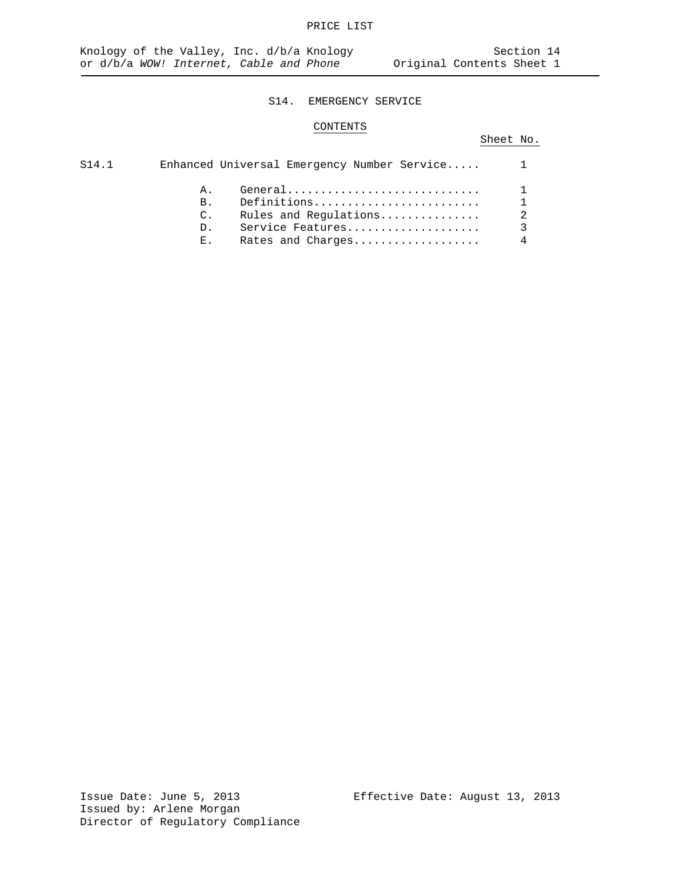### S14. EMERGENCY SERVICE

## CONTENTS

# Sheet No.

| S14.1 |                 | Enhanced Universal Emergency Number Service |                |
|-------|-----------------|---------------------------------------------|----------------|
|       | A.              |                                             |                |
|       | $B_{\perp}$     | Definitions                                 |                |
|       | $\mathcal{C}$ . | Rules and Regulations                       | $\overline{2}$ |
|       | D <sub>1</sub>  | Service Features                            |                |
|       | $E_{\infty}$    | Rates and Charges                           |                |
|       |                 |                                             |                |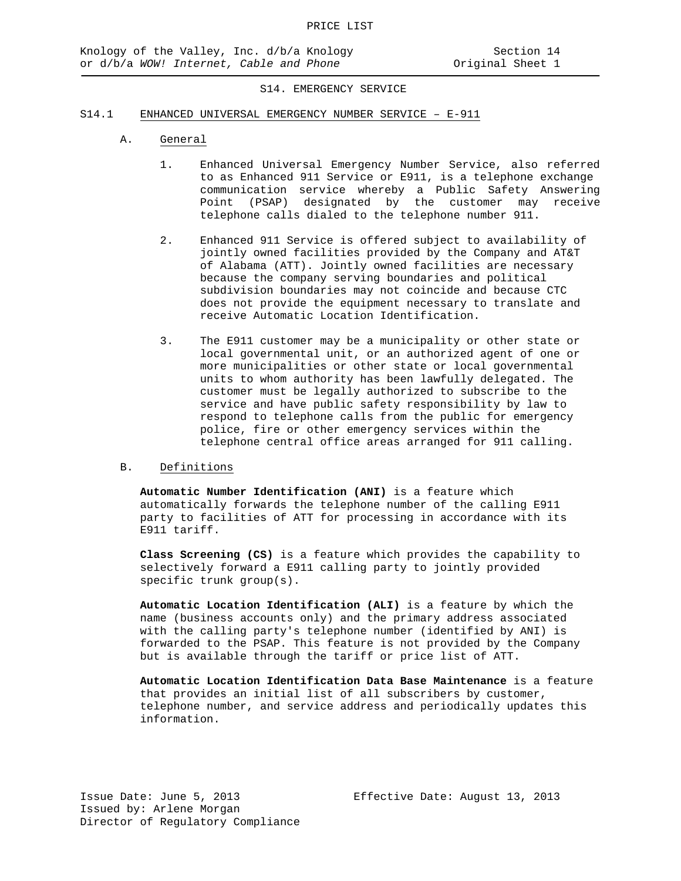#### S14. EMERGENCY SERVICE

#### S14.1 ENHANCED UNIVERSAL EMERGENCY NUMBER SERVICE – E-911

- A. General
	- 1. Enhanced Universal Emergency Number Service, also referred to as Enhanced 911 Service or E911, is a telephone exchange communication service whereby a Public Safety Answering Point (PSAP) designated by the customer may receive telephone calls dialed to the telephone number 911.
	- 2. Enhanced 911 Service is offered subject to availability of jointly owned facilities provided by the Company and AT&T of Alabama (ATT). Jointly owned facilities are necessary because the company serving boundaries and political subdivision boundaries may not coincide and because CTC does not provide the equipment necessary to translate and receive Automatic Location Identification.
	- 3. The E911 customer may be a municipality or other state or local governmental unit, or an authorized agent of one or more municipalities or other state or local governmental units to whom authority has been lawfully delegated. The customer must be legally authorized to subscribe to the service and have public safety responsibility by law to respond to telephone calls from the public for emergency police, fire or other emergency services within the telephone central office areas arranged for 911 calling.

#### B. Definitions

**Automatic Number Identification (ANI)** is a feature which automatically forwards the telephone number of the calling E911 party to facilities of ATT for processing in accordance with its E911 tariff.

**Class Screening (CS)** is a feature which provides the capability to selectively forward a E911 calling party to jointly provided specific trunk group(s).

**Automatic Location Identification (ALI)** is a feature by which the name (business accounts only) and the primary address associated with the calling party's telephone number (identified by ANI) is forwarded to the PSAP. This feature is not provided by the Company but is available through the tariff or price list of ATT.

**Automatic Location Identification Data Base Maintenance** is a feature that provides an initial list of all subscribers by customer, telephone number, and service address and periodically updates this information.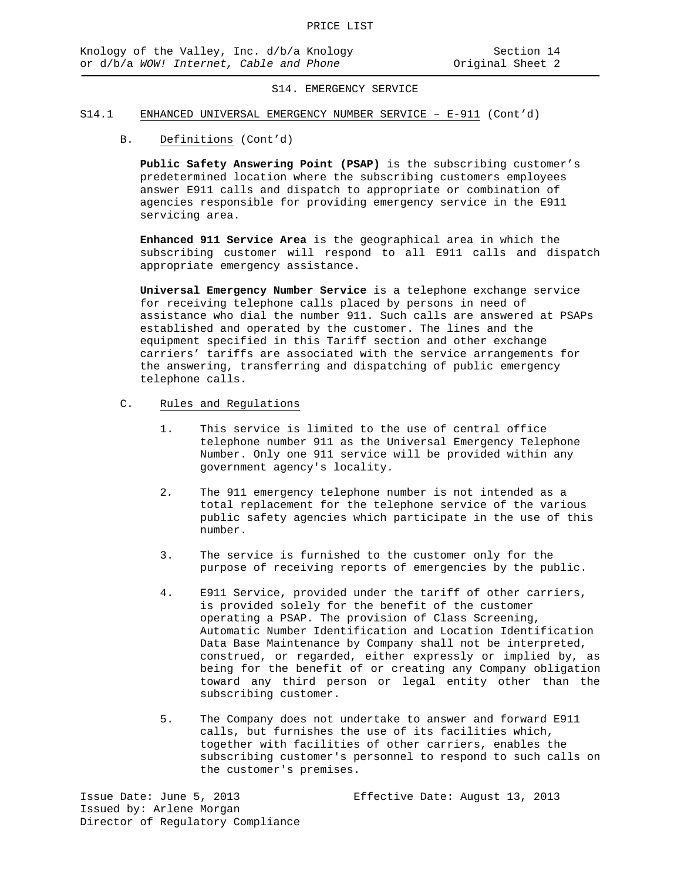#### S14. EMERGENCY SERVICE

#### S14.1 ENHANCED UNIVERSAL EMERGENCY NUMBER SERVICE – E-911 (Cont'd)

B. Definitions (Cont'd)

**Public Safety Answering Point (PSAP)** is the subscribing customer's predetermined location where the subscribing customers employees answer E911 calls and dispatch to appropriate or combination of agencies responsible for providing emergency service in the E911 servicing area.

**Enhanced 911 Service Area** is the geographical area in which the subscribing customer will respond to all E911 calls and dispatch appropriate emergency assistance.

**Universal Emergency Number Service** is a telephone exchange service for receiving telephone calls placed by persons in need of assistance who dial the number 911. Such calls are answered at PSAPs established and operated by the customer. The lines and the equipment specified in this Tariff section and other exchange carriers' tariffs are associated with the service arrangements for the answering, transferring and dispatching of public emergency telephone calls.

- C. Rules and Regulations
	- 1. This service is limited to the use of central office telephone number 911 as the Universal Emergency Telephone Number. Only one 911 service will be provided within any government agency's locality.
	- 2*.* The 911 emergency telephone number is not intended as a total replacement for the telephone service of the various public safety agencies which participate in the use of this number.
	- 3. The service is furnished to the customer only for the purpose of receiving reports of emergencies by the public.
	- 4. E911 Service, provided under the tariff of other carriers, is provided solely for the benefit of the customer operating a PSAP. The provision of Class Screening, Automatic Number Identification and Location Identification Data Base Maintenance by Company shall not be interpreted, construed, or regarded, either expressly or implied by, as being for the benefit of or creating any Company obligation toward any third person or legal entity other than the subscribing customer.
	- 5. The Company does not undertake to answer and forward E911 calls, but furnishes the use of its facilities which, together with facilities of other carriers, enables the subscribing customer's personnel to respond to such calls on the customer's premises.

Issue Date: June 5, 2013 Effective Date: August 13, 2013 Issued by: Arlene Morgan Director of Regulatory Compliance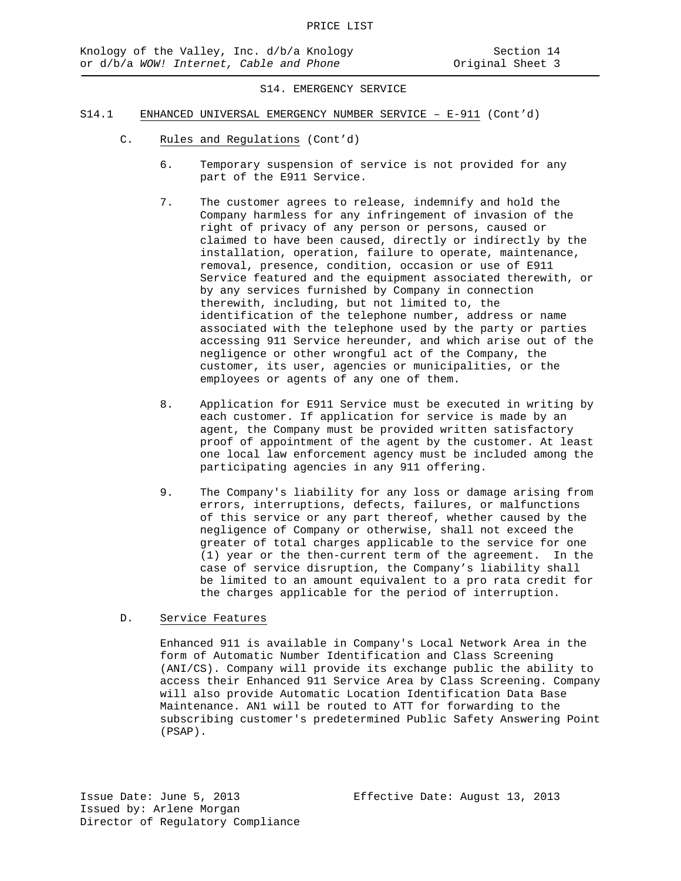S14. EMERGENCY SERVICE

- S14.1 ENHANCED UNIVERSAL EMERGENCY NUMBER SERVICE E-911 (Cont'd)
	- C. Rules and Regulations (Cont'd)
		- 6. Temporary suspension of service is not provided for any part of the E911 Service.
		- 7. The customer agrees to release, indemnify and hold the Company harmless for any infringement of invasion of the right of privacy of any person or persons, caused or claimed to have been caused, directly or indirectly by the installation, operation, failure to operate, maintenance, removal, presence, condition, occasion or use of E911 Service featured and the equipment associated therewith, or by any services furnished by Company in connection therewith, including, but not limited to, the identification of the telephone number, address or name associated with the telephone used by the party or parties accessing 911 Service hereunder, and which arise out of the negligence or other wrongful act of the Company, the customer, its user, agencies or municipalities, or the employees or agents of any one of them.
		- 8. Application for E911 Service must be executed in writing by each customer. If application for service is made by an agent, the Company must be provided written satisfactory proof of appointment of the agent by the customer. At least one local law enforcement agency must be included among the participating agencies in any 911 offering.
		- 9. The Company's liability for any loss or damage arising from errors, interruptions, defects, failures, or malfunctions of this service or any part thereof, whether caused by the negligence of Company or otherwise, shall not exceed the greater of total charges applicable to the service for one (1) year or the then-current term of the agreement. In the case of service disruption, the Company's liability shall be limited to an amount equivalent to a pro rata credit for the charges applicable for the period of interruption.

# D. Service Features

Enhanced 911 is available in Company's Local Network Area in the form of Automatic Number Identification and Class Screening (ANI/CS). Company will provide its exchange public the ability to access their Enhanced 911 Service Area by Class Screening. Company will also provide Automatic Location Identification Data Base Maintenance. AN1 will be routed to ATT for forwarding to the subscribing customer's predetermined Public Safety Answering Point (PSAP).

Issue Date: June 5, 2013 Effective Date: August 13, 2013 Issued by: Arlene Morgan Director of Regulatory Compliance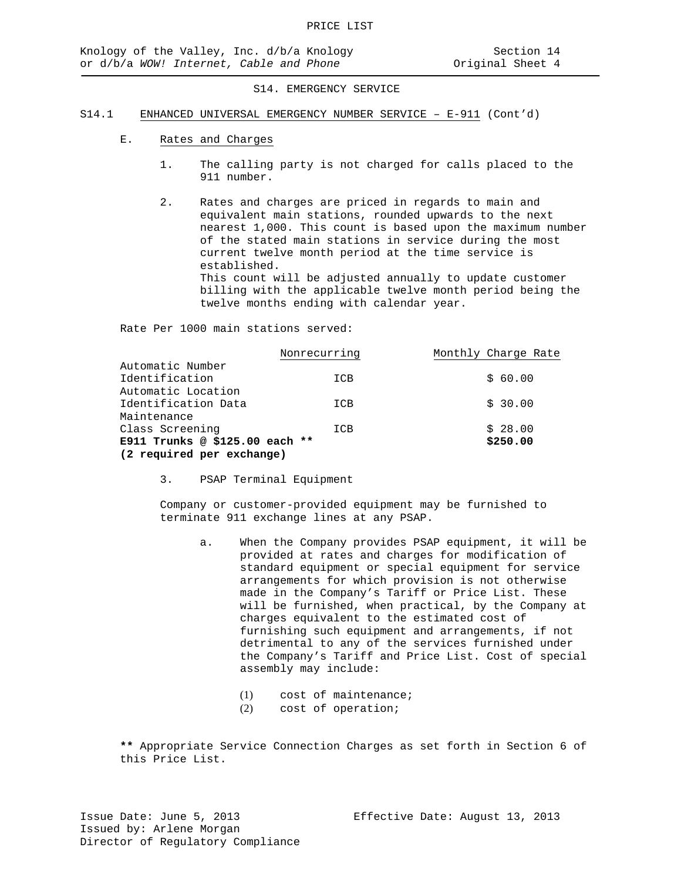#### S14. EMERGENCY SERVICE

#### S14.1 ENHANCED UNIVERSAL EMERGENCY NUMBER SERVICE – E-911 (Cont'd)

- E. Rates and Charges
	- 1. The calling party is not charged for calls placed to the 911 number.
	- 2. Rates and charges are priced in regards to main and equivalent main stations, rounded upwards to the next nearest 1,000. This count is based upon the maximum number of the stated main stations in service during the most current twelve month period at the time service is established. This count will be adjusted annually to update customer billing with the applicable twelve month period being the twelve months ending with calendar year.

Rate Per 1000 main stations served:

|                                | Nonrecurring | Monthly Charge Rate |
|--------------------------------|--------------|---------------------|
| Automatic Number               |              |                     |
| Identification                 | ICB          | \$60.00             |
| Automatic Location             |              |                     |
| Identification Data            | ICB          | \$30.00             |
| Maintenance                    |              |                     |
| Class Screening                | ICB          | \$28.00             |
| E911 Trunks @ \$125.00 each ** |              | \$250.00            |
| (2 required per exchange)      |              |                     |

3. PSAP Terminal Equipment

Company or customer-provided equipment may be furnished to terminate 911 exchange lines at any PSAP.

- a. When the Company provides PSAP equipment, it will be provided at rates and charges for modification of standard equipment or special equipment for service arrangements for which provision is not otherwise made in the Company's Tariff or Price List. These will be furnished, when practical, by the Company at charges equivalent to the estimated cost of furnishing such equipment and arrangements, if not detrimental to any of the services furnished under the Company's Tariff and Price List. Cost of special assembly may include:
	- (1) cost of maintenance;<br>(2) cost of operation;
	- cost of operation;

**\*\*** Appropriate Service Connection Charges as set forth in Section 6 of this Price List.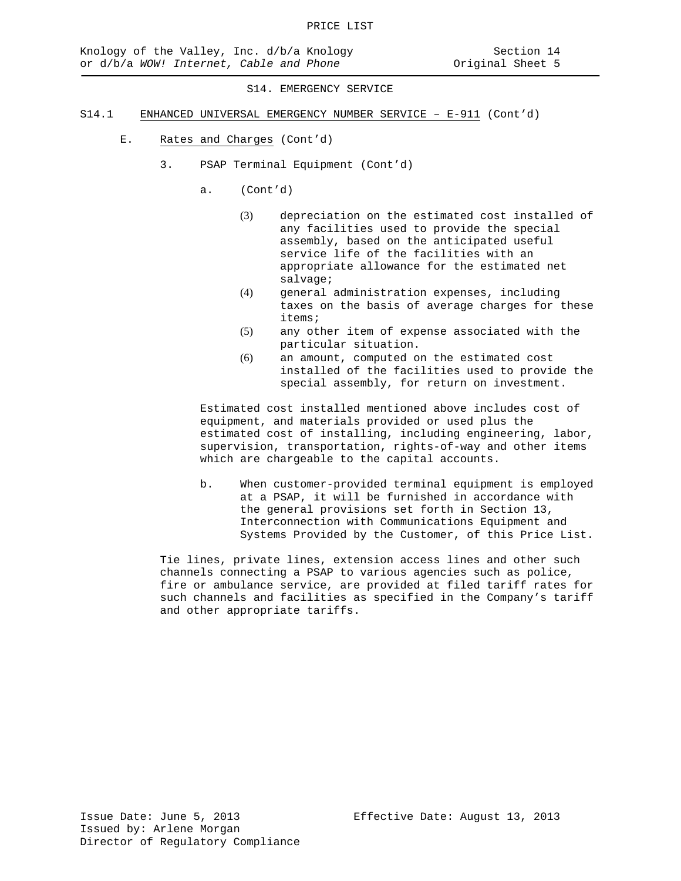S14. EMERGENCY SERVICE

- S14.1 ENHANCED UNIVERSAL EMERGENCY NUMBER SERVICE E-911 (Cont'd)
	- E. Rates and Charges (Cont'd)
		- 3. PSAP Terminal Equipment (Cont'd)
			- a. (Cont'd)
				- (3) depreciation on the estimated cost installed of any facilities used to provide the special assembly, based on the anticipated useful service life of the facilities with an appropriate allowance for the estimated net salvage;
				- (4) general administration expenses, including taxes on the basis of average charges for these items;
				- (5) any other item of expense associated with the particular situation.
				- (6) an amount, computed on the estimated cost installed of the facilities used to provide the special assembly, for return on investment.

Estimated cost installed mentioned above includes cost of equipment, and materials provided or used plus the estimated cost of installing, including engineering, labor, supervision, transportation, rights-of-way and other items which are chargeable to the capital accounts.

b. When customer-provided terminal equipment is employed at a PSAP, it will be furnished in accordance with the general provisions set forth in Section 13, Interconnection with Communications Equipment and Systems Provided by the Customer, of this Price List.

Tie lines, private lines, extension access lines and other such channels connecting a PSAP to various agencies such as police, fire or ambulance service, are provided at filed tariff rates for such channels and facilities as specified in the Company's tariff and other appropriate tariffs.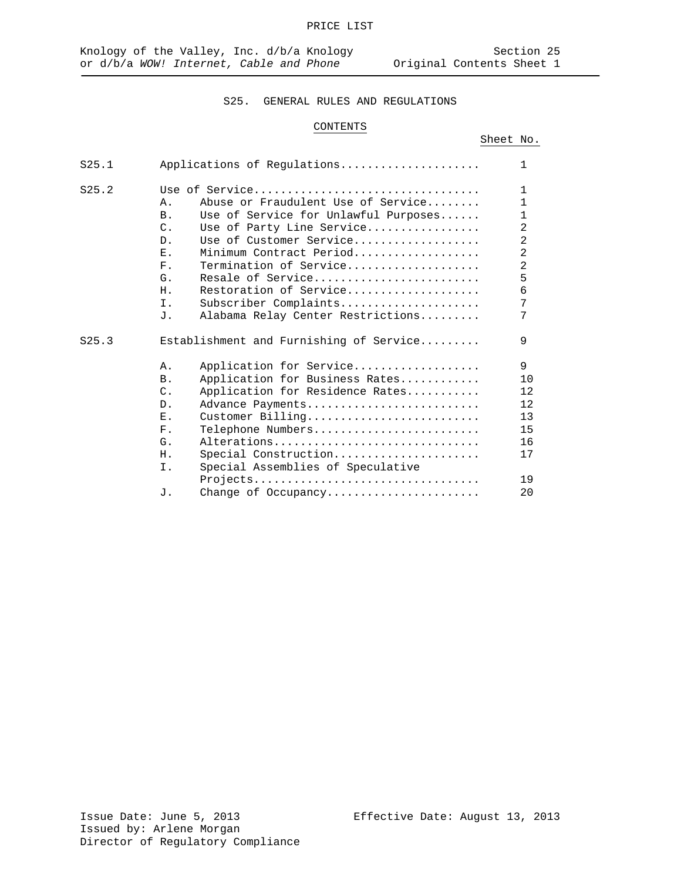# CONTENTS

|--|

| S25.1 | Applications of Regulations                                                                                                                                                                                                                                                                                                                                                                                      | $\mathbf{1}$                                                                                                       |
|-------|------------------------------------------------------------------------------------------------------------------------------------------------------------------------------------------------------------------------------------------------------------------------------------------------------------------------------------------------------------------------------------------------------------------|--------------------------------------------------------------------------------------------------------------------|
| S25.2 | Use of Service<br>Abuse or Fraudulent Use of Service<br>Α.<br>Use of Service for Unlawful Purposes<br><b>B</b> .<br>$\mathcal{C}$ .<br>Use of Party Line Service<br>Use of Customer Service<br>D.<br>Minimum Contract Period<br>Ε.<br>Termination of Service<br>$F_{\perp}$<br>Resale of Service<br>G.<br>Restoration of Service<br>Η.<br>Ι.<br>Subscriber Complaints<br>Alabama Relay Center Restrictions<br>J. | $\mathbf{1}$<br>1<br>1<br>$\overline{2}$<br>$\overline{2}$<br>$\overline{2}$<br>$\overline{a}$<br>5<br>6<br>7<br>7 |
| S25.3 | Establishment and Furnishing of Service<br>Application for Service<br>Α.<br>Application for Business Rates<br><b>B</b> .<br>Application for Residence Rates<br>$\mathcal{C}$ .<br>Advance Payments<br>$D$ .<br>Ε.<br>Customer Billing<br>$F$ .<br>Telephone Numbers<br>Alterations<br>G.<br>Special Construction<br>Η.<br>Special Assemblies of Speculative<br>Ι.<br>Projects<br>Change of Occupancy<br>J.       | 9<br>9<br>10<br>12<br>12<br>13<br>15<br>16<br>17<br>19<br>20                                                       |
|       |                                                                                                                                                                                                                                                                                                                                                                                                                  |                                                                                                                    |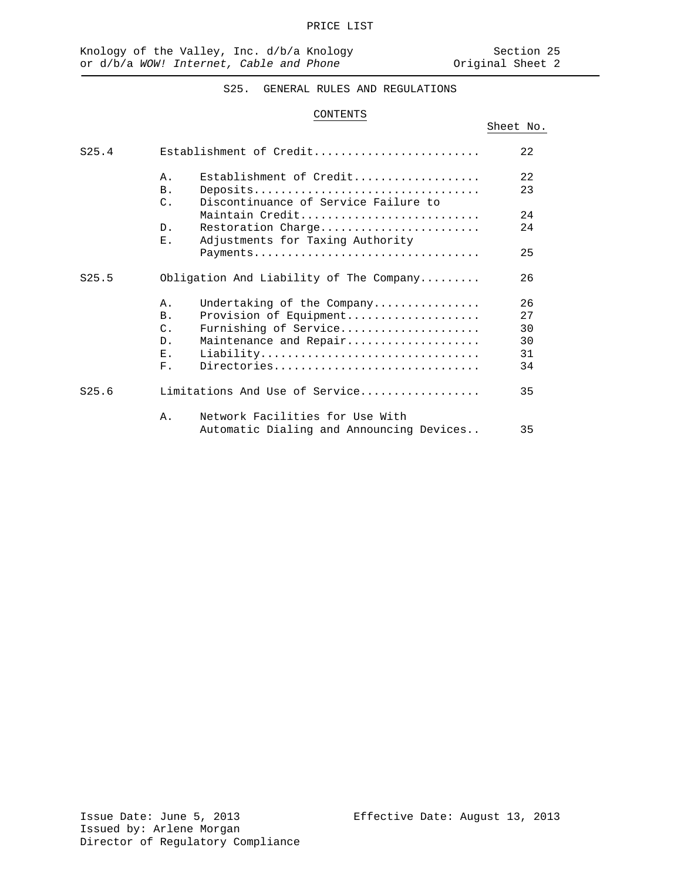Sheet No.

# S25. GENERAL RULES AND REGULATIONS

## CONTENTS

| S25.4 |                 | Establishment of Credit                  | 22  |
|-------|-----------------|------------------------------------------|-----|
|       | Α.              | Establishment of Credit                  | 22  |
|       | B.              | Deposits                                 | 23  |
|       | $\mathcal{C}$ . | Discontinuance of Service Failure to     |     |
|       |                 | Maintain Credit                          | 2.4 |
|       | $D$ .           | Restoration Charge                       | 24  |
|       | Ε.              | Adjustments for Taxing Authority         |     |
|       |                 | Payments                                 | 25  |
| S25.5 |                 | Obligation And Liability of The Company  | 26  |
|       | Α.              | Undertaking of the Company               | 26  |
|       | B <sub>1</sub>  | Provision of Equipment                   | 27  |
|       | $\mathcal{C}$ . | Furnishing of Service                    | 30  |
|       | $D_{\perp}$     | Maintenance and Repair                   | 30  |
|       | Ε.              | Liability                                | 31  |
|       | $F_{\infty}$    | Directories                              | 34  |
| S25.6 |                 | Limitations And Use of Service           | 35  |
|       | Α.              | Network Facilities for Use With          |     |
|       |                 | Automatic Dialing and Announcing Devices | 35  |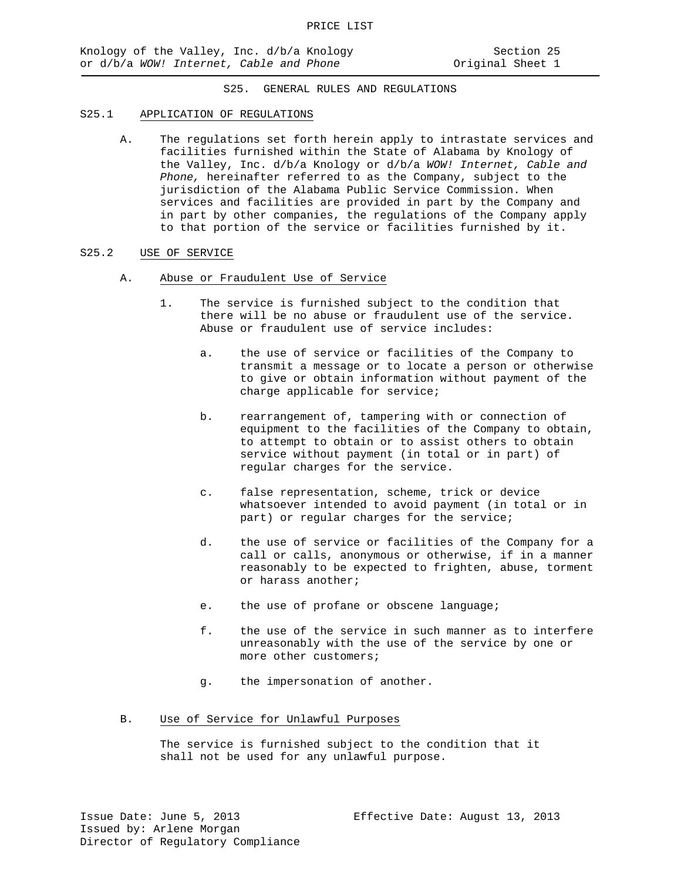## S25.1 APPLICATION OF REGULATIONS

A. The regulations set forth herein apply to intrastate services and facilities furnished within the State of Alabama by Knology of the Valley, Inc. d/b/a Knology or d/b/a *WOW! Internet, Cable and Phone,* hereinafter referred to as the Company, subject to the jurisdiction of the Alabama Public Service Commission. When services and facilities are provided in part by the Company and in part by other companies, the regulations of the Company apply to that portion of the service or facilities furnished by it.

#### S25.2 USE OF SERVICE

- A. Abuse or Fraudulent Use of Service
	- 1. The service is furnished subject to the condition that there will be no abuse or fraudulent use of the service. Abuse or fraudulent use of service includes:
		- a. the use of service or facilities of the Company to transmit a message or to locate a person or otherwise to give or obtain information without payment of the charge applicable for service;
		- b. rearrangement of, tampering with or connection of equipment to the facilities of the Company to obtain, to attempt to obtain or to assist others to obtain service without payment (in total or in part) of regular charges for the service.
		- c. false representation, scheme, trick or device whatsoever intended to avoid payment (in total or in part) or regular charges for the service;
		- d. the use of service or facilities of the Company for a call or calls, anonymous or otherwise, if in a manner reasonably to be expected to frighten, abuse, torment or harass another;
		- e. the use of profane or obscene language;
		- f. the use of the service in such manner as to interfere unreasonably with the use of the service by one or more other customers;
		- g. the impersonation of another.

### B. Use of Service for Unlawful Purposes

The service is furnished subject to the condition that it shall not be used for any unlawful purpose.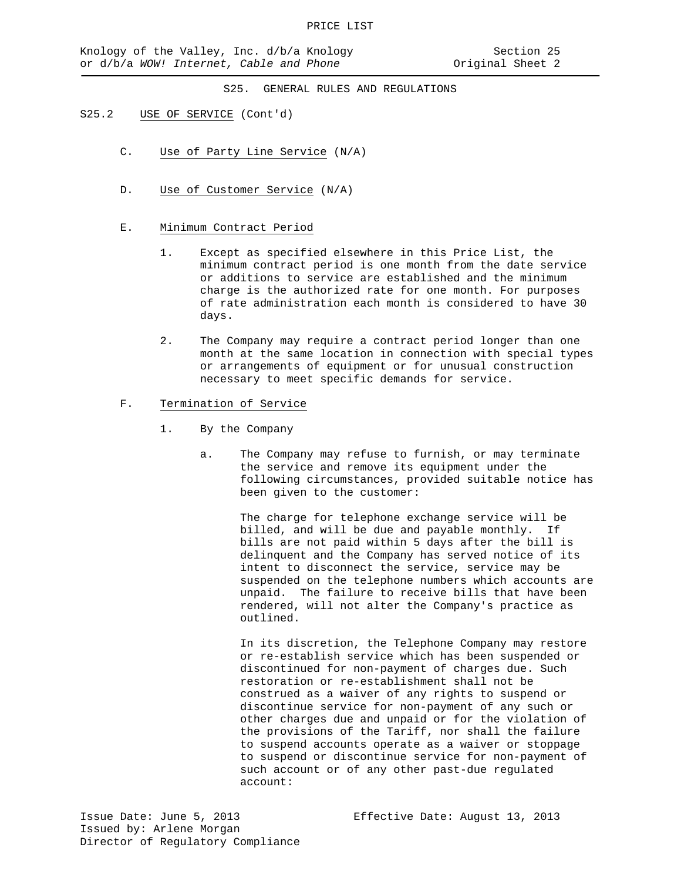### S25.2 USE OF SERVICE (Cont'd)

- C. Use of Party Line Service (N/A)
- D. Use of Customer Service (N/A)
- E. Minimum Contract Period
	- 1. Except as specified elsewhere in this Price List, the minimum contract period is one month from the date service or additions to service are established and the minimum charge is the authorized rate for one month. For purposes of rate administration each month is considered to have 30 days.
	- 2. The Company may require a contract period longer than one month at the same location in connection with special types or arrangements of equipment or for unusual construction necessary to meet specific demands for service.
- F. Termination of Service
	- 1. By the Company
		- a. The Company may refuse to furnish, or may terminate the service and remove its equipment under the following circumstances, provided suitable notice has been given to the customer:

The charge for telephone exchange service will be billed, and will be due and payable monthly. If bills are not paid within 5 days after the bill is delinquent and the Company has served notice of its intent to disconnect the service, service may be suspended on the telephone numbers which accounts are unpaid. The failure to receive bills that have been rendered, will not alter the Company's practice as outlined.

In its discretion, the Telephone Company may restore or re-establish service which has been suspended or discontinued for non-payment of charges due. Such restoration or re-establishment shall not be construed as a waiver of any rights to suspend or discontinue service for non-payment of any such or other charges due and unpaid or for the violation of the provisions of the Tariff, nor shall the failure to suspend accounts operate as a waiver or stoppage to suspend or discontinue service for non-payment of such account or of any other past-due regulated account: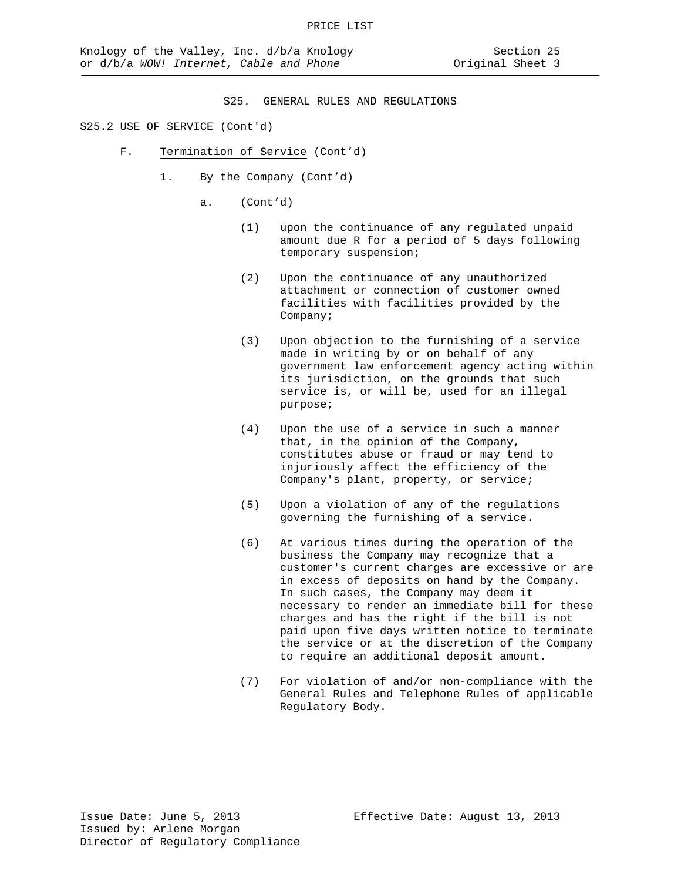## S25.2 USE OF SERVICE (Cont'd)

- F. Termination of Service (Cont'd)
	- 1. By the Company (Cont'd)
		- a. (Cont'd)
			- (1) upon the continuance of any regulated unpaid amount due R for a period of 5 days following temporary suspension;
			- (2) Upon the continuance of any unauthorized attachment or connection of customer owned facilities with facilities provided by the Company;
			- (3) Upon objection to the furnishing of a service made in writing by or on behalf of any government law enforcement agency acting within its jurisdiction, on the grounds that such service is, or will be, used for an illegal purpose;
			- (4) Upon the use of a service in such a manner that, in the opinion of the Company, constitutes abuse or fraud or may tend to injuriously affect the efficiency of the Company's plant, property, or service;
			- (5) Upon a violation of any of the regulations governing the furnishing of a service.
			- (6) At various times during the operation of the business the Company may recognize that a customer's current charges are excessive or are in excess of deposits on hand by the Company. In such cases, the Company may deem it necessary to render an immediate bill for these charges and has the right if the bill is not paid upon five days written notice to terminate the service or at the discretion of the Company to require an additional deposit amount.
			- (7) For violation of and/or non-compliance with the General Rules and Telephone Rules of applicable Regulatory Body.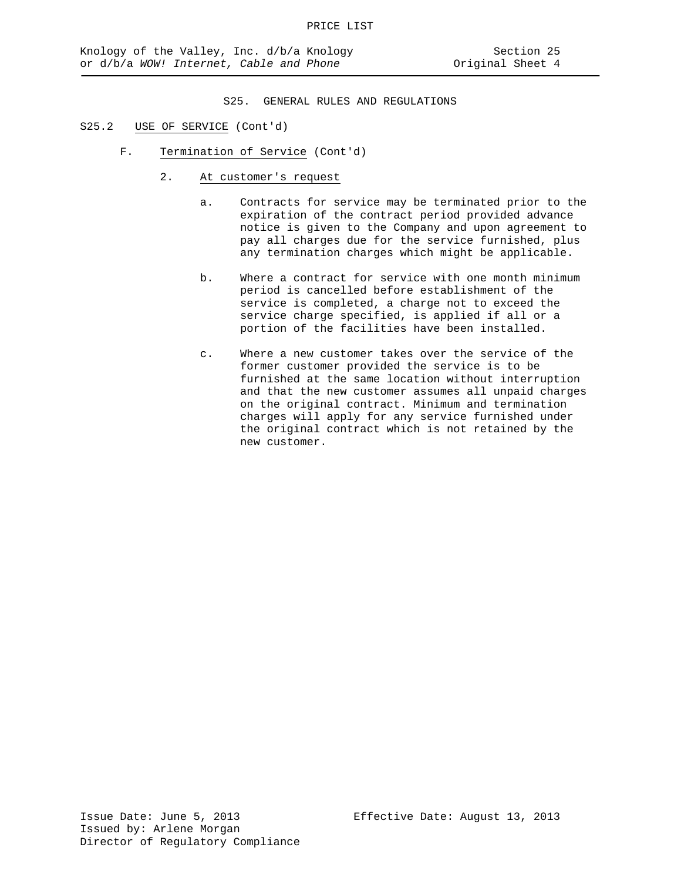- S25.2 USE OF SERVICE (Cont'd)
	- F. Termination of Service (Cont'd)
		- 2. At customer's request
			- a. Contracts for service may be terminated prior to the expiration of the contract period provided advance notice is given to the Company and upon agreement to pay all charges due for the service furnished, plus any termination charges which might be applicable.
			- b. Where a contract for service with one month minimum period is cancelled before establishment of the service is completed, a charge not to exceed the service charge specified, is applied if all or a portion of the facilities have been installed.
			- c. Where a new customer takes over the service of the former customer provided the service is to be furnished at the same location without interruption and that the new customer assumes all unpaid charges on the original contract. Minimum and termination charges will apply for any service furnished under the original contract which is not retained by the new customer.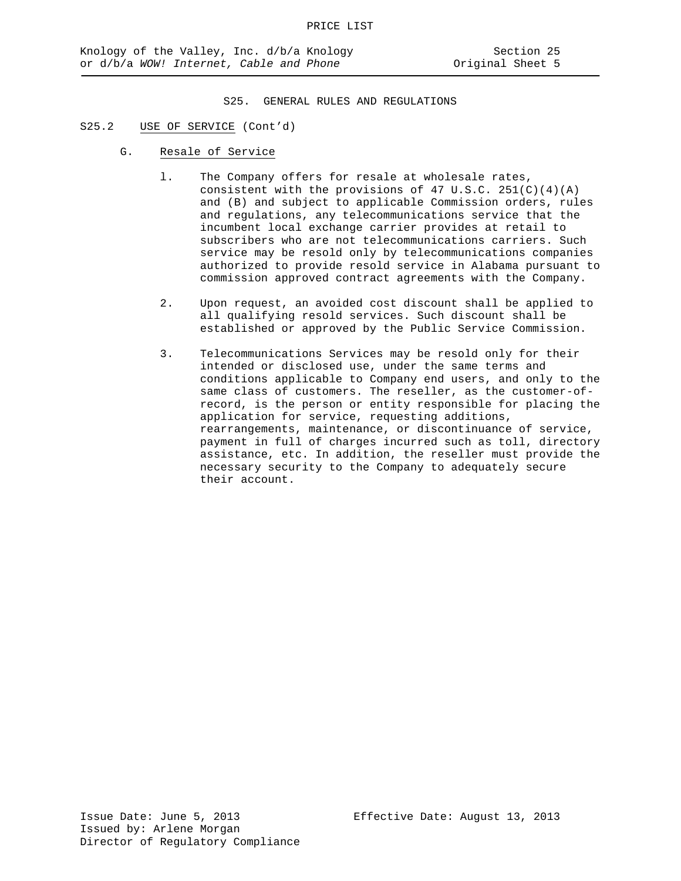## S25.2 USE OF SERVICE (Cont'd)

- G. Resale of Service
	- l. The Company offers for resale at wholesale rates, consistent with the provisions of 47 U.S.C. 251(C)(4)(A) and (B) and subject to applicable Commission orders, rules and regulations, any telecommunications service that the incumbent local exchange carrier provides at retail to subscribers who are not telecommunications carriers. Such service may be resold only by telecommunications companies authorized to provide resold service in Alabama pursuant to commission approved contract agreements with the Company.
	- 2. Upon request, an avoided cost discount shall be applied to all qualifying resold services. Such discount shall be established or approved by the Public Service Commission.
	- 3. Telecommunications Services may be resold only for their intended or disclosed use, under the same terms and conditions applicable to Company end users, and only to the same class of customers. The reseller, as the customer-ofrecord, is the person or entity responsible for placing the application for service, requesting additions, rearrangements, maintenance, or discontinuance of service, payment in full of charges incurred such as toll, directory assistance, etc. In addition, the reseller must provide the necessary security to the Company to adequately secure their account.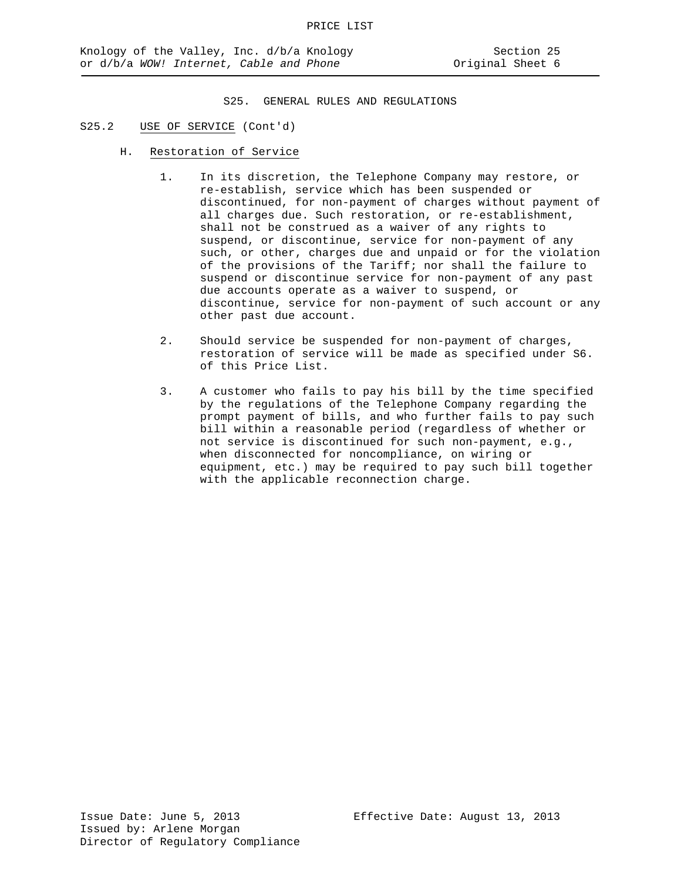- S25.2 USE OF SERVICE (Cont'd)
	- H. Restoration of Service
		- 1. In its discretion, the Telephone Company may restore, or re-establish, service which has been suspended or discontinued, for non-payment of charges without payment of all charges due. Such restoration, or re-establishment, shall not be construed as a waiver of any rights to suspend, or discontinue, service for non-payment of any such, or other, charges due and unpaid or for the violation of the provisions of the Tariff; nor shall the failure to suspend or discontinue service for non-payment of any past due accounts operate as a waiver to suspend, or discontinue, service for non-payment of such account or any other past due account.
		- 2. Should service be suspended for non-payment of charges, restoration of service will be made as specified under S6. of this Price List.
		- 3. A customer who fails to pay his bill by the time specified by the regulations of the Telephone Company regarding the prompt payment of bills, and who further fails to pay such bill within a reasonable period (regardless of whether or not service is discontinued for such non-payment, e.g., when disconnected for noncompliance, on wiring or equipment, etc.) may be required to pay such bill together with the applicable reconnection charge.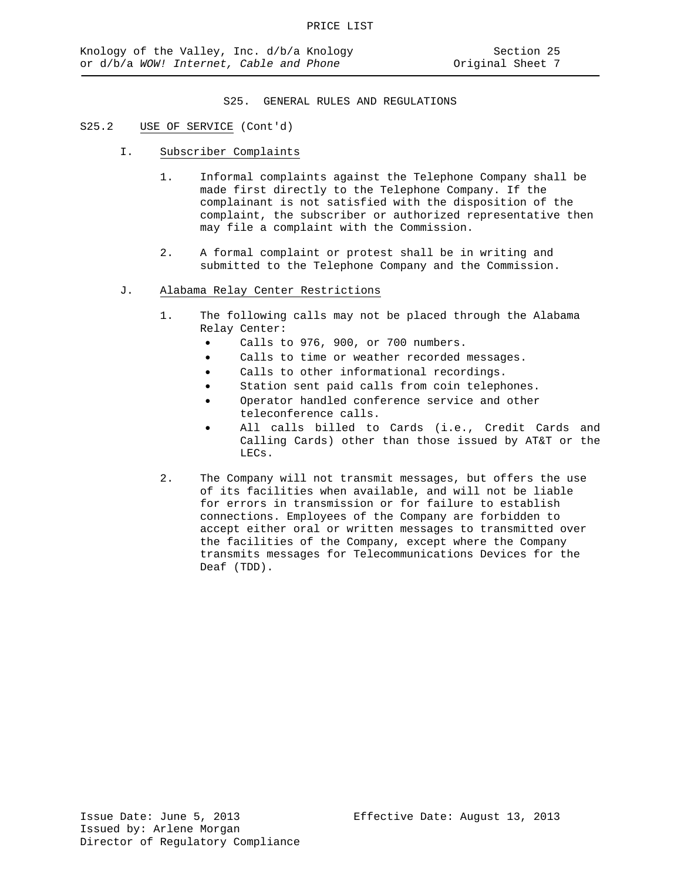### S25.2 USE OF SERVICE (Cont'd)

- I. Subscriber Complaints
	- 1. Informal complaints against the Telephone Company shall be made first directly to the Telephone Company. If the complainant is not satisfied with the disposition of the complaint, the subscriber or authorized representative then may file a complaint with the Commission.
	- 2. A formal complaint or protest shall be in writing and submitted to the Telephone Company and the Commission.
- J. Alabama Relay Center Restrictions
	- 1. The following calls may not be placed through the Alabama Relay Center:
		- Calls to 976, 900, or 700 numbers.
		- Calls to time or weather recorded messages.
		- Calls to other informational recordings.
		- Station sent paid calls from coin telephones.
		- Operator handled conference service and other teleconference calls.
		- All calls billed to Cards (i.e., Credit Cards and Calling Cards) other than those issued by AT&T or the LECs.
	- 2. The Company will not transmit messages, but offers the use of its facilities when available, and will not be liable for errors in transmission or for failure to establish connections. Employees of the Company are forbidden to accept either oral or written messages to transmitted over the facilities of the Company, except where the Company transmits messages for Telecommunications Devices for the Deaf (TDD).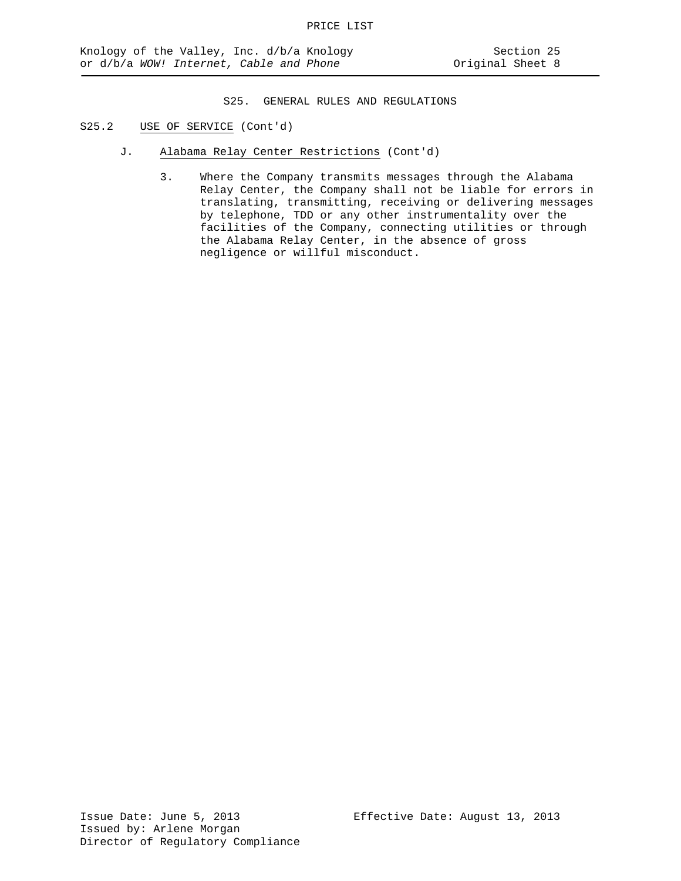- S25.2 USE OF SERVICE (Cont'd)
	- J. Alabama Relay Center Restrictions (Cont'd)
		- 3. Where the Company transmits messages through the Alabama Relay Center, the Company shall not be liable for errors in translating, transmitting, receiving or delivering messages by telephone, TDD or any other instrumentality over the facilities of the Company, connecting utilities or through the Alabama Relay Center, in the absence of gross negligence or willful misconduct.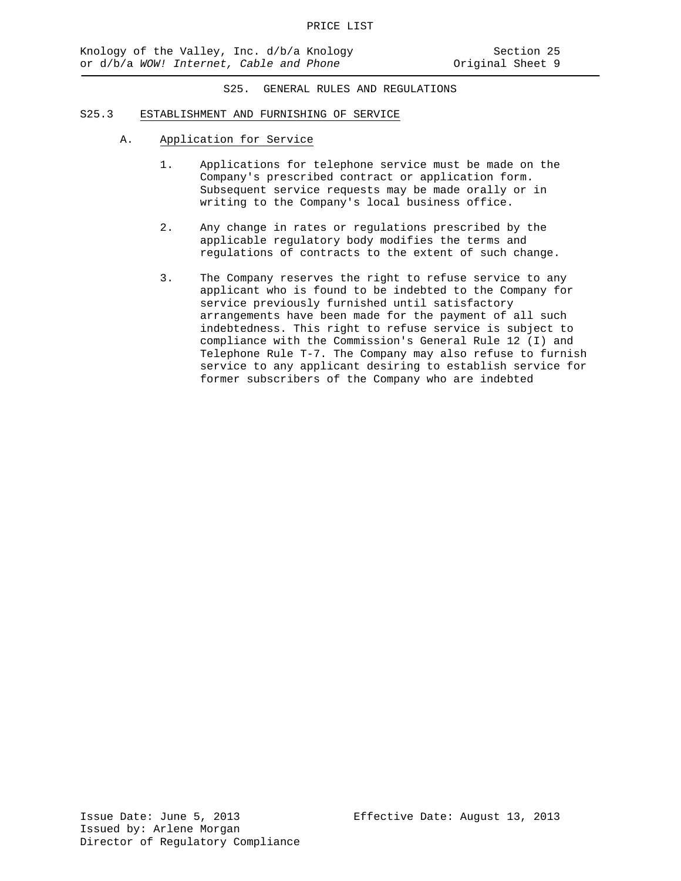#### S25.3 ESTABLISHMENT AND FURNISHING OF SERVICE

- A. Application for Service
	- 1. Applications for telephone service must be made on the Company's prescribed contract or application form. Subsequent service requests may be made orally or in writing to the Company's local business office.
	- 2. Any change in rates or regulations prescribed by the applicable regulatory body modifies the terms and regulations of contracts to the extent of such change.
	- 3. The Company reserves the right to refuse service to any applicant who is found to be indebted to the Company for service previously furnished until satisfactory arrangements have been made for the payment of all such indebtedness. This right to refuse service is subject to compliance with the Commission's General Rule 12 (I) and Telephone Rule T-7. The Company may also refuse to furnish service to any applicant desiring to establish service for former subscribers of the Company who are indebted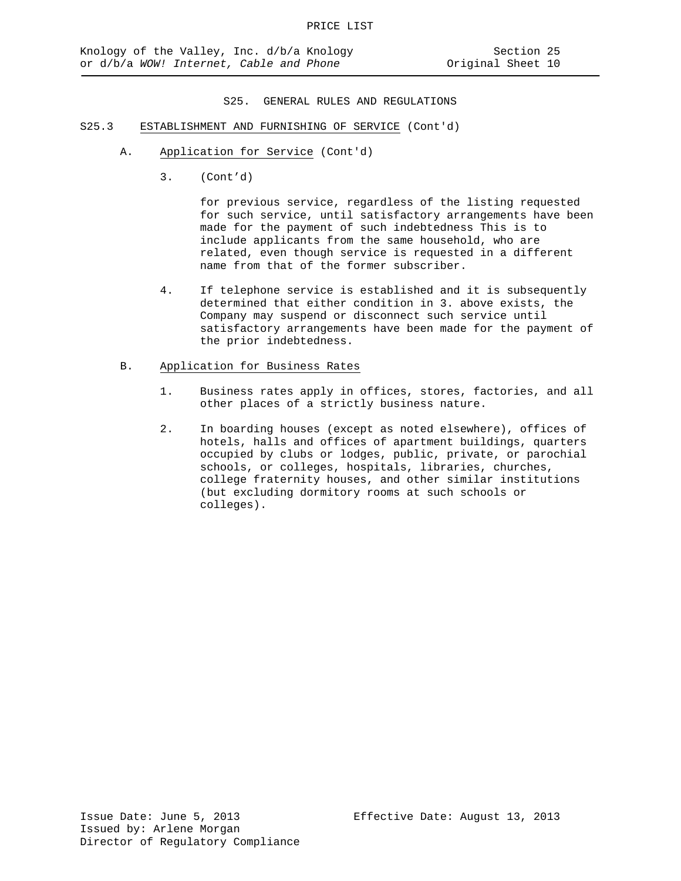- S25.3 ESTABLISHMENT AND FURNISHING OF SERVICE (Cont'd)
	- A. Application for Service (Cont'd)
		- 3. (Cont'd)

for previous service, regardless of the listing requested for such service, until satisfactory arrangements have been made for the payment of such indebtedness This is to include applicants from the same household, who are related, even though service is requested in a different name from that of the former subscriber.

4. If telephone service is established and it is subsequently determined that either condition in 3. above exists, the Company may suspend or disconnect such service until satisfactory arrangements have been made for the payment of the prior indebtedness.

#### B. Application for Business Rates

- 1. Business rates apply in offices, stores, factories, and all other places of a strictly business nature.
- 2. In boarding houses (except as noted elsewhere), offices of hotels, halls and offices of apartment buildings, quarters occupied by clubs or lodges, public, private, or parochial schools, or colleges, hospitals, libraries, churches, college fraternity houses, and other similar institutions (but excluding dormitory rooms at such schools or colleges).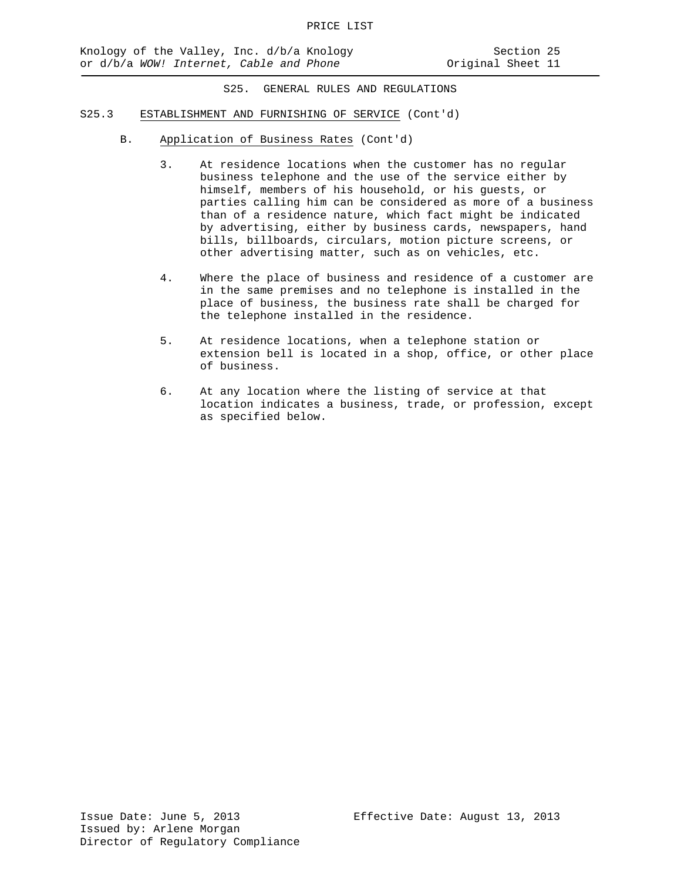- S25.3 ESTABLISHMENT AND FURNISHING OF SERVICE (Cont'd)
	- B. Application of Business Rates (Cont'd)
		- 3. At residence locations when the customer has no regular business telephone and the use of the service either by himself, members of his household, or his guests, or parties calling him can be considered as more of a business than of a residence nature, which fact might be indicated by advertising, either by business cards, newspapers, hand bills, billboards, circulars, motion picture screens, or other advertising matter, such as on vehicles, etc.
		- 4. Where the place of business and residence of a customer are in the same premises and no telephone is installed in the place of business, the business rate shall be charged for the telephone installed in the residence.
		- 5. At residence locations, when a telephone station or extension bell is located in a shop, office, or other place of business.
		- 6. At any location where the listing of service at that location indicates a business, trade, or profession, except as specified below.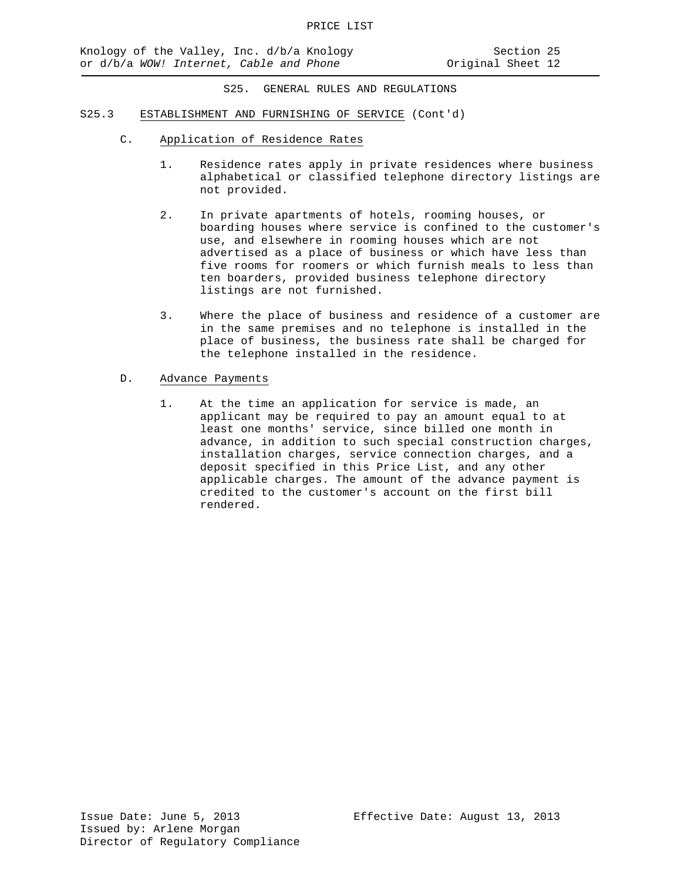- S25.3 ESTABLISHMENT AND FURNISHING OF SERVICE (Cont'd)
	- C. Application of Residence Rates
		- 1. Residence rates apply in private residences where business alphabetical or classified telephone directory listings are not provided.
		- 2. In private apartments of hotels, rooming houses, or boarding houses where service is confined to the customer's use, and elsewhere in rooming houses which are not advertised as a place of business or which have less than five rooms for roomers or which furnish meals to less than ten boarders, provided business telephone directory listings are not furnished.
		- 3. Where the place of business and residence of a customer are in the same premises and no telephone is installed in the place of business, the business rate shall be charged for the telephone installed in the residence.
	- D. Advance Payments
		- 1. At the time an application for service is made, an applicant may be required to pay an amount equal to at least one months' service, since billed one month in advance, in addition to such special construction charges, installation charges, service connection charges, and a deposit specified in this Price List, and any other applicable charges. The amount of the advance payment is credited to the customer's account on the first bill rendered.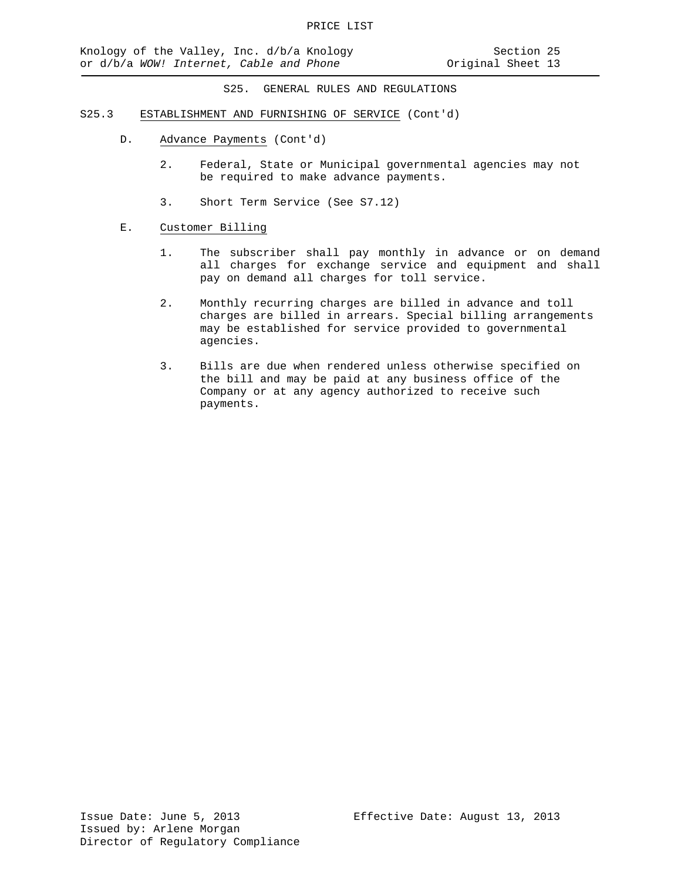- S25.3 ESTABLISHMENT AND FURNISHING OF SERVICE (Cont'd)
	- D. Advance Payments (Cont'd)
		- 2. Federal, State or Municipal governmental agencies may not be required to make advance payments.
		- 3. Short Term Service (See S7.12)
	- E. Customer Billing
		- 1. The subscriber shall pay monthly in advance or on demand all charges for exchange service and equipment and shall pay on demand all charges for toll service.
		- 2. Monthly recurring charges are billed in advance and toll charges are billed in arrears. Special billing arrangements may be established for service provided to governmental agencies.
		- 3. Bills are due when rendered unless otherwise specified on the bill and may be paid at any business office of the Company or at any agency authorized to receive such payments.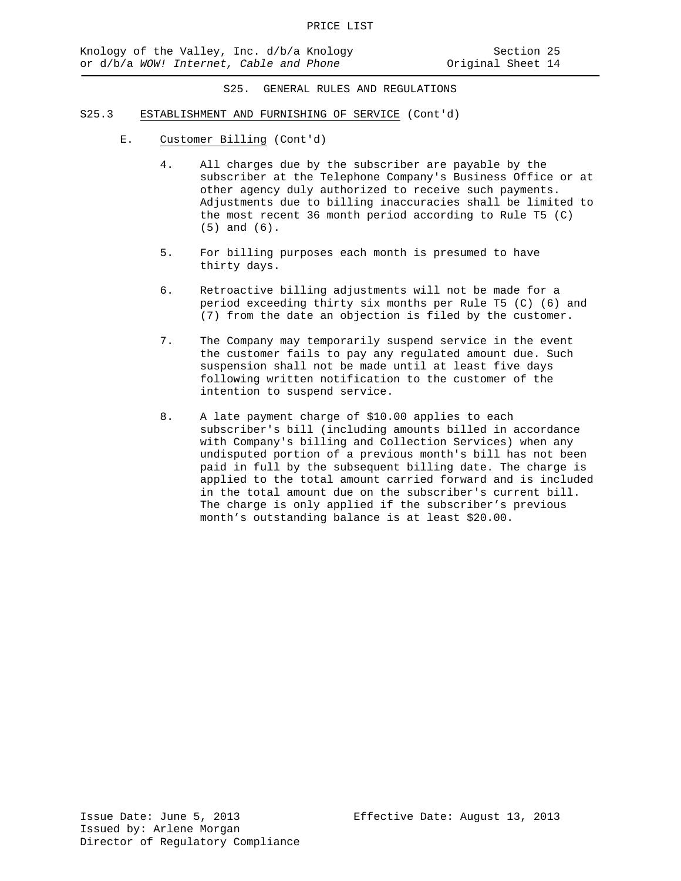- S25.3 ESTABLISHMENT AND FURNISHING OF SERVICE (Cont'd)
	- E. Customer Billing (Cont'd)
		- 4. All charges due by the subscriber are payable by the subscriber at the Telephone Company's Business Office or at other agency duly authorized to receive such payments. Adjustments due to billing inaccuracies shall be limited to the most recent 36 month period according to Rule T5 (C) (5) and (6).
		- 5. For billing purposes each month is presumed to have thirty days.
		- 6. Retroactive billing adjustments will not be made for a period exceeding thirty six months per Rule T5 (C) (6) and (7) from the date an objection is filed by the customer.
		- 7. The Company may temporarily suspend service in the event the customer fails to pay any regulated amount due. Such suspension shall not be made until at least five days following written notification to the customer of the intention to suspend service.
		- 8. A late payment charge of \$10.00 applies to each subscriber's bill (including amounts billed in accordance with Company's billing and Collection Services) when any undisputed portion of a previous month's bill has not been paid in full by the subsequent billing date. The charge is applied to the total amount carried forward and is included in the total amount due on the subscriber's current bill. The charge is only applied if the subscriber's previous month's outstanding balance is at least \$20.00.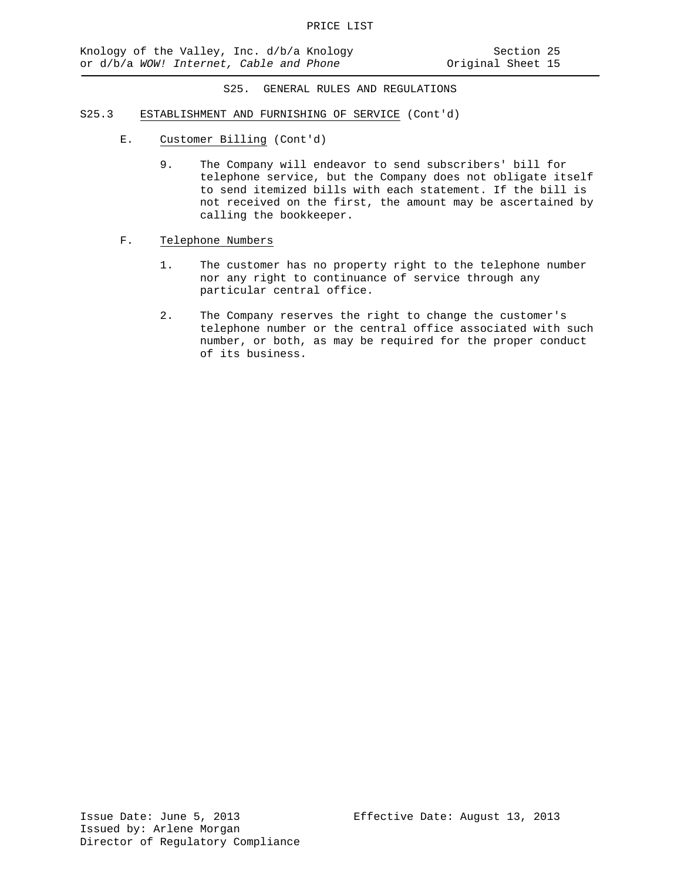- S25.3 ESTABLISHMENT AND FURNISHING OF SERVICE (Cont'd)
	- E. Customer Billing (Cont'd)
		- 9. The Company will endeavor to send subscribers' bill for telephone service, but the Company does not obligate itself to send itemized bills with each statement. If the bill is not received on the first, the amount may be ascertained by calling the bookkeeper.
	- F. Telephone Numbers
		- 1. The customer has no property right to the telephone number nor any right to continuance of service through any particular central office.
		- 2. The Company reserves the right to change the customer's telephone number or the central office associated with such number, or both, as may be required for the proper conduct of its business.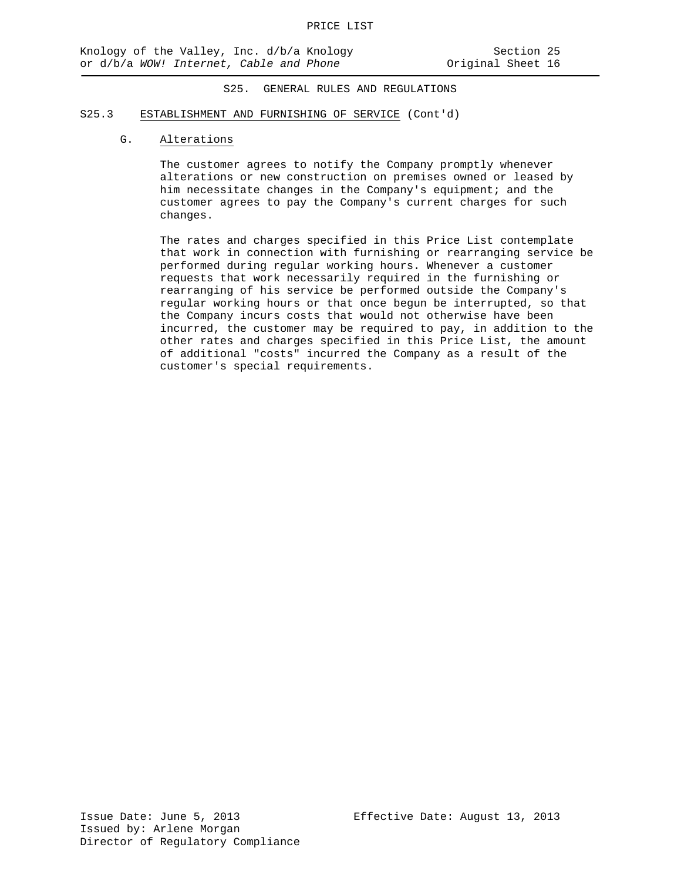#### S25.3 ESTABLISHMENT AND FURNISHING OF SERVICE (Cont'd)

## G. Alterations

The customer agrees to notify the Company promptly whenever alterations or new construction on premises owned or leased by him necessitate changes in the Company's equipment; and the customer agrees to pay the Company's current charges for such changes.

The rates and charges specified in this Price List contemplate that work in connection with furnishing or rearranging service be performed during regular working hours. Whenever a customer requests that work necessarily required in the furnishing or rearranging of his service be performed outside the Company's regular working hours or that once begun be interrupted, so that the Company incurs costs that would not otherwise have been incurred, the customer may be required to pay, in addition to the other rates and charges specified in this Price List, the amount of additional "costs" incurred the Company as a result of the customer's special requirements.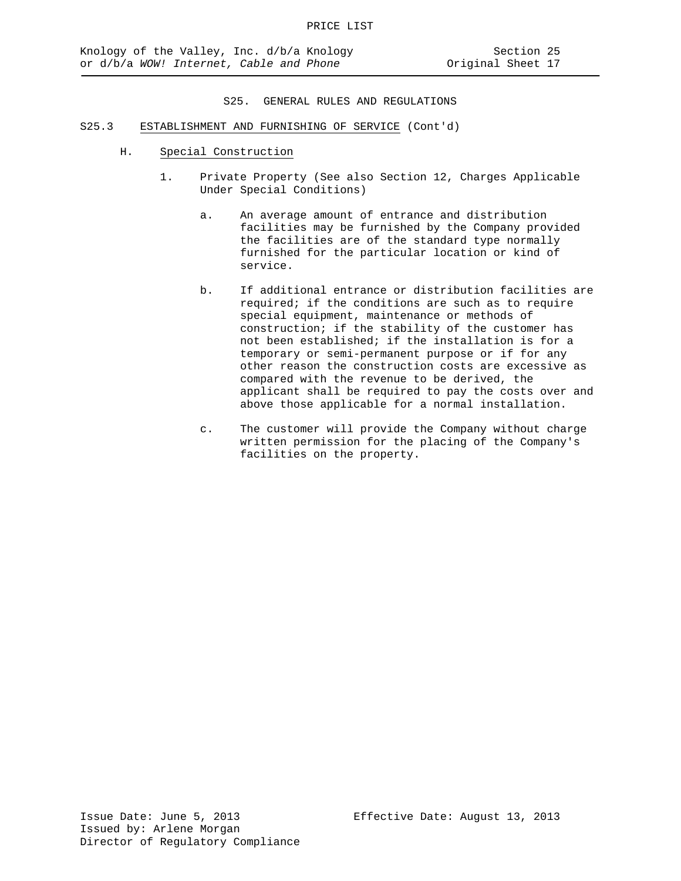- S25.3 ESTABLISHMENT AND FURNISHING OF SERVICE (Cont'd)
	- H. Special Construction
		- 1. Private Property (See also Section 12, Charges Applicable Under Special Conditions)
			- a. An average amount of entrance and distribution facilities may be furnished by the Company provided the facilities are of the standard type normally furnished for the particular location or kind of service.
			- b. If additional entrance or distribution facilities are required; if the conditions are such as to require special equipment, maintenance or methods of construction; if the stability of the customer has not been established; if the installation is for a temporary or semi-permanent purpose or if for any other reason the construction costs are excessive as compared with the revenue to be derived, the applicant shall be required to pay the costs over and above those applicable for a normal installation.
			- c. The customer will provide the Company without charge written permission for the placing of the Company's facilities on the property.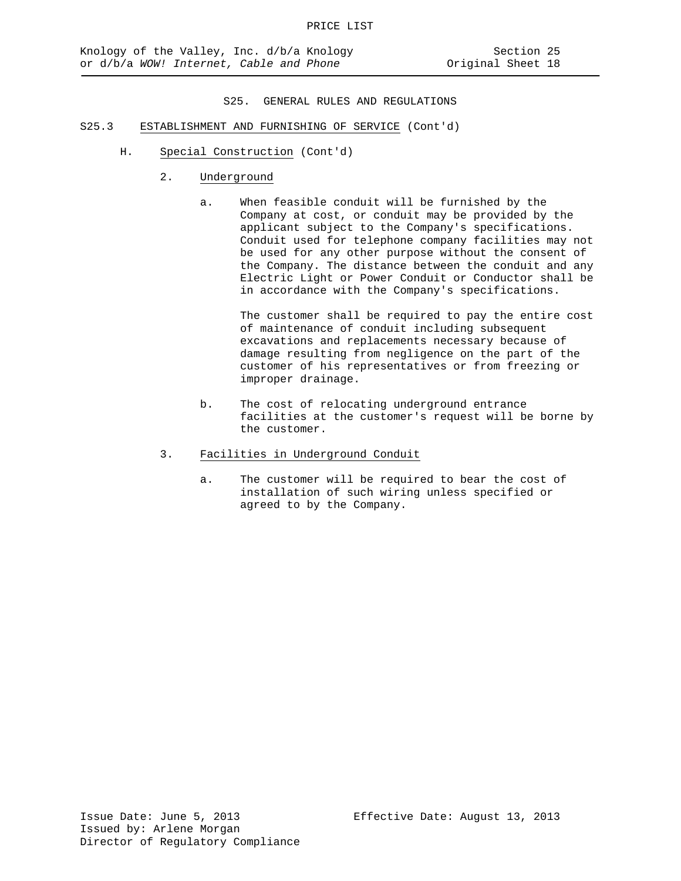- S25.3 ESTABLISHMENT AND FURNISHING OF SERVICE (Cont'd)
	- H. Special Construction (Cont'd)
		- 2. Underground
			- a. When feasible conduit will be furnished by the Company at cost, or conduit may be provided by the applicant subject to the Company's specifications. Conduit used for telephone company facilities may not be used for any other purpose without the consent of the Company. The distance between the conduit and any Electric Light or Power Conduit or Conductor shall be in accordance with the Company's specifications.

The customer shall be required to pay the entire cost of maintenance of conduit including subsequent excavations and replacements necessary because of damage resulting from negligence on the part of the customer of his representatives or from freezing or improper drainage.

- b. The cost of relocating underground entrance facilities at the customer's request will be borne by the customer.
- 3. Facilities in Underground Conduit
	- a. The customer will be required to bear the cost of installation of such wiring unless specified or agreed to by the Company.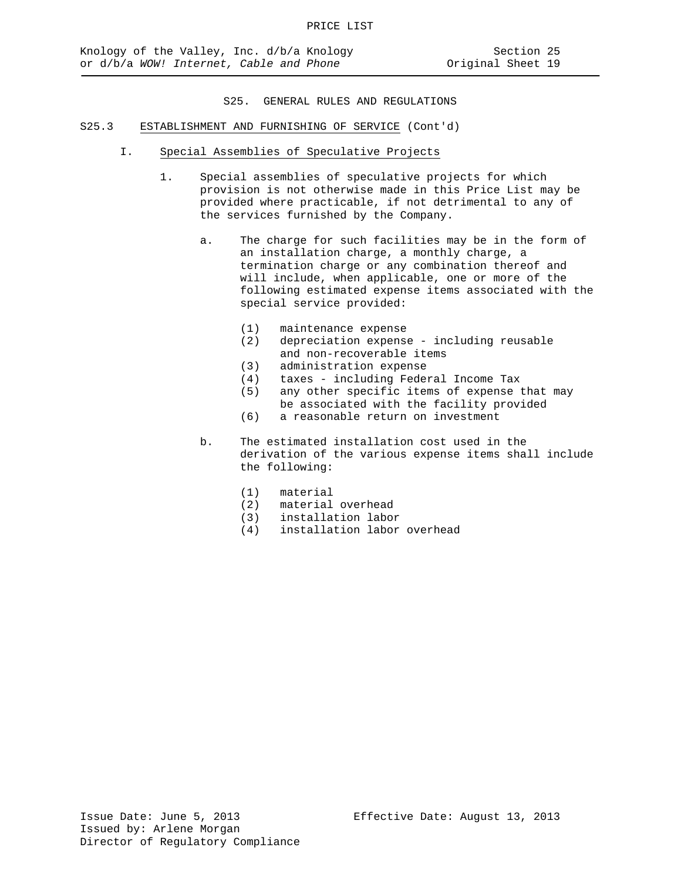- S25.3 ESTABLISHMENT AND FURNISHING OF SERVICE (Cont'd)
	- I. Special Assemblies of Speculative Projects
		- 1. Special assemblies of speculative projects for which provision is not otherwise made in this Price List may be provided where practicable, if not detrimental to any of the services furnished by the Company.
			- a. The charge for such facilities may be in the form of an installation charge, a monthly charge, a termination charge or any combination thereof and will include, when applicable, one or more of the following estimated expense items associated with the special service provided:
				- (1) maintenance expense<br>(2) depreciation expense
				- depreciation expense including reusable and non-recoverable items
				- (3) administration expense<br>(4) taxes including Fede:
				- (4) taxes including Federal Income Tax
				- any other specific items of expense that may be associated with the facility provided
				- (6) a reasonable return on investment
			- b. The estimated installation cost used in the derivation of the various expense items shall include the following:
				- (1) material
				- material overhead
				- (3) installation labor
				- (4) installation labor overhead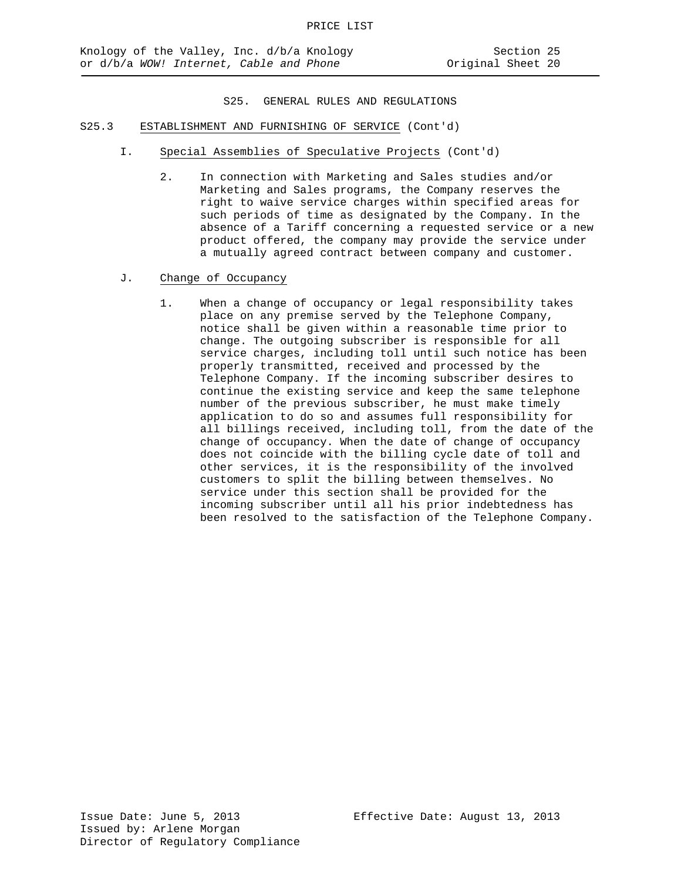- S25.3 ESTABLISHMENT AND FURNISHING OF SERVICE (Cont'd)
	- I. Special Assemblies of Speculative Projects (Cont'd)
		- 2. In connection with Marketing and Sales studies and/or Marketing and Sales programs, the Company reserves the right to waive service charges within specified areas for such periods of time as designated by the Company. In the absence of a Tariff concerning a requested service or a new product offered, the company may provide the service under a mutually agreed contract between company and customer.
	- J. Change of Occupancy
		- 1. When a change of occupancy or legal responsibility takes place on any premise served by the Telephone Company, notice shall be given within a reasonable time prior to change. The outgoing subscriber is responsible for all service charges, including toll until such notice has been properly transmitted, received and processed by the Telephone Company. If the incoming subscriber desires to continue the existing service and keep the same telephone number of the previous subscriber, he must make timely application to do so and assumes full responsibility for all billings received, including toll, from the date of the change of occupancy. When the date of change of occupancy does not coincide with the billing cycle date of toll and other services, it is the responsibility of the involved customers to split the billing between themselves. No service under this section shall be provided for the incoming subscriber until all his prior indebtedness has been resolved to the satisfaction of the Telephone Company.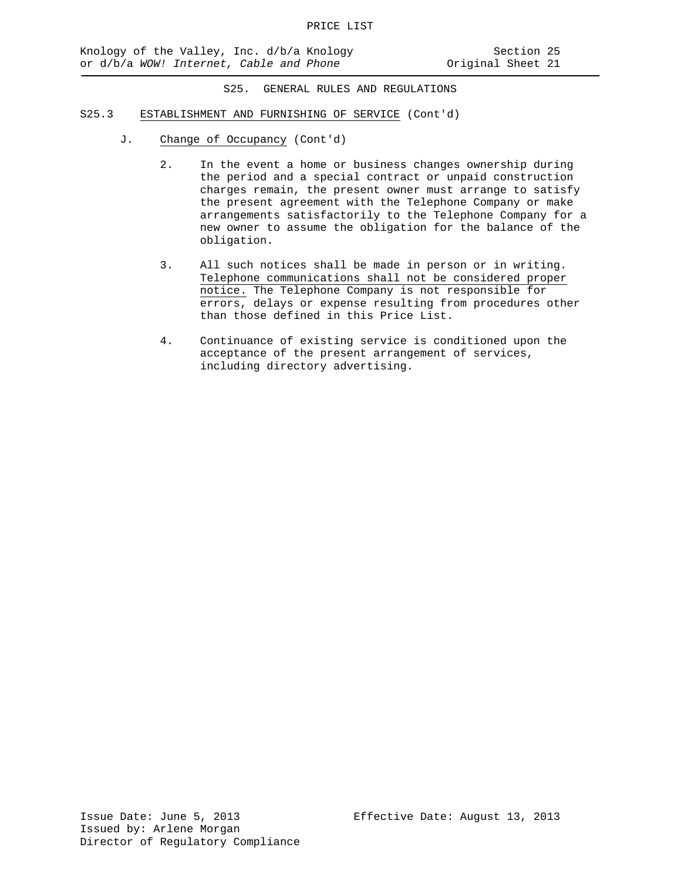- S25.3 ESTABLISHMENT AND FURNISHING OF SERVICE (Cont'd)
	- J. Change of Occupancy (Cont'd)
		- 2. In the event a home or business changes ownership during the period and a special contract or unpaid construction charges remain, the present owner must arrange to satisfy the present agreement with the Telephone Company or make arrangements satisfactorily to the Telephone Company for a new owner to assume the obligation for the balance of the obligation.
		- 3. All such notices shall be made in person or in writing. Telephone communications shall not be considered proper notice. The Telephone Company is not responsible for errors, delays or expense resulting from procedures other than those defined in this Price List.
		- 4. Continuance of existing service is conditioned upon the acceptance of the present arrangement of services, including directory advertising.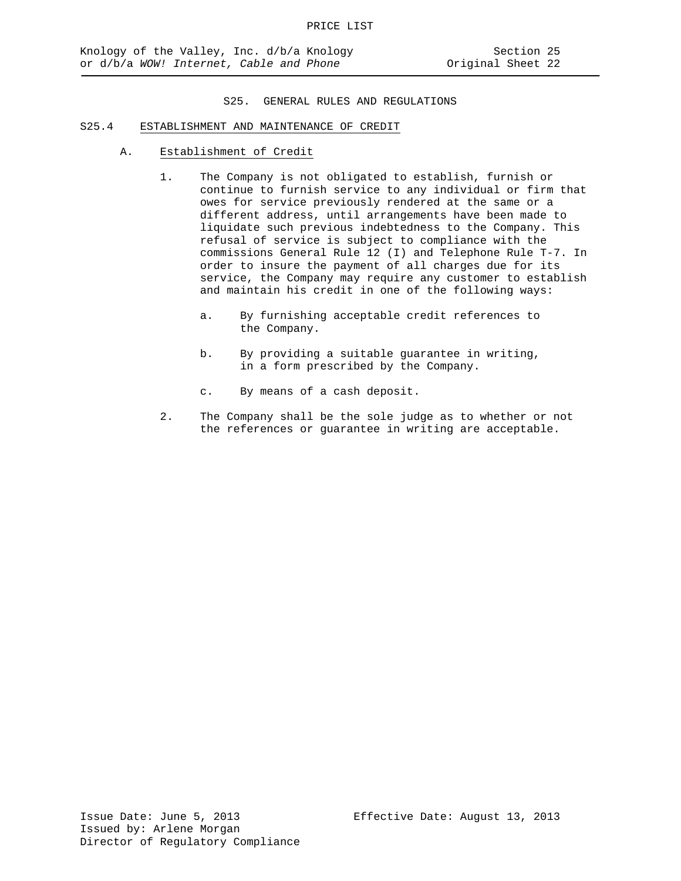## S25.4 ESTABLISHMENT AND MAINTENANCE OF CREDIT

- A. Establishment of Credit
	- 1. The Company is not obligated to establish, furnish or continue to furnish service to any individual or firm that owes for service previously rendered at the same or a different address, until arrangements have been made to liquidate such previous indebtedness to the Company. This refusal of service is subject to compliance with the commissions General Rule 12 (I) and Telephone Rule T-7. In order to insure the payment of all charges due for its service, the Company may require any customer to establish and maintain his credit in one of the following ways:
		- a. By furnishing acceptable credit references to the Company.
		- b. By providing a suitable guarantee in writing, in a form prescribed by the Company.
		- c. By means of a cash deposit.
	- 2. The Company shall be the sole judge as to whether or not the references or guarantee in writing are acceptable.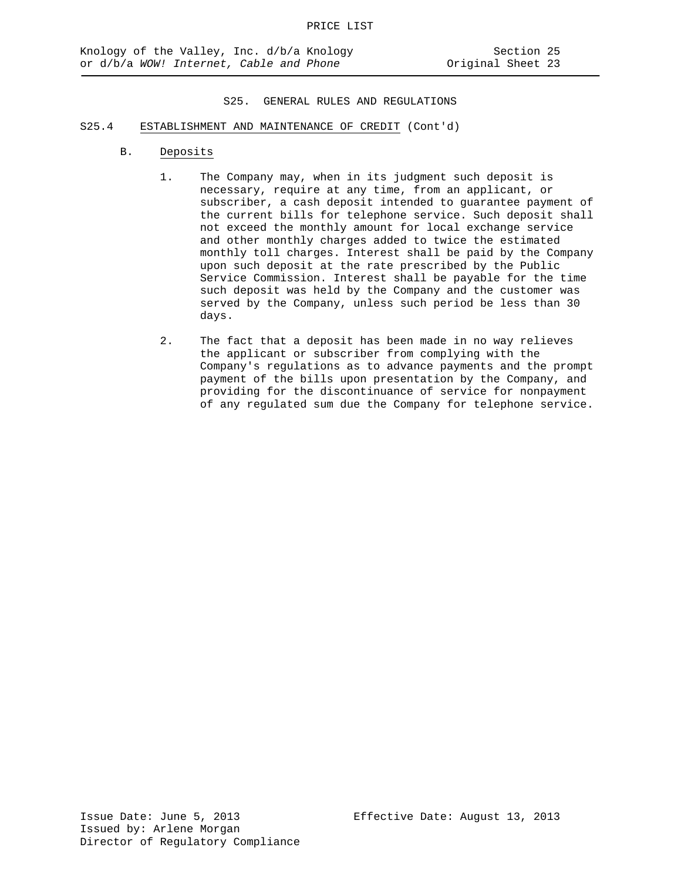- S25.4 ESTABLISHMENT AND MAINTENANCE OF CREDIT (Cont'd)
	- B. Deposits
		- 1. The Company may, when in its judgment such deposit is necessary, require at any time, from an applicant, or subscriber, a cash deposit intended to guarantee payment of the current bills for telephone service. Such deposit shall not exceed the monthly amount for local exchange service and other monthly charges added to twice the estimated monthly toll charges. Interest shall be paid by the Company upon such deposit at the rate prescribed by the Public Service Commission. Interest shall be payable for the time such deposit was held by the Company and the customer was served by the Company, unless such period be less than 30 days.
		- 2. The fact that a deposit has been made in no way relieves the applicant or subscriber from complying with the Company's regulations as to advance payments and the prompt payment of the bills upon presentation by the Company, and providing for the discontinuance of service for nonpayment of any regulated sum due the Company for telephone service.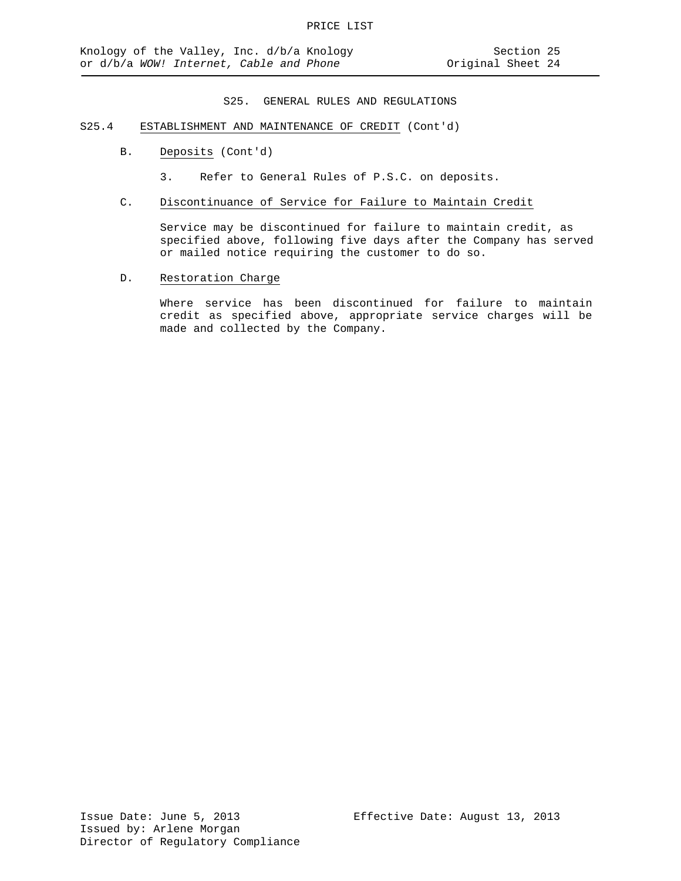- S25.4 ESTABLISHMENT AND MAINTENANCE OF CREDIT (Cont'd)
	- B. Deposits (Cont'd)
		- 3. Refer to General Rules of P.S.C. on deposits.
	- C. Discontinuance of Service for Failure to Maintain Credit

Service may be discontinued for failure to maintain credit, as specified above, following five days after the Company has served or mailed notice requiring the customer to do so.

D. Restoration Charge

Where service has been discontinued for failure to maintain credit as specified above, appropriate service charges will be made and collected by the Company.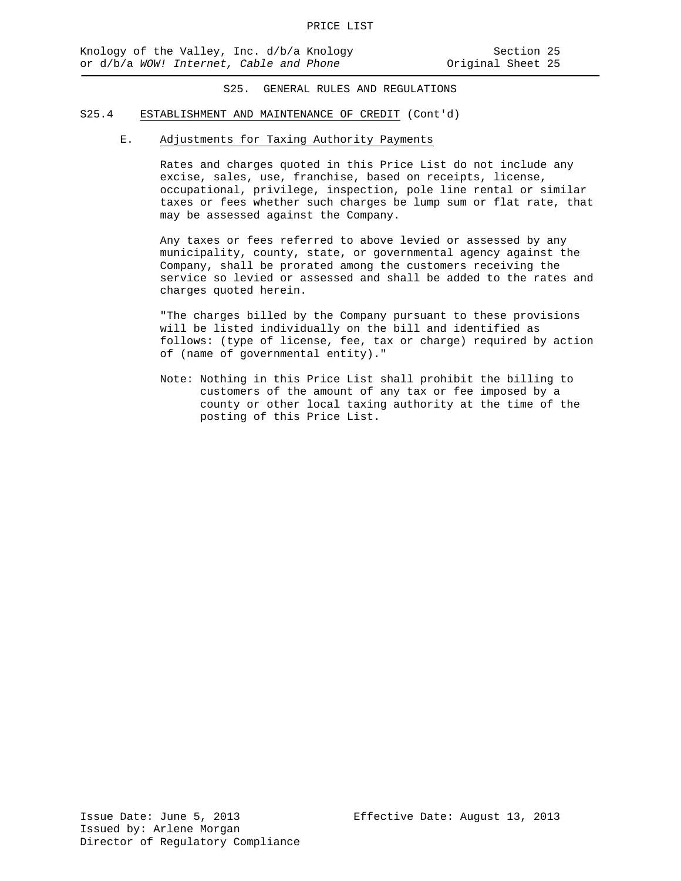## S25.4 ESTABLISHMENT AND MAINTENANCE OF CREDIT (Cont'd)

## E. Adjustments for Taxing Authority Payments

Rates and charges quoted in this Price List do not include any excise, sales, use, franchise, based on receipts, license, occupational, privilege, inspection, pole line rental or similar taxes or fees whether such charges be lump sum or flat rate, that may be assessed against the Company.

Any taxes or fees referred to above levied or assessed by any municipality, county, state, or governmental agency against the Company, shall be prorated among the customers receiving the service so levied or assessed and shall be added to the rates and charges quoted herein.

"The charges billed by the Company pursuant to these provisions will be listed individually on the bill and identified as follows: (type of license, fee, tax or charge) required by action of (name of governmental entity)."

Note: Nothing in this Price List shall prohibit the billing to customers of the amount of any tax or fee imposed by a county or other local taxing authority at the time of the posting of this Price List.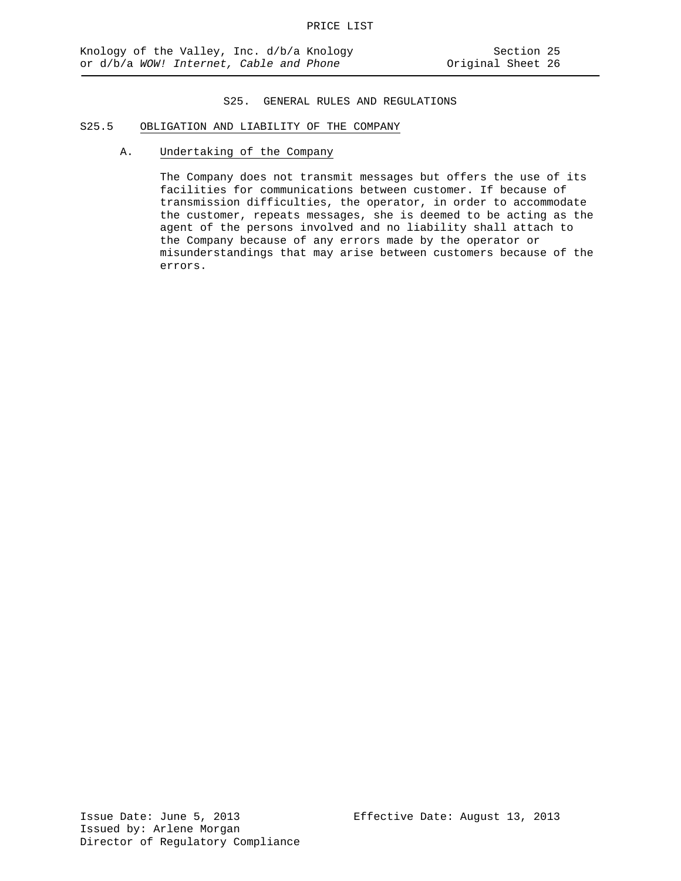## S25.5 OBLIGATION AND LIABILITY OF THE COMPANY

A. Undertaking of the Company

The Company does not transmit messages but offers the use of its facilities for communications between customer. If because of transmission difficulties, the operator, in order to accommodate the customer, repeats messages, she is deemed to be acting as the agent of the persons involved and no liability shall attach to the Company because of any errors made by the operator or misunderstandings that may arise between customers because of the errors.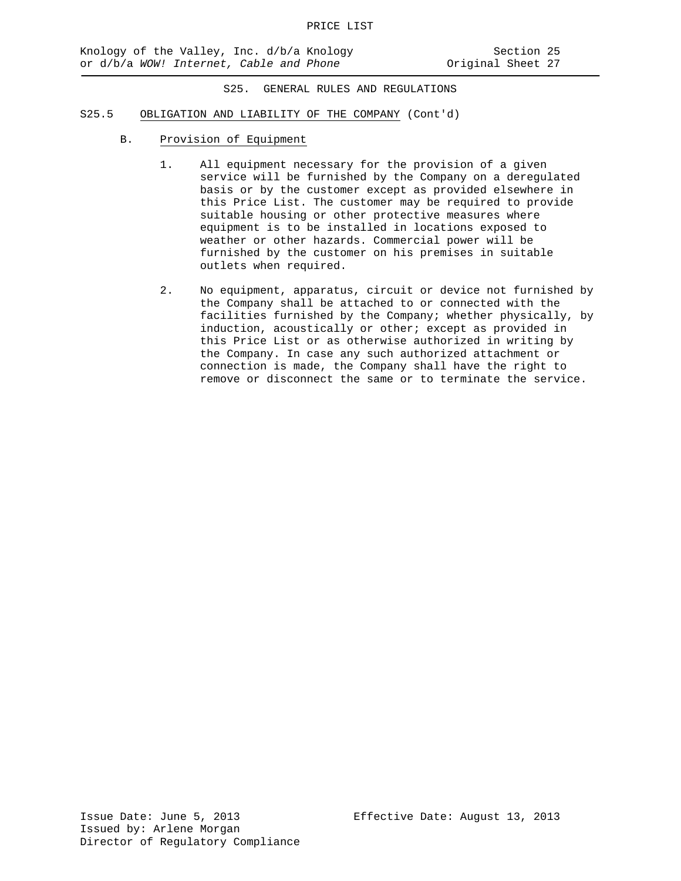## S25.5 OBLIGATION AND LIABILITY OF THE COMPANY (Cont'd)

- B. Provision of Equipment
	- 1. All equipment necessary for the provision of a given service will be furnished by the Company on a deregulated basis or by the customer except as provided elsewhere in this Price List. The customer may be required to provide suitable housing or other protective measures where equipment is to be installed in locations exposed to weather or other hazards. Commercial power will be furnished by the customer on his premises in suitable outlets when required.
	- 2. No equipment, apparatus, circuit or device not furnished by the Company shall be attached to or connected with the facilities furnished by the Company; whether physically, by induction, acoustically or other; except as provided in this Price List or as otherwise authorized in writing by the Company. In case any such authorized attachment or connection is made, the Company shall have the right to remove or disconnect the same or to terminate the service.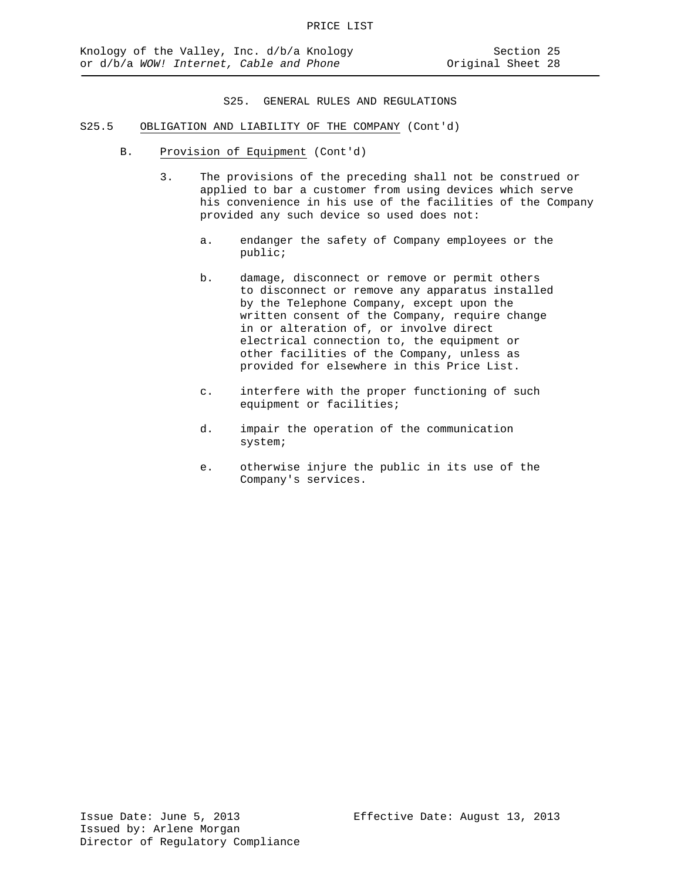- S25.5 OBLIGATION AND LIABILITY OF THE COMPANY (Cont'd)
	- B. Provision of Equipment (Cont'd)
		- 3. The provisions of the preceding shall not be construed or applied to bar a customer from using devices which serve his convenience in his use of the facilities of the Company provided any such device so used does not:
			- a. endanger the safety of Company employees or the public;
			- b. damage, disconnect or remove or permit others to disconnect or remove any apparatus installed by the Telephone Company, except upon the written consent of the Company, require change in or alteration of, or involve direct electrical connection to, the equipment or other facilities of the Company, unless as provided for elsewhere in this Price List.
			- c. interfere with the proper functioning of such equipment or facilities;
			- d. impair the operation of the communication system;
			- e. otherwise injure the public in its use of the Company's services.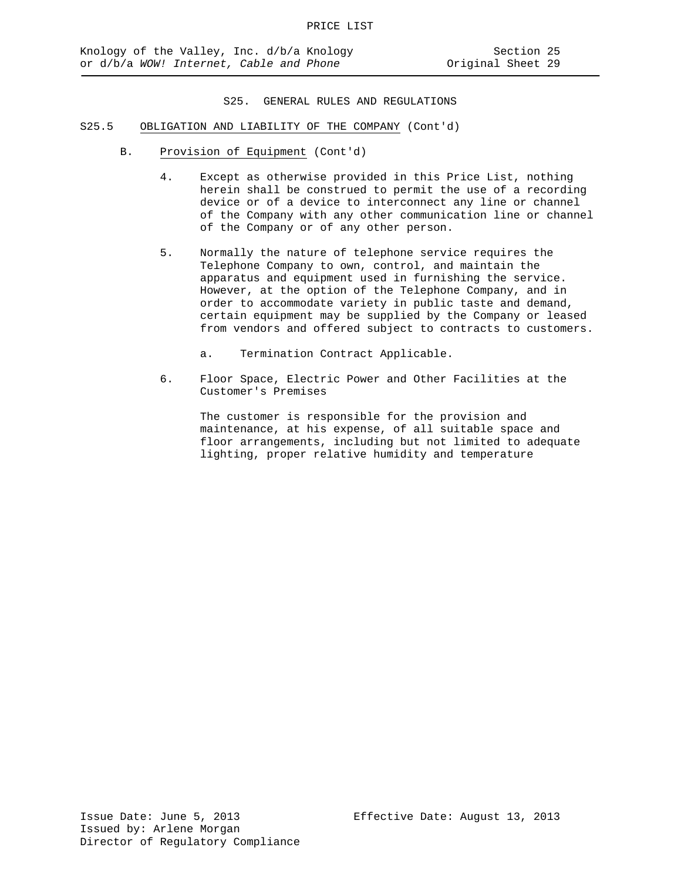- S25.5 OBLIGATION AND LIABILITY OF THE COMPANY (Cont'd)
	- B. Provision of Equipment (Cont'd)
		- 4. Except as otherwise provided in this Price List, nothing herein shall be construed to permit the use of a recording device or of a device to interconnect any line or channel of the Company with any other communication line or channel of the Company or of any other person.
		- 5. Normally the nature of telephone service requires the Telephone Company to own, control, and maintain the apparatus and equipment used in furnishing the service. However, at the option of the Telephone Company, and in order to accommodate variety in public taste and demand, certain equipment may be supplied by the Company or leased from vendors and offered subject to contracts to customers.
			- a. Termination Contract Applicable.
		- 6. Floor Space, Electric Power and Other Facilities at the Customer's Premises

The customer is responsible for the provision and maintenance, at his expense, of all suitable space and floor arrangements, including but not limited to adequate lighting, proper relative humidity and temperature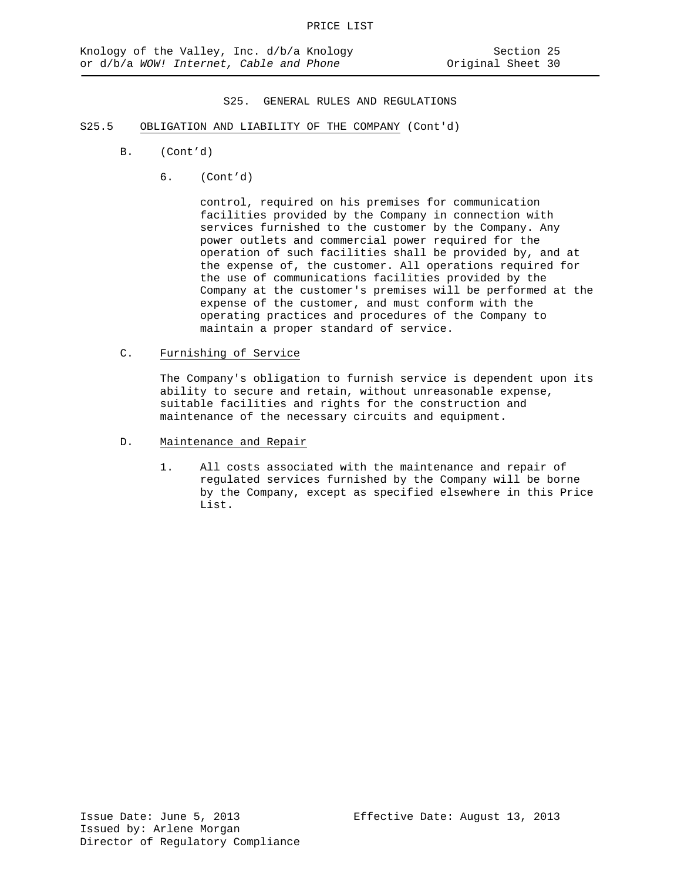- S25.5 OBLIGATION AND LIABILITY OF THE COMPANY (Cont'd)
	- B. (Cont'd)
		- 6. (Cont'd)

control, required on his premises for communication facilities provided by the Company in connection with services furnished to the customer by the Company. Any power outlets and commercial power required for the operation of such facilities shall be provided by, and at the expense of, the customer. All operations required for the use of communications facilities provided by the Company at the customer's premises will be performed at the expense of the customer, and must conform with the operating practices and procedures of the Company to maintain a proper standard of service.

C. Furnishing of Service

The Company's obligation to furnish service is dependent upon its ability to secure and retain, without unreasonable expense, suitable facilities and rights for the construction and maintenance of the necessary circuits and equipment.

- D. Maintenance and Repair
	- 1. All costs associated with the maintenance and repair of regulated services furnished by the Company will be borne by the Company, except as specified elsewhere in this Price List.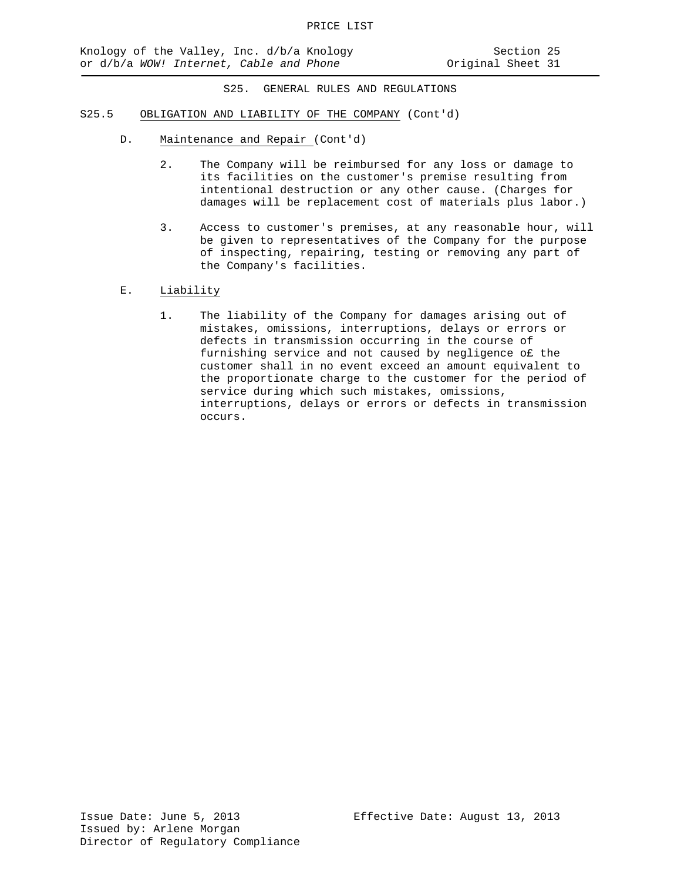- S25.5 OBLIGATION AND LIABILITY OF THE COMPANY (Cont'd)
	- D. Maintenance and Repair (Cont'd)
		- 2. The Company will be reimbursed for any loss or damage to its facilities on the customer's premise resulting from intentional destruction or any other cause. (Charges for damages will be replacement cost of materials plus labor.)
		- 3. Access to customer's premises, at any reasonable hour, will be given to representatives of the Company for the purpose of inspecting, repairing, testing or removing any part of the Company's facilities.
	- E. Liability
		- 1. The liability of the Company for damages arising out of mistakes, omissions, interruptions, delays or errors or defects in transmission occurring in the course of furnishing service and not caused by negligence o£ the customer shall in no event exceed an amount equivalent to the proportionate charge to the customer for the period of service during which such mistakes, omissions, interruptions, delays or errors or defects in transmission occurs.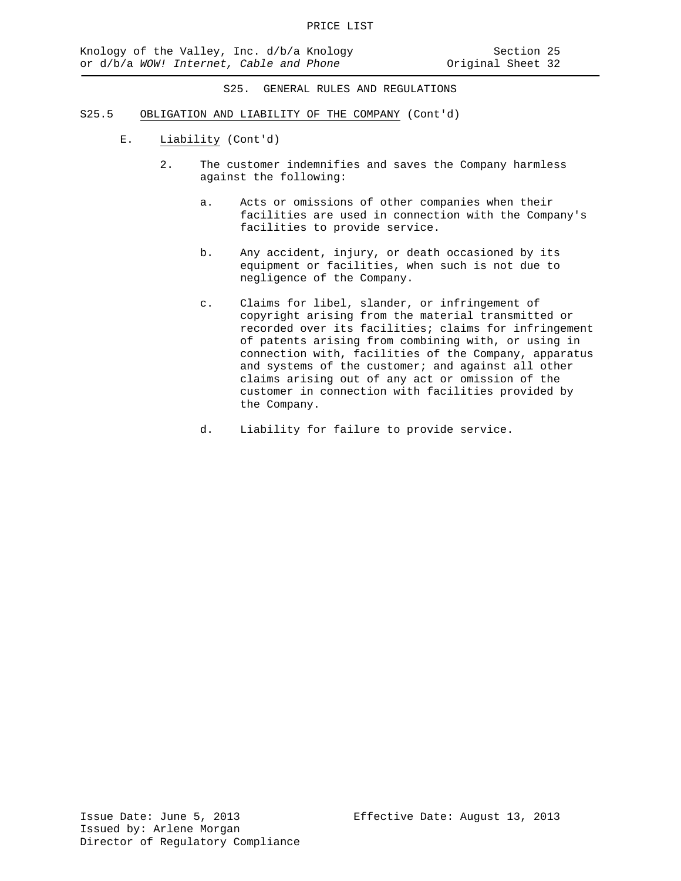- S25.5 OBLIGATION AND LIABILITY OF THE COMPANY (Cont'd)
	- E. Liability (Cont'd)
		- 2. The customer indemnifies and saves the Company harmless against the following:
			- a. Acts or omissions of other companies when their facilities are used in connection with the Company's facilities to provide service.
			- b. Any accident, injury, or death occasioned by its equipment or facilities, when such is not due to negligence of the Company.
			- c. Claims for libel, slander, or infringement of copyright arising from the material transmitted or recorded over its facilities; claims for infringement of patents arising from combining with, or using in connection with, facilities of the Company, apparatus and systems of the customer; and against all other claims arising out of any act or omission of the customer in connection with facilities provided by the Company.
			- d. Liability for failure to provide service.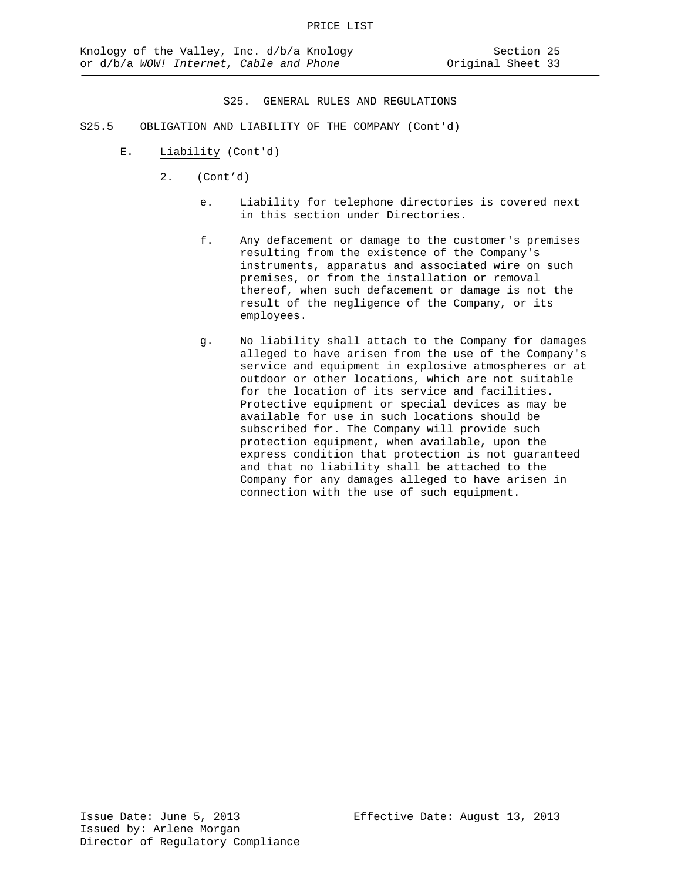- S25.5 OBLIGATION AND LIABILITY OF THE COMPANY (Cont'd)
	- E. Liability (Cont'd)
		- 2. (Cont'd)
			- e. Liability for telephone directories is covered next in this section under Directories.
			- f. Any defacement or damage to the customer's premises resulting from the existence of the Company's instruments, apparatus and associated wire on such premises, or from the installation or removal thereof, when such defacement or damage is not the result of the negligence of the Company, or its employees.
			- g. No liability shall attach to the Company for damages alleged to have arisen from the use of the Company's service and equipment in explosive atmospheres or at outdoor or other locations, which are not suitable for the location of its service and facilities. Protective equipment or special devices as may be available for use in such locations should be subscribed for. The Company will provide such protection equipment, when available, upon the express condition that protection is not guaranteed and that no liability shall be attached to the Company for any damages alleged to have arisen in connection with the use of such equipment.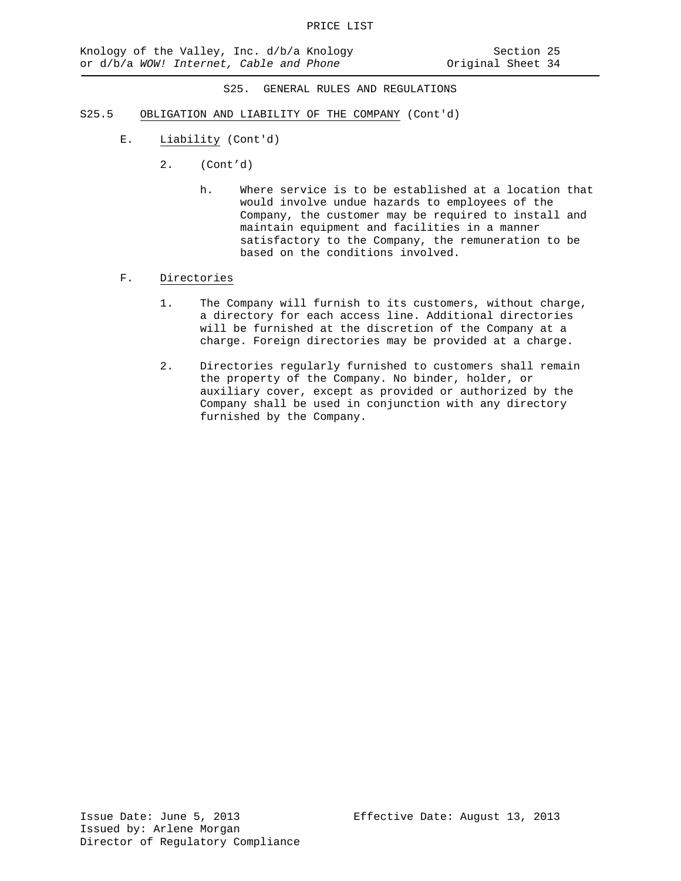- S25.5 OBLIGATION AND LIABILITY OF THE COMPANY (Cont'd)
	- E. Liability (Cont'd)
		- 2. (Cont'd)
			- h. Where service is to be established at a location that would involve undue hazards to employees of the Company, the customer may be required to install and maintain equipment and facilities in a manner satisfactory to the Company, the remuneration to be based on the conditions involved.
	- F. Directories
		- 1. The Company will furnish to its customers, without charge, a directory for each access line. Additional directories will be furnished at the discretion of the Company at a charge. Foreign directories may be provided at a charge.
		- 2. Directories regularly furnished to customers shall remain the property of the Company. No binder, holder, or auxiliary cover, except as provided or authorized by the Company shall be used in conjunction with any directory furnished by the Company.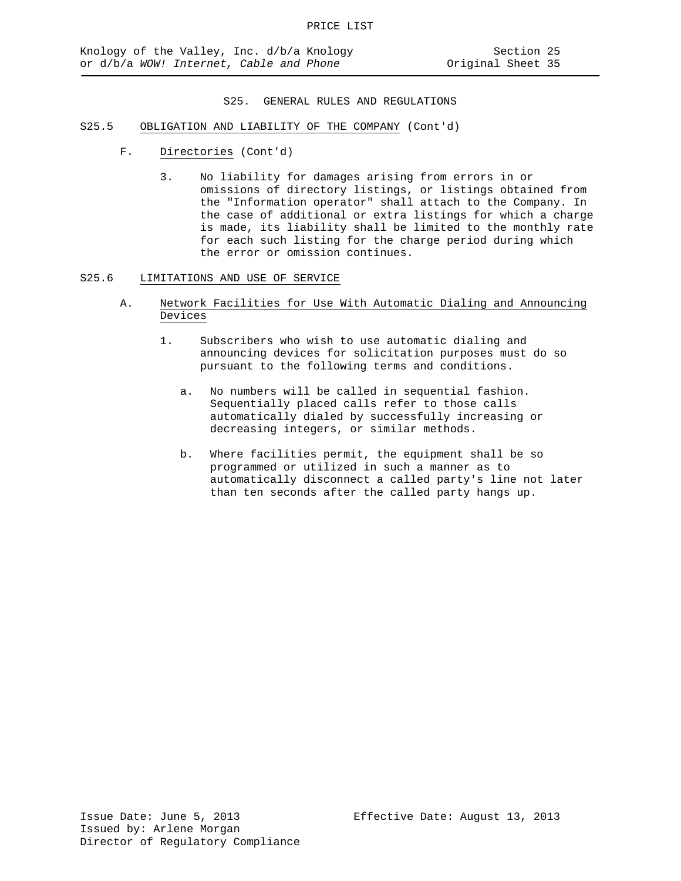- S25.5 OBLIGATION AND LIABILITY OF THE COMPANY (Cont'd)
	- F. Directories (Cont'd)
		- 3. No liability for damages arising from errors in or omissions of directory listings, or listings obtained from the "Information operator" shall attach to the Company. In the case of additional or extra listings for which a charge is made, its liability shall be limited to the monthly rate for each such listing for the charge period during which the error or omission continues.
- S25.6 LIMITATIONS AND USE OF SERVICE
	- A. Network Facilities for Use With Automatic Dialing and Announcing Devices
		- 1. Subscribers who wish to use automatic dialing and announcing devices for solicitation purposes must do so pursuant to the following terms and conditions.
			- a. No numbers will be called in sequential fashion. Sequentially placed calls refer to those calls automatically dialed by successfully increasing or decreasing integers, or similar methods.
			- b. Where facilities permit, the equipment shall be so programmed or utilized in such a manner as to automatically disconnect a called party's line not later than ten seconds after the called party hangs up.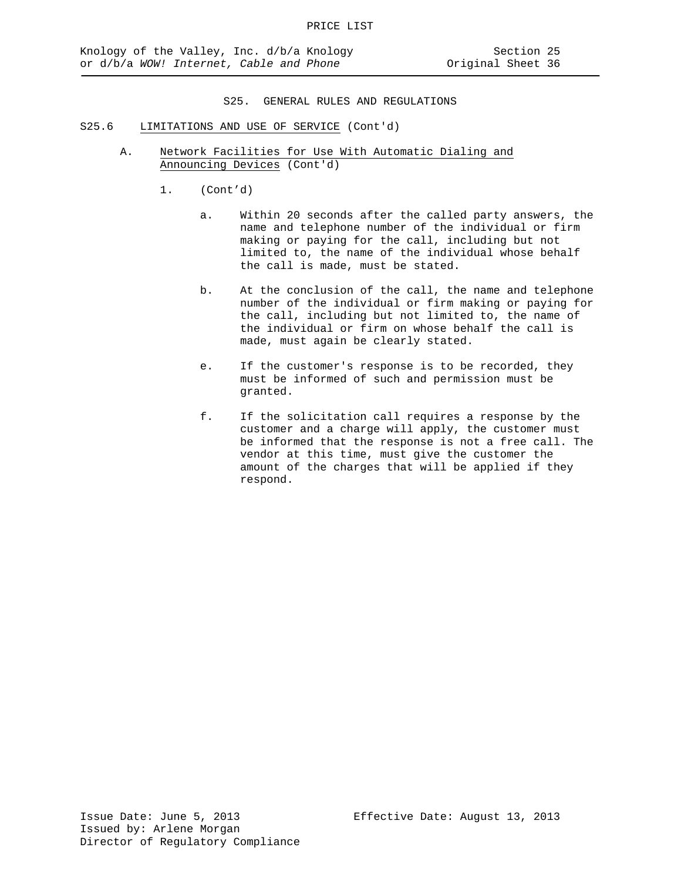- S25.6 LIMITATIONS AND USE OF SERVICE (Cont'd)
	- A. Network Facilities for Use With Automatic Dialing and Announcing Devices (Cont'd)
		- 1. (Cont'd)
			- a. Within 20 seconds after the called party answers, the name and telephone number of the individual or firm making or paying for the call, including but not limited to, the name of the individual whose behalf the call is made, must be stated.
			- b. At the conclusion of the call, the name and telephone number of the individual or firm making or paying for the call, including but not limited to, the name of the individual or firm on whose behalf the call is made, must again be clearly stated.
			- e. If the customer's response is to be recorded, they must be informed of such and permission must be granted.
			- f. If the solicitation call requires a response by the customer and a charge will apply, the customer must be informed that the response is not a free call. The vendor at this time, must give the customer the amount of the charges that will be applied if they respond.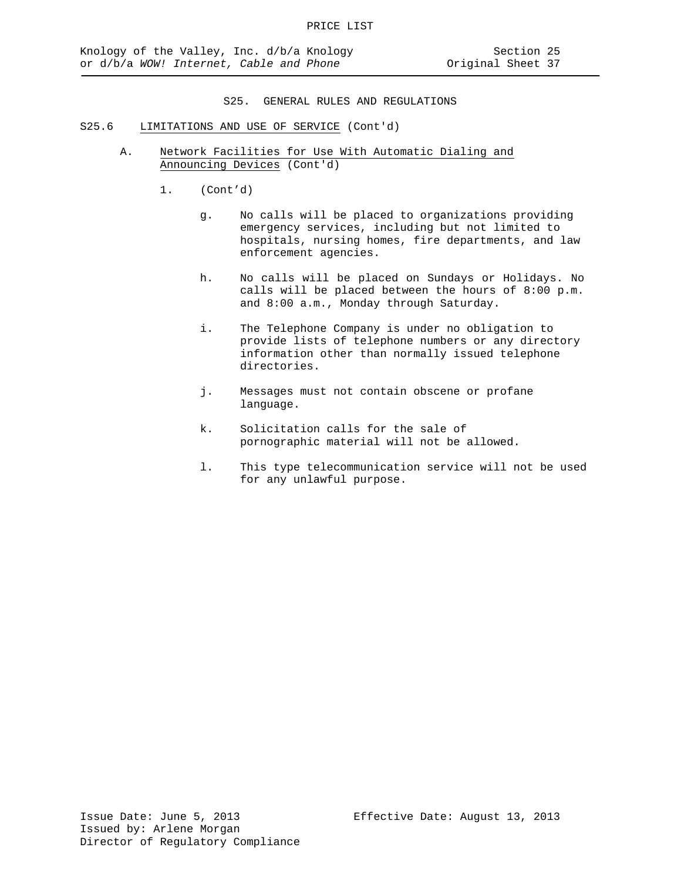- S25.6 LIMITATIONS AND USE OF SERVICE (Cont'd)
	- A. Network Facilities for Use With Automatic Dialing and Announcing Devices (Cont'd)
		- 1. (Cont'd)
			- g. No calls will be placed to organizations providing emergency services, including but not limited to hospitals, nursing homes, fire departments, and law enforcement agencies.
			- h. No calls will be placed on Sundays or Holidays. No calls will be placed between the hours of 8:00 p.m. and 8:00 a.m., Monday through Saturday.
			- i. The Telephone Company is under no obligation to provide lists of telephone numbers or any directory information other than normally issued telephone directories.
			- j. Messages must not contain obscene or profane language.
			- k. Solicitation calls for the sale of pornographic material will not be allowed.
			- l. This type telecommunication service will not be used for any unlawful purpose.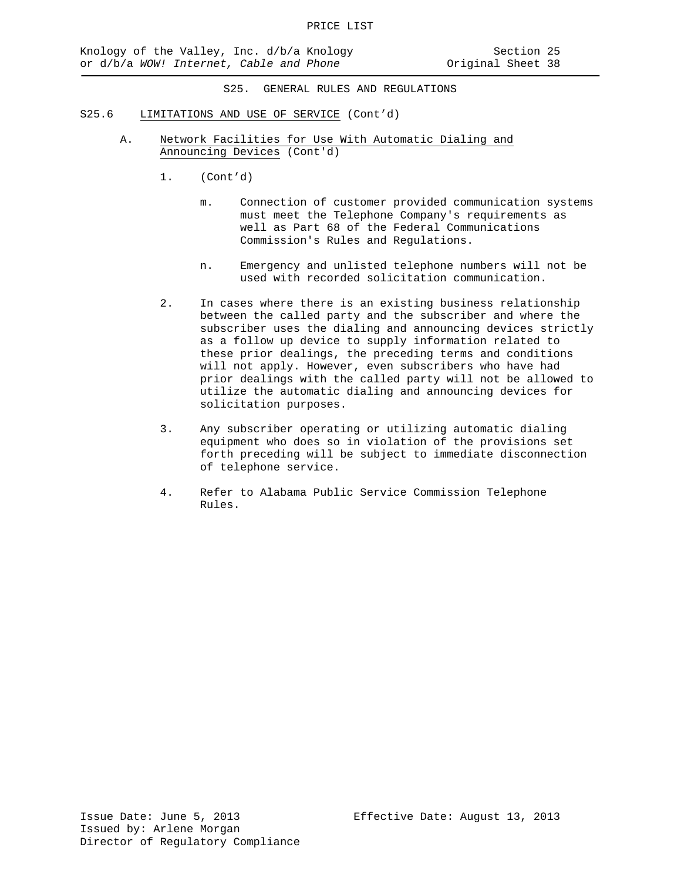- S25.6 LIMITATIONS AND USE OF SERVICE (Cont'd)
	- A. Network Facilities for Use With Automatic Dialing and Announcing Devices (Cont'd)
		- 1. (Cont'd)
			- m. Connection of customer provided communication systems must meet the Telephone Company's requirements as well as Part 68 of the Federal Communications Commission's Rules and Regulations.
			- n. Emergency and unlisted telephone numbers will not be used with recorded solicitation communication.
		- 2. In cases where there is an existing business relationship between the called party and the subscriber and where the subscriber uses the dialing and announcing devices strictly as a follow up device to supply information related to these prior dealings, the preceding terms and conditions will not apply. However, even subscribers who have had prior dealings with the called party will not be allowed to utilize the automatic dialing and announcing devices for solicitation purposes.
		- 3. Any subscriber operating or utilizing automatic dialing equipment who does so in violation of the provisions set forth preceding will be subject to immediate disconnection of telephone service.
		- 4. Refer to Alabama Public Service Commission Telephone Rules.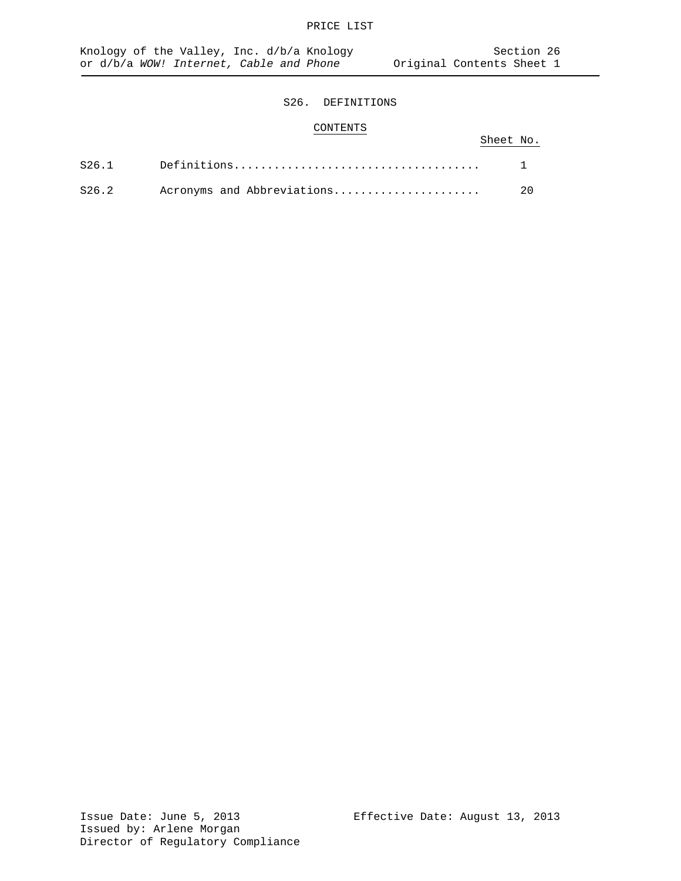# CONTENTS

|       |                            | Sheet No. |      |
|-------|----------------------------|-----------|------|
|       |                            |           |      |
| S26.2 | Acronyms and Abbreviations |           | - 20 |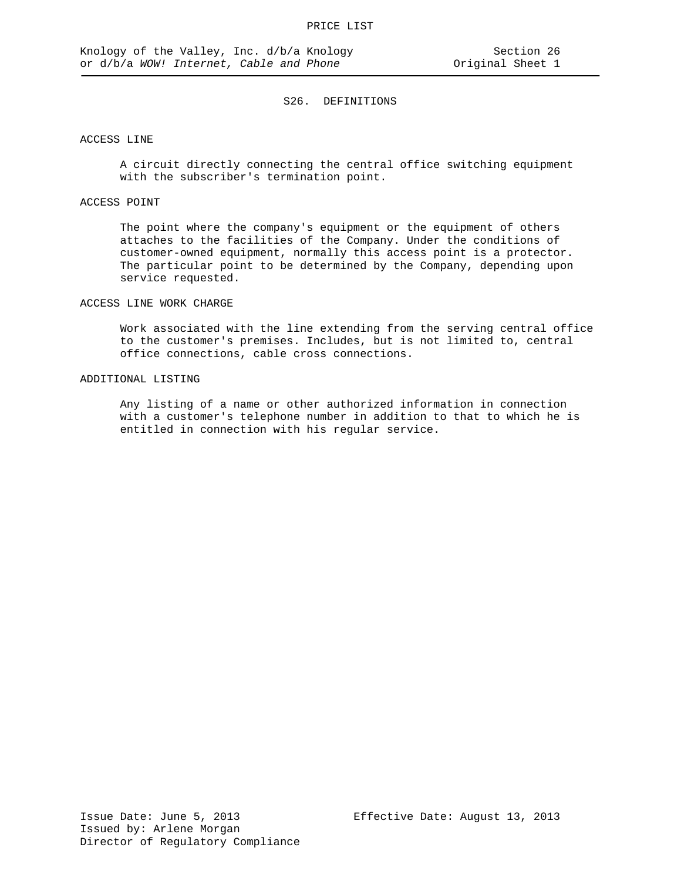### ACCESS LINE

A circuit directly connecting the central office switching equipment with the subscriber's termination point.

## ACCESS POINT

The point where the company's equipment or the equipment of others attaches to the facilities of the Company. Under the conditions of customer-owned equipment, normally this access point is a protector. The particular point to be determined by the Company, depending upon service requested.

#### ACCESS LINE WORK CHARGE

Work associated with the line extending from the serving central office to the customer's premises. Includes, but is not limited to, central office connections, cable cross connections.

## ADDITIONAL LISTING

Any listing of a name or other authorized information in connection with a customer's telephone number in addition to that to which he is entitled in connection with his regular service.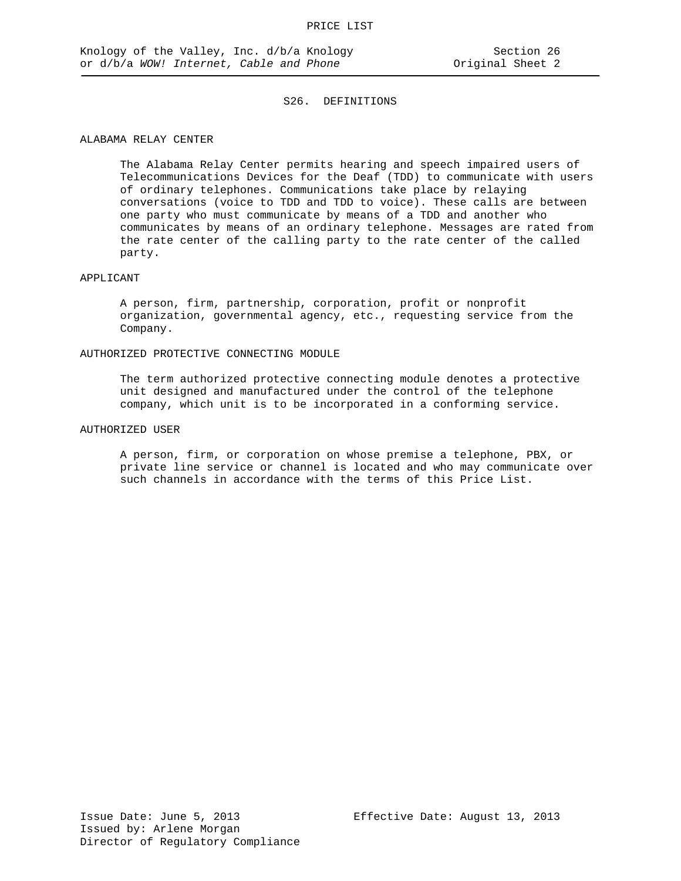## ALABAMA RELAY CENTER

The Alabama Relay Center permits hearing and speech impaired users of Telecommunications Devices for the Deaf (TDD) to communicate with users of ordinary telephones. Communications take place by relaying conversations (voice to TDD and TDD to voice). These calls are between one party who must communicate by means of a TDD and another who communicates by means of an ordinary telephone. Messages are rated from the rate center of the calling party to the rate center of the called party.

#### APPLICANT

A person, firm, partnership, corporation, profit or nonprofit organization, governmental agency, etc., requesting service from the Company.

#### AUTHORIZED PROTECTIVE CONNECTING MODULE

The term authorized protective connecting module denotes a protective unit designed and manufactured under the control of the telephone company, which unit is to be incorporated in a conforming service.

## AUTHORIZED USER

A person, firm, or corporation on whose premise a telephone, PBX, or private line service or channel is located and who may communicate over such channels in accordance with the terms of this Price List.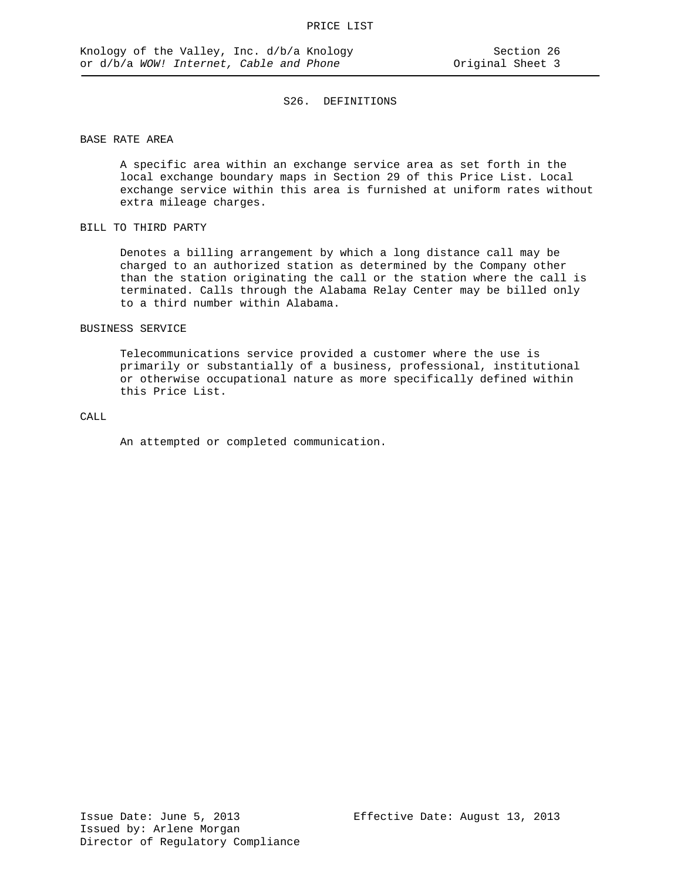## BASE RATE AREA

A specific area within an exchange service area as set forth in the local exchange boundary maps in Section 29 of this Price List. Local exchange service within this area is furnished at uniform rates without extra mileage charges.

## BILL TO THIRD PARTY

Denotes a billing arrangement by which a long distance call may be charged to an authorized station as determined by the Company other than the station originating the call or the station where the call is terminated. Calls through the Alabama Relay Center may be billed only to a third number within Alabama.

#### BUSINESS SERVICE

Telecommunications service provided a customer where the use is primarily or substantially of a business, professional, institutional or otherwise occupational nature as more specifically defined within this Price List.

#### CALL

An attempted or completed communication.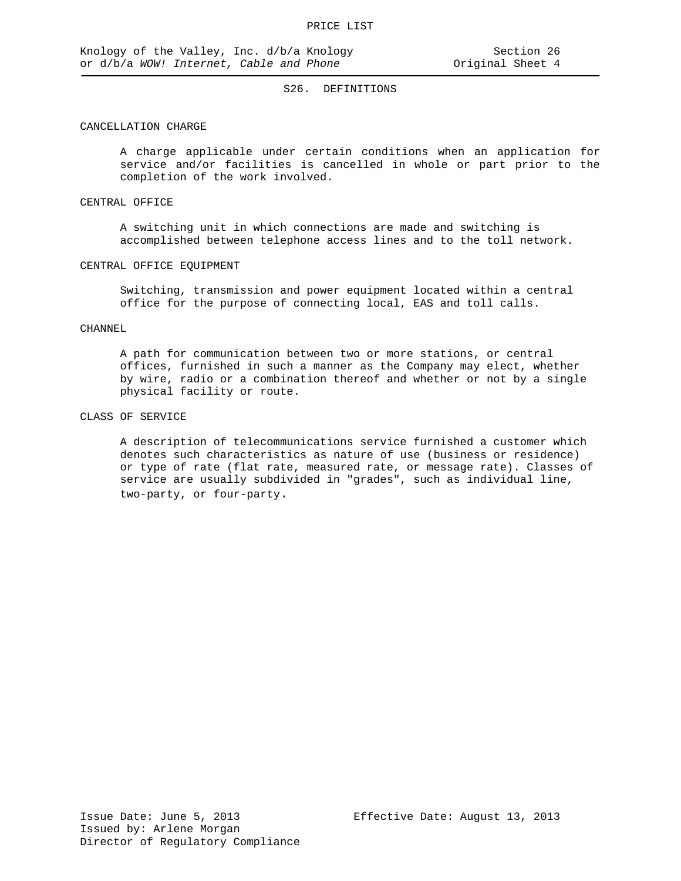## CANCELLATION CHARGE

A charge applicable under certain conditions when an application for service and/or facilities is cancelled in whole or part prior to the completion of the work involved.

#### CENTRAL OFFICE

A switching unit in which connections are made and switching is accomplished between telephone access lines and to the toll network.

#### CENTRAL OFFICE EQUIPMENT

Switching, transmission and power equipment located within a central office for the purpose of connecting local, EAS and toll calls.

#### CHANNEL

A path for communication between two or more stations, or central offices, furnished in such a manner as the Company may elect, whether by wire, radio or a combination thereof and whether or not by a single physical facility or route.

### CLASS OF SERVICE

A description of telecommunications service furnished a customer which denotes such characteristics as nature of use (business or residence) or type of rate (flat rate, measured rate, or message rate). Classes of service are usually subdivided in "grades", such as individual line, two-party, or four-party.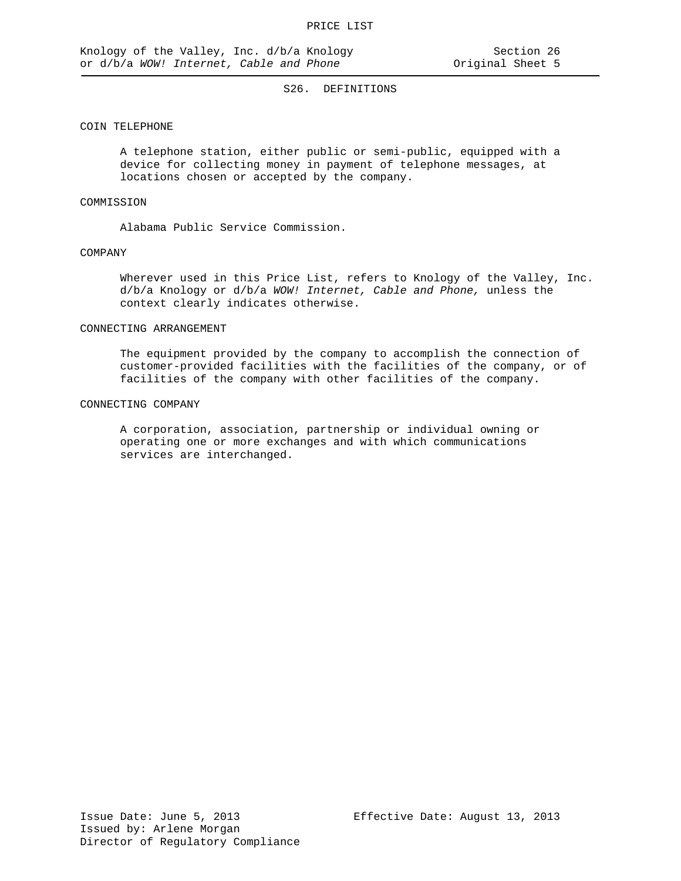### COIN TELEPHONE

A telephone station, either public or semi-public, equipped with a device for collecting money in payment of telephone messages, at locations chosen or accepted by the company.

## COMMISSION

Alabama Public Service Commission.

#### COMPANY

Wherever used in this Price List, refers to Knology of the Valley, Inc. d/b/a Knology or d/b/a *WOW! Internet, Cable and Phone,* unless the context clearly indicates otherwise.

#### CONNECTING ARRANGEMENT

The equipment provided by the company to accomplish the connection of customer-provided facilities with the facilities of the company, or of facilities of the company with other facilities of the company.

#### CONNECTING COMPANY

A corporation, association, partnership or individual owning or operating one or more exchanges and with which communications services are interchanged.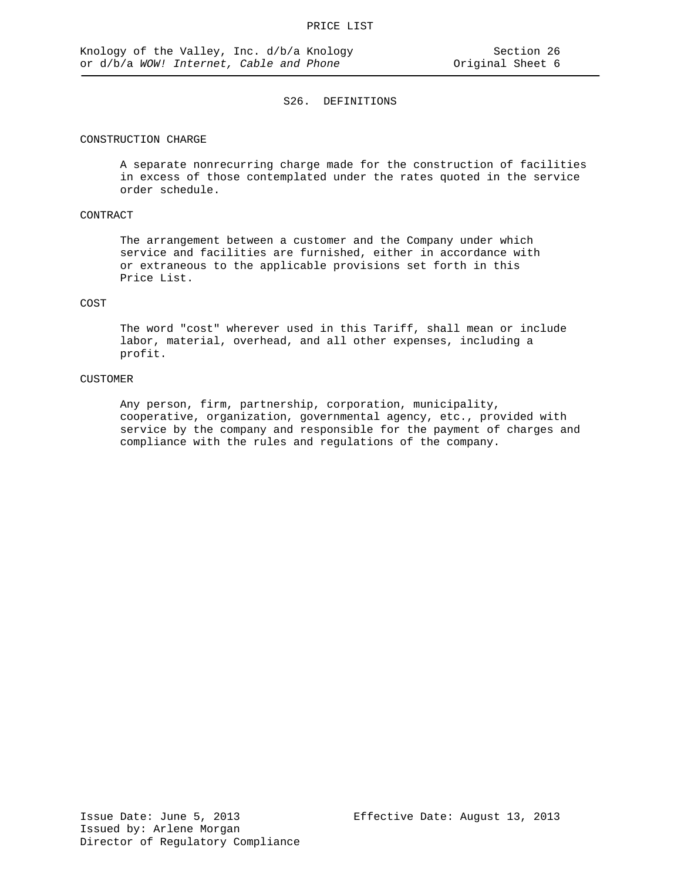### CONSTRUCTION CHARGE

A separate nonrecurring charge made for the construction of facilities in excess of those contemplated under the rates quoted in the service order schedule.

## CONTRACT

The arrangement between a customer and the Company under which service and facilities are furnished, either in accordance with or extraneous to the applicable provisions set forth in this Price List.

#### COST

The word "cost" wherever used in this Tariff, shall mean or include labor, material, overhead, and all other expenses, including a profit.

### CUSTOMER

Any person, firm, partnership, corporation, municipality, cooperative, organization, governmental agency, etc., provided with service by the company and responsible for the payment of charges and compliance with the rules and regulations of the company.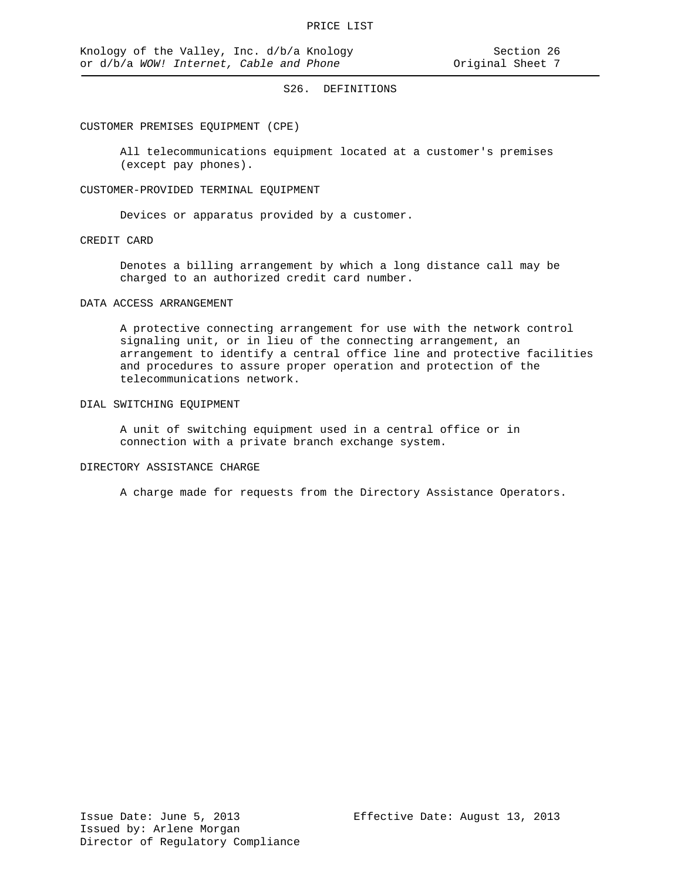#### CUSTOMER PREMISES EQUIPMENT (CPE)

All telecommunications equipment located at a customer's premises (except pay phones).

#### CUSTOMER-PROVIDED TERMINAL EQUIPMENT

Devices or apparatus provided by a customer.

### CREDIT CARD

Denotes a billing arrangement by which a long distance call may be charged to an authorized credit card number.

#### DATA ACCESS ARRANGEMENT

A protective connecting arrangement for use with the network control signaling unit, or in lieu of the connecting arrangement, an arrangement to identify a central office line and protective facilities and procedures to assure proper operation and protection of the telecommunications network.

### DIAL SWITCHING EQUIPMENT

A unit of switching equipment used in a central office or in connection with a private branch exchange system.

### DIRECTORY ASSISTANCE CHARGE

A charge made for requests from the Directory Assistance Operators.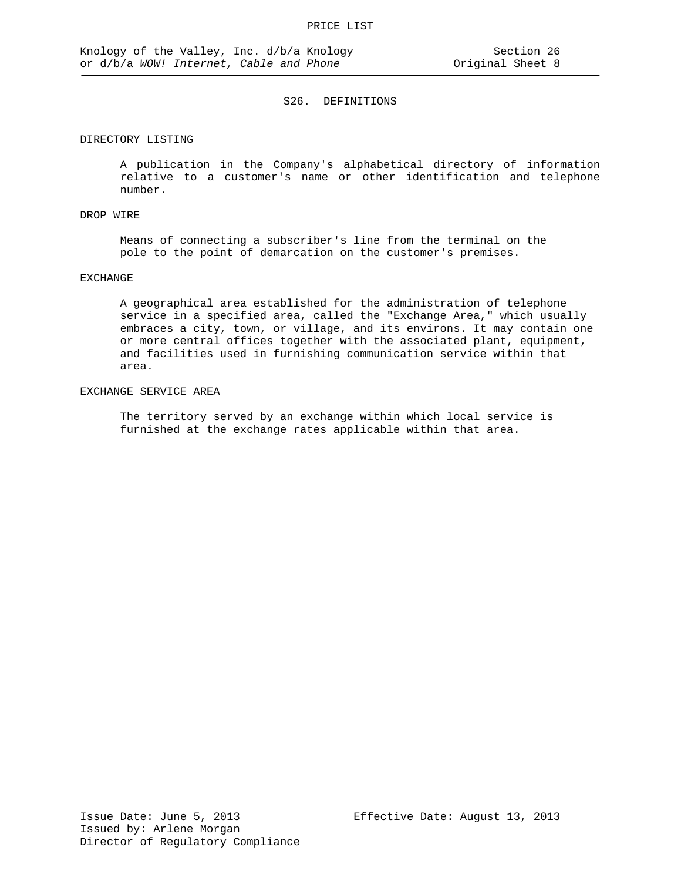## DIRECTORY LISTING

A publication in the Company's alphabetical directory of information relative to a customer's name or other identification and telephone number.

## DROP WIRE

Means of connecting a subscriber's line from the terminal on the pole to the point of demarcation on the customer's premises.

#### EXCHANGE

A geographical area established for the administration of telephone service in a specified area, called the "Exchange Area," which usually embraces a city, town, or village, and its environs. It may contain one or more central offices together with the associated plant, equipment, and facilities used in furnishing communication service within that area.

## EXCHANGE SERVICE AREA

The territory served by an exchange within which local service is furnished at the exchange rates applicable within that area.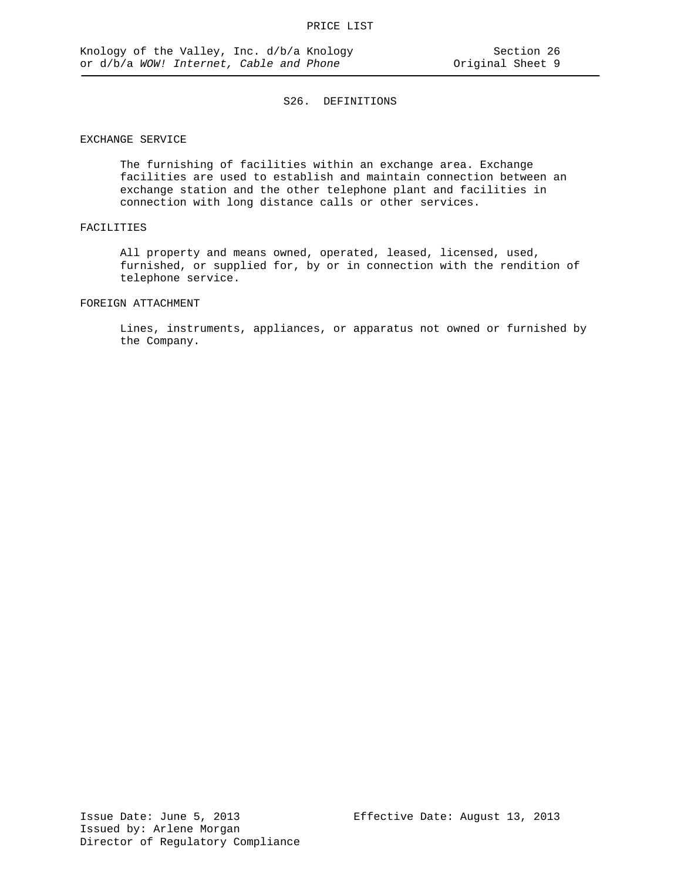### EXCHANGE SERVICE

The furnishing of facilities within an exchange area. Exchange facilities are used to establish and maintain connection between an exchange station and the other telephone plant and facilities in connection with long distance calls or other services.

## FACILITIES

All property and means owned, operated, leased, licensed, used, furnished, or supplied for, by or in connection with the rendition of telephone service.

### FOREIGN ATTACHMENT

Lines, instruments, appliances, or apparatus not owned or furnished by the Company.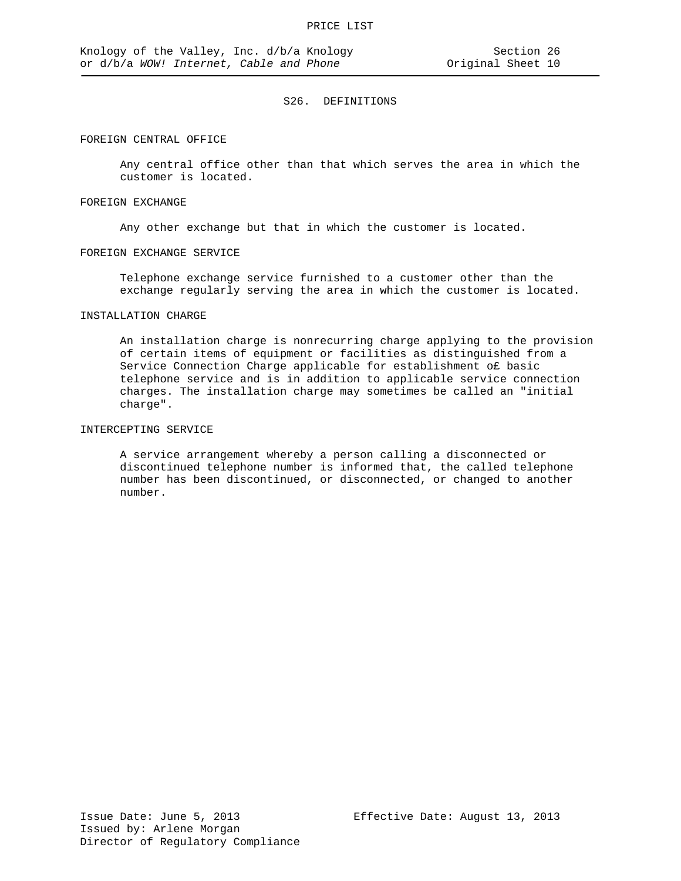#### FOREIGN CENTRAL OFFICE

Any central office other than that which serves the area in which the customer is located.

#### FOREIGN EXCHANGE

Any other exchange but that in which the customer is located.

#### FOREIGN EXCHANGE SERVICE

Telephone exchange service furnished to a customer other than the exchange regularly serving the area in which the customer is located.

## INSTALLATION CHARGE

An installation charge is nonrecurring charge applying to the provision of certain items of equipment or facilities as distinguished from a Service Connection Charge applicable for establishment o£ basic telephone service and is in addition to applicable service connection charges. The installation charge may sometimes be called an "initial charge".

# INTERCEPTING SERVICE

A service arrangement whereby a person calling a disconnected or discontinued telephone number is informed that, the called telephone number has been discontinued, or disconnected, or changed to another number.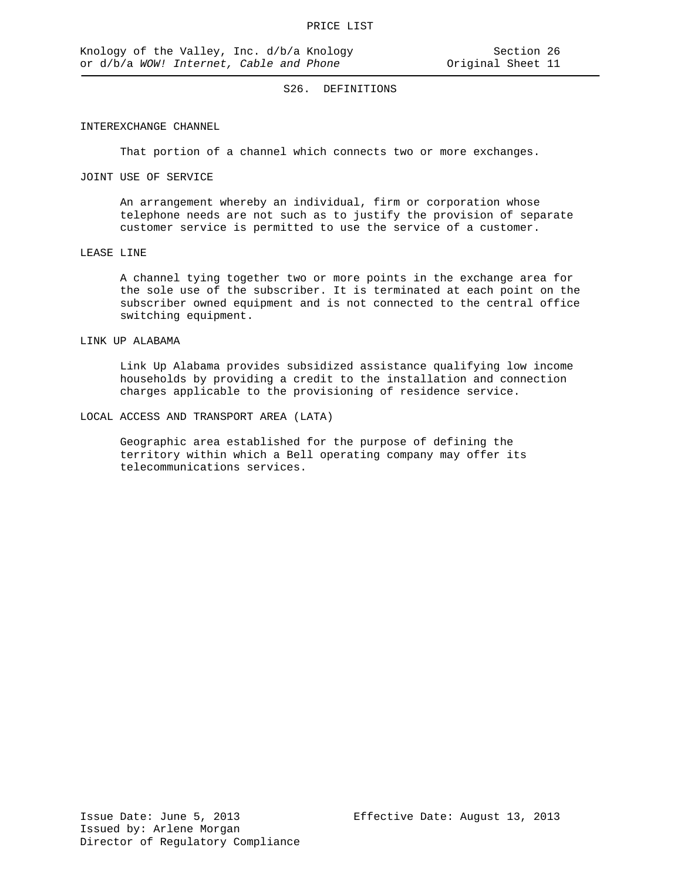### INTEREXCHANGE CHANNEL

That portion of a channel which connects two or more exchanges.

## JOINT USE OF SERVICE

An arrangement whereby an individual, firm or corporation whose telephone needs are not such as to justify the provision of separate customer service is permitted to use the service of a customer.

#### LEASE LINE

A channel tying together two or more points in the exchange area for the sole use of the subscriber. It is terminated at each point on the subscriber owned equipment and is not connected to the central office switching equipment.

#### LINK UP ALABAMA

Link Up Alabama provides subsidized assistance qualifying low income households by providing a credit to the installation and connection charges applicable to the provisioning of residence service.

### LOCAL ACCESS AND TRANSPORT AREA (LATA)

Geographic area established for the purpose of defining the territory within which a Bell operating company may offer its telecommunications services.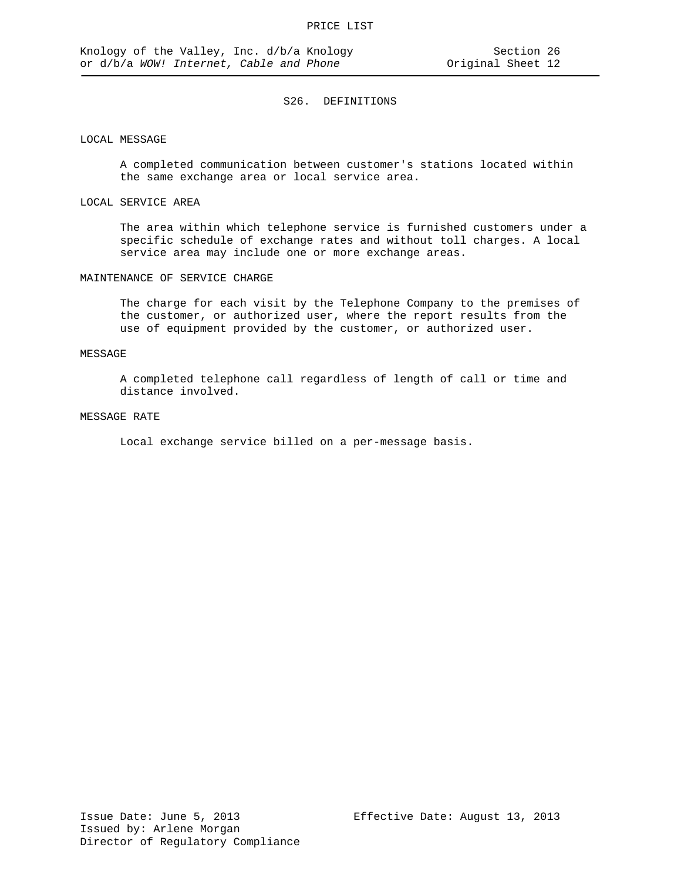### LOCAL MESSAGE

A completed communication between customer's stations located within the same exchange area or local service area.

#### LOCAL SERVICE AREA

The area within which telephone service is furnished customers under a specific schedule of exchange rates and without toll charges. A local service area may include one or more exchange areas.

#### MAINTENANCE OF SERVICE CHARGE

The charge for each visit by the Telephone Company to the premises of the customer, or authorized user, where the report results from the use of equipment provided by the customer, or authorized user.

### MESSAGE

A completed telephone call regardless of length of call or time and distance involved.

#### MESSAGE RATE

Local exchange service billed on a per-message basis.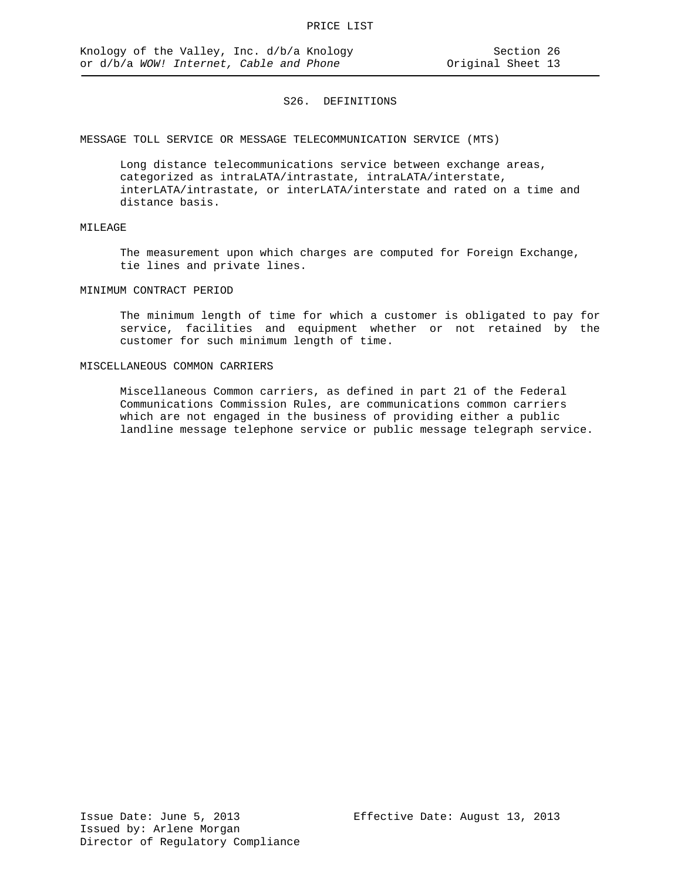MESSAGE TOLL SERVICE OR MESSAGE TELECOMMUNICATION SERVICE (MTS)

Long distance telecommunications service between exchange areas, categorized as intraLATA/intrastate, intraLATA/interstate, interLATA/intrastate, or interLATA/interstate and rated on a time and distance basis.

# MILEAGE

The measurement upon which charges are computed for Foreign Exchange, tie lines and private lines.

## MINIMUM CONTRACT PERIOD

The minimum length of time for which a customer is obligated to pay for service, facilities and equipment whether or not retained by the customer for such minimum length of time.

#### MISCELLANEOUS COMMON CARRIERS

Miscellaneous Common carriers, as defined in part 21 of the Federal Communications Commission Rules, are communications common carriers which are not engaged in the business of providing either a public landline message telephone service or public message telegraph service.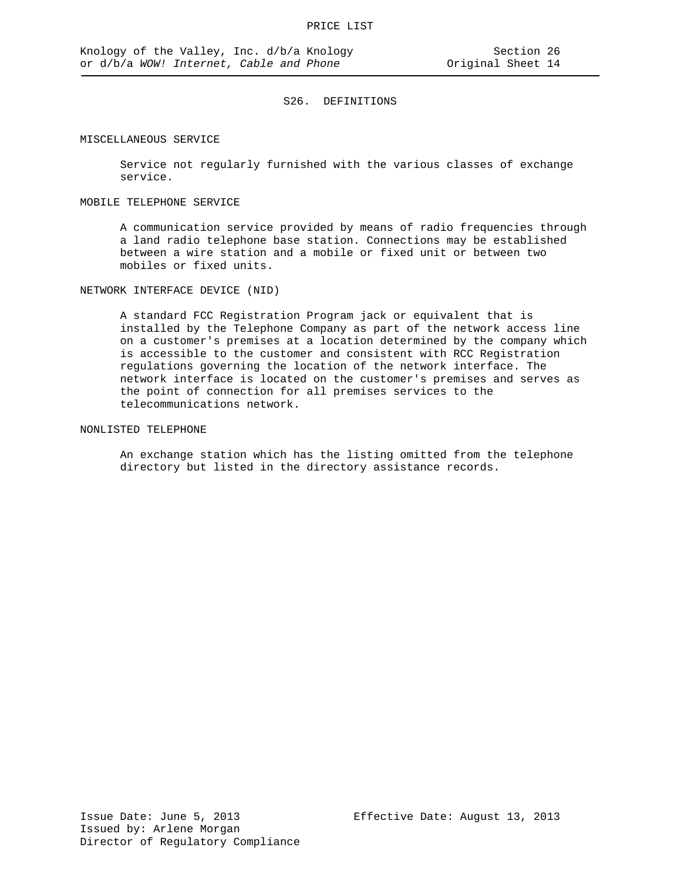#### MISCELLANEOUS SERVICE

Service not regularly furnished with the various classes of exchange service.

#### MOBILE TELEPHONE SERVICE

A communication service provided by means of radio frequencies through a land radio telephone base station. Connections may be established between a wire station and a mobile or fixed unit or between two mobiles or fixed units.

NETWORK INTERFACE DEVICE (NID)

A standard FCC Registration Program jack or equivalent that is installed by the Telephone Company as part of the network access line on a customer's premises at a location determined by the company which is accessible to the customer and consistent with RCC Registration regulations governing the location of the network interface. The network interface is located on the customer's premises and serves as the point of connection for all premises services to the telecommunications network.

## NONLISTED TELEPHONE

An exchange station which has the listing omitted from the telephone directory but listed in the directory assistance records.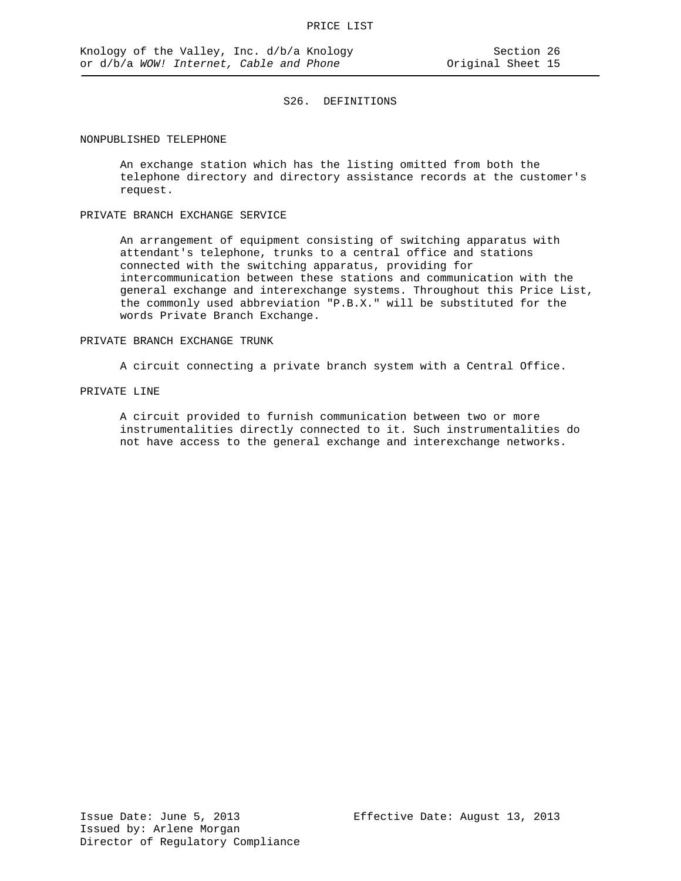#### NONPUBLISHED TELEPHONE

An exchange station which has the listing omitted from both the telephone directory and directory assistance records at the customer's request.

## PRIVATE BRANCH EXCHANGE SERVICE

An arrangement of equipment consisting of switching apparatus with attendant's telephone, trunks to a central office and stations connected with the switching apparatus, providing for intercommunication between these stations and communication with the general exchange and interexchange systems. Throughout this Price List, the commonly used abbreviation "P.B.X." will be substituted for the words Private Branch Exchange.

#### PRIVATE BRANCH EXCHANGE TRUNK

A circuit connecting a private branch system with a Central Office.

## PRIVATE LINE

A circuit provided to furnish communication between two or more instrumentalities directly connected to it. Such instrumentalities do not have access to the general exchange and interexchange networks.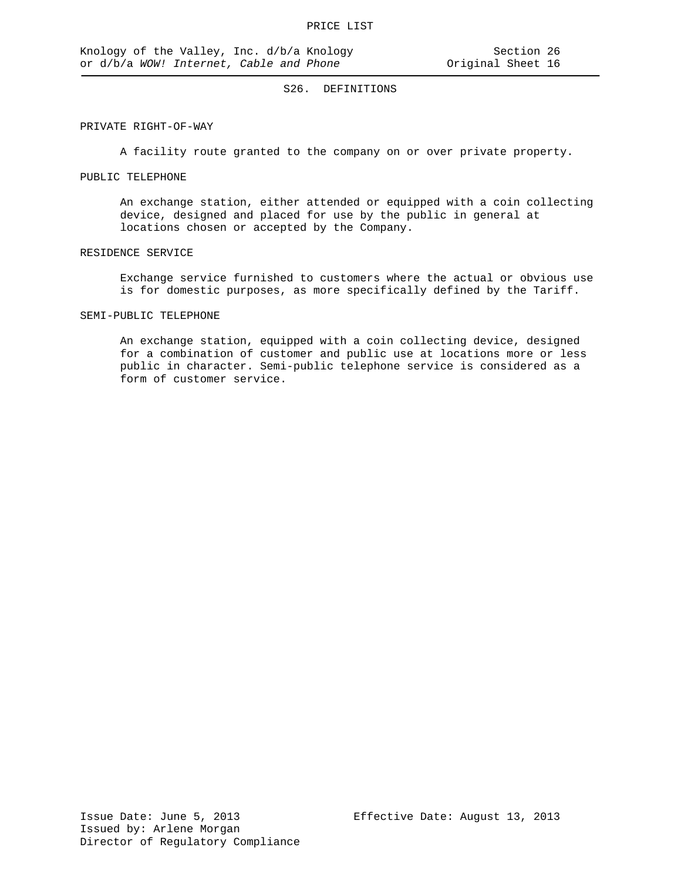### PRIVATE RIGHT-OF-WAY

A facility route granted to the company on or over private property.

## PUBLIC TELEPHONE

An exchange station, either attended or equipped with a coin collecting device, designed and placed for use by the public in general at locations chosen or accepted by the Company.

#### RESIDENCE SERVICE

Exchange service furnished to customers where the actual or obvious use is for domestic purposes, as more specifically defined by the Tariff.

# SEMI-PUBLIC TELEPHONE

An exchange station, equipped with a coin collecting device, designed for a combination of customer and public use at locations more or less public in character. Semi-public telephone service is considered as a form of customer service.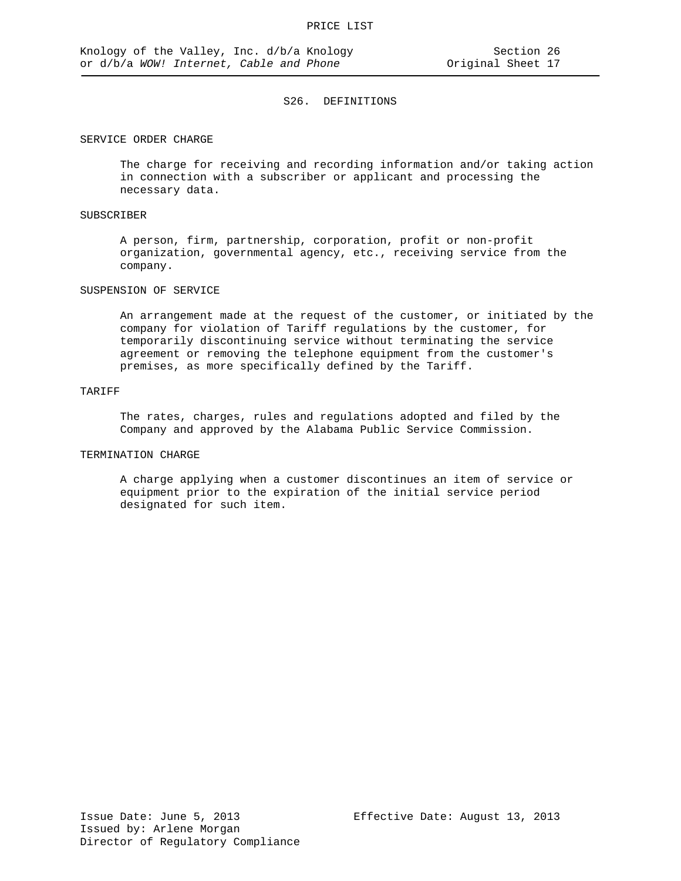### SERVICE ORDER CHARGE

The charge for receiving and recording information and/or taking action in connection with a subscriber or applicant and processing the necessary data.

### SUBSCRIBER

A person, firm, partnership, corporation, profit or non-profit organization, governmental agency, etc., receiving service from the company.

#### SUSPENSION OF SERVICE

An arrangement made at the request of the customer, or initiated by the company for violation of Tariff regulations by the customer, for temporarily discontinuing service without terminating the service agreement or removing the telephone equipment from the customer's premises, as more specifically defined by the Tariff.

## TARIFF

The rates, charges, rules and regulations adopted and filed by the Company and approved by the Alabama Public Service Commission.

#### TERMINATION CHARGE

A charge applying when a customer discontinues an item of service or equipment prior to the expiration of the initial service period designated for such item.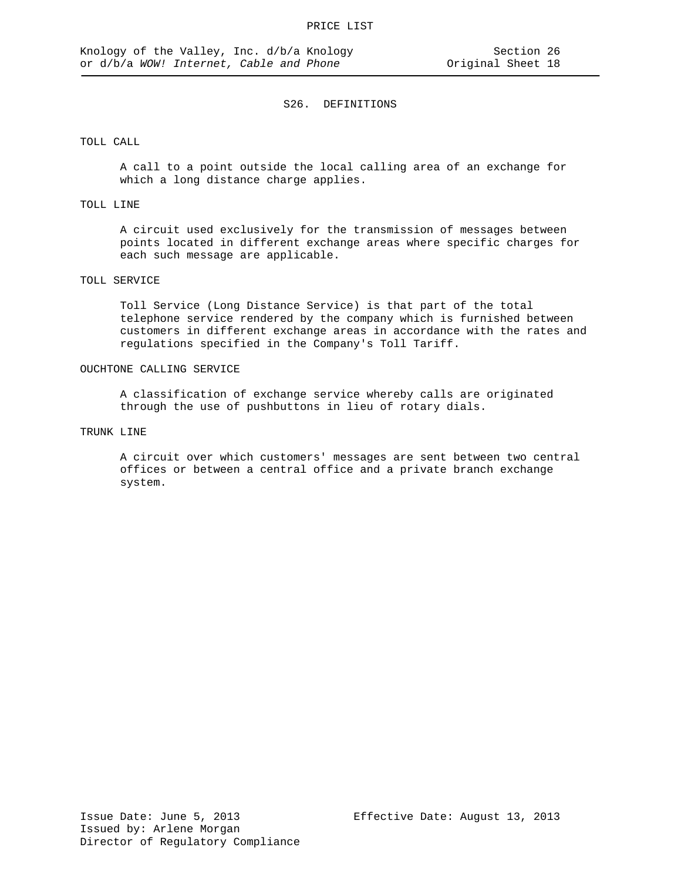### TOLL CALL

A call to a point outside the local calling area of an exchange for which a long distance charge applies.

## TOLL LINE

A circuit used exclusively for the transmission of messages between points located in different exchange areas where specific charges for each such message are applicable.

### TOLL SERVICE

Toll Service (Long Distance Service) is that part of the total telephone service rendered by the company which is furnished between customers in different exchange areas in accordance with the rates and regulations specified in the Company's Toll Tariff.

#### OUCHTONE CALLING SERVICE

A classification of exchange service whereby calls are originated through the use of pushbuttons in lieu of rotary dials.

### TRUNK LINE

A circuit over which customers' messages are sent between two central offices or between a central office and a private branch exchange system.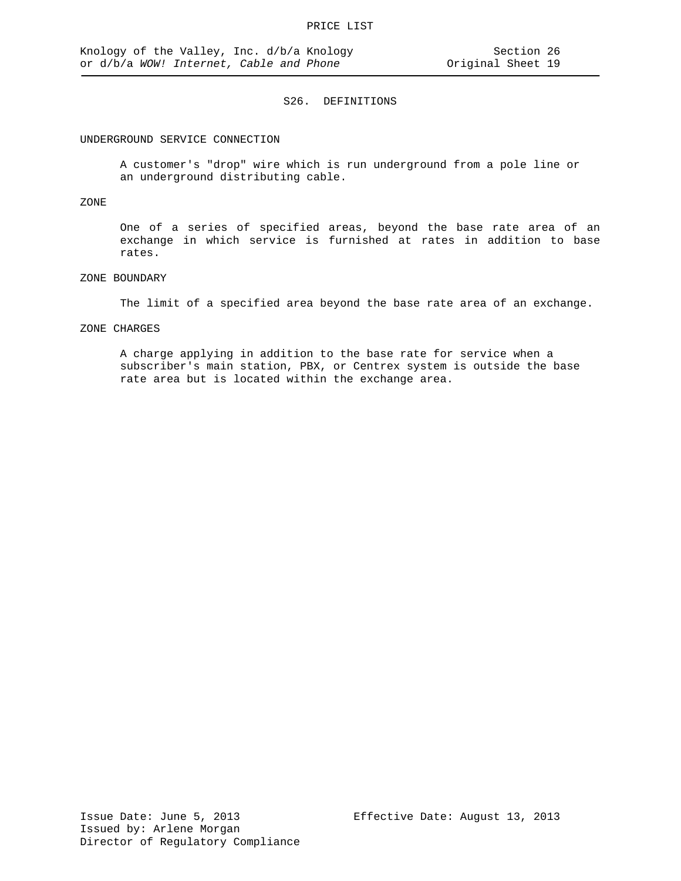#### UNDERGROUND SERVICE CONNECTION

A customer's "drop" wire which is run underground from a pole line or an underground distributing cable.

#### ZONE

One of a series of specified areas, beyond the base rate area of an exchange in which service is furnished at rates in addition to base rates.

### ZONE BOUNDARY

The limit of a specified area beyond the base rate area of an exchange.

#### ZONE CHARGES

A charge applying in addition to the base rate for service when a subscriber's main station, PBX, or Centrex system is outside the base rate area but is located within the exchange area.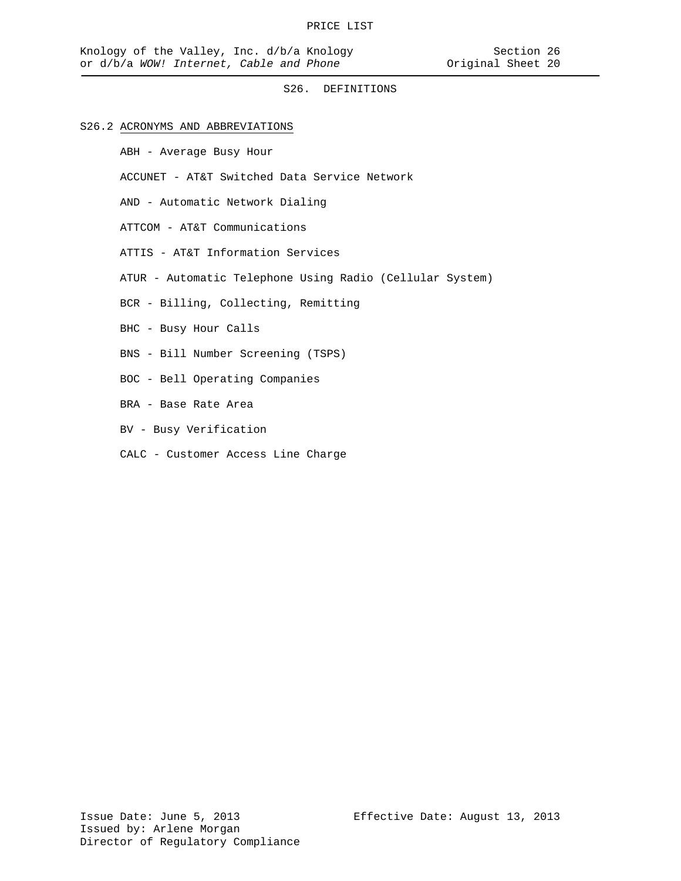## S26.2 ACRONYMS AND ABBREVIATIONS

ABH - Average Busy Hour

ACCUNET - AT&T Switched Data Service Network

AND - Automatic Network Dialing

ATTCOM - AT&T Communications

ATTIS - AT&T Information Services

ATUR - Automatic Telephone Using Radio (Cellular System)

BCR - Billing, Collecting, Remitting

- BHC Busy Hour Calls
- BNS Bill Number Screening (TSPS)
- BOC Bell Operating Companies
- BRA Base Rate Area
- BV Busy Verification
- CALC Customer Access Line Charge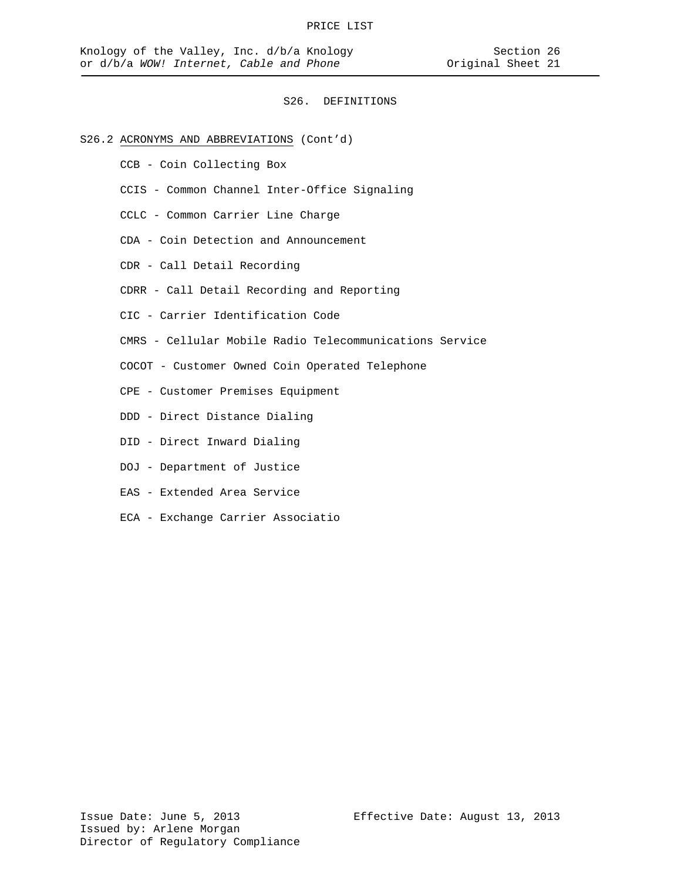## S26.2 ACRONYMS AND ABBREVIATIONS (Cont'd)

- CCB Coin Collecting Box
- CCIS Common Channel Inter-Office Signaling
- CCLC Common Carrier Line Charge
- CDA Coin Detection and Announcement
- CDR Call Detail Recording
- CDRR Call Detail Recording and Reporting
- CIC Carrier Identification Code
- CMRS Cellular Mobile Radio Telecommunications Service
- COCOT Customer Owned Coin Operated Telephone
- CPE Customer Premises Equipment
- DDD Direct Distance Dialing
- DID Direct Inward Dialing
- DOJ Department of Justice
- EAS Extended Area Service
- ECA Exchange Carrier Associatio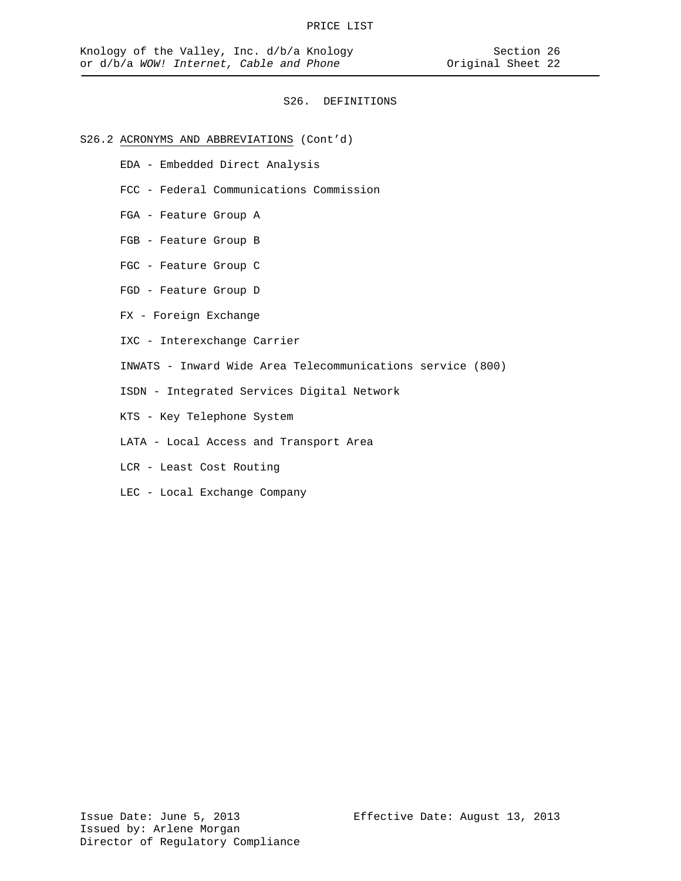## S26.2 ACRONYMS AND ABBREVIATIONS (Cont'd)

- EDA Embedded Direct Analysis
- FCC Federal Communications Commission
- FGA Feature Group A
- FGB Feature Group B
- FGC Feature Group C
- FGD Feature Group D
- FX Foreign Exchange
- IXC Interexchange Carrier
- INWATS Inward Wide Area Telecommunications service (800)
- ISDN Integrated Services Digital Network
- KTS Key Telephone System
- LATA Local Access and Transport Area
- LCR Least Cost Routing
- LEC Local Exchange Company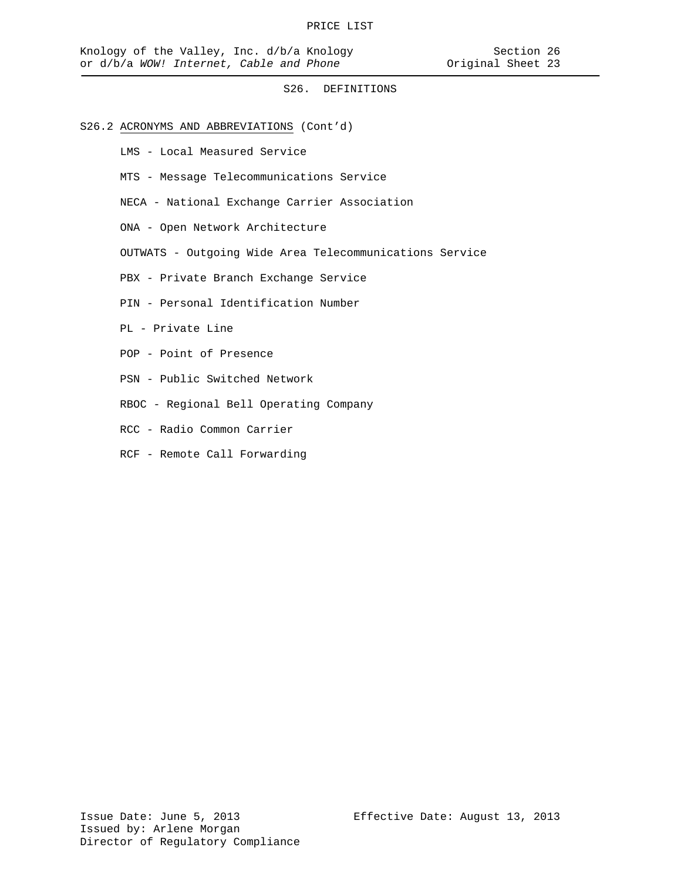- S26.2 ACRONYMS AND ABBREVIATIONS (Cont'd)
	- LMS Local Measured Service
	- MTS Message Telecommunications Service
	- NECA National Exchange Carrier Association
	- ONA Open Network Architecture
	- OUTWATS Outgoing Wide Area Telecommunications Service
	- PBX Private Branch Exchange Service
	- PIN Personal Identification Number
	- PL Private Line
	- POP Point of Presence
	- PSN Public Switched Network
	- RBOC Regional Bell Operating Company
	- RCC Radio Common Carrier
	- RCF Remote Call Forwarding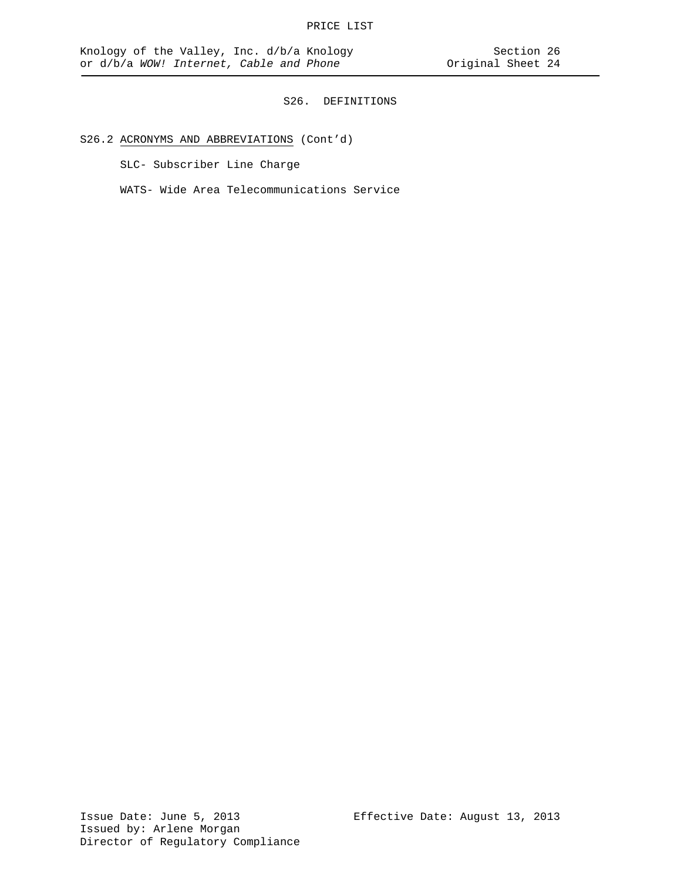# S26.2 ACRONYMS AND ABBREVIATIONS (Cont'd)

SLC- Subscriber Line Charge

WATS- Wide Area Telecommunications Service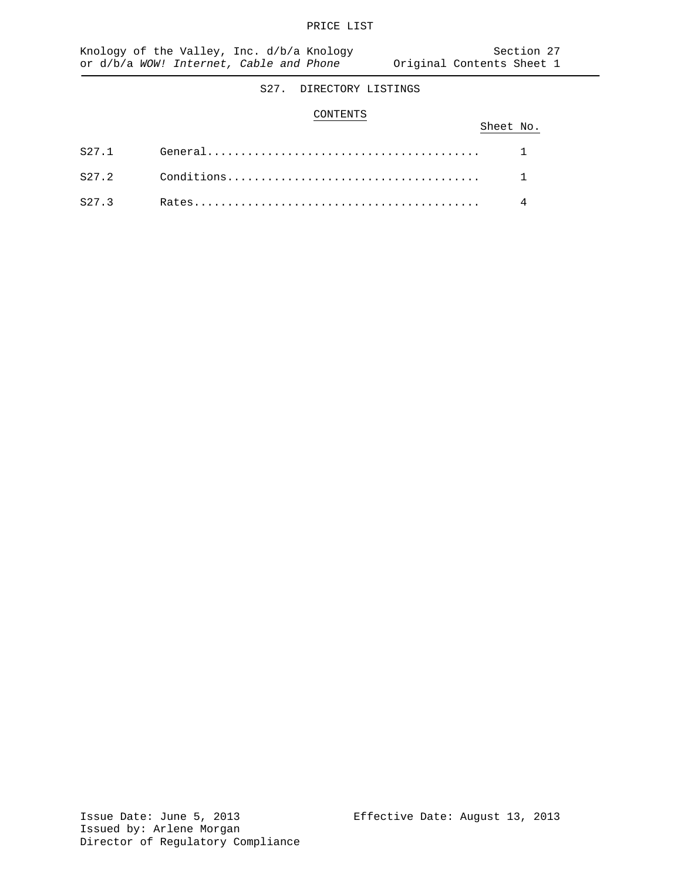#### CONTENTS

|  | Sheet No. |  |
|--|-----------|--|
|  |           |  |
|  |           |  |
|  |           |  |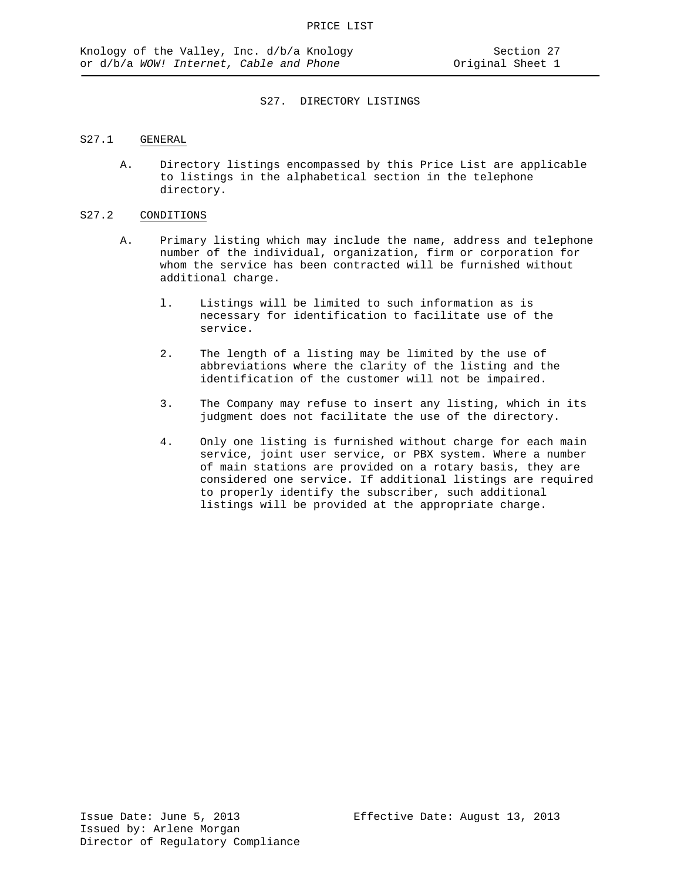## S27.1 GENERAL

A. Directory listings encompassed by this Price List are applicable to listings in the alphabetical section in the telephone directory.

### S27.2 CONDITIONS

- A. Primary listing which may include the name, address and telephone number of the individual, organization, firm or corporation for whom the service has been contracted will be furnished without additional charge.
	- l. Listings will be limited to such information as is necessary for identification to facilitate use of the service.
	- 2. The length of a listing may be limited by the use of abbreviations where the clarity of the listing and the identification of the customer will not be impaired.
	- 3. The Company may refuse to insert any listing, which in its judgment does not facilitate the use of the directory.
	- 4. Only one listing is furnished without charge for each main service, joint user service, or PBX system. Where a number of main stations are provided on a rotary basis, they are considered one service. If additional listings are required to properly identify the subscriber, such additional listings will be provided at the appropriate charge.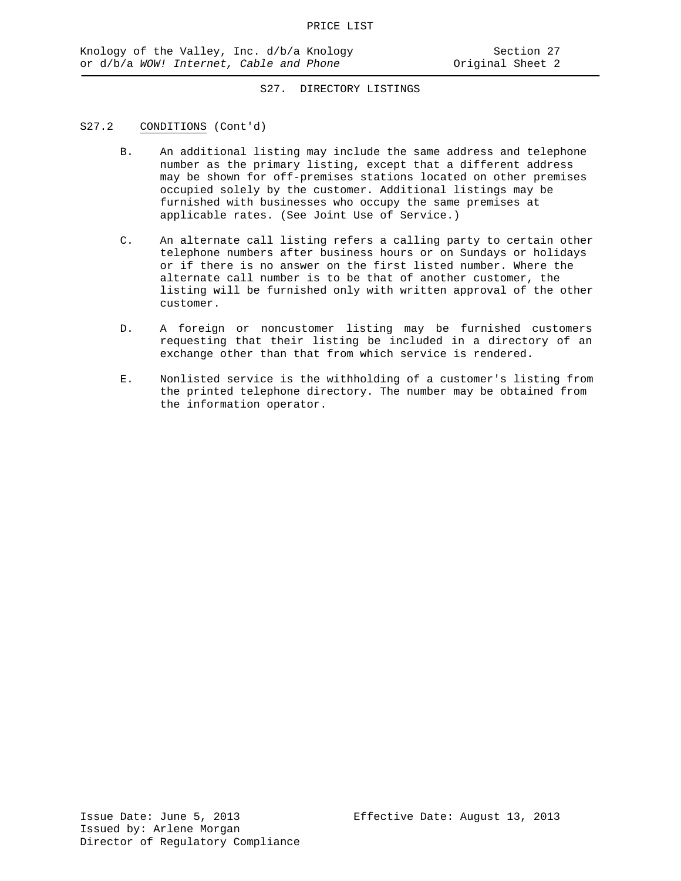## S27.2 CONDITIONS (Cont'd)

- B. An additional listing may include the same address and telephone number as the primary listing, except that a different address may be shown for off-premises stations located on other premises occupied solely by the customer. Additional listings may be furnished with businesses who occupy the same premises at applicable rates. (See Joint Use of Service.)
- C. An alternate call listing refers a calling party to certain other telephone numbers after business hours or on Sundays or holidays or if there is no answer on the first listed number. Where the alternate call number is to be that of another customer, the listing will be furnished only with written approval of the other customer.
- D. A foreign or noncustomer listing may be furnished customers requesting that their listing be included in a directory of an exchange other than that from which service is rendered.
- E. Nonlisted service is the withholding of a customer's listing from the printed telephone directory. The number may be obtained from the information operator.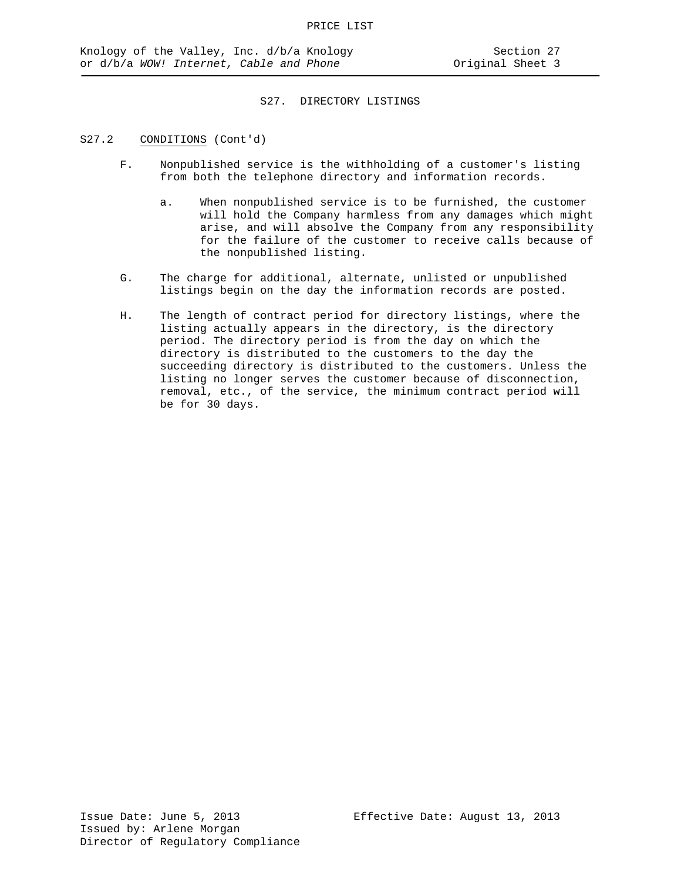### S27.2 CONDITIONS (Cont'd)

- F. Nonpublished service is the withholding of a customer's listing from both the telephone directory and information records.
	- a. When nonpublished service is to be furnished, the customer will hold the Company harmless from any damages which might arise, and will absolve the Company from any responsibility for the failure of the customer to receive calls because of the nonpublished listing.
- G. The charge for additional, alternate, unlisted or unpublished listings begin on the day the information records are posted.
- H. The length of contract period for directory listings, where the listing actually appears in the directory, is the directory period. The directory period is from the day on which the directory is distributed to the customers to the day the succeeding directory is distributed to the customers. Unless the listing no longer serves the customer because of disconnection, removal, etc., of the service, the minimum contract period will be for 30 days.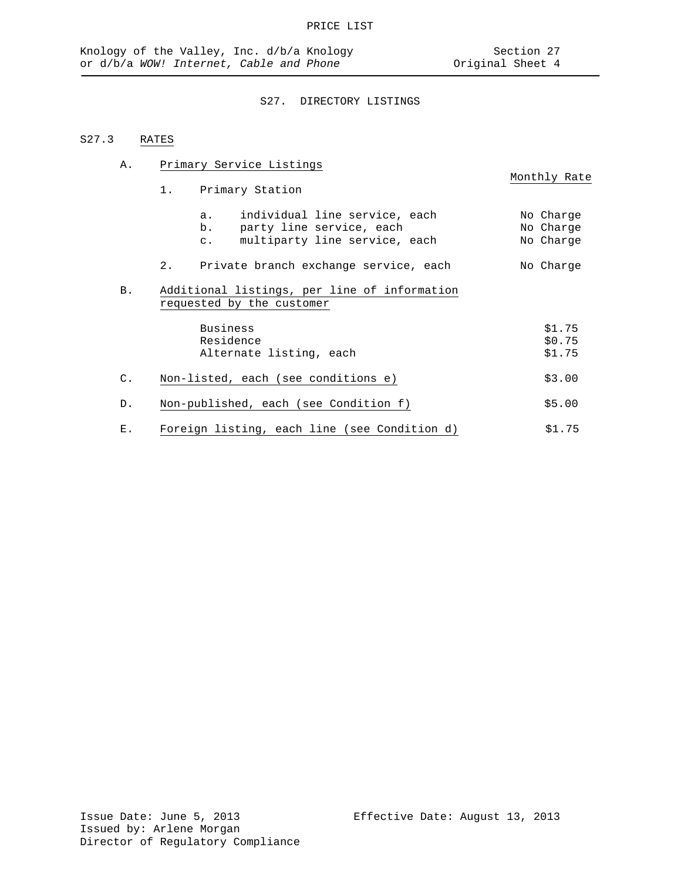A. Primary Service Listings

# S27. DIRECTORY LISTINGS

# S27.3 RATES

|                |    |                                                                           | Monthly Rate           |
|----------------|----|---------------------------------------------------------------------------|------------------------|
|                | 1. | Primary Station                                                           |                        |
|                |    | individual line service, each<br>a.<br>b.<br>party line service, each     | No Charge<br>No Charge |
|                |    | multiparty line service, each<br>$\mathsf{C}$ .                           | No Charge              |
|                | 2. | Private branch exchange service, each                                     | No Charge              |
| B.             |    | Additional listings, per line of information<br>requested by the customer |                        |
|                |    | Business                                                                  | \$1.75                 |
|                |    | Residence                                                                 | \$0.75                 |
|                |    | Alternate listing, each                                                   | \$1.75                 |
| $\mathsf{C}$ . |    | Non-listed, each (see conditions e)                                       | \$3.00                 |
| D.             |    | Non-published, each (see Condition f)                                     | \$5.00                 |
| Ε.             |    | Foreign listing, each line (see Condition d)                              | \$1.75                 |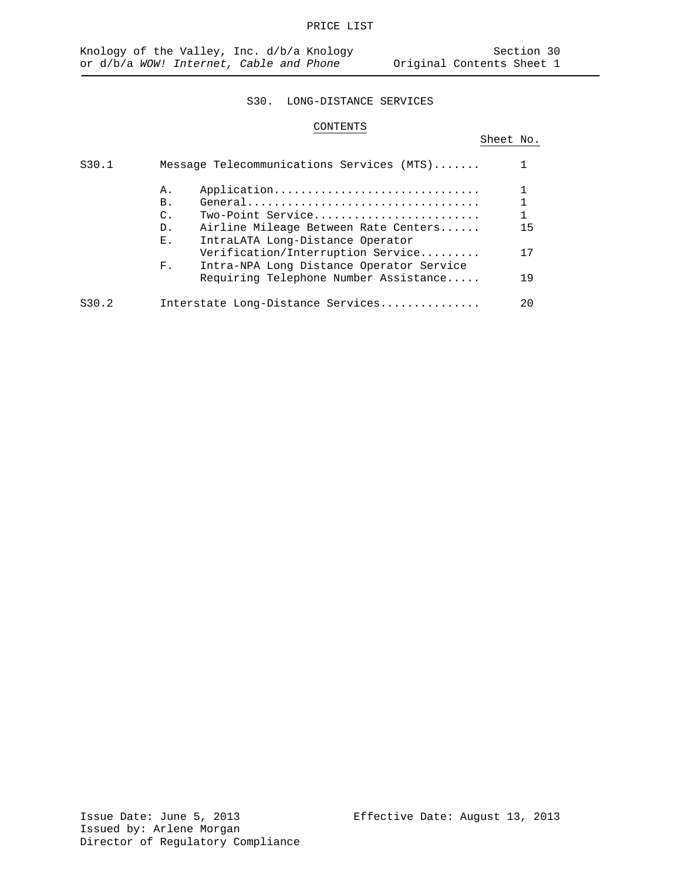# CONTENTS

# Sheet No. S30.1 Message Telecommunications Services (MTS)....... 1 A. Application............................... 1 B. General................................... 1 C. Two-Point Service......................... 1 D. Airline Mileage Between Rate Centers......<br>E. IntraLATA Long-Distance Operator IntraLATA Long-Distance Operator Verification/Interruption Service......... 17 F. Intra-NPA Long Distance Operator Service Requiring Telephone Number Assistance..... 19 S30.2 Interstate Long-Distance Services............... 20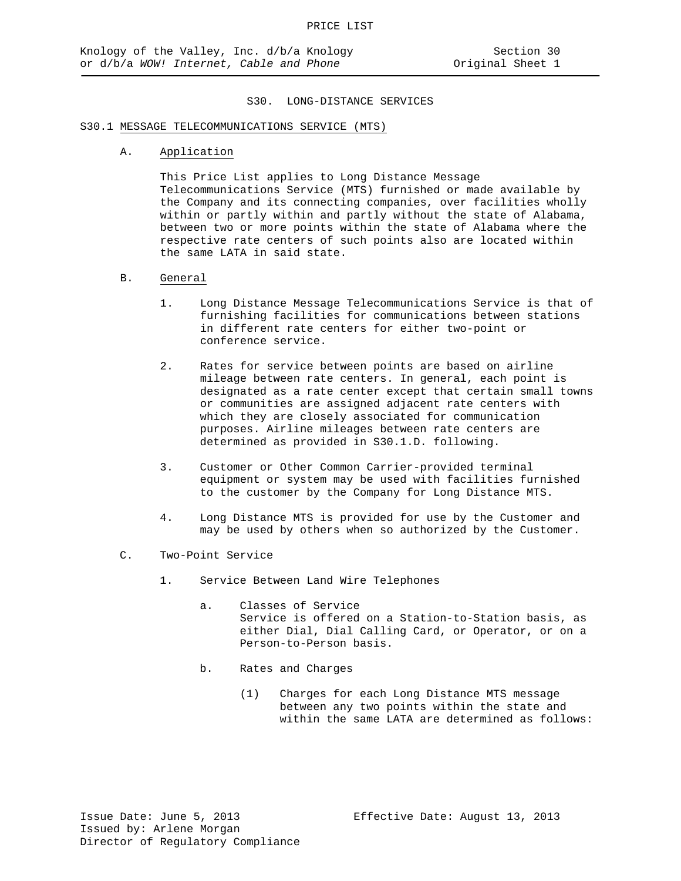# S30.1 MESSAGE TELECOMMUNICATIONS SERVICE (MTS)

A. Application

This Price List applies to Long Distance Message Telecommunications Service (MTS) furnished or made available by the Company and its connecting companies, over facilities wholly within or partly within and partly without the state of Alabama, between two or more points within the state of Alabama where the respective rate centers of such points also are located within the same LATA in said state.

#### B. General

- 1. Long Distance Message Telecommunications Service is that of furnishing facilities for communications between stations in different rate centers for either two-point or conference service.
- 2. Rates for service between points are based on airline mileage between rate centers. In general, each point is designated as a rate center except that certain small towns or communities are assigned adjacent rate centers with which they are closely associated for communication purposes. Airline mileages between rate centers are determined as provided in S30.1.D. following.
- 3. Customer or Other Common Carrier-provided terminal equipment or system may be used with facilities furnished to the customer by the Company for Long Distance MTS.
- 4. Long Distance MTS is provided for use by the Customer and may be used by others when so authorized by the Customer.
- C. Two-Point Service
	- 1. Service Between Land Wire Telephones
		- a. Classes of Service Service is offered on a Station-to-Station basis, as either Dial, Dial Calling Card, or Operator, or on a Person-to-Person basis.
		- b. Rates and Charges
			- (1) Charges for each Long Distance MTS message between any two points within the state and within the same LATA are determined as follows: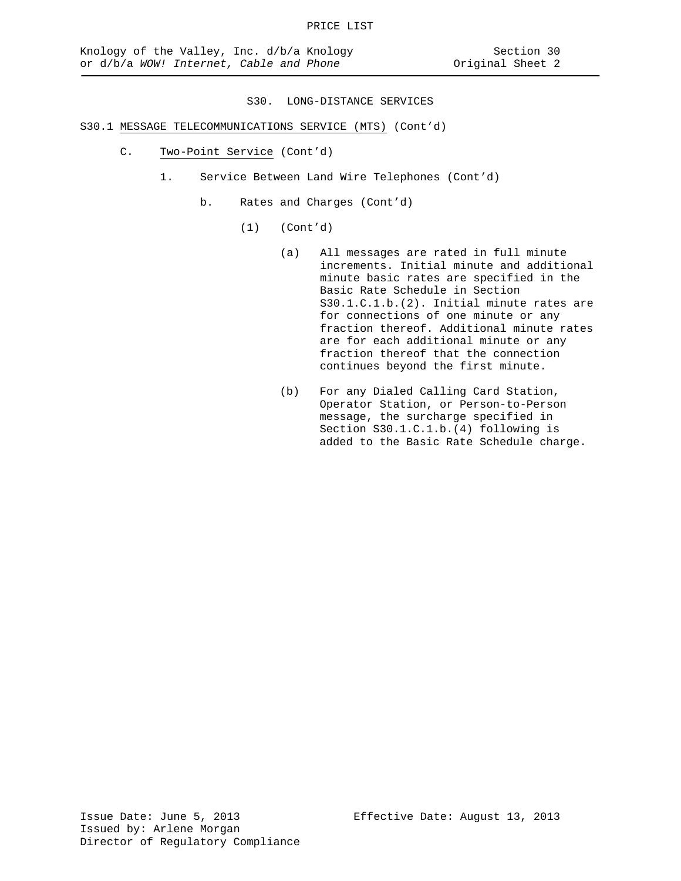- S30.1 MESSAGE TELECOMMUNICATIONS SERVICE (MTS) (Cont'd)
	- C. Two-Point Service (Cont'd)
		- 1. Service Between Land Wire Telephones (Cont'd)
			- b. Rates and Charges (Cont'd)
				- (1) (Cont'd)
					- (a) All messages are rated in full minute increments. Initial minute and additional minute basic rates are specified in the Basic Rate Schedule in Section S30.1.C.1.b.(2). Initial minute rates are for connections of one minute or any fraction thereof. Additional minute rates are for each additional minute or any fraction thereof that the connection continues beyond the first minute.
					- (b) For any Dialed Calling Card Station, Operator Station, or Person-to-Person message, the surcharge specified in Section S30.1.C.1.b.(4) following is added to the Basic Rate Schedule charge.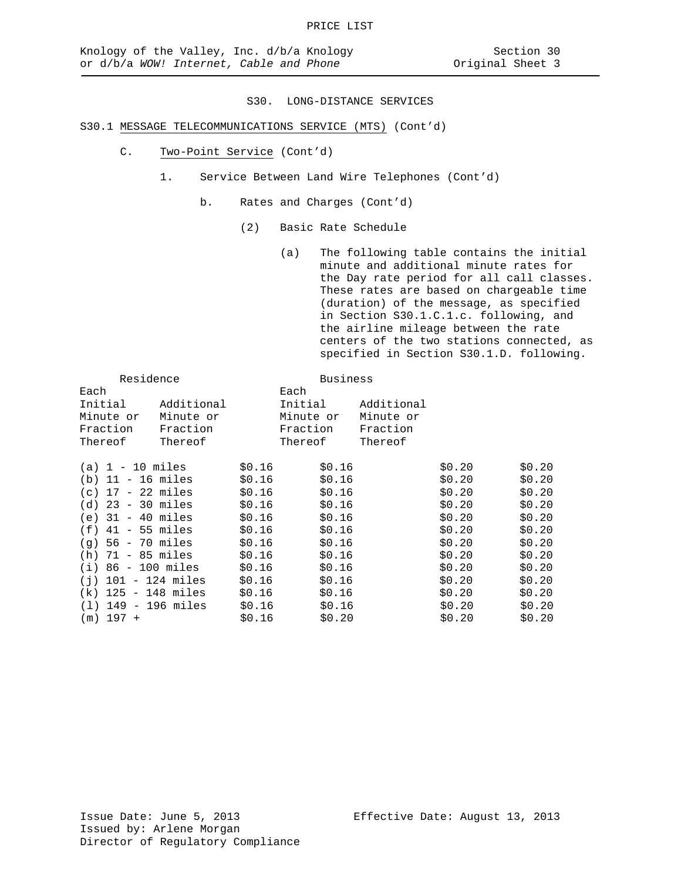# S30.1 MESSAGE TELECOMMUNICATIONS SERVICE (MTS) (Cont'd)

- C. Two-Point Service (Cont'd)
	- 1. Service Between Land Wire Telephones (Cont'd)
		- b. Rates and Charges (Cont'd)
			- (2) Basic Rate Schedule

(a) The following table contains the initial minute and additional minute rates for the Day rate period for all call classes. These rates are based on chargeable time (duration) of the message, as specified in Section S30.1.C.1.c. following, and the airline mileage between the rate centers of the two stations connected, as specified in Section S30.1.D. following.

| Residence             |            |        | <b>Business</b> |            |        |        |
|-----------------------|------------|--------|-----------------|------------|--------|--------|
| Each                  |            |        | Each            |            |        |        |
| Initial               | Additional |        | Initial         | Additional |        |        |
| Minute or             | Minute or  |        | Minute or       | Minute or  |        |        |
| Fraction              | Fraction   |        | Fraction        | Fraction   |        |        |
| Thereof               | Thereof    |        | Thereof         | Thereof    |        |        |
| $(a) 1 - 10$ miles    |            | \$0.16 | \$0.16          |            | \$0.20 | \$0.20 |
| $(b)$ 11 - 16 miles   |            | \$0.16 | \$0.16          |            | \$0.20 | \$0.20 |
| $(c)$ 17 - 22 miles   |            | \$0.16 | \$0.16          |            | \$0.20 | \$0.20 |
| $(d)$ 23 - 30 miles   |            | \$0.16 | \$0.16          |            | \$0.20 | \$0.20 |
| $(e)$ 31 - 40 miles   |            | \$0.16 | \$0.16          |            | \$0.20 | \$0.20 |
| $(f)$ 41 - 55 miles   |            | \$0.16 | \$0.16          |            | \$0.20 | \$0.20 |
| $(q)$ 56 - 70 miles   |            | \$0.16 | \$0.16          |            | \$0.20 | \$0.20 |
| $(h)$ 71 - 85 miles   |            | \$0.16 | \$0.16          |            | \$0.20 | \$0.20 |
| $(i) 86 - 100$ miles  |            | \$0.16 | \$0.16          |            | \$0.20 | \$0.20 |
| $(i)$ 101 - 124 miles |            | \$0.16 | \$0.16          |            | \$0.20 | \$0.20 |
| $(k)$ 125 - 148 miles |            | \$0.16 | \$0.16          |            | \$0.20 | \$0.20 |
| $(1)$ 149 - 196 miles |            | \$0.16 | \$0.16          |            | \$0.20 | \$0.20 |
| $(m)$ 197 +           |            | \$0.16 | \$0.20          |            | \$0.20 | \$0.20 |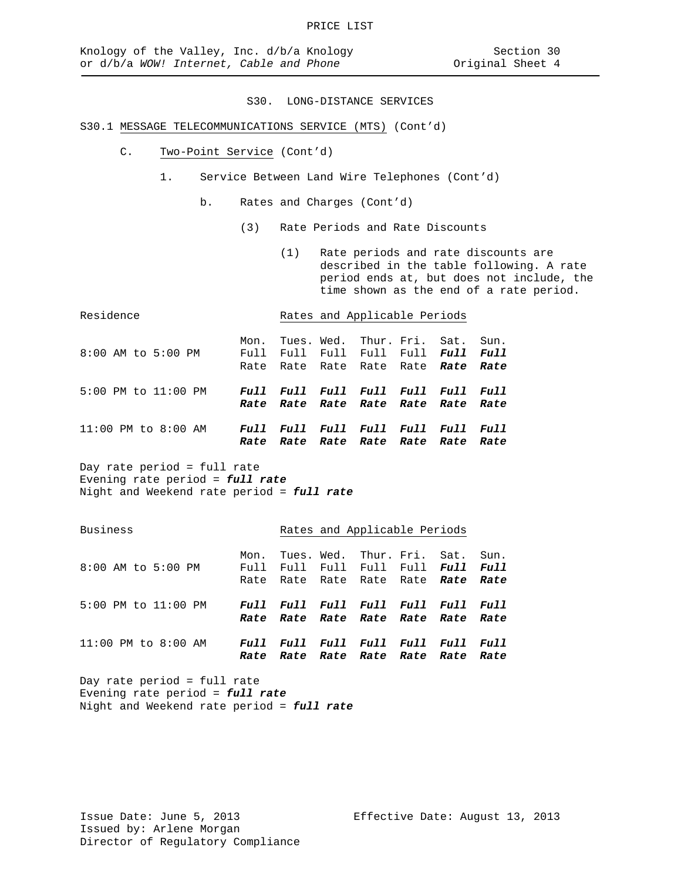# S30.1 MESSAGE TELECOMMUNICATIONS SERVICE (MTS) (Cont'd)

- C. Two-Point Service (Cont'd)
	- 1. Service Between Land Wire Telephones (Cont'd)
		- b. Rates and Charges (Cont'd)
			- (3) Rate Periods and Rate Discounts
				- (1) Rate periods and rate discounts are described in the table following. A rate period ends at, but does not include, the time shown as the end of a rate period.

| Residence           |              | Rates and Applicable Periods                                        |  |                                 |      |             |                     |  |
|---------------------|--------------|---------------------------------------------------------------------|--|---------------------------------|------|-------------|---------------------|--|
| 8:00 AM to 5:00 PM  | Mon.<br>Full | Full Full Full Full Full Full<br>Rate Rate Rate Rate Rate Rate      |  | Tues. Wed. Thur. Fri. Sat. Sun. |      |             | Rate                |  |
| 5:00 PM to 11:00 PM |              | Full Full Full Full Full Full Full<br>Rate Rate Rate Rate Rate Rate |  |                                 |      |             | Rate                |  |
| 11:00 PM to 8:00 AM | Full         | Full Full Full<br>Rate Rate Rate Rate Rate Rate                     |  |                                 | Full | <i>Full</i> | <i>Full</i><br>Rate |  |

Day rate period = full rate Evening rate period = *full rate* Night and Weekend rate period = *full rate*

# Business **Rates** and Applicable Periods

| 8:00 AM to 5:00 PM      | Mon. | Tues. Wed. Thur. Fri. Sat. Sun.<br>Full Full Full Full Full Full Full<br>Rate Rate Rate Rate Rate Rate Rate |  |  |
|-------------------------|------|-------------------------------------------------------------------------------------------------------------|--|--|
| 5:00 PM to 11:00 PM     |      | Full Full Full Full Full Full Full<br>Rate Rate Rate Rate Rate Rate Rate                                    |  |  |
| $11:00$ PM to $8:00$ AM | Rate | Full Full Full Full Full Full Full<br>Rate Rate Rate Rate Rate Rate                                         |  |  |

Day rate period = full rate Evening rate period = *full rate* Night and Weekend rate period = *full rate*

Issue Date: June 5, 2013 Effective Date: August 13, 2013 Issued by: Arlene Morgan Director of Regulatory Compliance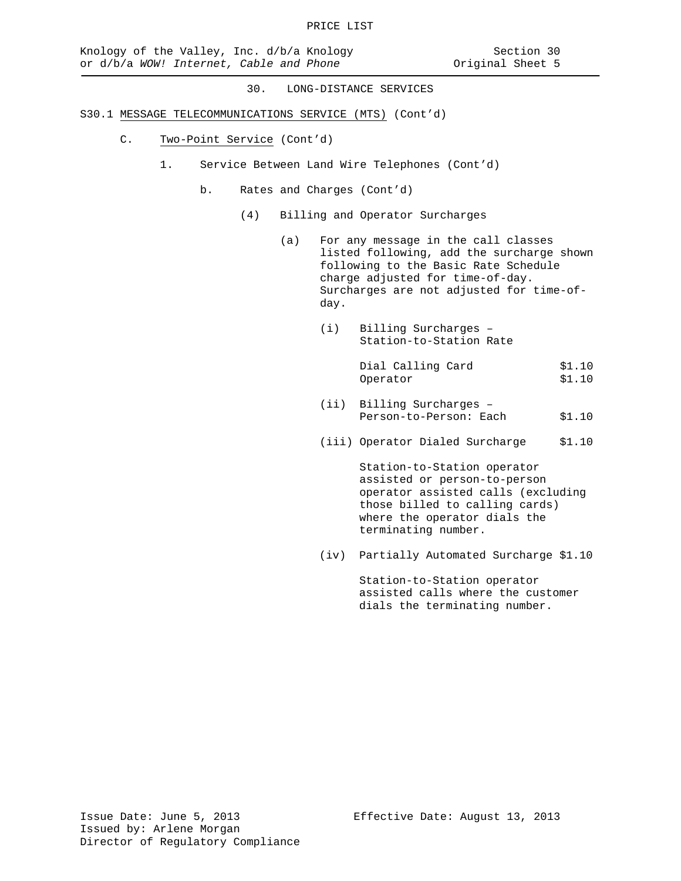- S30.1 MESSAGE TELECOMMUNICATIONS SERVICE (MTS) (Cont'd)
	- C. Two-Point Service (Cont'd)
		- 1. Service Between Land Wire Telephones (Cont'd)
			- b. Rates and Charges (Cont'd)
				- (4) Billing and Operator Surcharges
					- (a) For any message in the call classes listed following, add the surcharge shown following to the Basic Rate Schedule charge adjusted for time-of-day. Surcharges are not adjusted for time-ofday.
						- (i) Billing Surcharges Station-to-Station Rate

Dial Calling Card \$1.10<br>Operator \$1.10 Operator

- (ii) Billing Surcharges Person-to-Person: Each \$1.10
- (iii) Operator Dialed Surcharge \$1.10

Station-to-Station operator assisted or person-to-person operator assisted calls (excluding those billed to calling cards) where the operator dials the terminating number.

(iv) Partially Automated Surcharge \$1.10

Station-to-Station operator assisted calls where the customer dials the terminating number.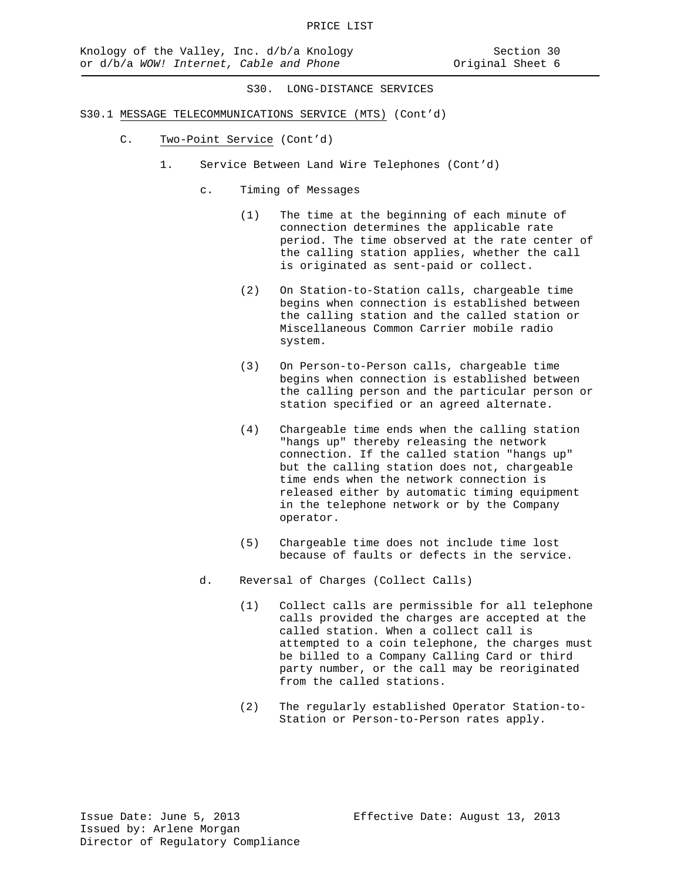- S30.1 MESSAGE TELECOMMUNICATIONS SERVICE (MTS) (Cont'd)
	- C. Two-Point Service (Cont'd)
		- 1. Service Between Land Wire Telephones (Cont'd)
			- c. Timing of Messages
				- (1) The time at the beginning of each minute of connection determines the applicable rate period. The time observed at the rate center of the calling station applies, whether the call is originated as sent-paid or collect.
				- (2) On Station-to-Station calls, chargeable time begins when connection is established between the calling station and the called station or Miscellaneous Common Carrier mobile radio system.
				- (3) On Person-to-Person calls, chargeable time begins when connection is established between the calling person and the particular person or station specified or an agreed alternate.
				- (4) Chargeable time ends when the calling station "hangs up" thereby releasing the network connection. If the called station "hangs up" but the calling station does not, chargeable time ends when the network connection is released either by automatic timing equipment in the telephone network or by the Company operator.
				- (5) Chargeable time does not include time lost because of faults or defects in the service.
			- d. Reversal of Charges (Collect Calls)
				- (1) Collect calls are permissible for all telephone calls provided the charges are accepted at the called station. When a collect call is attempted to a coin telephone, the charges must be billed to a Company Calling Card or third party number, or the call may be reoriginated from the called stations.
				- (2) The regularly established Operator Station-to-Station or Person-to-Person rates apply.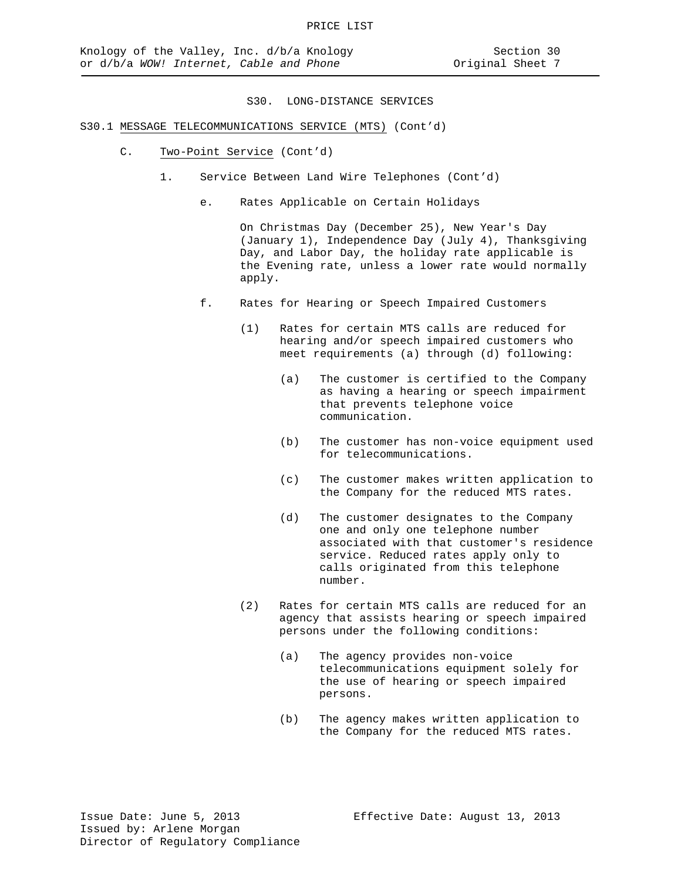- S30.1 MESSAGE TELECOMMUNICATIONS SERVICE (MTS) (Cont'd)
	- C. Two-Point Service (Cont'd)
		- 1. Service Between Land Wire Telephones (Cont'd)
			- e. Rates Applicable on Certain Holidays

On Christmas Day (December 25), New Year's Day (January 1), Independence Day (July 4), Thanksgiving Day, and Labor Day, the holiday rate applicable is the Evening rate, unless a lower rate would normally apply.

- f. Rates for Hearing or Speech Impaired Customers
	- (1) Rates for certain MTS calls are reduced for hearing and/or speech impaired customers who meet requirements (a) through (d) following:
		- (a) The customer is certified to the Company as having a hearing or speech impairment that prevents telephone voice communication.
		- (b) The customer has non-voice equipment used for telecommunications.
		- (c) The customer makes written application to the Company for the reduced MTS rates.
		- (d) The customer designates to the Company one and only one telephone number associated with that customer's residence service. Reduced rates apply only to calls originated from this telephone number.
	- (2) Rates for certain MTS calls are reduced for an agency that assists hearing or speech impaired persons under the following conditions:
		- (a) The agency provides non-voice telecommunications equipment solely for the use of hearing or speech impaired persons.
		- (b) The agency makes written application to the Company for the reduced MTS rates.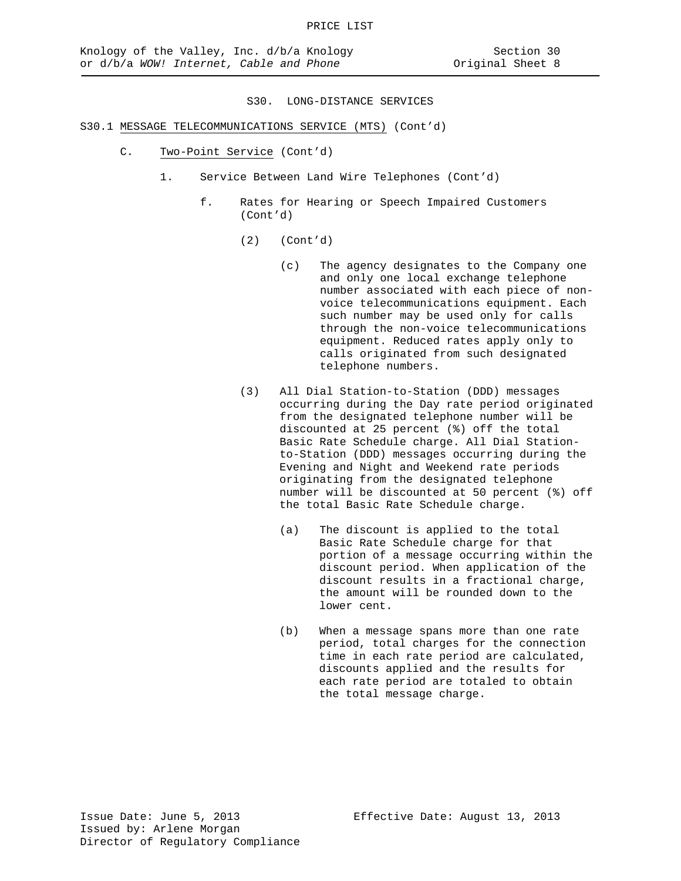# S30.1 MESSAGE TELECOMMUNICATIONS SERVICE (MTS) (Cont'd)

- C. Two-Point Service (Cont'd)
	- 1. Service Between Land Wire Telephones (Cont'd)
		- f. Rates for Hearing or Speech Impaired Customers (Cont'd)
			- (2) (Cont'd)
				- (c) The agency designates to the Company one and only one local exchange telephone number associated with each piece of nonvoice telecommunications equipment. Each such number may be used only for calls through the non-voice telecommunications equipment. Reduced rates apply only to calls originated from such designated telephone numbers.
			- (3) All Dial Station-to-Station (DDD) messages occurring during the Day rate period originated from the designated telephone number will be discounted at 25 percent (%) off the total Basic Rate Schedule charge. All Dial Stationto-Station (DDD) messages occurring during the Evening and Night and Weekend rate periods originating from the designated telephone number will be discounted at 50 percent (%) off the total Basic Rate Schedule charge.
				- (a) The discount is applied to the total Basic Rate Schedule charge for that portion of a message occurring within the discount period. When application of the discount results in a fractional charge, the amount will be rounded down to the lower cent.
				- (b) When a message spans more than one rate period, total charges for the connection time in each rate period are calculated, discounts applied and the results for each rate period are totaled to obtain the total message charge.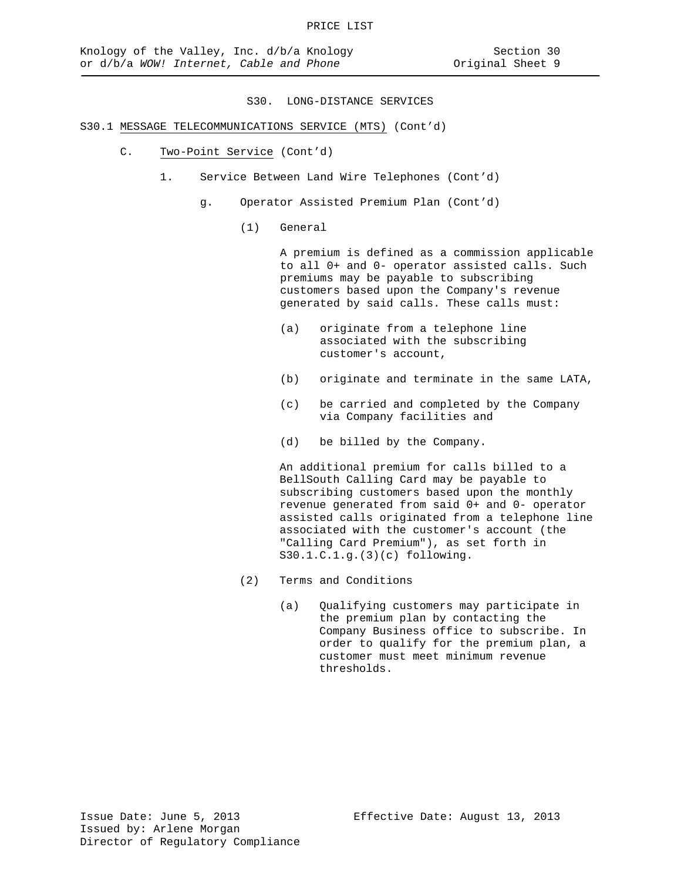# S30.1 MESSAGE TELECOMMUNICATIONS SERVICE (MTS) (Cont'd)

- C. Two-Point Service (Cont'd)
	- 1. Service Between Land Wire Telephones (Cont'd)
		- g. Operator Assisted Premium Plan (Cont'd)
			- (1) General

A premium is defined as a commission applicable to all 0+ and 0- operator assisted calls. Such premiums may be payable to subscribing customers based upon the Company's revenue generated by said calls. These calls must:

- (a) originate from a telephone line associated with the subscribing customer's account,
- (b) originate and terminate in the same LATA,
- (c) be carried and completed by the Company via Company facilities and
- (d) be billed by the Company.

An additional premium for calls billed to a BellSouth Calling Card may be payable to subscribing customers based upon the monthly revenue generated from said 0+ and 0- operator assisted calls originated from a telephone line associated with the customer's account (the "Calling Card Premium"), as set forth in S30.1.C.1.g.(3)(c) following.

- (2) Terms and Conditions
	- (a) Qualifying customers may participate in the premium plan by contacting the Company Business office to subscribe. In order to qualify for the premium plan, a customer must meet minimum revenue thresholds.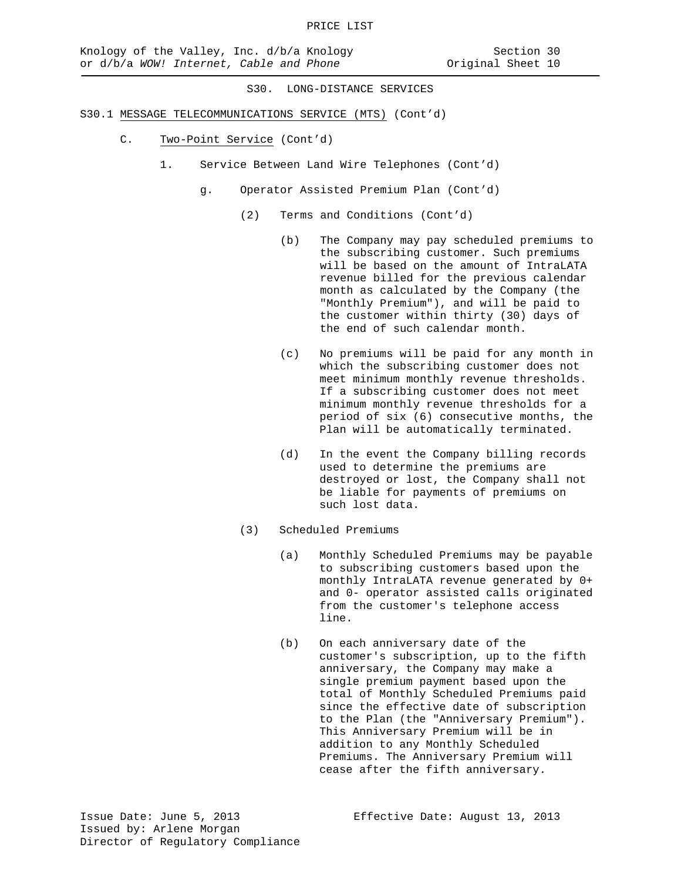- S30.1 MESSAGE TELECOMMUNICATIONS SERVICE (MTS) (Cont'd)
	- C. Two-Point Service (Cont'd)
		- 1. Service Between Land Wire Telephones (Cont'd)
			- g. Operator Assisted Premium Plan (Cont'd)
				- (2) Terms and Conditions (Cont'd)
					- (b) The Company may pay scheduled premiums to the subscribing customer. Such premiums will be based on the amount of IntraLATA revenue billed for the previous calendar month as calculated by the Company (the "Monthly Premium"), and will be paid to the customer within thirty (30) days of the end of such calendar month.
					- (c) No premiums will be paid for any month in which the subscribing customer does not meet minimum monthly revenue thresholds. If a subscribing customer does not meet minimum monthly revenue thresholds for a period of six (6) consecutive months, the Plan will be automatically terminated.
					- (d) In the event the Company billing records used to determine the premiums are destroyed or lost, the Company shall not be liable for payments of premiums on such lost data.
				- (3) Scheduled Premiums
					- (a) Monthly Scheduled Premiums may be payable to subscribing customers based upon the monthly IntraLATA revenue generated by 0+ and 0- operator assisted calls originated from the customer's telephone access line.
					- (b) On each anniversary date of the customer's subscription, up to the fifth anniversary, the Company may make a single premium payment based upon the total of Monthly Scheduled Premiums paid since the effective date of subscription to the Plan (the "Anniversary Premium"). This Anniversary Premium will be in addition to any Monthly Scheduled Premiums. The Anniversary Premium will cease after the fifth anniversary.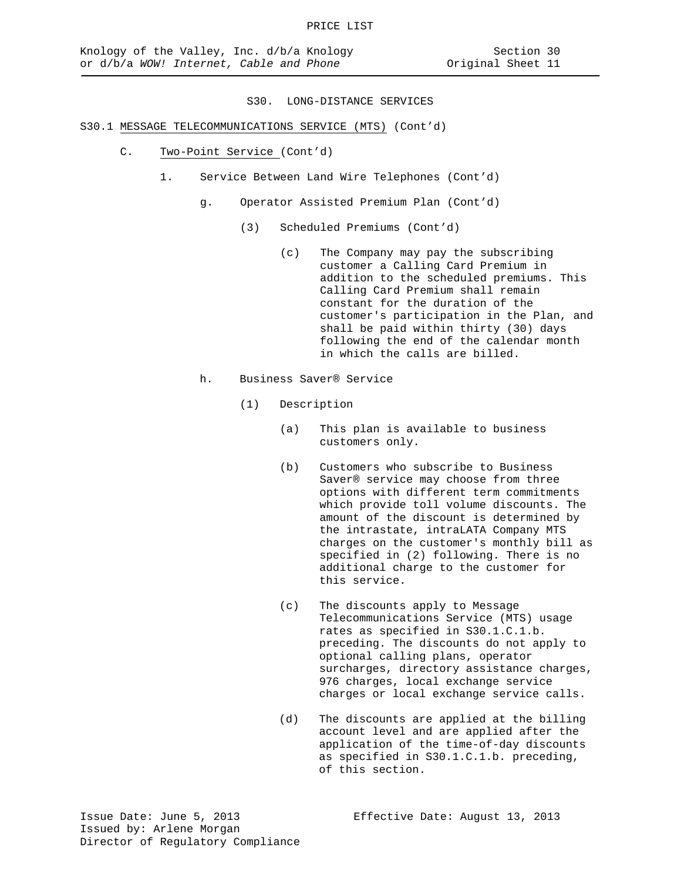# S30.1 MESSAGE TELECOMMUNICATIONS SERVICE (MTS) (Cont'd)

- C. Two-Point Service (Cont'd)
	- 1. Service Between Land Wire Telephones (Cont'd)
		- g. Operator Assisted Premium Plan (Cont'd)
			- (3) Scheduled Premiums (Cont'd)
				- (c) The Company may pay the subscribing customer a Calling Card Premium in addition to the scheduled premiums. This Calling Card Premium shall remain constant for the duration of the customer's participation in the Plan, and shall be paid within thirty (30) days following the end of the calendar month in which the calls are billed.
		- h. Business Saver® Service
			- (1) Description
				- (a) This plan is available to business customers only.
				- (b) Customers who subscribe to Business Saver® service may choose from three options with different term commitments which provide toll volume discounts. The amount of the discount is determined by the intrastate, intraLATA Company MTS charges on the customer's monthly bill as specified in (2) following. There is no additional charge to the customer for this service.
				- (c) The discounts apply to Message Telecommunications Service (MTS) usage rates as specified in S30.1.C.1.b. preceding. The discounts do not apply to optional calling plans, operator surcharges, directory assistance charges, 976 charges, local exchange service charges or local exchange service calls.
				- (d) The discounts are applied at the billing account level and are applied after the application of the time-of-day discounts as specified in S30.1.C.1.b. preceding, of this section.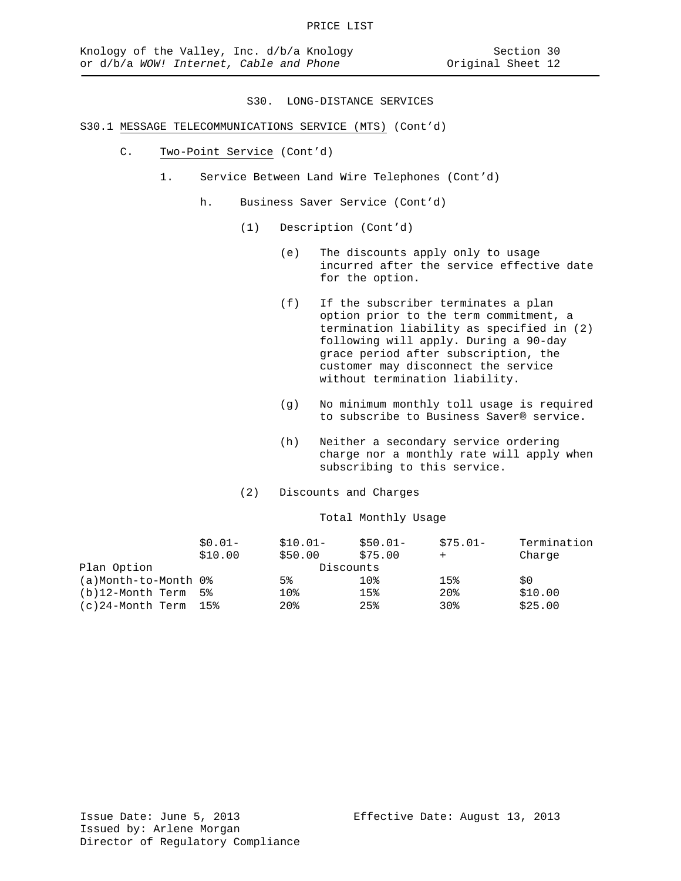# S30.1 MESSAGE TELECOMMUNICATIONS SERVICE (MTS) (Cont'd)

- C. Two-Point Service (Cont'd)
	- 1. Service Between Land Wire Telephones (Cont'd)
		- h. Business Saver Service (Cont'd)
			- (1) Description (Cont'd)
				- (e) The discounts apply only to usage incurred after the service effective date for the option.
				- (f) If the subscriber terminates a plan option prior to the term commitment, a termination liability as specified in (2) following will apply. During a 90-day grace period after subscription, the customer may disconnect the service without termination liability.
				- (g) No minimum monthly toll usage is required to subscribe to Business Saver® service.
				- (h) Neither a secondary service ordering charge nor a monthly rate will apply when subscribing to this service.
			- (2) Discounts and Charges

#### Total Monthly Usage

|                      | $$0.01-$ | $$10.01-$       | $$50.01-$ | $$75.01-$       | Termination |
|----------------------|----------|-----------------|-----------|-----------------|-------------|
|                      | \$10.00  | \$50.00         | \$75.00   |                 | Charge      |
| Plan Option          |          | Discounts       |           |                 |             |
| (a)Month-to-Month 0% |          | 5%              | 10%       | 15%             | \$0         |
| (b)12-Month Term     | 5%       | 10 <sub>8</sub> | 15%       | 20 <sub>8</sub> | \$10.00     |
| (c)24-Month Term     | 15%      | 20 <sub>8</sub> | 25%       | 30%             | \$25.00     |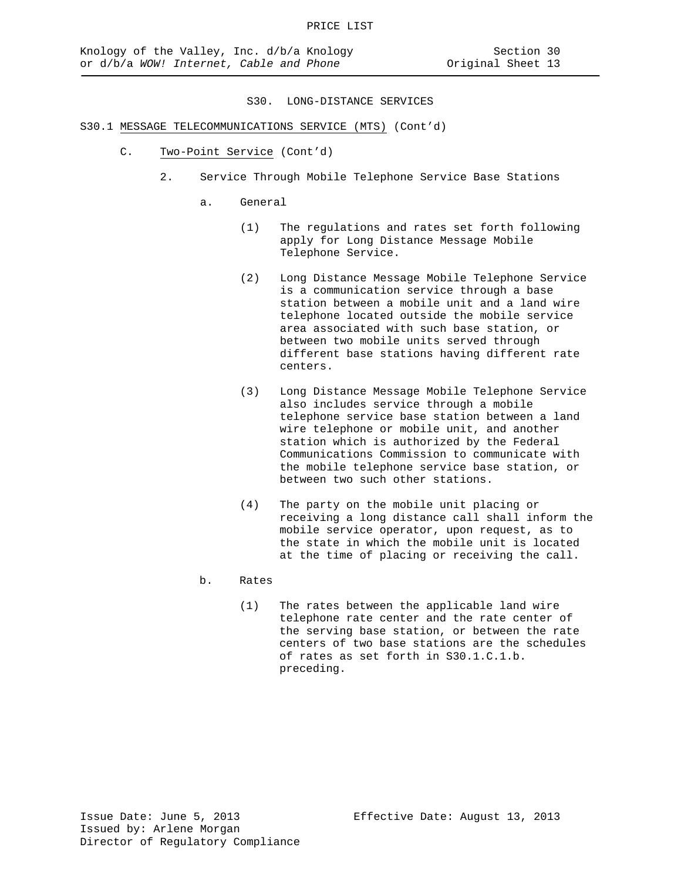- S30.1 MESSAGE TELECOMMUNICATIONS SERVICE (MTS) (Cont'd)
	- C. Two-Point Service (Cont'd)
		- 2. Service Through Mobile Telephone Service Base Stations
			- a. General
				- (1) The regulations and rates set forth following apply for Long Distance Message Mobile Telephone Service.
				- (2) Long Distance Message Mobile Telephone Service is a communication service through a base station between a mobile unit and a land wire telephone located outside the mobile service area associated with such base station, or between two mobile units served through different base stations having different rate centers.
				- (3) Long Distance Message Mobile Telephone Service also includes service through a mobile telephone service base station between a land wire telephone or mobile unit, and another station which is authorized by the Federal Communications Commission to communicate with the mobile telephone service base station, or between two such other stations.
				- (4) The party on the mobile unit placing or receiving a long distance call shall inform the mobile service operator, upon request, as to the state in which the mobile unit is located at the time of placing or receiving the call.
			- b. Rates
				- (1) The rates between the applicable land wire telephone rate center and the rate center of the serving base station, or between the rate centers of two base stations are the schedules of rates as set forth in S30.1.C.1.b. preceding.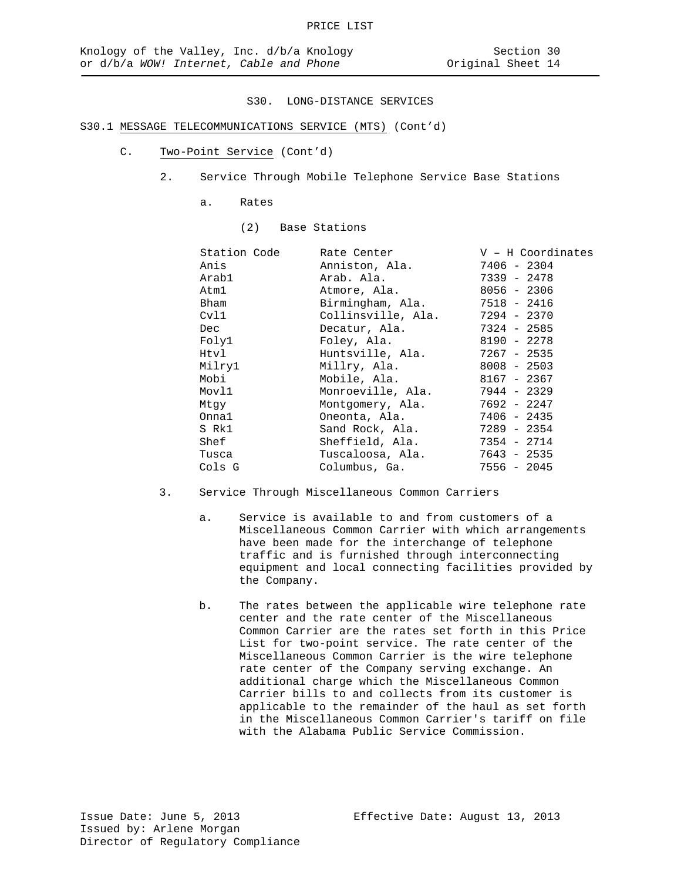# S30.1 MESSAGE TELECOMMUNICATIONS SERVICE (MTS) (Cont'd)

- C. Two-Point Service (Cont'd)
	- 2. Service Through Mobile Telephone Service Base Stations
		- a. Rates
			- (2) Base Stations

| Station Code | Rate Center       | $V - H$ Coordinates                                                                                                                                                                     |
|--------------|-------------------|-----------------------------------------------------------------------------------------------------------------------------------------------------------------------------------------|
|              | Anniston, Ala.    | 7406 - 2304                                                                                                                                                                             |
|              |                   | 7339 - 2478                                                                                                                                                                             |
|              |                   | 8056 - 2306                                                                                                                                                                             |
|              |                   |                                                                                                                                                                                         |
|              |                   |                                                                                                                                                                                         |
|              | Decatur, Ala.     | 7324 - 2585                                                                                                                                                                             |
|              | Foley, Ala.       | 8190 - 2278                                                                                                                                                                             |
|              | Huntsville, Ala.  | 7267 - 2535                                                                                                                                                                             |
|              |                   | $8008 - 2503$                                                                                                                                                                           |
|              |                   | 8167 - 2367                                                                                                                                                                             |
|              | Monroeville, Ala. | 7944 - 2329                                                                                                                                                                             |
|              |                   | 7692 - 2247                                                                                                                                                                             |
|              | Oneonta, Ala.     | $7406 - 2435$                                                                                                                                                                           |
|              | Sand Rock, Ala.   | 7289 - 2354                                                                                                                                                                             |
|              |                   | 7354 - 2714                                                                                                                                                                             |
|              |                   | 7643 - 2535                                                                                                                                                                             |
|              | Columbus, Ga.     | $7556 - 2045$                                                                                                                                                                           |
|              |                   | Arab. Ala.<br>Atmore, Ala.<br>Birmingham, Ala. 7518 - 2416<br>Collinsville, Ala. 7294 - 2370<br>Millry, Ala.<br>Mobile, Ala.<br>Montgomery, Ala.<br>Sheffield, Ala.<br>Tuscaloosa, Ala. |

- 3. Service Through Miscellaneous Common Carriers
	- a. Service is available to and from customers of a Miscellaneous Common Carrier with which arrangements have been made for the interchange of telephone traffic and is furnished through interconnecting equipment and local connecting facilities provided by the Company.
	- b. The rates between the applicable wire telephone rate center and the rate center of the Miscellaneous Common Carrier are the rates set forth in this Price List for two-point service. The rate center of the Miscellaneous Common Carrier is the wire telephone rate center of the Company serving exchange. An additional charge which the Miscellaneous Common Carrier bills to and collects from its customer is applicable to the remainder of the haul as set forth in the Miscellaneous Common Carrier's tariff on file with the Alabama Public Service Commission.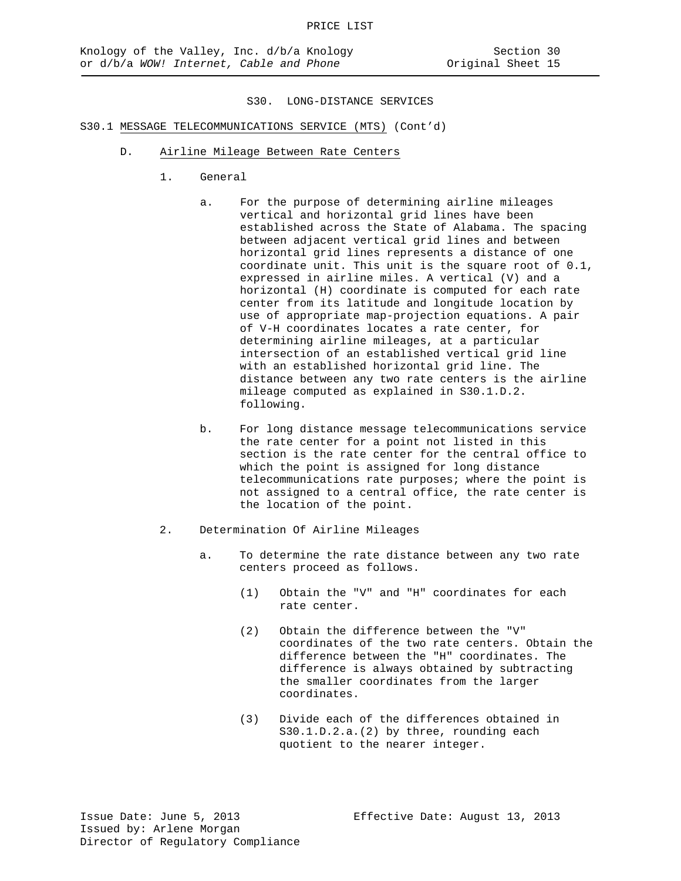# S30.1 MESSAGE TELECOMMUNICATIONS SERVICE (MTS) (Cont'd)

- D. Airline Mileage Between Rate Centers
	- 1. General
		- a. For the purpose of determining airline mileages vertical and horizontal grid lines have been established across the State of Alabama. The spacing between adjacent vertical grid lines and between horizontal grid lines represents a distance of one coordinate unit. This unit is the square root of 0.1, expressed in airline miles. A vertical (V) and a horizontal (H) coordinate is computed for each rate center from its latitude and longitude location by use of appropriate map-projection equations. A pair of V-H coordinates locates a rate center, for determining airline mileages, at a particular intersection of an established vertical grid line with an established horizontal grid line. The distance between any two rate centers is the airline mileage computed as explained in S30.1.D.2. following.
		- b. For long distance message telecommunications service the rate center for a point not listed in this section is the rate center for the central office to which the point is assigned for long distance telecommunications rate purposes; where the point is not assigned to a central office, the rate center is the location of the point.
	- 2. Determination Of Airline Mileages
		- a. To determine the rate distance between any two rate centers proceed as follows.
			- (1) Obtain the "V" and "H" coordinates for each rate center.
			- (2) Obtain the difference between the "V" coordinates of the two rate centers. Obtain the difference between the "H" coordinates. The difference is always obtained by subtracting the smaller coordinates from the larger coordinates.
			- (3) Divide each of the differences obtained in S30.1.D.2.a.(2) by three, rounding each quotient to the nearer integer.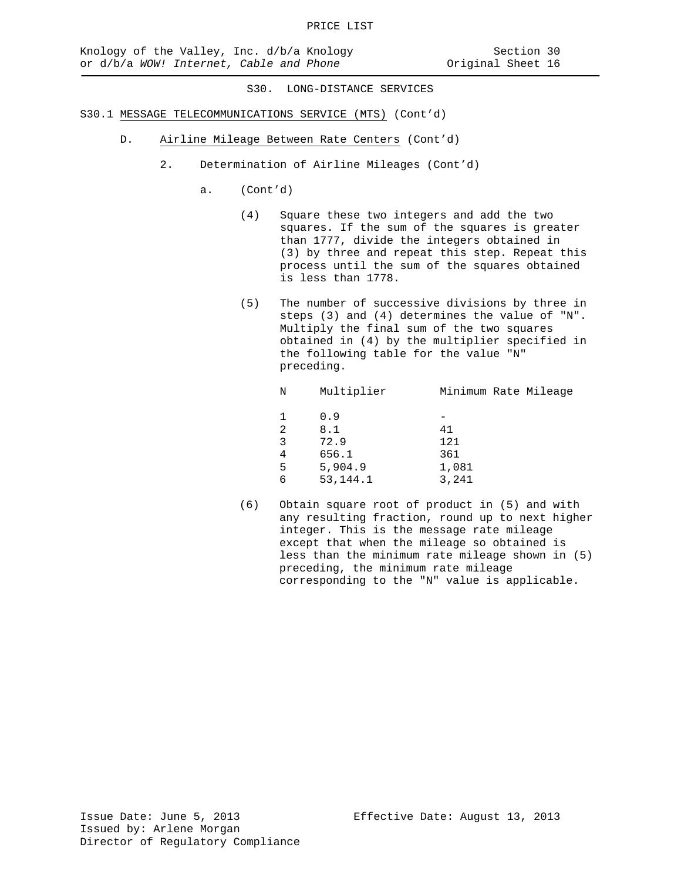- S30.1 MESSAGE TELECOMMUNICATIONS SERVICE (MTS) (Cont'd)
	- D. Airline Mileage Between Rate Centers (Cont'd)
		- 2. Determination of Airline Mileages (Cont'd)
			- a. (Cont'd)
				- (4) Square these two integers and add the two squares. If the sum of the squares is greater than 1777, divide the integers obtained in (3) by three and repeat this step. Repeat this process until the sum of the squares obtained is less than 1778.
				- (5) The number of successive divisions by three in steps (3) and (4) determines the value of "N". Multiply the final sum of the two squares obtained in (4) by the multiplier specified in the following table for the value "N" preceding.

| Ν | Multiplier | Minimum Rate Mileage |
|---|------------|----------------------|
| 1 | 0.9        |                      |
| 2 | 8.1        | 41                   |
| 3 | 72.9       | 121                  |
| 4 | 656.1      | 361                  |
| 5 | 5,904.9    | 1,081                |
| 6 | 53, 144. 1 | 3,241                |
|   |            |                      |

(6) Obtain square root of product in (5) and with any resulting fraction, round up to next higher integer. This is the message rate mileage except that when the mileage so obtained is less than the minimum rate mileage shown in (5) preceding, the minimum rate mileage corresponding to the "N" value is applicable.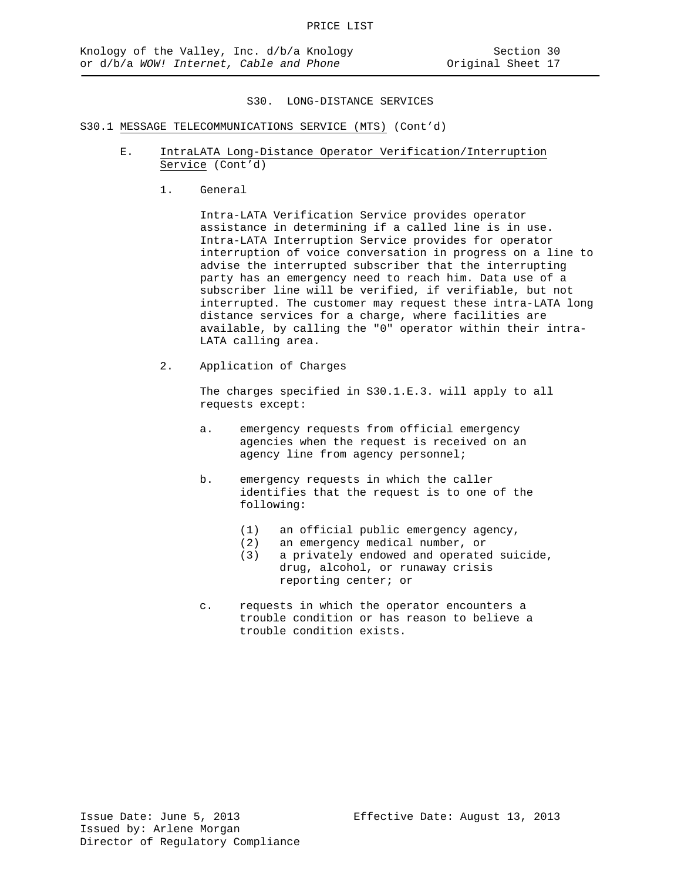# S30.1 MESSAGE TELECOMMUNICATIONS SERVICE (MTS) (Cont'd)

- E. IntraLATA Long-Distance Operator Verification/Interruption Service (Cont'd)
	- 1. General

Intra-LATA Verification Service provides operator assistance in determining if a called line is in use. Intra-LATA Interruption Service provides for operator interruption of voice conversation in progress on a line to advise the interrupted subscriber that the interrupting party has an emergency need to reach him. Data use of a subscriber line will be verified, if verifiable, but not interrupted. The customer may request these intra-LATA long distance services for a charge, where facilities are available, by calling the "0" operator within their intra-LATA calling area.

2. Application of Charges

The charges specified in S30.1.E.3. will apply to all requests except:

- a. emergency requests from official emergency agencies when the request is received on an agency line from agency personnel;
- b. emergency requests in which the caller identifies that the request is to one of the following:
	- (1) an official public emergency agency,
	- (2) an emergency medical number, or<br>(3) a privately endowed and operate
	- a privately endowed and operated suicide, drug, alcohol, or runaway crisis reporting center; or
- c. requests in which the operator encounters a trouble condition or has reason to believe a trouble condition exists.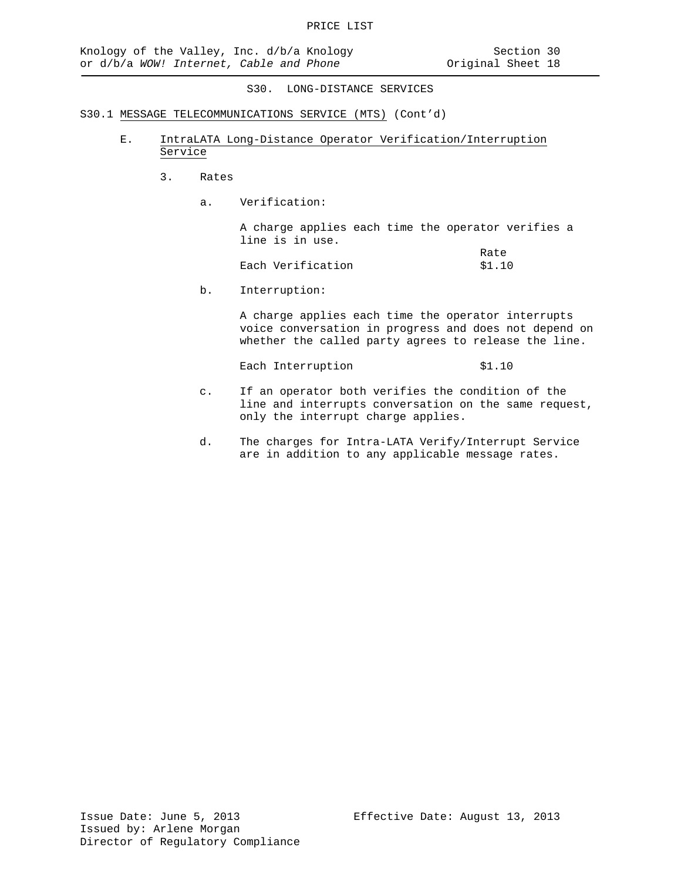- S30.1 MESSAGE TELECOMMUNICATIONS SERVICE (MTS) (Cont'd)
	- E. IntraLATA Long-Distance Operator Verification/Interruption Service
		- 3. Rates
			- a. Verification:

A charge applies each time the operator verifies a line is in use.

|                   | Rate   |
|-------------------|--------|
| Each Verification | \$1.10 |

b. Interruption:

A charge applies each time the operator interrupts voice conversation in progress and does not depend on whether the called party agrees to release the line.

Each Interruption \$1.10

- c. If an operator both verifies the condition of the line and interrupts conversation on the same request, only the interrupt charge applies.
- d. The charges for Intra-LATA Verify/Interrupt Service are in addition to any applicable message rates.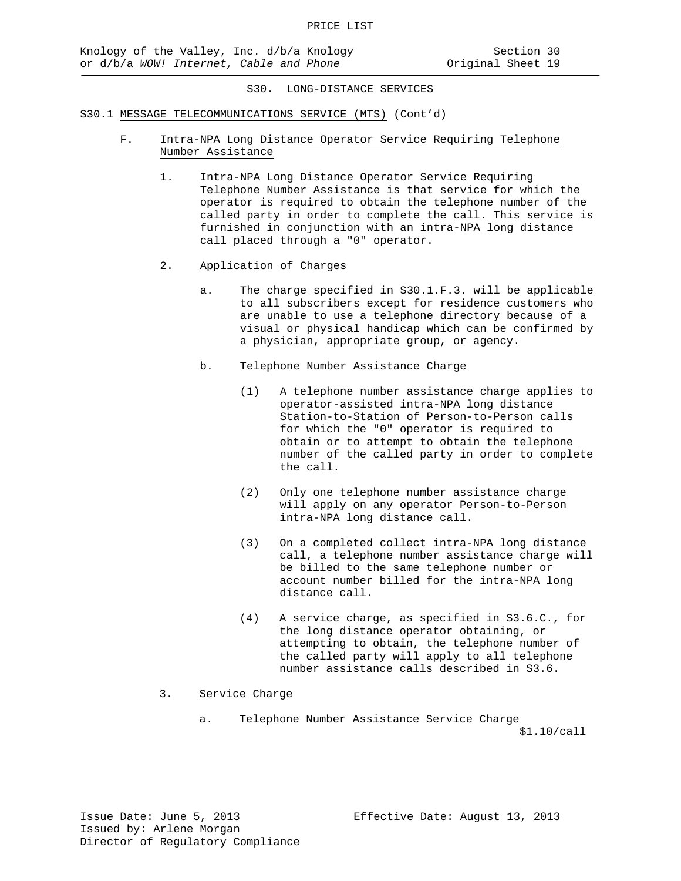- S30.1 MESSAGE TELECOMMUNICATIONS SERVICE (MTS) (Cont'd)
	- F. Intra-NPA Long Distance Operator Service Requiring Telephone Number Assistance
		- 1. Intra-NPA Long Distance Operator Service Requiring Telephone Number Assistance is that service for which the operator is required to obtain the telephone number of the called party in order to complete the call. This service is furnished in conjunction with an intra-NPA long distance call placed through a "0" operator.
		- 2. Application of Charges
			- a. The charge specified in S30.1.F.3. will be applicable to all subscribers except for residence customers who are unable to use a telephone directory because of a visual or physical handicap which can be confirmed by a physician, appropriate group, or agency.
			- b. Telephone Number Assistance Charge
				- (1) A telephone number assistance charge applies to operator-assisted intra-NPA long distance Station-to-Station of Person-to-Person calls for which the "0" operator is required to obtain or to attempt to obtain the telephone number of the called party in order to complete the call.
				- (2) Only one telephone number assistance charge will apply on any operator Person-to-Person intra-NPA long distance call.
				- (3) On a completed collect intra-NPA long distance call, a telephone number assistance charge will be billed to the same telephone number or account number billed for the intra-NPA long distance call.
				- (4) A service charge, as specified in S3.6.C., for the long distance operator obtaining, or attempting to obtain, the telephone number of the called party will apply to all telephone number assistance calls described in S3.6.
		- 3. Service Charge
			- a. Telephone Number Assistance Service Charge \$1.10/call